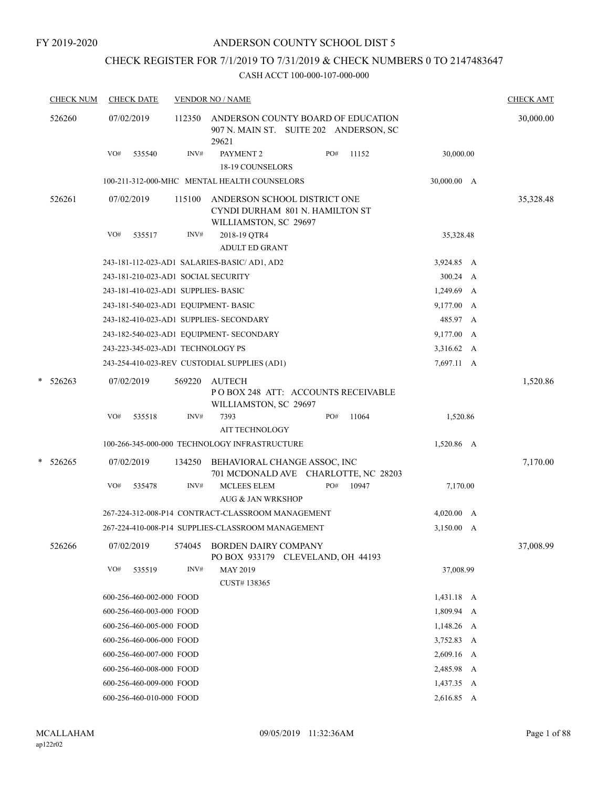# CHECK REGISTER FOR 7/1/2019 TO 7/31/2019 & CHECK NUMBERS 0 TO 2147483647

| <b>CHECK NUM</b> |     | <b>CHECK DATE</b>        |                                     | <b>VENDOR NO / NAME</b>                                                                  |     |       |                 | <b>CHECK AMT</b> |
|------------------|-----|--------------------------|-------------------------------------|------------------------------------------------------------------------------------------|-----|-------|-----------------|------------------|
| 526260           |     | 07/02/2019               | 112350                              | ANDERSON COUNTY BOARD OF EDUCATION<br>907 N. MAIN ST. SUITE 202 ANDERSON, SC<br>29621    |     |       |                 | 30,000.00        |
|                  | VO# | 535540                   | INV#                                | PAYMENT <sub>2</sub>                                                                     | PO# | 11152 | 30,000.00       |                  |
|                  |     |                          |                                     | <b>18-19 COUNSELORS</b>                                                                  |     |       |                 |                  |
|                  |     |                          |                                     | 100-211-312-000-MHC MENTAL HEALTH COUNSELORS                                             |     |       | 30,000.00 A     |                  |
| 526261           |     | 07/02/2019               | 115100                              | ANDERSON SCHOOL DISTRICT ONE<br>CYNDI DURHAM 801 N. HAMILTON ST<br>WILLIAMSTON, SC 29697 |     |       |                 | 35,328.48        |
|                  | VO# | 535517                   | INV#                                | 2018-19 QTR4                                                                             |     |       | 35,328.48       |                  |
|                  |     |                          |                                     | <b>ADULT ED GRANT</b>                                                                    |     |       |                 |                  |
|                  |     |                          |                                     | 243-181-112-023-AD1 SALARIES-BASIC/ AD1, AD2                                             |     |       | 3,924.85 A      |                  |
|                  |     |                          |                                     | 243-181-210-023-AD1 SOCIAL SECURITY                                                      |     |       | 300.24 A        |                  |
|                  |     |                          | 243-181-410-023-AD1 SUPPLIES- BASIC |                                                                                          |     |       | 1,249.69 A      |                  |
|                  |     |                          |                                     | 243-181-540-023-AD1 EQUIPMENT- BASIC                                                     |     |       | 9,177.00 A      |                  |
|                  |     |                          |                                     | 243-182-410-023-AD1 SUPPLIES- SECONDARY                                                  |     |       | 485.97 A        |                  |
|                  |     |                          |                                     | 243-182-540-023-AD1 EQUIPMENT- SECONDARY                                                 |     |       | 9,177.00 A      |                  |
|                  |     |                          | 243-223-345-023-AD1 TECHNOLOGY PS   |                                                                                          |     |       | 3,316.62 A      |                  |
|                  |     |                          |                                     | 243-254-410-023-REV CUSTODIAL SUPPLIES (AD1)                                             |     |       | 7,697.11 A      |                  |
| $* 526263$       |     | 07/02/2019               | 569220                              | AUTECH<br>PO BOX 248 ATT: ACCOUNTS RECEIVABLE<br>WILLIAMSTON, SC 29697                   |     |       |                 | 1,520.86         |
|                  | VO# | 535518                   | INV#                                | 7393                                                                                     | PO# | 11064 | 1,520.86        |                  |
|                  |     |                          |                                     | <b>AIT TECHNOLOGY</b>                                                                    |     |       |                 |                  |
|                  |     |                          |                                     | 100-266-345-000-000 TECHNOLOGY INFRASTRUCTURE                                            |     |       | 1,520.86 A      |                  |
| $*$ 526265       |     | 07/02/2019               | 134250                              | BEHAVIORAL CHANGE ASSOC, INC<br>701 MCDONALD AVE CHARLOTTE, NC 28203                     |     |       |                 | 7,170.00         |
|                  | VO# | 535478                   | INV#                                | <b>MCLEES ELEM</b><br><b>AUG &amp; JAN WRKSHOP</b>                                       | PO# | 10947 | 7,170.00        |                  |
|                  |     |                          |                                     | 267-224-312-008-P14 CONTRACT-CLASSROOM MANAGEMENT                                        |     |       | 4,020.00 A      |                  |
|                  |     |                          |                                     | 267-224-410-008-P14 SUPPLIES-CLASSROOM MANAGEMENT                                        |     |       | $3,150.00 \, A$ |                  |
| 526266           |     | 07/02/2019               | 574045                              | BORDEN DAIRY COMPANY<br>PO BOX 933179 CLEVELAND, OH 44193                                |     |       |                 | 37,008.99        |
|                  | VO# | 535519                   | INV#                                | MAY 2019<br>CUST#138365                                                                  |     |       | 37,008.99       |                  |
|                  |     | 600-256-460-002-000 FOOD |                                     |                                                                                          |     |       | 1,431.18 A      |                  |
|                  |     | 600-256-460-003-000 FOOD |                                     |                                                                                          |     |       | 1,809.94 A      |                  |
|                  |     | 600-256-460-005-000 FOOD |                                     |                                                                                          |     |       | $1,148.26$ A    |                  |
|                  |     | 600-256-460-006-000 FOOD |                                     |                                                                                          |     |       | 3,752.83 A      |                  |
|                  |     | 600-256-460-007-000 FOOD |                                     |                                                                                          |     |       | 2,609.16 A      |                  |
|                  |     | 600-256-460-008-000 FOOD |                                     |                                                                                          |     |       | 2,485.98 A      |                  |
|                  |     | 600-256-460-009-000 FOOD |                                     |                                                                                          |     |       | 1,437.35 A      |                  |
|                  |     | 600-256-460-010-000 FOOD |                                     |                                                                                          |     |       | 2,616.85 A      |                  |
|                  |     |                          |                                     |                                                                                          |     |       |                 |                  |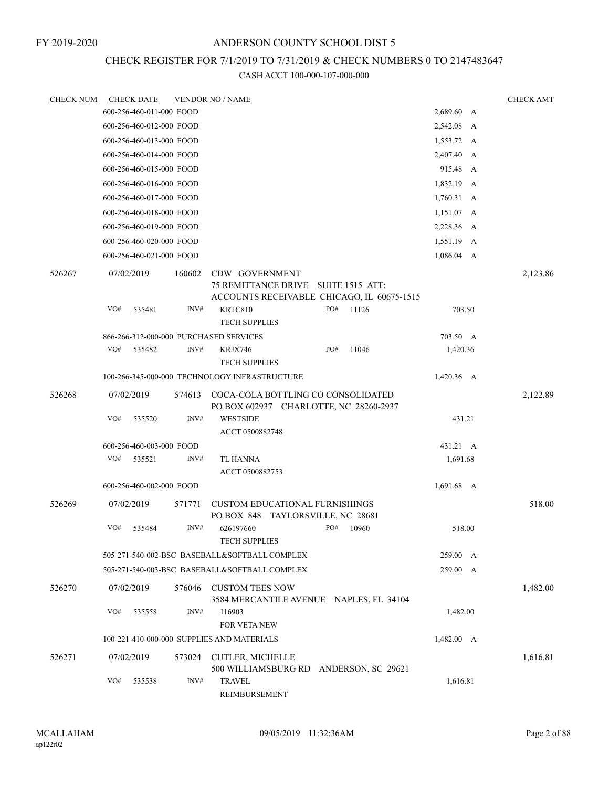# CHECK REGISTER FOR 7/1/2019 TO 7/31/2019 & CHECK NUMBERS 0 TO 2147483647

| <b>CHECK NUM</b> |     | <b>CHECK DATE</b>        |        | <b>VENDOR NO / NAME</b>                                                             |     |                        |                 | <b>CHECK AMT</b> |
|------------------|-----|--------------------------|--------|-------------------------------------------------------------------------------------|-----|------------------------|-----------------|------------------|
|                  |     | 600-256-460-011-000 FOOD |        |                                                                                     |     |                        | 2,689.60 A      |                  |
|                  |     | 600-256-460-012-000 FOOD |        |                                                                                     |     |                        | 2,542.08 A      |                  |
|                  |     | 600-256-460-013-000 FOOD |        |                                                                                     |     |                        | 1,553.72 A      |                  |
|                  |     | 600-256-460-014-000 FOOD |        |                                                                                     |     |                        | 2,407.40 A      |                  |
|                  |     | 600-256-460-015-000 FOOD |        |                                                                                     |     |                        | 915.48 A        |                  |
|                  |     | 600-256-460-016-000 FOOD |        |                                                                                     |     |                        | 1,832.19 A      |                  |
|                  |     | 600-256-460-017-000 FOOD |        |                                                                                     |     |                        | 1,760.31 A      |                  |
|                  |     | 600-256-460-018-000 FOOD |        |                                                                                     |     |                        | 1,151.07 A      |                  |
|                  |     | 600-256-460-019-000 FOOD |        |                                                                                     |     |                        | 2,228.36 A      |                  |
|                  |     | 600-256-460-020-000 FOOD |        |                                                                                     |     |                        | 1,551.19 A      |                  |
|                  |     | 600-256-460-021-000 FOOD |        |                                                                                     |     |                        | $1,086.04$ A    |                  |
| 526267           |     | 07/02/2019               | 160602 | CDW GOVERNMENT<br>75 REMITTANCE DRIVE<br>ACCOUNTS RECEIVABLE CHICAGO, IL 60675-1515 |     | <b>SUITE 1515 ATT:</b> |                 | 2,123.86         |
|                  | VO# | 535481                   | INV#   | KRTC810                                                                             | PO# | 11126                  | 703.50          |                  |
|                  |     |                          |        | <b>TECH SUPPLIES</b>                                                                |     |                        |                 |                  |
|                  |     |                          |        | 866-266-312-000-000 PURCHASED SERVICES                                              |     |                        | 703.50 A        |                  |
|                  | VO# | 535482                   | INV#   | KRJX746<br><b>TECH SUPPLIES</b>                                                     | PO# | 11046                  | 1,420.36        |                  |
|                  |     |                          |        | 100-266-345-000-000 TECHNOLOGY INFRASTRUCTURE                                       |     |                        | 1,420.36 A      |                  |
| 526268           |     | 07/02/2019               | 574613 | COCA-COLA BOTTLING CO CONSOLIDATED<br>PO BOX 602937 CHARLOTTE, NC 28260-2937        |     |                        |                 | 2,122.89         |
|                  | VO# | 535520                   | INV#   | <b>WESTSIDE</b><br>ACCT 0500882748                                                  |     |                        | 431.21          |                  |
|                  |     | 600-256-460-003-000 FOOD |        |                                                                                     |     |                        | 431.21 A        |                  |
|                  | VO# | 535521                   | INV#   | TL HANNA<br>ACCT 0500882753                                                         |     |                        | 1,691.68        |                  |
|                  |     | 600-256-460-002-000 FOOD |        |                                                                                     |     |                        | 1,691.68 A      |                  |
|                  |     |                          |        |                                                                                     |     |                        |                 |                  |
| 526269           |     | 07/02/2019               | 571771 | <b>CUSTOM EDUCATIONAL FURNISHINGS</b><br>PO BOX 848 TAYLORSVILLE, NC 28681          |     |                        |                 | 518.00           |
|                  | VO# | 535484                   | INV#   | 626197660<br><b>TECH SUPPLIES</b>                                                   | PO# | 10960                  | 518.00          |                  |
|                  |     |                          |        | 505-271-540-002-BSC BASEBALL&SOFTBALL COMPLEX                                       |     |                        | 259.00 A        |                  |
|                  |     |                          |        | 505-271-540-003-BSC BASEBALL&SOFTBALL COMPLEX                                       |     |                        | 259.00 A        |                  |
| 526270           |     | 07/02/2019               | 576046 | <b>CUSTOM TEES NOW</b><br>3584 MERCANTILE AVENUE NAPLES, FL 34104                   |     |                        |                 | 1,482.00         |
|                  | VO# | 535558                   | INV#   | 116903<br>FOR VETA NEW                                                              |     |                        | 1,482.00        |                  |
|                  |     |                          |        | 100-221-410-000-000 SUPPLIES AND MATERIALS                                          |     |                        | $1,482.00 \, A$ |                  |
| 526271           |     | 07/02/2019               | 573024 | <b>CUTLER, MICHELLE</b><br>500 WILLIAMSBURG RD                                      |     |                        |                 | 1,616.81         |
|                  | VO# | 535538                   | INV#   | <b>TRAVEL</b><br>REIMBURSEMENT                                                      |     | ANDERSON, SC 29621     | 1,616.81        |                  |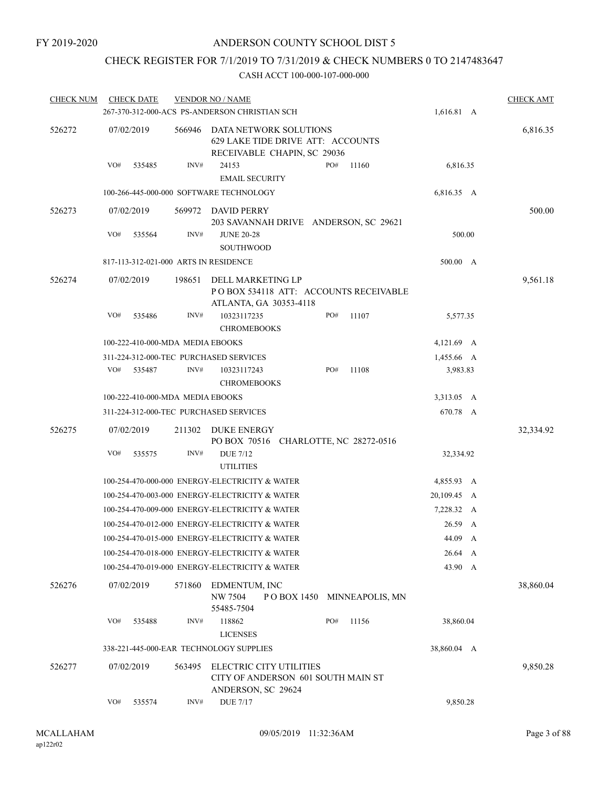# CHECK REGISTER FOR 7/1/2019 TO 7/31/2019 & CHECK NUMBERS 0 TO 2147483647

| <b>CHECK NUM</b> |     | <b>CHECK DATE</b>                |        | <b>VENDOR NO / NAME</b><br>267-370-312-000-ACS PS-ANDERSON CHRISTIAN SCH                   |     |                            | 1,616.81 A  | <b>CHECK AMT</b> |
|------------------|-----|----------------------------------|--------|--------------------------------------------------------------------------------------------|-----|----------------------------|-------------|------------------|
|                  |     |                                  |        |                                                                                            |     |                            |             |                  |
| 526272           |     | 07/02/2019                       | 566946 | DATA NETWORK SOLUTIONS<br>629 LAKE TIDE DRIVE ATT: ACCOUNTS<br>RECEIVABLE CHAPIN, SC 29036 |     |                            |             | 6,816.35         |
|                  | VO# | 535485                           | INV#   | 24153<br><b>EMAIL SECURITY</b>                                                             | PO# | 11160                      | 6,816.35    |                  |
|                  |     |                                  |        | 100-266-445-000-000 SOFTWARE TECHNOLOGY                                                    |     |                            | 6,816.35 A  |                  |
| 526273           |     | 07/02/2019                       | 569972 | DAVID PERRY<br>203 SAVANNAH DRIVE ANDERSON, SC 29621                                       |     |                            |             | 500.00           |
|                  | VO# | 535564                           | INV#   | <b>JUNE 20-28</b><br><b>SOUTHWOOD</b>                                                      |     |                            | 500.00      |                  |
|                  |     |                                  |        | 817-113-312-021-000 ARTS IN RESIDENCE                                                      |     |                            | 500.00 A    |                  |
| 526274           |     | 07/02/2019                       | 198651 | DELL MARKETING LP<br>PO BOX 534118 ATT: ACCOUNTS RECEIVABLE<br>ATLANTA, GA 30353-4118      |     |                            |             | 9,561.18         |
|                  | VO# | 535486                           | INV#   | 10323117235<br><b>CHROMEBOOKS</b>                                                          | PO# | 11107                      | 5,577.35    |                  |
|                  |     | 100-222-410-000-MDA MEDIA EBOOKS |        |                                                                                            |     |                            | 4,121.69 A  |                  |
|                  |     |                                  |        | 311-224-312-000-TEC PURCHASED SERVICES                                                     |     |                            | 1,455.66 A  |                  |
|                  | VO# | 535487                           | INV#   | 10323117243<br><b>CHROMEBOOKS</b>                                                          | PO# | 11108                      | 3,983.83    |                  |
|                  |     | 100-222-410-000-MDA MEDIA EBOOKS |        |                                                                                            |     |                            | 3,313.05 A  |                  |
|                  |     |                                  |        | 311-224-312-000-TEC PURCHASED SERVICES                                                     |     |                            | 670.78 A    |                  |
| 526275           |     | 07/02/2019                       | 211302 | DUKE ENERGY<br>PO BOX 70516 CHARLOTTE, NC 28272-0516                                       |     |                            |             | 32,334.92        |
|                  | VO# | 535575                           | INV#   | <b>DUE 7/12</b><br><b>UTILITIES</b>                                                        |     |                            | 32,334.92   |                  |
|                  |     |                                  |        | 100-254-470-000-000 ENERGY-ELECTRICITY & WATER                                             |     |                            | 4,855.93 A  |                  |
|                  |     |                                  |        | 100-254-470-003-000 ENERGY-ELECTRICITY & WATER                                             |     |                            | 20,109.45 A |                  |
|                  |     |                                  |        | 100-254-470-009-000 ENERGY-ELECTRICITY & WATER                                             |     |                            | 7,228.32 A  |                  |
|                  |     |                                  |        | 100-254-470-012-000 ENERGY-ELECTRICITY & WATER                                             |     |                            | 26.59 A     |                  |
|                  |     |                                  |        | 100-254-470-015-000 ENERGY-ELECTRICITY & WATER                                             |     |                            | 44.09 A     |                  |
|                  |     |                                  |        | 100-254-470-018-000 ENERGY-ELECTRICITY & WATER                                             |     |                            | 26.64 A     |                  |
|                  |     |                                  |        | 100-254-470-019-000 ENERGY-ELECTRICITY & WATER                                             |     |                            | 43.90 A     |                  |
| 526276           |     | 07/02/2019                       | 571860 | EDMENTUM, INC<br>NW 7504<br>55485-7504                                                     |     | POBOX 1450 MINNEAPOLIS, MN |             | 38,860.04        |
|                  | VO# | 535488                           | INV#   | 118862<br><b>LICENSES</b>                                                                  | PO# | 11156                      | 38,860.04   |                  |
|                  |     |                                  |        | 338-221-445-000-EAR TECHNOLOGY SUPPLIES                                                    |     |                            | 38,860.04 A |                  |
| 526277           |     | 07/02/2019                       | 563495 | ELECTRIC CITY UTILITIES<br>CITY OF ANDERSON 601 SOUTH MAIN ST                              |     |                            |             | 9,850.28         |
|                  | VO# | 535574                           | INV#   | ANDERSON, SC 29624<br><b>DUE 7/17</b>                                                      |     |                            | 9,850.28    |                  |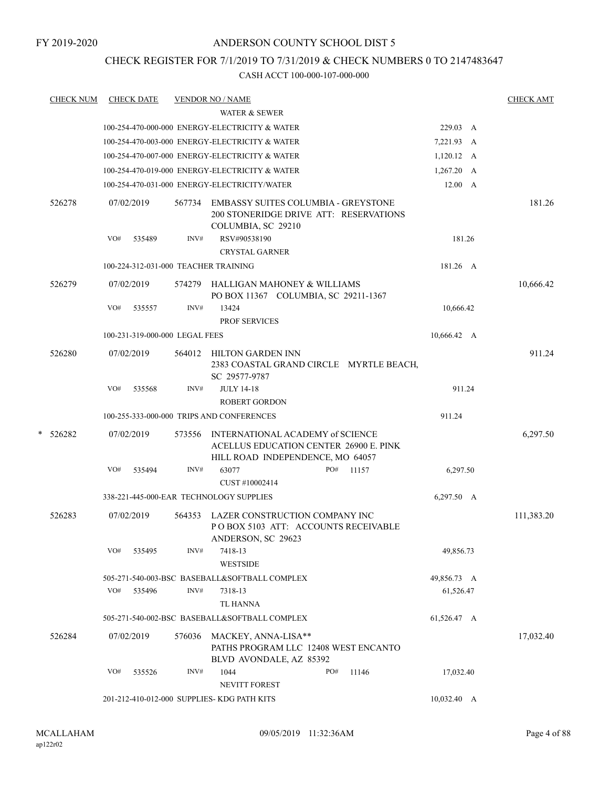# CHECK REGISTER FOR 7/1/2019 TO 7/31/2019 & CHECK NUMBERS 0 TO 2147483647

|   | <u>CHECK NUM</u> |     | <b>CHECK DATE</b>              |        | <b>VENDOR NO / NAME</b>                                                                                        |     |       |                    | <b>CHECK AMT</b> |
|---|------------------|-----|--------------------------------|--------|----------------------------------------------------------------------------------------------------------------|-----|-------|--------------------|------------------|
|   |                  |     |                                |        | <b>WATER &amp; SEWER</b>                                                                                       |     |       |                    |                  |
|   |                  |     |                                |        | 100-254-470-000-000 ENERGY-ELECTRICITY & WATER                                                                 |     |       | 229.03 A           |                  |
|   |                  |     |                                |        | 100-254-470-003-000 ENERGY-ELECTRICITY & WATER                                                                 |     |       | 7,221.93 A         |                  |
|   |                  |     |                                |        | 100-254-470-007-000 ENERGY-ELECTRICITY & WATER                                                                 |     |       | $1,120.12 \quad A$ |                  |
|   |                  |     |                                |        | 100-254-470-019-000 ENERGY-ELECTRICITY & WATER                                                                 |     |       | $1,267.20$ A       |                  |
|   |                  |     |                                |        | 100-254-470-031-000 ENERGY-ELECTRICITY/WATER                                                                   |     |       | $12.00\quad A$     |                  |
|   | 526278           |     | 07/02/2019                     | 567734 | <b>EMBASSY SUITES COLUMBIA - GREYSTONE</b><br>200 STONERIDGE DRIVE ATT: RESERVATIONS<br>COLUMBIA, SC 29210     |     |       |                    | 181.26           |
|   |                  | VO# | 535489                         | INV#   | RSV#90538190<br><b>CRYSTAL GARNER</b>                                                                          |     |       | 181.26             |                  |
|   |                  |     |                                |        | 100-224-312-031-000 TEACHER TRAINING                                                                           |     |       | 181.26 A           |                  |
|   | 526279           |     | 07/02/2019                     | 574279 | HALLIGAN MAHONEY & WILLIAMS<br>PO BOX 11367 COLUMBIA, SC 29211-1367                                            |     |       |                    | 10,666.42        |
|   |                  | VO# | 535557                         | INV#   | 13424<br><b>PROF SERVICES</b>                                                                                  |     |       | 10,666.42          |                  |
|   |                  |     | 100-231-319-000-000 LEGAL FEES |        |                                                                                                                |     |       | 10,666.42 A        |                  |
|   |                  |     |                                |        |                                                                                                                |     |       |                    |                  |
|   | 526280           |     | 07/02/2019                     | 564012 | <b>HILTON GARDEN INN</b><br>2383 COASTAL GRAND CIRCLE MYRTLE BEACH,<br>SC 29577-9787                           |     |       |                    | 911.24           |
|   |                  | VO# | 535568                         | INV#   | <b>JULY 14-18</b>                                                                                              |     |       | 911.24             |                  |
|   |                  |     |                                |        | <b>ROBERT GORDON</b>                                                                                           |     |       |                    |                  |
|   |                  |     |                                |        | 100-255-333-000-000 TRIPS AND CONFERENCES                                                                      |     |       | 911.24             |                  |
| * | 526282           |     | 07/02/2019                     | 573556 | INTERNATIONAL ACADEMY of SCIENCE<br>ACELLUS EDUCATION CENTER 26900 E. PINK<br>HILL ROAD INDEPENDENCE, MO 64057 |     |       |                    | 6,297.50         |
|   |                  | VO# | 535494                         | INV#   | 63077<br>CUST #10002414                                                                                        | PO# | 11157 | 6,297.50           |                  |
|   |                  |     |                                |        | 338-221-445-000-EAR TECHNOLOGY SUPPLIES                                                                        |     |       | 6,297.50 A         |                  |
|   | 526283           |     | 07/02/2019                     | 564353 | LAZER CONSTRUCTION COMPANY INC<br>POBOX 5103 ATT: ACCOUNTS RECEIVABLE<br>ANDERSON, SC 29623                    |     |       |                    | 111,383.20       |
|   |                  | VO# | 535495                         | INV#   | 7418-13<br>WESTSIDE                                                                                            |     |       | 49,856.73          |                  |
|   |                  |     |                                |        | 505-271-540-003-BSC BASEBALL&SOFTBALL COMPLEX                                                                  |     |       | 49,856.73 A        |                  |
|   |                  | VO# | 535496                         | INV#   | 7318-13                                                                                                        |     |       | 61,526.47          |                  |
|   |                  |     |                                |        | <b>TL HANNA</b>                                                                                                |     |       |                    |                  |
|   |                  |     |                                |        | 505-271-540-002-BSC BASEBALL&SOFTBALL COMPLEX                                                                  |     |       | 61,526.47 A        |                  |
|   | 526284           |     | 07/02/2019                     | 576036 | MACKEY, ANNA-LISA**<br>PATHS PROGRAM LLC 12408 WEST ENCANTO<br>BLVD AVONDALE, AZ 85392                         |     |       |                    | 17,032.40        |
|   |                  | VO# | 535526                         | INV#   | 1044                                                                                                           | PO# | 11146 | 17,032.40          |                  |
|   |                  |     |                                |        | NEVITT FOREST                                                                                                  |     |       |                    |                  |
|   |                  |     |                                |        | 201-212-410-012-000 SUPPLIES- KDG PATH KITS                                                                    |     |       | 10,032.40 A        |                  |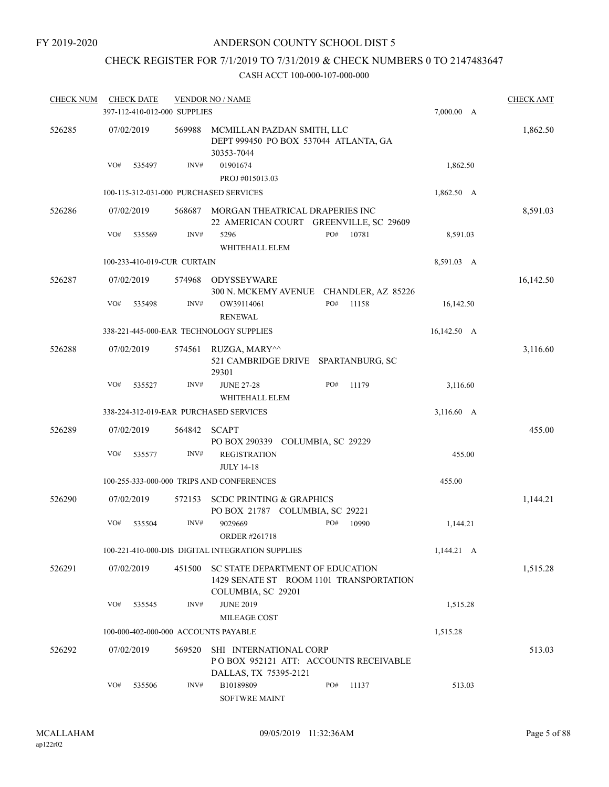# CHECK REGISTER FOR 7/1/2019 TO 7/31/2019 & CHECK NUMBERS 0 TO 2147483647

| <b>CHECK NUM</b> |            | <b>CHECK DATE</b>            |        | <b>VENDOR NO / NAME</b>                                                                           |     |       |                  | <b>CHECK AMT</b> |
|------------------|------------|------------------------------|--------|---------------------------------------------------------------------------------------------------|-----|-------|------------------|------------------|
|                  |            | 397-112-410-012-000 SUPPLIES |        |                                                                                                   |     |       | 7,000.00 A       |                  |
| 526285           | 07/02/2019 |                              | 569988 | MCMILLAN PAZDAN SMITH, LLC<br>DEPT 999450 PO BOX 537044 ATLANTA, GA<br>30353-7044                 |     |       |                  | 1,862.50         |
|                  | VO#        | 535497                       | INV#   | 01901674<br>PROJ #015013.03                                                                       |     |       | 1,862.50         |                  |
|                  |            |                              |        | 100-115-312-031-000 PURCHASED SERVICES                                                            |     |       | 1,862.50 A       |                  |
| 526286           | 07/02/2019 |                              | 568687 | MORGAN THEATRICAL DRAPERIES INC<br>22 AMERICAN COURT GREENVILLE, SC 29609                         |     |       |                  | 8,591.03         |
|                  | VO#        | 535569                       | INV#   | 5296<br>WHITEHALL ELEM                                                                            | PO# | 10781 | 8,591.03         |                  |
|                  |            | 100-233-410-019-CUR CURTAIN  |        |                                                                                                   |     |       | 8,591.03 A       |                  |
| 526287           | 07/02/2019 |                              | 574968 | ODYSSEYWARE<br>300 N. MCKEMY AVENUE CHANDLER, AZ 85226                                            |     |       |                  | 16,142.50        |
|                  | VO#        | 535498                       | INV#   | OW39114061<br><b>RENEWAL</b>                                                                      | PO# | 11158 | 16,142.50        |                  |
|                  |            |                              |        | 338-221-445-000-EAR TECHNOLOGY SUPPLIES                                                           |     |       | $16,142.50 \, A$ |                  |
| 526288           | 07/02/2019 |                              | 574561 | RUZGA, MARY^^<br>521 CAMBRIDGE DRIVE SPARTANBURG, SC<br>29301                                     |     |       |                  | 3,116.60         |
|                  | VO#        | 535527                       | INV#   | <b>JUNE 27-28</b><br>WHITEHALL ELEM                                                               | PO# | 11179 | 3,116.60         |                  |
|                  |            |                              |        | 338-224-312-019-EAR PURCHASED SERVICES                                                            |     |       | 3,116.60 A       |                  |
| 526289           | 07/02/2019 |                              | 564842 | <b>SCAPT</b><br>PO BOX 290339 COLUMBIA, SC 29229                                                  |     |       |                  | 455.00           |
|                  | VO#        | 535577                       | INV#   | <b>REGISTRATION</b><br><b>JULY 14-18</b>                                                          |     |       | 455.00           |                  |
|                  |            |                              |        | 100-255-333-000-000 TRIPS AND CONFERENCES                                                         |     |       | 455.00           |                  |
| 526290           | 07/02/2019 |                              | 572153 | <b>SCDC PRINTING &amp; GRAPHICS</b><br>PO BOX 21787 COLUMBIA, SC 29221                            |     |       |                  | 1,144.21         |
|                  | VO#        | 535504                       | INV#   | 9029669<br><b>ORDER #261718</b>                                                                   | PO# | 10990 | 1,144.21         |                  |
|                  |            |                              |        | 100-221-410-000-DIS DIGITAL INTEGRATION SUPPLIES                                                  |     |       | $1,144.21 \, A$  |                  |
| 526291           |            | 07/02/2019                   | 451500 | SC STATE DEPARTMENT OF EDUCATION<br>1429 SENATE ST ROOM 1101 TRANSPORTATION<br>COLUMBIA, SC 29201 |     |       |                  | 1,515.28         |
|                  | VO#        | 535545                       | INV#   | <b>JUNE 2019</b><br>MILEAGE COST                                                                  |     |       | 1,515.28         |                  |
|                  |            |                              |        | 100-000-402-000-000 ACCOUNTS PAYABLE                                                              |     |       | 1,515.28         |                  |
| 526292           | 07/02/2019 |                              | 569520 | SHI INTERNATIONAL CORP<br>POBOX 952121 ATT: ACCOUNTS RECEIVABLE<br>DALLAS, TX 75395-2121          |     |       |                  | 513.03           |
|                  | VO#        | 535506                       | INV#   | B10189809<br><b>SOFTWRE MAINT</b>                                                                 | PO# | 11137 | 513.03           |                  |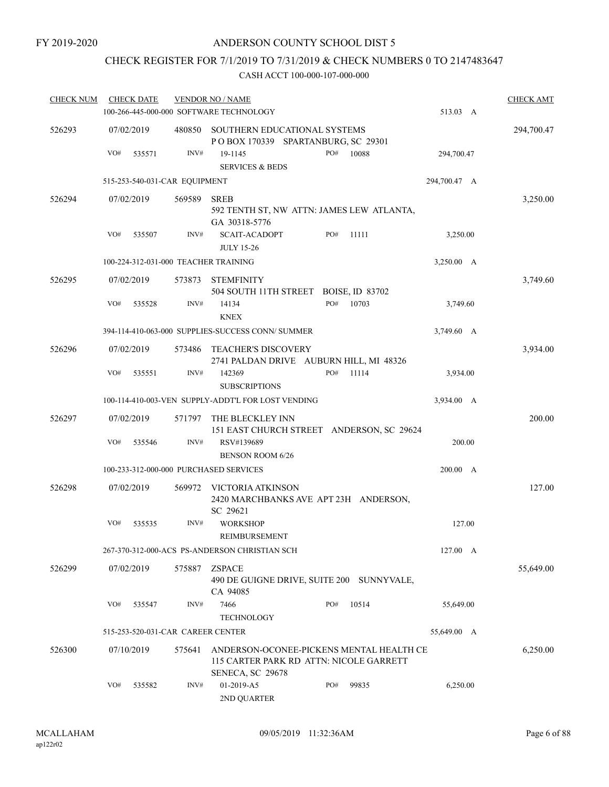# CHECK REGISTER FOR 7/1/2019 TO 7/31/2019 & CHECK NUMBERS 0 TO 2147483647

| <b>CHECK NUM</b> | <b>CHECK DATE</b>                      |        | <b>VENDOR NO / NAME</b>                                                                                 |     |       |              | <b>CHECK AMT</b> |
|------------------|----------------------------------------|--------|---------------------------------------------------------------------------------------------------------|-----|-------|--------------|------------------|
|                  |                                        |        | 100-266-445-000-000 SOFTWARE TECHNOLOGY                                                                 |     |       | 513.03 A     |                  |
| 526293           | 07/02/2019                             | 480850 | SOUTHERN EDUCATIONAL SYSTEMS<br>POBOX 170339 SPARTANBURG, SC 29301                                      |     |       |              | 294,700.47       |
|                  | VO#<br>535571                          | INV#   | 19-1145<br><b>SERVICES &amp; BEDS</b>                                                                   | PO# | 10088 | 294,700.47   |                  |
|                  | 515-253-540-031-CAR EQUIPMENT          |        |                                                                                                         |     |       | 294,700.47 A |                  |
| 526294           | 07/02/2019                             | 569589 | <b>SREB</b><br>592 TENTH ST, NW ATTN: JAMES LEW ATLANTA,<br>GA 30318-5776                               |     |       |              | 3,250.00         |
|                  | VO#<br>535507                          | INV#   | <b>SCAIT-ACADOPT</b><br><b>JULY 15-26</b>                                                               | PO# | 11111 | 3,250.00     |                  |
|                  | 100-224-312-031-000 TEACHER TRAINING   |        |                                                                                                         |     |       | 3,250.00 A   |                  |
| 526295           | 07/02/2019                             | 573873 | <b>STEMFINITY</b><br>504 SOUTH 11TH STREET BOISE, ID 83702                                              |     |       |              | 3,749.60         |
|                  | VO#<br>535528                          | INV#   | 14134<br><b>KNEX</b>                                                                                    | PO# | 10703 | 3,749.60     |                  |
|                  |                                        |        | 394-114-410-063-000 SUPPLIES-SUCCESS CONN/ SUMMER                                                       |     |       | 3,749.60 A   |                  |
| 526296           | 07/02/2019                             | 573486 | <b>TEACHER'S DISCOVERY</b><br>2741 PALDAN DRIVE AUBURN HILL, MI 48326                                   |     |       |              | 3,934.00         |
|                  | VO#<br>535551                          | INV#   | 142369<br><b>SUBSCRIPTIONS</b>                                                                          | PO# | 11114 | 3,934.00     |                  |
|                  |                                        |        | 100-114-410-003-VEN SUPPLY-ADDT'L FOR LOST VENDING                                                      |     |       | 3,934.00 A   |                  |
| 526297           | 07/02/2019                             | 571797 | THE BLECKLEY INN<br>151 EAST CHURCH STREET ANDERSON, SC 29624                                           |     |       |              | 200.00           |
|                  | VO#<br>535546                          | INV#   | RSV#139689<br><b>BENSON ROOM 6/26</b>                                                                   |     |       | 200.00       |                  |
|                  | 100-233-312-000-000 PURCHASED SERVICES |        |                                                                                                         |     |       | 200.00 A     |                  |
| 526298           | 07/02/2019                             | 569972 | VICTORIA ATKINSON<br>2420 MARCHBANKS AVE APT 23H ANDERSON,<br>SC 29621                                  |     |       |              | 127.00           |
|                  | VO#<br>535535                          | INV#   | <b>WORKSHOP</b><br>REIMBURSEMENT                                                                        |     |       | 127.00       |                  |
|                  |                                        |        | 267-370-312-000-ACS PS-ANDERSON CHRISTIAN SCH                                                           |     |       | 127.00 A     |                  |
| 526299           | 07/02/2019                             | 575887 | <b>ZSPACE</b><br>490 DE GUIGNE DRIVE, SUITE 200 SUNNYVALE,<br>CA 94085                                  |     |       |              | 55,649.00        |
|                  | VO#<br>535547                          | INV#   | 7466<br><b>TECHNOLOGY</b>                                                                               | PO# | 10514 | 55,649.00    |                  |
|                  | 515-253-520-031-CAR CAREER CENTER      |        |                                                                                                         |     |       | 55,649.00 A  |                  |
| 526300           | 07/10/2019                             | 575641 | ANDERSON-OCONEE-PICKENS MENTAL HEALTH CE<br>115 CARTER PARK RD ATTN: NICOLE GARRETT<br>SENECA, SC 29678 |     |       |              | 6,250.00         |
|                  | VO#<br>535582                          | INV#   | 01-2019-A5<br>2ND QUARTER                                                                               | PO# | 99835 | 6,250.00     |                  |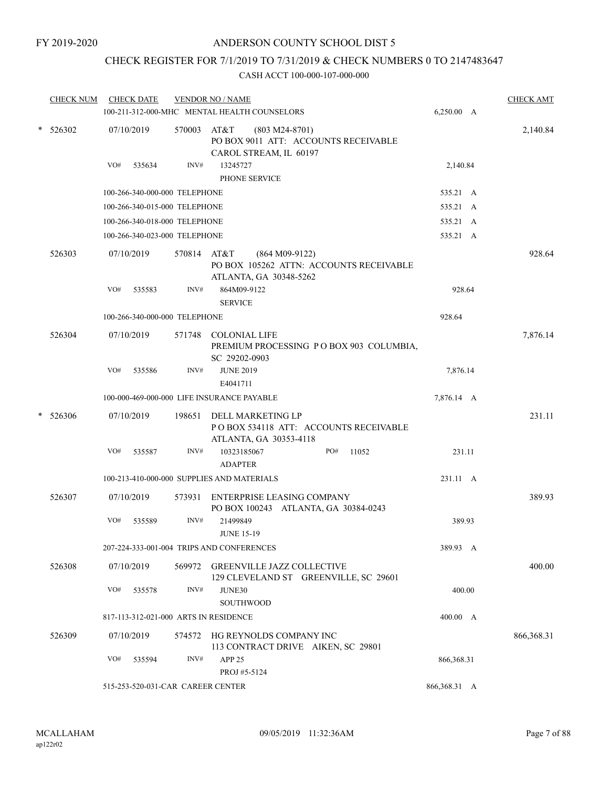# CHECK REGISTER FOR 7/1/2019 TO 7/31/2019 & CHECK NUMBERS 0 TO 2147483647

|   | <b>CHECK NUM</b> | <b>CHECK DATE</b>                     |             | <b>VENDOR NO / NAME</b><br>100-211-312-000-MHC MENTAL HEALTH COUNSELORS                    | 6,250.00 A   | <b>CHECK AMT</b> |
|---|------------------|---------------------------------------|-------------|--------------------------------------------------------------------------------------------|--------------|------------------|
|   | $*$ 526302       | 07/10/2019                            | 570003      | AT&T<br>$(803 M24-8701)$<br>PO BOX 9011 ATT: ACCOUNTS RECEIVABLE<br>CAROL STREAM, IL 60197 |              | 2,140.84         |
|   |                  | VO#<br>535634                         | INV#        | 13245727<br>PHONE SERVICE                                                                  | 2,140.84     |                  |
|   |                  | 100-266-340-000-000 TELEPHONE         |             |                                                                                            | 535.21 A     |                  |
|   |                  | 100-266-340-015-000 TELEPHONE         |             |                                                                                            | 535.21 A     |                  |
|   |                  | 100-266-340-018-000 TELEPHONE         |             |                                                                                            | 535.21 A     |                  |
|   |                  | 100-266-340-023-000 TELEPHONE         |             |                                                                                            | 535.21 A     |                  |
|   | 526303           | 07/10/2019                            | 570814 AT&T | $(864 M09-9122)$<br>PO BOX 105262 ATTN: ACCOUNTS RECEIVABLE<br>ATLANTA, GA 30348-5262      |              | 928.64           |
|   |                  | VO#<br>535583                         | INV#        | 864M09-9122<br><b>SERVICE</b>                                                              | 928.64       |                  |
|   |                  | 100-266-340-000-000 TELEPHONE         |             |                                                                                            | 928.64       |                  |
|   | 526304           | 07/10/2019                            |             | 571748 COLONIAL LIFE<br>PREMIUM PROCESSING PO BOX 903 COLUMBIA,<br>SC 29202-0903           |              | 7,876.14         |
|   |                  | VO#<br>535586                         | INV#        | <b>JUNE 2019</b><br>E4041711                                                               | 7,876.14     |                  |
|   |                  |                                       |             | 100-000-469-000-000 LIFE INSURANCE PAYABLE                                                 | 7,876.14 A   |                  |
| * | 526306           | 07/10/2019                            | 198651      | DELL MARKETING LP<br>PO BOX 534118 ATT: ACCOUNTS RECEIVABLE<br>ATLANTA, GA 30353-4118      |              | 231.11           |
|   |                  | VO#<br>535587                         | INV#        | PO#<br>10323185067<br>11052<br><b>ADAPTER</b>                                              | 231.11       |                  |
|   |                  |                                       |             | 100-213-410-000-000 SUPPLIES AND MATERIALS                                                 | 231.11 A     |                  |
|   | 526307           | 07/10/2019                            | 573931      | ENTERPRISE LEASING COMPANY<br>PO BOX 100243 ATLANTA, GA 30384-0243                         |              | 389.93           |
|   |                  | VO#<br>535589                         | INV#        | 21499849<br><b>JUNE 15-19</b>                                                              | 389.93       |                  |
|   |                  |                                       |             | 207-224-333-001-004 TRIPS AND CONFERENCES                                                  | 389.93 A     |                  |
|   | 526308           | 07/10/2019                            |             | 569972 GREENVILLE JAZZ COLLECTIVE<br>129 CLEVELAND ST GREENVILLE, SC 29601                 |              | 400.00           |
|   |                  | VO#<br>535578                         | INV#        | JUNE30<br><b>SOUTHWOOD</b>                                                                 | 400.00       |                  |
|   |                  | 817-113-312-021-000 ARTS IN RESIDENCE |             |                                                                                            | 400.00 A     |                  |
|   | 526309           | 07/10/2019                            |             | 574572 HG REYNOLDS COMPANY INC<br>113 CONTRACT DRIVE AIKEN, SC 29801                       |              | 866, 368. 31     |
|   |                  | VO#<br>535594                         | INV#        | APP <sub>25</sub><br>PROJ #5-5124                                                          | 866, 368. 31 |                  |
|   |                  | 515-253-520-031-CAR CAREER CENTER     |             |                                                                                            | 866,368.31 A |                  |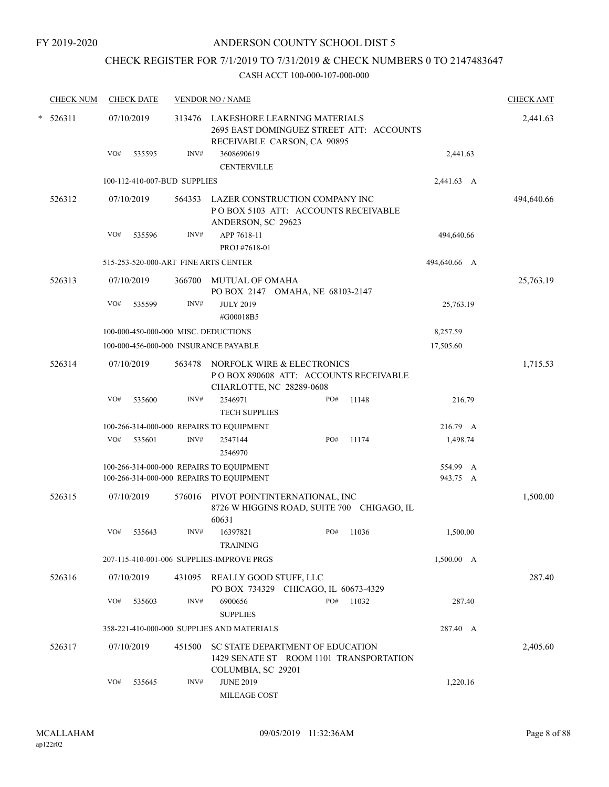# CHECK REGISTER FOR 7/1/2019 TO 7/31/2019 & CHECK NUMBERS 0 TO 2147483647

|   | <b>CHECK NUM</b> |     | <b>CHECK DATE</b> |                              | <b>VENDOR NO / NAME</b>                                                                                 |     |       |                      | <b>CHECK AMT</b> |
|---|------------------|-----|-------------------|------------------------------|---------------------------------------------------------------------------------------------------------|-----|-------|----------------------|------------------|
| * | 526311           |     | 07/10/2019        | 313476                       | LAKESHORE LEARNING MATERIALS<br>2695 EAST DOMINGUEZ STREET ATT: ACCOUNTS<br>RECEIVABLE CARSON, CA 90895 |     |       |                      | 2,441.63         |
|   |                  | VO# | 535595            | INV#                         | 3608690619<br><b>CENTERVILLE</b>                                                                        |     |       | 2,441.63             |                  |
|   |                  |     |                   | 100-112-410-007-BUD SUPPLIES |                                                                                                         |     |       | 2,441.63 A           |                  |
|   | 526312           |     | 07/10/2019        | 564353                       | LAZER CONSTRUCTION COMPANY INC<br>PO BOX 5103 ATT: ACCOUNTS RECEIVABLE<br>ANDERSON, SC 29623            |     |       |                      | 494,640.66       |
|   |                  | VO# | 535596            | INV#                         | APP 7618-11                                                                                             |     |       | 494,640.66           |                  |
|   |                  |     |                   |                              | PROJ #7618-01                                                                                           |     |       |                      |                  |
|   |                  |     |                   |                              | 515-253-520-000-ART FINE ARTS CENTER                                                                    |     |       | 494,640.66 A         |                  |
|   | 526313           |     | 07/10/2019        | 366700                       | <b>MUTUAL OF OMAHA</b><br>PO BOX 2147 OMAHA, NE 68103-2147                                              |     |       |                      | 25,763.19        |
|   |                  | VO# | 535599            | INV#                         | <b>JULY 2019</b><br>#G00018B5                                                                           |     |       | 25,763.19            |                  |
|   |                  |     |                   |                              | 100-000-450-000-000 MISC. DEDUCTIONS                                                                    |     |       | 8,257.59             |                  |
|   |                  |     |                   |                              | 100-000-456-000-000 INSURANCE PAYABLE                                                                   |     |       | 17,505.60            |                  |
|   | 526314           |     | 07/10/2019        | 563478                       | NORFOLK WIRE & ELECTRONICS<br>PO BOX 890608 ATT: ACCOUNTS RECEIVABLE<br>CHARLOTTE, NC 28289-0608        |     |       |                      | 1,715.53         |
|   |                  | VO# | 535600            | INV#                         | 2546971<br><b>TECH SUPPLIES</b>                                                                         | PO# | 11148 | 216.79               |                  |
|   |                  |     |                   |                              | 100-266-314-000-000 REPAIRS TO EQUIPMENT                                                                |     |       | 216.79 A             |                  |
|   |                  | VO# | 535601            | INV#                         | 2547144<br>2546970                                                                                      | PO# | 11174 | 1,498.74             |                  |
|   |                  |     |                   |                              | 100-266-314-000-000 REPAIRS TO EQUIPMENT<br>100-266-314-000-000 REPAIRS TO EQUIPMENT                    |     |       | 554.99 A<br>943.75 A |                  |
|   | 526315           |     | 07/10/2019        | 576016                       | PIVOT POINTINTERNATIONAL, INC<br>8726 W HIGGINS ROAD, SUITE 700 CHIGAGO, IL<br>60631                    |     |       |                      | 1,500.00         |
|   |                  | VO# | 535643            | INV#                         | 16397821<br><b>TRAINING</b>                                                                             | PO# | 11036 | 1,500.00             |                  |
|   |                  |     |                   |                              | 207-115-410-001-006 SUPPLIES-IMPROVE PRGS                                                               |     |       | 1,500.00 A           |                  |
|   | 526316           |     | 07/10/2019        | 431095                       | REALLY GOOD STUFF, LLC<br>PO BOX 734329 CHICAGO, IL 60673-4329                                          |     |       |                      | 287.40           |
|   |                  | VO# | 535603            | INV#                         | 6900656<br><b>SUPPLIES</b>                                                                              | PO# | 11032 | 287.40               |                  |
|   |                  |     |                   |                              | 358-221-410-000-000 SUPPLIES AND MATERIALS                                                              |     |       | 287.40 A             |                  |
|   | 526317           |     | 07/10/2019        | 451500                       | SC STATE DEPARTMENT OF EDUCATION<br>1429 SENATE ST ROOM 1101 TRANSPORTATION<br>COLUMBIA, SC 29201       |     |       |                      | 2,405.60         |
|   |                  | VO# | 535645            | INV#                         | <b>JUNE 2019</b><br>MILEAGE COST                                                                        |     |       | 1,220.16             |                  |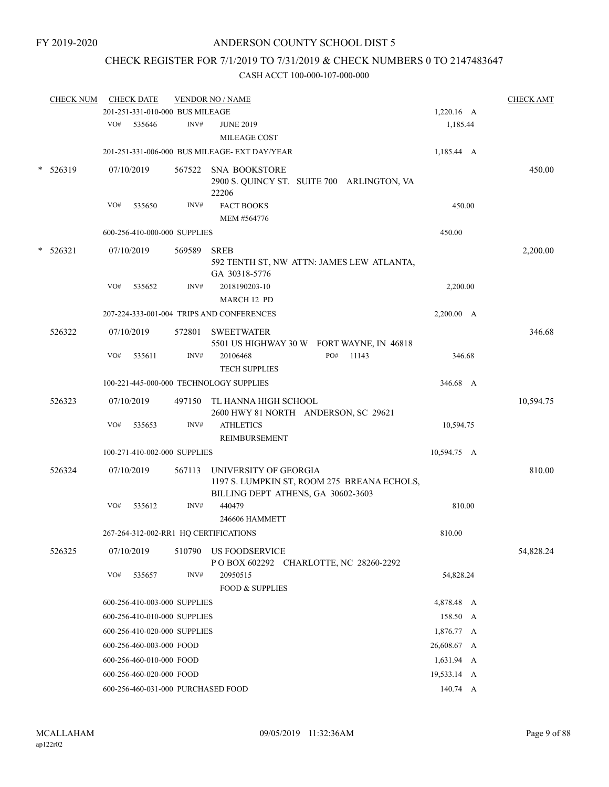# CHECK REGISTER FOR 7/1/2019 TO 7/31/2019 & CHECK NUMBERS 0 TO 2147483647

|   | <b>CHECK NUM</b> |     | <b>CHECK DATE</b>               |        | <b>VENDOR NO / NAME</b>                                                                                    |             | <b>CHECK AMT</b> |
|---|------------------|-----|---------------------------------|--------|------------------------------------------------------------------------------------------------------------|-------------|------------------|
|   |                  |     | 201-251-331-010-000 BUS MILEAGE |        |                                                                                                            | 1,220.16 A  |                  |
|   |                  | VO# | 535646                          | INV#   | <b>JUNE 2019</b><br>MILEAGE COST                                                                           | 1,185.44    |                  |
|   |                  |     |                                 |        | 201-251-331-006-000 BUS MILEAGE- EXT DAY/YEAR                                                              | 1,185.44 A  |                  |
| * | 526319           |     | 07/10/2019                      |        | 567522 SNA BOOKSTORE<br>2900 S. QUINCY ST. SUITE 700 ARLINGTON, VA<br>22206                                |             | 450.00           |
|   |                  | VO# | 535650                          | INV#   | <b>FACT BOOKS</b><br>MEM #564776                                                                           | 450.00      |                  |
|   |                  |     | 600-256-410-000-000 SUPPLIES    |        |                                                                                                            | 450.00      |                  |
|   | $*$ 526321       |     | 07/10/2019                      | 569589 | <b>SREB</b><br>592 TENTH ST, NW ATTN: JAMES LEW ATLANTA,<br>GA 30318-5776                                  |             | 2,200.00         |
|   |                  | VO# | 535652                          | INV#   | 2018190203-10<br>MARCH 12 PD                                                                               | 2,200.00    |                  |
|   |                  |     |                                 |        | 207-224-333-001-004 TRIPS AND CONFERENCES                                                                  | 2,200.00 A  |                  |
|   | 526322           |     | 07/10/2019                      | 572801 | <b>SWEETWATER</b><br>5501 US HIGHWAY 30 W FORT WAYNE, IN 46818                                             |             | 346.68           |
|   |                  | VO# | 535611                          | INV#   | PO#<br>20106468<br>11143<br><b>TECH SUPPLIES</b>                                                           | 346.68      |                  |
|   |                  |     |                                 |        | 100-221-445-000-000 TECHNOLOGY SUPPLIES                                                                    | 346.68 A    |                  |
|   | 526323           |     | 07/10/2019                      | 497150 | TL HANNA HIGH SCHOOL<br>2600 HWY 81 NORTH ANDERSON, SC 29621                                               |             | 10,594.75        |
|   |                  | VO# | 535653                          | INV#   | <b>ATHLETICS</b><br>REIMBURSEMENT                                                                          | 10,594.75   |                  |
|   |                  |     | 100-271-410-002-000 SUPPLIES    |        |                                                                                                            | 10,594.75 A |                  |
|   | 526324           |     | 07/10/2019                      | 567113 | UNIVERSITY OF GEORGIA<br>1197 S. LUMPKIN ST, ROOM 275 BREANA ECHOLS,<br>BILLING DEPT ATHENS, GA 30602-3603 |             | 810.00           |
|   |                  | VO# | 535612                          | INV#   | 440479<br>246606 HAMMETT                                                                                   | 810.00      |                  |
|   |                  |     |                                 |        | 267-264-312-002-RR1 HQ CERTIFICATIONS                                                                      | 810.00      |                  |
|   | 526325           |     | 07/10/2019                      | 510790 | <b>US FOODSERVICE</b><br>POBOX 602292 CHARLOTTE, NC 28260-2292                                             |             | 54,828.24        |
|   |                  | VO# | 535657                          | INV#   | 20950515<br><b>FOOD &amp; SUPPLIES</b>                                                                     | 54,828.24   |                  |
|   |                  |     | 600-256-410-003-000 SUPPLIES    |        |                                                                                                            | 4,878.48 A  |                  |
|   |                  |     | 600-256-410-010-000 SUPPLIES    |        |                                                                                                            | 158.50 A    |                  |
|   |                  |     | 600-256-410-020-000 SUPPLIES    |        |                                                                                                            | 1,876.77 A  |                  |
|   |                  |     | 600-256-460-003-000 FOOD        |        |                                                                                                            | 26,608.67 A |                  |
|   |                  |     | 600-256-460-010-000 FOOD        |        |                                                                                                            | 1,631.94 A  |                  |
|   |                  |     | 600-256-460-020-000 FOOD        |        |                                                                                                            | 19,533.14 A |                  |
|   |                  |     |                                 |        | 600-256-460-031-000 PURCHASED FOOD                                                                         | 140.74 A    |                  |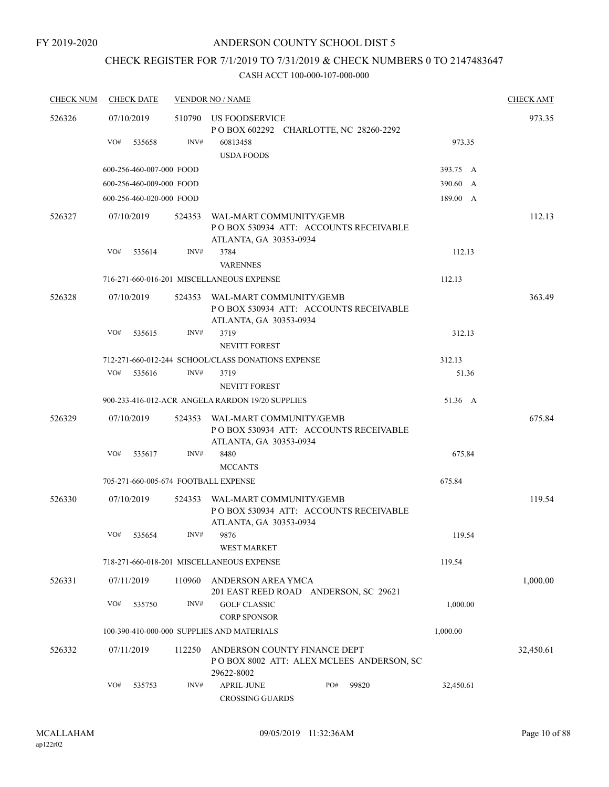# CHECK REGISTER FOR 7/1/2019 TO 7/31/2019 & CHECK NUMBERS 0 TO 2147483647

| <b>CHECK NUM</b> |     | <b>CHECK DATE</b>        |        | <b>VENDOR NO / NAME</b>                                                                     | <b>CHECK AMT</b> |
|------------------|-----|--------------------------|--------|---------------------------------------------------------------------------------------------|------------------|
| 526326           |     | 07/10/2019               | 510790 | US FOODSERVICE<br>P O BOX 602292 CHARLOTTE, NC 28260-2292                                   | 973.35           |
|                  | VO# | 535658                   | INV#   | 973.35<br>60813458<br><b>USDA FOODS</b>                                                     |                  |
|                  |     | 600-256-460-007-000 FOOD |        | 393.75 A                                                                                    |                  |
|                  |     | 600-256-460-009-000 FOOD |        | 390.60 A                                                                                    |                  |
|                  |     | 600-256-460-020-000 FOOD |        | 189.00 A                                                                                    |                  |
| 526327           |     | 07/10/2019               | 524353 | WAL-MART COMMUNITY/GEMB<br>PO BOX 530934 ATT: ACCOUNTS RECEIVABLE<br>ATLANTA, GA 30353-0934 | 112.13           |
|                  | VO# | 535614                   | INV#   | 3784<br>112.13<br><b>VARENNES</b>                                                           |                  |
|                  |     |                          |        | 112.13<br>716-271-660-016-201 MISCELLANEOUS EXPENSE                                         |                  |
| 526328           |     | 07/10/2019               | 524353 | WAL-MART COMMUNITY/GEMB<br>PO BOX 530934 ATT: ACCOUNTS RECEIVABLE<br>ATLANTA, GA 30353-0934 | 363.49           |
|                  | VO# | 535615                   | INV#   | 3719<br>312.13<br><b>NEVITT FOREST</b>                                                      |                  |
|                  |     |                          |        | 712-271-660-012-244 SCHOOL/CLASS DONATIONS EXPENSE<br>312.13                                |                  |
|                  | VO# | 535616                   | INV#   | 3719<br>51.36                                                                               |                  |
|                  |     |                          |        | <b>NEVITT FOREST</b>                                                                        |                  |
|                  |     |                          |        | 51.36 A<br>900-233-416-012-ACR ANGELA RARDON 19/20 SUPPLIES                                 |                  |
| 526329           |     | 07/10/2019               | 524353 | WAL-MART COMMUNITY/GEMB<br>PO BOX 530934 ATT: ACCOUNTS RECEIVABLE<br>ATLANTA, GA 30353-0934 | 675.84           |
|                  | VO# | 535617                   | INV#   | 8480<br>675.84<br><b>MCCANTS</b>                                                            |                  |
|                  |     |                          |        | 675.84<br>705-271-660-005-674 FOOTBALL EXPENSE                                              |                  |
| 526330           |     | 07/10/2019               | 524353 | WAL-MART COMMUNITY/GEMB<br>PO BOX 530934 ATT: ACCOUNTS RECEIVABLE<br>ATLANTA, GA 30353-0934 | 119.54           |
|                  | VO# | 535654                   | INV#   | 9876<br>119.54<br><b>WEST MARKET</b>                                                        |                  |
|                  |     |                          |        | 119.54<br>718-271-660-018-201 MISCELLANEOUS EXPENSE                                         |                  |
| 526331           |     | 07/11/2019               | 110960 | ANDERSON AREA YMCA<br>201 EAST REED ROAD ANDERSON, SC 29621                                 | 1,000.00         |
|                  | VO# | 535750                   | INV#   | 1,000.00<br><b>GOLF CLASSIC</b><br><b>CORP SPONSOR</b>                                      |                  |
|                  |     |                          |        | 100-390-410-000-000 SUPPLIES AND MATERIALS<br>1,000.00                                      |                  |
| 526332           |     | 07/11/2019               | 112250 | ANDERSON COUNTY FINANCE DEPT<br>POBOX 8002 ATT: ALEX MCLEES ANDERSON, SC<br>29622-8002      | 32,450.61        |
|                  | VO# | 535753                   | INV#   | APRIL-JUNE<br>PO#<br>99820<br>32,450.61<br><b>CROSSING GUARDS</b>                           |                  |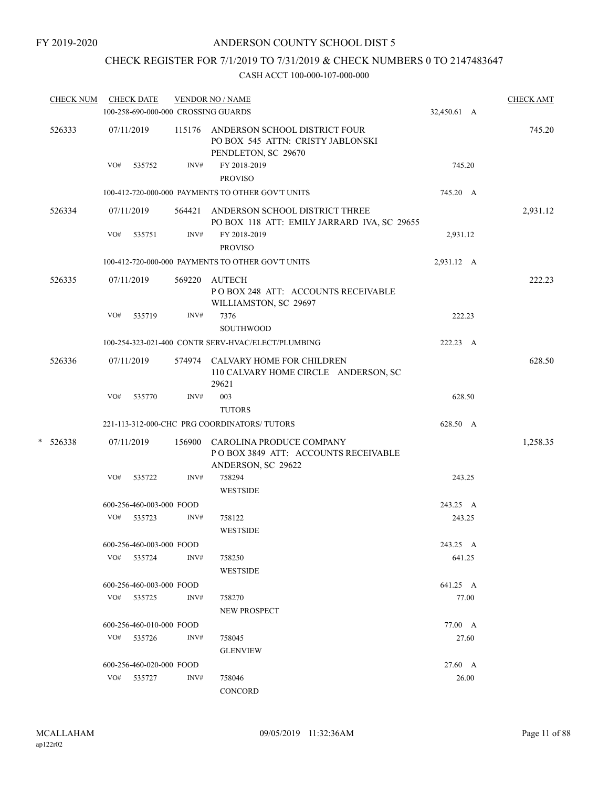# CHECK REGISTER FOR 7/1/2019 TO 7/31/2019 & CHECK NUMBERS 0 TO 2147483647

|   | <b>CHECK NUM</b> |     | <b>CHECK DATE</b>                   |      | <b>VENDOR NO / NAME</b>                                                                          |             | <b>CHECK AMT</b> |
|---|------------------|-----|-------------------------------------|------|--------------------------------------------------------------------------------------------------|-------------|------------------|
|   |                  |     | 100-258-690-000-000 CROSSING GUARDS |      |                                                                                                  | 32,450.61 A |                  |
|   | 526333           |     | 07/11/2019                          |      | 115176 ANDERSON SCHOOL DISTRICT FOUR<br>PO BOX 545 ATTN: CRISTY JABLONSKI<br>PENDLETON, SC 29670 |             | 745.20           |
|   |                  | VO# | 535752                              | INV# | FY 2018-2019<br><b>PROVISO</b>                                                                   | 745.20      |                  |
|   |                  |     |                                     |      | 100-412-720-000-000 PAYMENTS TO OTHER GOV'T UNITS                                                | 745.20 A    |                  |
|   | 526334           |     | 07/11/2019                          |      | 564421 ANDERSON SCHOOL DISTRICT THREE<br>PO BOX 118 ATT: EMILY JARRARD IVA, SC 29655             |             | 2,931.12         |
|   |                  | VO# | 535751                              | INV# | FY 2018-2019<br><b>PROVISO</b>                                                                   | 2,931.12    |                  |
|   |                  |     |                                     |      | 100-412-720-000-000 PAYMENTS TO OTHER GOV'T UNITS                                                | 2,931.12 A  |                  |
|   | 526335           |     | 07/11/2019                          |      | 569220 AUTECH<br>POBOX 248 ATT: ACCOUNTS RECEIVABLE<br>WILLIAMSTON, SC 29697                     |             | 222.23           |
|   |                  | VO# | 535719                              | INV# | 7376<br><b>SOUTHWOOD</b>                                                                         | 222.23      |                  |
|   |                  |     |                                     |      | 100-254-323-021-400 CONTR SERV-HVAC/ELECT/PLUMBING                                               | 222.23 A    |                  |
|   | 526336           |     | 07/11/2019                          |      | 574974 CALVARY HOME FOR CHILDREN<br>110 CALVARY HOME CIRCLE ANDERSON, SC<br>29621                |             | 628.50           |
|   |                  | VO# | 535770                              | INV# | 003                                                                                              | 628.50      |                  |
|   |                  |     |                                     |      | <b>TUTORS</b>                                                                                    |             |                  |
|   |                  |     |                                     |      | 221-113-312-000-CHC PRG COORDINATORS/ TUTORS                                                     | 628.50 A    |                  |
| * | 526338           |     | 07/11/2019                          |      | 156900 CAROLINA PRODUCE COMPANY<br>POBOX 3849 ATT: ACCOUNTS RECEIVABLE<br>ANDERSON, SC 29622     |             | 1,258.35         |
|   |                  | VO# | 535722                              | INV# | 758294<br><b>WESTSIDE</b>                                                                        | 243.25      |                  |
|   |                  |     | 600-256-460-003-000 FOOD            |      |                                                                                                  | 243.25 A    |                  |
|   |                  | VO# | 535723                              | INV# | 758122<br><b>WESTSIDE</b>                                                                        | 243.25      |                  |
|   |                  |     | 600-256-460-003-000 FOOD            |      |                                                                                                  | 243.25 A    |                  |
|   |                  |     | VO# 535724                          | INV# | 758250<br><b>WESTSIDE</b>                                                                        | 641.25      |                  |
|   |                  |     | 600-256-460-003-000 FOOD            |      |                                                                                                  | 641.25 A    |                  |
|   |                  |     | VO# 535725                          | INV# | 758270                                                                                           | 77.00       |                  |
|   |                  |     |                                     |      | <b>NEW PROSPECT</b>                                                                              |             |                  |
|   |                  |     | 600-256-460-010-000 FOOD            |      |                                                                                                  | 77.00 A     |                  |
|   |                  |     | VO# 535726                          | INV# | 758045<br><b>GLENVIEW</b>                                                                        | 27.60       |                  |
|   |                  |     | 600-256-460-020-000 FOOD            |      |                                                                                                  | 27.60 A     |                  |
|   |                  |     | VO# 535727                          | INV# | 758046<br>CONCORD                                                                                | 26.00       |                  |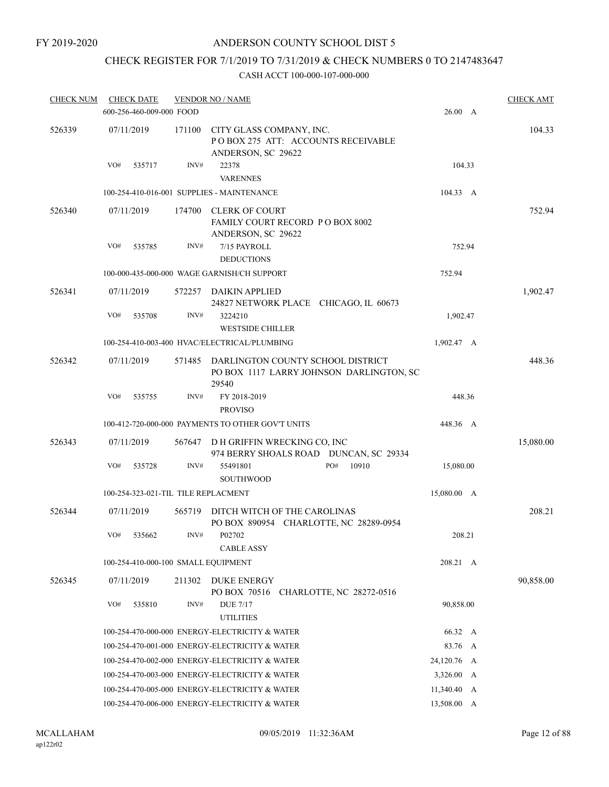# CHECK REGISTER FOR 7/1/2019 TO 7/31/2019 & CHECK NUMBERS 0 TO 2147483647

| <b>CHECK NUM</b> | <b>CHECK DATE</b>                   |        | <b>VENDOR NO / NAME</b>                                                                |               | <b>CHECK AMT</b> |
|------------------|-------------------------------------|--------|----------------------------------------------------------------------------------------|---------------|------------------|
|                  | 600-256-460-009-000 FOOD            |        |                                                                                        | 26.00 A       |                  |
| 526339           | 07/11/2019                          | 171100 | CITY GLASS COMPANY, INC.<br>POBOX 275 ATT: ACCOUNTS RECEIVABLE<br>ANDERSON, SC 29622   |               | 104.33           |
|                  | VO#<br>535717                       | INV#   | 22378<br><b>VARENNES</b>                                                               | 104.33        |                  |
|                  |                                     |        | 100-254-410-016-001 SUPPLIES - MAINTENANCE                                             | 104.33 A      |                  |
| 526340           | 07/11/2019                          | 174700 | <b>CLERK OF COURT</b><br>FAMILY COURT RECORD PO BOX 8002<br>ANDERSON, SC 29622         |               | 752.94           |
|                  | VO#<br>535785                       | INV#   | 7/15 PAYROLL                                                                           | 752.94        |                  |
|                  |                                     |        | <b>DEDUCTIONS</b>                                                                      |               |                  |
|                  |                                     |        | 100-000-435-000-000 WAGE GARNISH/CH SUPPORT                                            | 752.94        |                  |
| 526341           | 07/11/2019                          | 572257 | DAIKIN APPLIED<br>24827 NETWORK PLACE CHICAGO, IL 60673                                |               | 1,902.47         |
|                  | VO#<br>535708                       | INV#   | 3224210<br><b>WESTSIDE CHILLER</b>                                                     | 1,902.47      |                  |
|                  |                                     |        | 100-254-410-003-400 HVAC/ELECTRICAL/PLUMBING                                           | 1,902.47 A    |                  |
| 526342           | 07/11/2019                          | 571485 | DARLINGTON COUNTY SCHOOL DISTRICT<br>PO BOX 1117 LARRY JOHNSON DARLINGTON, SC<br>29540 |               | 448.36           |
|                  | VO#<br>535755                       | INV#   | FY 2018-2019<br><b>PROVISO</b>                                                         | 448.36        |                  |
|                  |                                     |        | 100-412-720-000-000 PAYMENTS TO OTHER GOV'T UNITS                                      | 448.36 A      |                  |
| 526343           | 07/11/2019                          | 567647 | D H GRIFFIN WRECKING CO, INC<br>974 BERRY SHOALS ROAD DUNCAN, SC 29334                 |               | 15,080.00        |
|                  | VO#<br>535728                       | INV#   | 55491801<br>PO#<br>10910<br><b>SOUTHWOOD</b>                                           | 15,080.00     |                  |
|                  | 100-254-323-021-TIL TILE REPLACMENT |        |                                                                                        | 15,080.00 A   |                  |
| 526344           | 07/11/2019                          | 565719 | DITCH WITCH OF THE CAROLINAS<br>PO BOX 890954 CHARLOTTE, NC 28289-0954                 |               | 208.21           |
|                  | VO#<br>535662                       | INV#   | P02702<br><b>CABLE ASSY</b>                                                            | 208.21        |                  |
|                  | 100-254-410-000-100 SMALL EQUIPMENT |        |                                                                                        | 208.21 A      |                  |
| 526345           | 07/11/2019                          | 211302 | <b>DUKE ENERGY</b><br>PO BOX 70516 CHARLOTTE, NC 28272-0516                            |               | 90,858.00        |
|                  | VO#<br>535810                       | INV#   | <b>DUE 7/17</b><br><b>UTILITIES</b>                                                    | 90,858.00     |                  |
|                  |                                     |        | 100-254-470-000-000 ENERGY-ELECTRICITY & WATER                                         | 66.32 A       |                  |
|                  |                                     |        | 100-254-470-001-000 ENERGY-ELECTRICITY & WATER                                         | 83.76 A       |                  |
|                  |                                     |        | 100-254-470-002-000 ENERGY-ELECTRICITY & WATER                                         | 24,120.76 A   |                  |
|                  |                                     |        | 100-254-470-003-000 ENERGY-ELECTRICITY & WATER                                         | 3,326.00 A    |                  |
|                  |                                     |        | 100-254-470-005-000 ENERGY-ELECTRICITY & WATER                                         | $11,340.40$ A |                  |
|                  |                                     |        | 100-254-470-006-000 ENERGY-ELECTRICITY & WATER                                         | 13,508.00 A   |                  |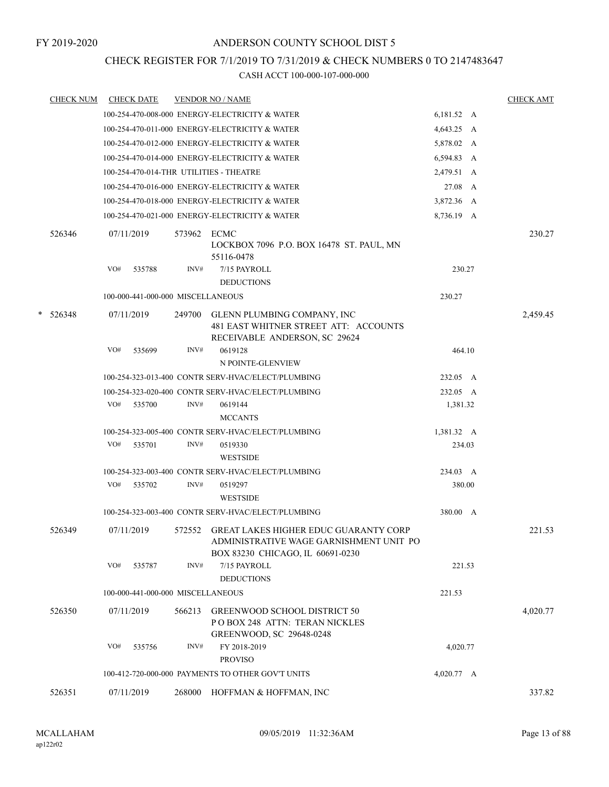# CHECK REGISTER FOR 7/1/2019 TO 7/31/2019 & CHECK NUMBERS 0 TO 2147483647

| <b>CHECK NUM</b> |     | <b>CHECK DATE</b>                 |        | <b>VENDOR NO / NAME</b>                                                                                                     |                      | <b>CHECK AMT</b> |
|------------------|-----|-----------------------------------|--------|-----------------------------------------------------------------------------------------------------------------------------|----------------------|------------------|
|                  |     |                                   |        | 100-254-470-008-000 ENERGY-ELECTRICITY & WATER                                                                              | 6,181.52 A           |                  |
|                  |     |                                   |        | 100-254-470-011-000 ENERGY-ELECTRICITY & WATER                                                                              | 4,643.25 A           |                  |
|                  |     |                                   |        | 100-254-470-012-000 ENERGY-ELECTRICITY & WATER                                                                              | 5,878.02 A           |                  |
|                  |     |                                   |        | 100-254-470-014-000 ENERGY-ELECTRICITY & WATER                                                                              | 6,594.83 A           |                  |
|                  |     |                                   |        | 100-254-470-014-THR UTILITIES - THEATRE                                                                                     | 2,479.51 A           |                  |
|                  |     |                                   |        | 100-254-470-016-000 ENERGY-ELECTRICITY & WATER                                                                              | 27.08 A              |                  |
|                  |     |                                   |        | 100-254-470-018-000 ENERGY-ELECTRICITY & WATER                                                                              | 3,872.36 A           |                  |
|                  |     |                                   |        | 100-254-470-021-000 ENERGY-ELECTRICITY & WATER                                                                              | 8,736.19 A           |                  |
|                  |     |                                   |        |                                                                                                                             |                      |                  |
| 526346           |     | 07/11/2019                        | 573962 | <b>ECMC</b><br>LOCKBOX 7096 P.O. BOX 16478 ST. PAUL, MN<br>55116-0478                                                       |                      | 230.27           |
|                  | VO# | 535788                            | INV#   | 7/15 PAYROLL                                                                                                                | 230.27               |                  |
|                  |     |                                   |        | <b>DEDUCTIONS</b>                                                                                                           |                      |                  |
|                  |     | 100-000-441-000-000 MISCELLANEOUS |        |                                                                                                                             | 230.27               |                  |
| $*$ 526348       |     | 07/11/2019                        | 249700 | GLENN PLUMBING COMPANY, INC<br>481 EAST WHITNER STREET ATT: ACCOUNTS<br>RECEIVABLE ANDERSON, SC 29624                       |                      | 2,459.45         |
|                  | VO# | 535699                            | INV#   | 0619128                                                                                                                     | 464.10               |                  |
|                  |     |                                   |        | N POINTE-GLENVIEW                                                                                                           |                      |                  |
|                  |     |                                   |        | 100-254-323-013-400 CONTR SERV-HVAC/ELECT/PLUMBING                                                                          | 232.05 A             |                  |
|                  |     |                                   |        | 100-254-323-020-400 CONTR SERV-HVAC/ELECT/PLUMBING                                                                          | 232.05 A             |                  |
|                  | VO# | 535700                            | INV#   | 0619144                                                                                                                     | 1,381.32             |                  |
|                  |     |                                   |        | <b>MCCANTS</b>                                                                                                              |                      |                  |
|                  |     |                                   |        | 100-254-323-005-400 CONTR SERV-HVAC/ELECT/PLUMBING                                                                          | 1,381.32 A           |                  |
|                  | VO# | 535701                            | INV#   | 0519330                                                                                                                     | 234.03               |                  |
|                  |     |                                   |        | <b>WESTSIDE</b>                                                                                                             |                      |                  |
|                  |     |                                   |        | 100-254-323-003-400 CONTR SERV-HVAC/ELECT/PLUMBING                                                                          | 234.03 A             |                  |
|                  | VO# | 535702                            | INV#   | 0519297                                                                                                                     | 380.00               |                  |
|                  |     |                                   |        | <b>WESTSIDE</b>                                                                                                             |                      |                  |
|                  |     |                                   |        | 100-254-323-003-400 CONTR SERV-HVAC/ELECT/PLUMBING                                                                          | 380.00 A             |                  |
| 526349           |     | 07/11/2019                        |        | 572552 GREAT LAKES HIGHER EDUC GUARANTY CORP<br>ADMINISTRATIVE WAGE GARNISHMENT UNIT PO<br>BOX 83230 CHICAGO, IL 60691-0230 |                      | 221.53           |
|                  | VO# | 535787                            | INV#   | 7/15 PAYROLL<br><b>DEDUCTIONS</b>                                                                                           | 221.53               |                  |
|                  |     | 100-000-441-000-000 MISCELLANEOUS |        |                                                                                                                             | 221.53               |                  |
| 526350           |     | 07/11/2019                        | 566213 | <b>GREENWOOD SCHOOL DISTRICT 50</b>                                                                                         |                      | 4,020.77         |
|                  |     |                                   |        | POBOX 248 ATTN: TERAN NICKLES<br>GREENWOOD, SC 29648-0248                                                                   |                      |                  |
|                  | VO# | 535756                            | INV#   | FY 2018-2019                                                                                                                | 4,020.77             |                  |
|                  |     |                                   |        | <b>PROVISO</b>                                                                                                              |                      |                  |
|                  |     |                                   |        | 100-412-720-000-000 PAYMENTS TO OTHER GOV'T UNITS                                                                           | $4,020.77 \text{ A}$ |                  |
| 526351           |     | 07/11/2019                        | 268000 | HOFFMAN & HOFFMAN, INC                                                                                                      |                      | 337.82           |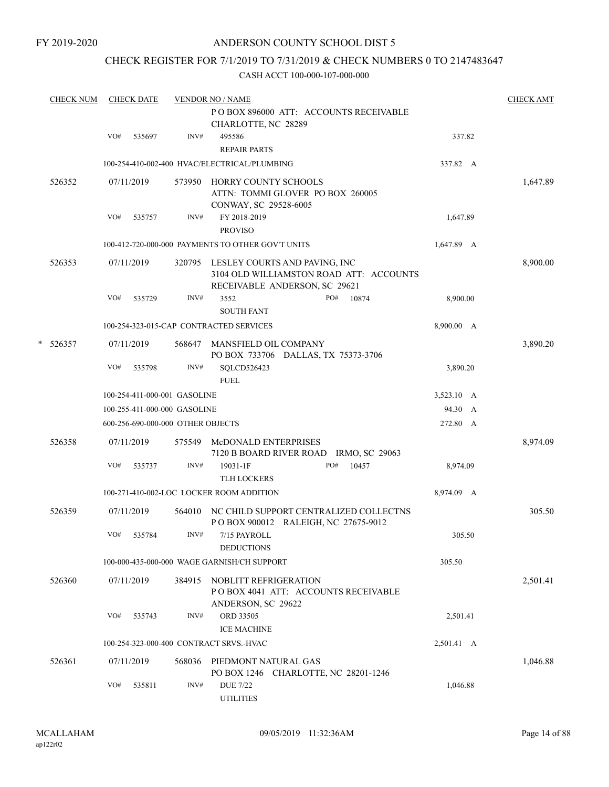# CHECK REGISTER FOR 7/1/2019 TO 7/31/2019 & CHECK NUMBERS 0 TO 2147483647

|   | <b>CHECK NUM</b> |     | <b>CHECK DATE</b> |                                   | <b>VENDOR NO / NAME</b>                                                                                   |            | <b>CHECK AMT</b> |
|---|------------------|-----|-------------------|-----------------------------------|-----------------------------------------------------------------------------------------------------------|------------|------------------|
|   |                  |     |                   |                                   | PO BOX 896000 ATT: ACCOUNTS RECEIVABLE<br>CHARLOTTE, NC 28289                                             |            |                  |
|   |                  | VO# | 535697            | INV#                              | 495586<br><b>REPAIR PARTS</b>                                                                             | 337.82     |                  |
|   |                  |     |                   |                                   | 100-254-410-002-400 HVAC/ELECTRICAL/PLUMBING                                                              | 337.82 A   |                  |
|   | 526352           |     | 07/11/2019        | 573950                            | HORRY COUNTY SCHOOLS<br>ATTN: TOMMI GLOVER PO BOX 260005<br>CONWAY, SC 29528-6005                         |            | 1,647.89         |
|   |                  | VO# | 535757            | INV#                              | FY 2018-2019                                                                                              | 1,647.89   |                  |
|   |                  |     |                   |                                   | <b>PROVISO</b>                                                                                            |            |                  |
|   |                  |     |                   |                                   | 100-412-720-000-000 PAYMENTS TO OTHER GOV'T UNITS                                                         | 1,647.89 A |                  |
|   | 526353           |     | 07/11/2019        | 320795                            | LESLEY COURTS AND PAVING, INC<br>3104 OLD WILLIAMSTON ROAD ATT: ACCOUNTS<br>RECEIVABLE ANDERSON, SC 29621 |            | 8,900.00         |
|   |                  | VO# | 535729            | INV#                              | 3552<br>PO#<br>10874<br><b>SOUTH FANT</b>                                                                 | 8,900.00   |                  |
|   |                  |     |                   |                                   | 100-254-323-015-CAP CONTRACTED SERVICES                                                                   | 8,900.00 A |                  |
| * | 526357           |     | 07/11/2019        | 568647                            | MANSFIELD OIL COMPANY<br>PO BOX 733706 DALLAS, TX 75373-3706                                              |            | 3,890.20         |
|   |                  | VO# | 535798            | INV#                              | SQLCD526423<br><b>FUEL</b>                                                                                | 3,890.20   |                  |
|   |                  |     |                   | 100-254-411-000-001 GASOLINE      |                                                                                                           | 3,523.10 A |                  |
|   |                  |     |                   | 100-255-411-000-000 GASOLINE      |                                                                                                           | 94.30 A    |                  |
|   |                  |     |                   | 600-256-690-000-000 OTHER OBJECTS |                                                                                                           | 272.80 A   |                  |
|   | 526358           |     | 07/11/2019        | 575549                            | McDONALD ENTERPRISES<br>7120 B BOARD RIVER ROAD IRMO, SC 29063                                            |            | 8,974.09         |
|   |                  | VO# | 535737            | INV#                              | 19031-1F<br>PO#<br>10457<br><b>TLH LOCKERS</b>                                                            | 8,974.09   |                  |
|   |                  |     |                   |                                   | 100-271-410-002-LOC LOCKER ROOM ADDITION                                                                  | 8,974.09 A |                  |
|   | 526359           |     | 07/11/2019        | 564010                            | NC CHILD SUPPORT CENTRALIZED COLLECTNS<br>POBOX 900012 RALEIGH, NC 27675-9012                             |            | 305.50           |
|   |                  | VO# | 535784            | INV#                              | 7/15 PAYROLL<br><b>DEDUCTIONS</b>                                                                         | 305.50     |                  |
|   |                  |     |                   |                                   | 100-000-435-000-000 WAGE GARNISH/CH SUPPORT                                                               | 305.50     |                  |
|   | 526360           |     | 07/11/2019        | 384915                            | NOBLITT REFRIGERATION<br>POBOX 4041 ATT: ACCOUNTS RECEIVABLE<br>ANDERSON, SC 29622                        |            | 2,501.41         |
|   |                  | VO# | 535743            | INV#                              | ORD 33505<br><b>ICE MACHINE</b>                                                                           | 2,501.41   |                  |
|   |                  |     |                   |                                   | 100-254-323-000-400 CONTRACT SRVS.-HVAC                                                                   | 2,501.41 A |                  |
|   | 526361           |     | 07/11/2019        | 568036                            | PIEDMONT NATURAL GAS<br>PO BOX 1246 CHARLOTTE, NC 28201-1246                                              |            | 1,046.88         |
|   |                  | VO# | 535811            | INV#                              | <b>DUE 7/22</b><br><b>UTILITIES</b>                                                                       | 1,046.88   |                  |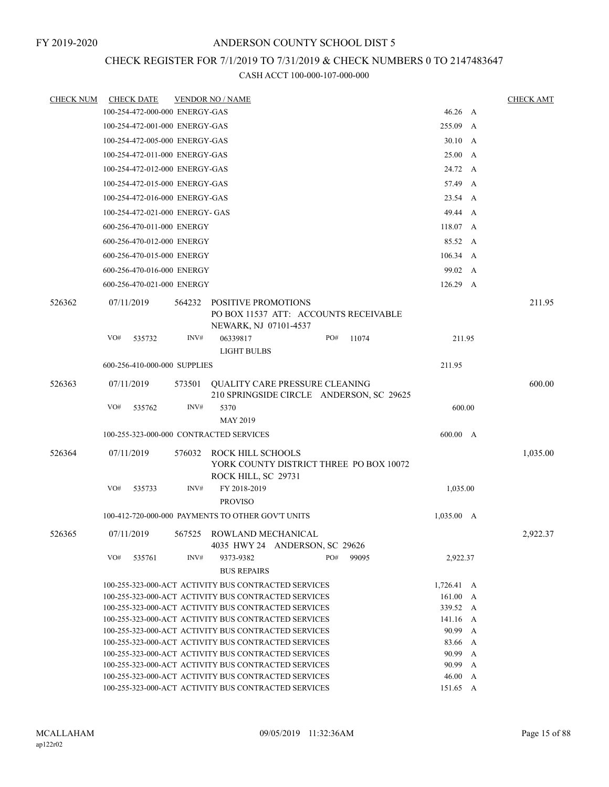# CHECK REGISTER FOR 7/1/2019 TO 7/31/2019 & CHECK NUMBERS 0 TO 2147483647

| <b>CHECK NUM</b> | <b>CHECK DATE</b>                                    |        | <b>VENDOR NO / NAME</b>                                     |     |                                          |                  |   | <b>CHECK AMT</b> |
|------------------|------------------------------------------------------|--------|-------------------------------------------------------------|-----|------------------------------------------|------------------|---|------------------|
|                  | 100-254-472-000-000 ENERGY-GAS                       |        |                                                             |     |                                          | 46.26 A          |   |                  |
|                  | 100-254-472-001-000 ENERGY-GAS                       |        |                                                             |     |                                          | 255.09 A         |   |                  |
|                  | 100-254-472-005-000 ENERGY-GAS                       |        |                                                             |     |                                          | 30.10 A          |   |                  |
|                  | 100-254-472-011-000 ENERGY-GAS                       |        |                                                             |     |                                          | 25.00 A          |   |                  |
|                  | 100-254-472-012-000 ENERGY-GAS                       |        |                                                             |     |                                          | 24.72 A          |   |                  |
|                  | 100-254-472-015-000 ENERGY-GAS                       |        |                                                             |     |                                          | 57.49 A          |   |                  |
|                  | 100-254-472-016-000 ENERGY-GAS                       |        |                                                             |     |                                          | 23.54 A          |   |                  |
|                  | 100-254-472-021-000 ENERGY- GAS                      |        |                                                             |     |                                          | 49.44 A          |   |                  |
|                  | 600-256-470-011-000 ENERGY                           |        |                                                             |     |                                          | 118.07 A         |   |                  |
|                  | 600-256-470-012-000 ENERGY                           |        |                                                             |     |                                          | 85.52 A          |   |                  |
|                  | 600-256-470-015-000 ENERGY                           |        |                                                             |     |                                          | $106.34 \quad A$ |   |                  |
|                  | 600-256-470-016-000 ENERGY                           |        |                                                             |     |                                          | 99.02 A          |   |                  |
|                  | 600-256-470-021-000 ENERGY                           |        |                                                             |     |                                          | 126.29 A         |   |                  |
|                  |                                                      |        |                                                             |     |                                          |                  |   |                  |
| 526362           | 07/11/2019                                           | 564232 | POSITIVE PROMOTIONS<br>NEWARK, NJ 07101-4537                |     | PO BOX 11537 ATT: ACCOUNTS RECEIVABLE    |                  |   | 211.95           |
|                  | VO#<br>535732                                        | INV#   | 06339817<br><b>LIGHT BULBS</b>                              | PO# | 11074                                    | 211.95           |   |                  |
|                  | 600-256-410-000-000 SUPPLIES                         |        |                                                             |     |                                          | 211.95           |   |                  |
| 526363           | 07/11/2019                                           | 573501 | <b>OUALITY CARE PRESSURE CLEANING</b>                       |     |                                          |                  |   | 600.00           |
|                  |                                                      |        |                                                             |     | 210 SPRINGSIDE CIRCLE ANDERSON, SC 29625 |                  |   |                  |
|                  | VO#<br>535762                                        | INV#   | 5370                                                        |     |                                          | 600.00           |   |                  |
|                  |                                                      |        | <b>MAY 2019</b>                                             |     |                                          |                  |   |                  |
|                  | 100-255-323-000-000 CONTRACTED SERVICES              |        |                                                             |     |                                          | 600.00 A         |   |                  |
| 526364           | 07/11/2019                                           | 576032 | ROCK HILL SCHOOLS<br>ROCK HILL, SC 29731                    |     | YORK COUNTY DISTRICT THREE PO BOX 10072  |                  |   | 1,035.00         |
|                  | VO#<br>535733                                        | INV#   | FY 2018-2019<br><b>PROVISO</b>                              |     |                                          | 1,035.00         |   |                  |
|                  | 100-412-720-000-000 PAYMENTS TO OTHER GOV'T UNITS    |        |                                                             |     |                                          | $1,035.00$ A     |   |                  |
| 526365           | 07/11/2019                                           |        | 567525 ROWLAND MECHANICAL<br>4035 HWY 24 ANDERSON, SC 29626 |     |                                          |                  |   | 2,922.37         |
|                  | VO#<br>535761                                        | INV#   | 9373-9382<br><b>BUS REPAIRS</b>                             | PO# | 99095                                    | 2,922.37         |   |                  |
|                  | 100-255-323-000-ACT ACTIVITY BUS CONTRACTED SERVICES |        |                                                             |     |                                          | $1,726.41 \, A$  |   |                  |
|                  | 100-255-323-000-ACT ACTIVITY BUS CONTRACTED SERVICES |        |                                                             |     |                                          | 161.00           | A |                  |
|                  | 100-255-323-000-ACT ACTIVITY BUS CONTRACTED SERVICES |        |                                                             |     |                                          | 339.52           | A |                  |
|                  | 100-255-323-000-ACT ACTIVITY BUS CONTRACTED SERVICES |        |                                                             |     |                                          | 141.16           | A |                  |
|                  | 100-255-323-000-ACT ACTIVITY BUS CONTRACTED SERVICES |        |                                                             |     |                                          | 90.99            | A |                  |
|                  | 100-255-323-000-ACT ACTIVITY BUS CONTRACTED SERVICES |        |                                                             |     |                                          | 83.66 A          |   |                  |
|                  | 100-255-323-000-ACT ACTIVITY BUS CONTRACTED SERVICES |        |                                                             |     |                                          | 90.99 A          |   |                  |
|                  | 100-255-323-000-ACT ACTIVITY BUS CONTRACTED SERVICES |        |                                                             |     |                                          | 90.99 A          |   |                  |
|                  | 100-255-323-000-ACT ACTIVITY BUS CONTRACTED SERVICES |        |                                                             |     |                                          | 46.00 A          |   |                  |
|                  | 100-255-323-000-ACT ACTIVITY BUS CONTRACTED SERVICES |        |                                                             |     |                                          | 151.65 A         |   |                  |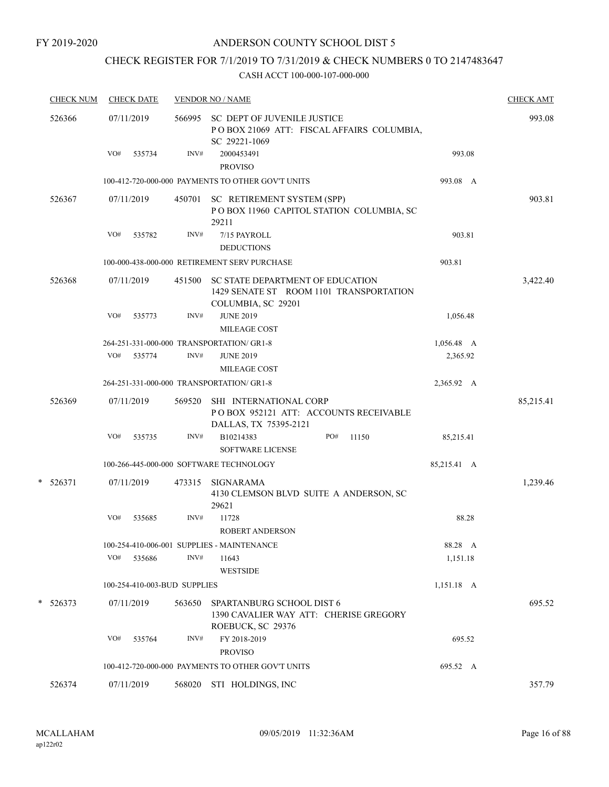# CHECK REGISTER FOR 7/1/2019 TO 7/31/2019 & CHECK NUMBERS 0 TO 2147483647

|        | <b>CHECK NUM</b> | <b>CHECK DATE</b>            |        | <b>VENDOR NO / NAME</b>                                                                           |             | <b>CHECK AMT</b> |
|--------|------------------|------------------------------|--------|---------------------------------------------------------------------------------------------------|-------------|------------------|
| 526366 |                  | 07/11/2019                   |        | 566995 SC DEPT OF JUVENILE JUSTICE<br>POBOX 21069 ATT: FISCAL AFFAIRS COLUMBIA,<br>SC 29221-1069  |             | 993.08           |
|        |                  | VO#<br>535734                | INV#   | 2000453491<br><b>PROVISO</b>                                                                      | 993.08      |                  |
|        |                  |                              |        | 100-412-720-000-000 PAYMENTS TO OTHER GOV'T UNITS                                                 | 993.08 A    |                  |
|        | 526367           | 07/11/2019                   | 450701 | SC RETIREMENT SYSTEM (SPP)<br>POBOX 11960 CAPITOL STATION COLUMBIA, SC<br>29211                   |             | 903.81           |
|        |                  | VO#<br>535782                | INV#   | 7/15 PAYROLL<br><b>DEDUCTIONS</b>                                                                 | 903.81      |                  |
|        |                  |                              |        | 100-000-438-000-000 RETIREMENT SERV PURCHASE                                                      | 903.81      |                  |
|        | 526368           | 07/11/2019                   | 451500 | SC STATE DEPARTMENT OF EDUCATION<br>1429 SENATE ST ROOM 1101 TRANSPORTATION<br>COLUMBIA, SC 29201 |             | 3,422.40         |
|        |                  | VO#<br>535773                | INV#   | <b>JUNE 2019</b><br>MILEAGE COST                                                                  | 1,056.48    |                  |
|        |                  |                              |        | 264-251-331-000-000 TRANSPORTATION/ GR1-8                                                         | 1,056.48 A  |                  |
|        |                  | VO#<br>535774                | INV#   | <b>JUNE 2019</b><br>MILEAGE COST                                                                  | 2,365.92    |                  |
|        |                  |                              |        | 264-251-331-000-000 TRANSPORTATION/ GR1-8                                                         | 2,365.92 A  |                  |
|        | 526369           | 07/11/2019                   | 569520 | SHI INTERNATIONAL CORP<br>POBOX 952121 ATT: ACCOUNTS RECEIVABLE<br>DALLAS, TX 75395-2121          |             | 85,215.41        |
|        |                  | VO#<br>535735                | INV#   | B10214383<br>PO#<br>11150<br><b>SOFTWARE LICENSE</b>                                              | 85,215.41   |                  |
|        |                  |                              |        | 100-266-445-000-000 SOFTWARE TECHNOLOGY                                                           | 85,215.41 A |                  |
|        | $* 526371$       | 07/11/2019                   | 473315 | SIGNARAMA<br>4130 CLEMSON BLVD SUITE A ANDERSON, SC<br>29621                                      |             | 1,239.46         |
|        |                  | VO#<br>535685                | INV#   | 11728<br><b>ROBERT ANDERSON</b>                                                                   | 88.28       |                  |
|        |                  |                              |        | 100-254-410-006-001 SUPPLIES - MAINTENANCE                                                        | 88.28 A     |                  |
|        |                  | VO#<br>535686                | INV#   | 11643<br><b>WESTSIDE</b>                                                                          | 1,151.18    |                  |
|        |                  | 100-254-410-003-BUD SUPPLIES |        |                                                                                                   | 1,151.18 A  |                  |
|        | $* 526373$       | 07/11/2019                   | 563650 | SPARTANBURG SCHOOL DIST 6<br>1390 CAVALIER WAY ATT: CHERISE GREGORY<br>ROEBUCK, SC 29376          |             | 695.52           |
|        |                  | VO#<br>535764                | INV#   | FY 2018-2019<br><b>PROVISO</b>                                                                    | 695.52      |                  |
|        |                  |                              |        | 100-412-720-000-000 PAYMENTS TO OTHER GOV'T UNITS                                                 | 695.52 A    |                  |
|        | 526374           | 07/11/2019                   | 568020 | STI HOLDINGS, INC                                                                                 |             | 357.79           |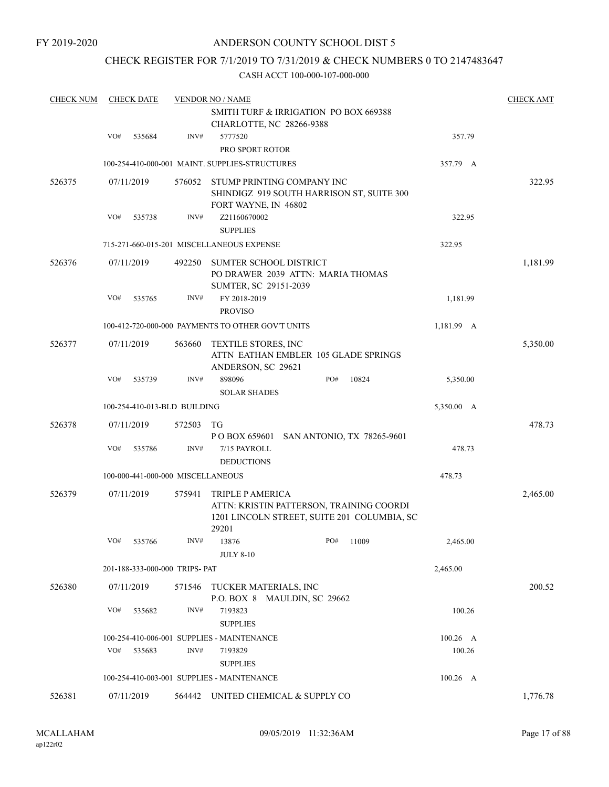FY 2019-2020

# ANDERSON COUNTY SCHOOL DIST 5

# CHECK REGISTER FOR 7/1/2019 TO 7/31/2019 & CHECK NUMBERS 0 TO 2147483647

| <b>CHECK NUM</b> |     | <b>CHECK DATE</b>                 |        | <b>VENDOR NO / NAME</b>                                                                         |  |          |                                             |            |          |  |
|------------------|-----|-----------------------------------|--------|-------------------------------------------------------------------------------------------------|--|----------|---------------------------------------------|------------|----------|--|
|                  |     |                                   |        | SMITH TURF & IRRIGATION PO BOX 669388<br>CHARLOTTE, NC 28266-9388                               |  |          |                                             |            |          |  |
|                  | VO# | 535684                            | INV#   | 5777520<br>PRO SPORT ROTOR                                                                      |  |          |                                             | 357.79     |          |  |
|                  |     |                                   |        | 100-254-410-000-001 MAINT, SUPPLIES-STRUCTURES                                                  |  | 357.79 A |                                             |            |          |  |
| 526375           |     | 07/11/2019                        | 576052 | STUMP PRINTING COMPANY INC<br>SHINDIGZ 919 SOUTH HARRISON ST, SUITE 300<br>FORT WAYNE, IN 46802 |  |          |                                             |            | 322.95   |  |
|                  | VO# | 535738                            | INV#   | Z21160670002<br><b>SUPPLIES</b>                                                                 |  |          |                                             | 322.95     |          |  |
|                  |     |                                   |        | 715-271-660-015-201 MISCELLANEOUS EXPENSE                                                       |  |          |                                             | 322.95     |          |  |
| 526376           |     | 07/11/2019                        | 492250 | SUMTER SCHOOL DISTRICT<br>PO DRAWER 2039 ATTN: MARIA THOMAS<br>SUMTER, SC 29151-2039            |  |          |                                             |            | 1,181.99 |  |
|                  | VO# | 535765                            | INV#   | FY 2018-2019<br><b>PROVISO</b>                                                                  |  |          |                                             | 1,181.99   |          |  |
|                  |     |                                   |        | 100-412-720-000-000 PAYMENTS TO OTHER GOV'T UNITS                                               |  |          |                                             | 1,181.99 A |          |  |
| 526377           |     | 07/11/2019                        | 563660 | TEXTILE STORES, INC<br>ATTN EATHAN EMBLER 105 GLADE SPRINGS<br>ANDERSON, SC 29621               |  |          |                                             |            | 5,350.00 |  |
|                  | VO# | 535739                            | INV#   | 898096<br><b>SOLAR SHADES</b>                                                                   |  | PO#      | 10824                                       | 5,350.00   |          |  |
|                  |     | 100-254-410-013-BLD BUILDING      |        |                                                                                                 |  |          |                                             | 5,350.00 A |          |  |
| 526378           |     | 07/11/2019                        | 572503 | TG                                                                                              |  |          |                                             |            | 478.73   |  |
|                  | VO# | 535786                            | INV#   | P O BOX 659601 SAN ANTONIO, TX 78265-9601<br>7/15 PAYROLL<br><b>DEDUCTIONS</b>                  |  |          |                                             | 478.73     |          |  |
|                  |     | 100-000-441-000-000 MISCELLANEOUS |        |                                                                                                 |  |          |                                             | 478.73     |          |  |
| 526379           |     | 07/11/2019                        | 575941 | TRIPLE P AMERICA<br>ATTN: KRISTIN PATTERSON, TRAINING COORDI<br>29201                           |  |          | 1201 LINCOLN STREET, SUITE 201 COLUMBIA, SC |            | 2,465.00 |  |
|                  | VO# | 535766                            | INV#   | 13876<br><b>JULY 8-10</b>                                                                       |  | PO#      | 11009                                       | 2,465.00   |          |  |
|                  |     | 201-188-333-000-000 TRIPS- PAT    |        |                                                                                                 |  |          |                                             | 2,465.00   |          |  |
| 526380           |     | 07/11/2019                        | 571546 | TUCKER MATERIALS, INC<br>P.O. BOX 8 MAULDIN, SC 29662                                           |  |          |                                             |            | 200.52   |  |
|                  | VO# | 535682                            | INV#   | 7193823<br><b>SUPPLIES</b>                                                                      |  |          |                                             | 100.26     |          |  |
|                  |     |                                   |        | 100-254-410-006-001 SUPPLIES - MAINTENANCE                                                      |  |          |                                             | $100.26$ A |          |  |
|                  | VO# | 535683                            | INV#   | 7193829<br><b>SUPPLIES</b>                                                                      |  |          |                                             | 100.26     |          |  |
|                  |     |                                   |        | 100-254-410-003-001 SUPPLIES - MAINTENANCE                                                      |  |          |                                             | $100.26$ A |          |  |
| 526381           |     | 07/11/2019                        |        | 564442 UNITED CHEMICAL & SUPPLY CO                                                              |  |          |                                             |            | 1,776.78 |  |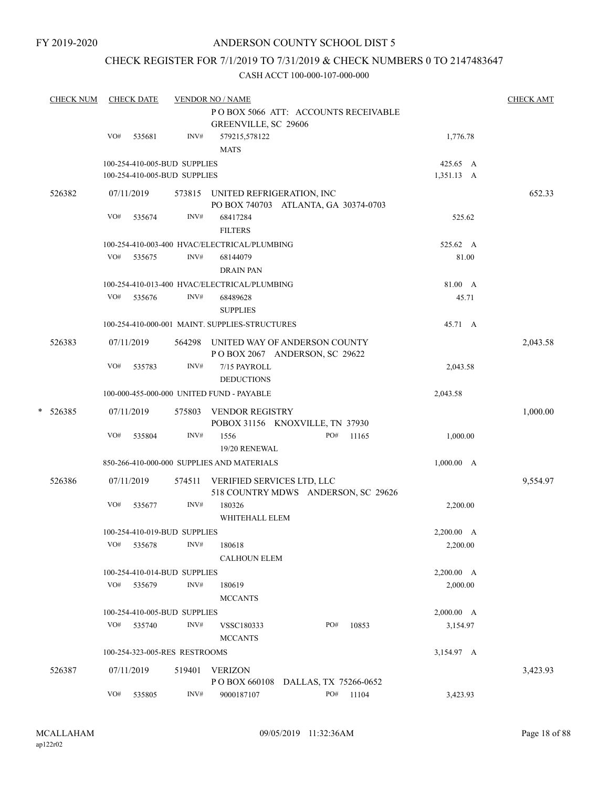# CHECK REGISTER FOR 7/1/2019 TO 7/31/2019 & CHECK NUMBERS 0 TO 2147483647

|   | <b>CHECK NUM</b> |                                                                                        | <b>CHECK DATE</b> |                                                              | <b>VENDOR NO / NAME</b><br>PO BOX 5066 ATT: ACCOUNTS RECEIVABLE<br>GREENVILLE, SC 29606 |  |              |                        | <b>CHECK AMT</b> |
|---|------------------|----------------------------------------------------------------------------------------|-------------------|--------------------------------------------------------------|-----------------------------------------------------------------------------------------|--|--------------|------------------------|------------------|
|   |                  | VO#                                                                                    | 535681            | INV#                                                         | 579215,578122<br><b>MATS</b>                                                            |  |              | 1,776.78               |                  |
|   |                  |                                                                                        |                   | 100-254-410-005-BUD SUPPLIES<br>100-254-410-005-BUD SUPPLIES |                                                                                         |  |              | 425.65 A<br>1,351.13 A |                  |
|   | 526382           |                                                                                        | 07/11/2019        |                                                              | 573815 UNITED REFRIGERATION, INC<br>PO BOX 740703 ATLANTA, GA 30374-0703                |  |              |                        | 652.33           |
|   |                  | VO#                                                                                    | 535674            | INV#                                                         | 68417284<br><b>FILTERS</b>                                                              |  |              | 525.62                 |                  |
|   |                  |                                                                                        |                   |                                                              | 100-254-410-003-400 HVAC/ELECTRICAL/PLUMBING                                            |  |              | 525.62 A               |                  |
|   |                  | VO#                                                                                    | 535675            | INV#                                                         | 68144079<br><b>DRAIN PAN</b>                                                            |  |              | 81.00                  |                  |
|   |                  |                                                                                        |                   |                                                              | 100-254-410-013-400 HVAC/ELECTRICAL/PLUMBING                                            |  |              | 81.00 A                |                  |
|   |                  | VO#                                                                                    | 535676            | INV#                                                         | 68489628<br><b>SUPPLIES</b>                                                             |  |              | 45.71                  |                  |
|   |                  |                                                                                        |                   |                                                              | 100-254-410-000-001 MAINT. SUPPLIES-STRUCTURES                                          |  |              | 45.71 A                |                  |
|   | 526383           | 07/11/2019<br>UNITED WAY OF ANDERSON COUNTY<br>564298<br>POBOX 2067 ANDERSON, SC 29622 |                   |                                                              |                                                                                         |  |              |                        | 2,043.58         |
|   |                  | VO#                                                                                    | 535783            | INV#                                                         | 7/15 PAYROLL<br><b>DEDUCTIONS</b>                                                       |  |              | 2,043.58               |                  |
|   |                  |                                                                                        |                   |                                                              | 100-000-455-000-000 UNITED FUND - PAYABLE                                               |  |              | 2,043.58               |                  |
| * | 526385           |                                                                                        | 07/11/2019        | 575803                                                       | <b>VENDOR REGISTRY</b><br>POBOX 31156 KNOXVILLE, TN 37930                               |  |              |                        | 1,000.00         |
|   |                  | VO#                                                                                    | 535804            | INV#                                                         | 1556<br>19/20 RENEWAL                                                                   |  | PO#<br>11165 | 1,000.00               |                  |
|   |                  |                                                                                        |                   |                                                              | 850-266-410-000-000 SUPPLIES AND MATERIALS                                              |  |              | 1,000.00 A             |                  |
|   | 526386           |                                                                                        | 07/11/2019        | 574511                                                       | VERIFIED SERVICES LTD, LLC<br>518 COUNTRY MDWS ANDERSON, SC 29626                       |  |              |                        | 9,554.97         |
|   |                  | VO#                                                                                    | 535677            | INV#                                                         | 180326<br>WHITEHALL ELEM                                                                |  |              | 2,200.00               |                  |
|   |                  |                                                                                        |                   | 100-254-410-019-BUD SUPPLIES                                 |                                                                                         |  |              | 2,200.00 A             |                  |
|   |                  | VO#                                                                                    | 535678            | INV#                                                         | 180618<br><b>CALHOUN ELEM</b>                                                           |  |              | 2,200.00               |                  |
|   |                  |                                                                                        |                   | 100-254-410-014-BUD SUPPLIES                                 |                                                                                         |  |              | 2,200.00 A             |                  |
|   |                  |                                                                                        | VO# 535679        | INV#                                                         | 180619<br><b>MCCANTS</b>                                                                |  |              | 2,000.00               |                  |
|   |                  |                                                                                        |                   | 100-254-410-005-BUD SUPPLIES                                 |                                                                                         |  |              | 2,000.00 A             |                  |
|   |                  | VO#                                                                                    | 535740            | INV#                                                         | VSSC180333<br><b>MCCANTS</b>                                                            |  | PO#<br>10853 | 3,154.97               |                  |
|   |                  |                                                                                        |                   | 100-254-323-005-RES RESTROOMS                                |                                                                                         |  |              | 3,154.97 A             |                  |
|   | 526387           |                                                                                        | 07/11/2019        | 519401                                                       | <b>VERIZON</b><br>POBOX 660108 DALLAS, TX 75266-0652                                    |  |              |                        | 3,423.93         |
|   |                  | VO#                                                                                    | 535805            | INV#                                                         | 9000187107                                                                              |  | PO#<br>11104 | 3,423.93               |                  |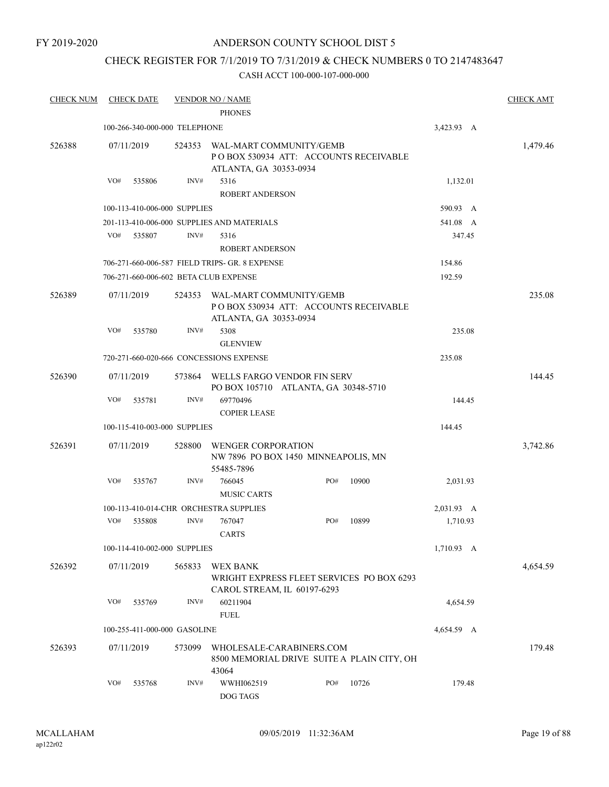FY 2019-2020

# ANDERSON COUNTY SCHOOL DIST 5

# CHECK REGISTER FOR 7/1/2019 TO 7/31/2019 & CHECK NUMBERS 0 TO 2147483647

| <b>CHECK NUM</b> |     | <b>CHECK DATE</b>             |        | <b>VENDOR NO / NAME</b><br><b>PHONES</b>                                                    |     |       |            | <b>CHECK AMT</b> |
|------------------|-----|-------------------------------|--------|---------------------------------------------------------------------------------------------|-----|-------|------------|------------------|
|                  |     | 100-266-340-000-000 TELEPHONE |        |                                                                                             |     |       | 3,423.93 A |                  |
| 526388           |     | 07/11/2019                    | 524353 | WAL-MART COMMUNITY/GEMB<br>PO BOX 530934 ATT: ACCOUNTS RECEIVABLE<br>ATLANTA, GA 30353-0934 |     |       |            | 1,479.46         |
|                  | VO# | 535806                        | INV#   | 5316                                                                                        |     |       | 1,132.01   |                  |
|                  |     |                               |        | <b>ROBERT ANDERSON</b>                                                                      |     |       |            |                  |
|                  |     | 100-113-410-006-000 SUPPLIES  |        |                                                                                             |     |       | 590.93 A   |                  |
|                  |     |                               |        | 201-113-410-006-000 SUPPLIES AND MATERIALS                                                  |     |       | 541.08 A   |                  |
|                  | VO# | 535807                        | INV#   | 5316                                                                                        |     |       | 347.45     |                  |
|                  |     |                               |        | <b>ROBERT ANDERSON</b>                                                                      |     |       |            |                  |
|                  |     |                               |        | 706-271-660-006-587 FIELD TRIPS- GR. 8 EXPENSE                                              |     |       | 154.86     |                  |
|                  |     |                               |        | 706-271-660-006-602 BETA CLUB EXPENSE                                                       |     |       | 192.59     |                  |
| 526389           |     | 07/11/2019                    | 524353 | WAL-MART COMMUNITY/GEMB<br>POBOX 530934 ATT: ACCOUNTS RECEIVABLE<br>ATLANTA, GA 30353-0934  |     |       |            | 235.08           |
|                  | VO# | 535780                        | INV#   | 5308<br><b>GLENVIEW</b>                                                                     |     |       | 235.08     |                  |
|                  |     |                               |        | 720-271-660-020-666 CONCESSIONS EXPENSE                                                     |     |       | 235.08     |                  |
|                  |     |                               |        |                                                                                             |     |       |            |                  |
| 526390           |     | 07/11/2019                    | 573864 | WELLS FARGO VENDOR FIN SERV<br>PO BOX 105710 ATLANTA, GA 30348-5710                         |     |       |            | 144.45           |
|                  | VO# | 535781                        | INV#   | 69770496                                                                                    |     |       | 144.45     |                  |
|                  |     |                               |        | <b>COPIER LEASE</b>                                                                         |     |       |            |                  |
|                  |     | 100-115-410-003-000 SUPPLIES  |        |                                                                                             |     |       | 144.45     |                  |
| 526391           |     | 07/11/2019                    | 528800 | <b>WENGER CORPORATION</b><br>NW 7896 PO BOX 1450 MINNEAPOLIS, MN<br>55485-7896              |     |       |            | 3,742.86         |
|                  | VO# | 535767                        | INV#   | 766045<br><b>MUSIC CARTS</b>                                                                | PO# | 10900 | 2,031.93   |                  |
|                  |     |                               |        | 100-113-410-014-CHR ORCHESTRA SUPPLIES                                                      |     |       | 2,031.93 A |                  |
|                  | VO# | 535808                        | INV#   | 767047<br><b>CARTS</b>                                                                      | PO# | 10899 | 1,710.93   |                  |
|                  |     | 100-114-410-002-000 SUPPLIES  |        |                                                                                             |     |       | 1,710.93 A |                  |
| 526392           |     | 07/11/2019                    | 565833 | WEX BANK<br>WRIGHT EXPRESS FLEET SERVICES PO BOX 6293<br>CAROL STREAM, IL 60197-6293        |     |       |            | 4,654.59         |
|                  | VO# | 535769                        | INV#   | 60211904<br><b>FUEL</b>                                                                     |     |       | 4,654.59   |                  |
|                  |     | 100-255-411-000-000 GASOLINE  |        |                                                                                             |     |       | 4,654.59 A |                  |
|                  |     |                               |        |                                                                                             |     |       |            |                  |
| 526393           |     | 07/11/2019                    | 573099 | WHOLESALE-CARABINERS.COM<br>8500 MEMORIAL DRIVE SUITE A PLAIN CITY, OH<br>43064             |     |       |            | 179.48           |
|                  | VO# | 535768                        | INV#   | WWHI062519<br>DOG TAGS                                                                      | PO# | 10726 | 179.48     |                  |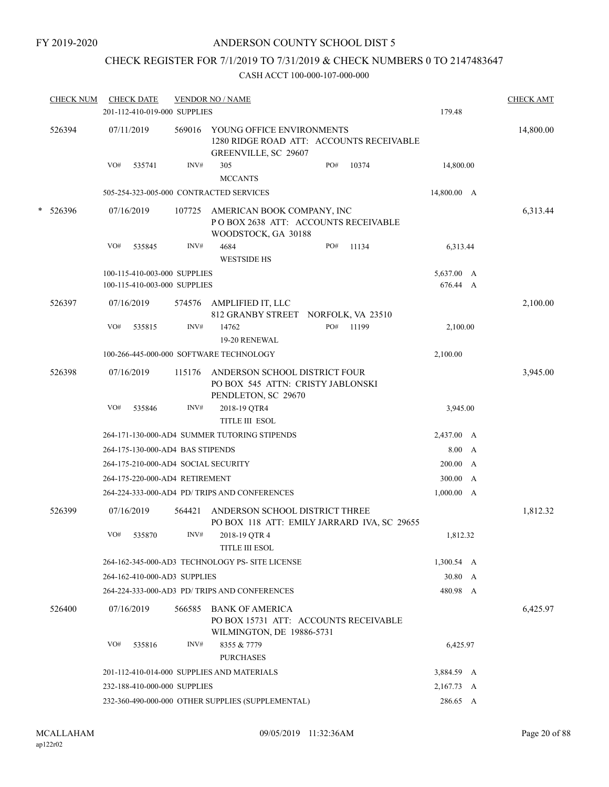# CHECK REGISTER FOR 7/1/2019 TO 7/31/2019 & CHECK NUMBERS 0 TO 2147483647

| <b>CHECK NUM</b> | <b>CHECK DATE</b> | 201-112-410-019-000 SUPPLIES        | <b>VENDOR NO / NAME</b>                                                                       |     |       | 179.48             |   | <b>CHECK AMT</b> |
|------------------|-------------------|-------------------------------------|-----------------------------------------------------------------------------------------------|-----|-------|--------------------|---|------------------|
| 526394           | 07/11/2019        | 569016                              | YOUNG OFFICE ENVIRONMENTS<br>1280 RIDGE ROAD ATT: ACCOUNTS RECEIVABLE<br>GREENVILLE, SC 29607 |     |       |                    |   | 14,800.00        |
|                  | VO#               | INV#<br>535741                      | 305<br><b>MCCANTS</b>                                                                         | PO# | 10374 | 14,800.00          |   |                  |
|                  |                   |                                     | 505-254-323-005-000 CONTRACTED SERVICES                                                       |     |       | 14,800.00 A        |   |                  |
| * 526396         | 07/16/2019        | 107725                              | AMERICAN BOOK COMPANY, INC<br>POBOX 2638 ATT: ACCOUNTS RECEIVABLE<br>WOODSTOCK, GA 30188      |     |       |                    |   | 6,313.44         |
|                  | VO#               | INV#<br>535845                      | 4684                                                                                          | PO# | 11134 | 6,313.44           |   |                  |
|                  |                   |                                     | <b>WESTSIDE HS</b>                                                                            |     |       |                    |   |                  |
|                  |                   | 100-115-410-003-000 SUPPLIES        |                                                                                               |     |       | 5,637.00 A         |   |                  |
|                  |                   | 100-115-410-003-000 SUPPLIES        |                                                                                               |     |       | 676.44 A           |   |                  |
| 526397           | 07/16/2019        | 574576                              | AMPLIFIED IT, LLC                                                                             |     |       |                    |   | 2,100.00         |
|                  | VO#               | INV#<br>535815                      | 812 GRANBY STREET NORFOLK, VA 23510<br>14762                                                  | PO# | 11199 | 2,100.00           |   |                  |
|                  |                   |                                     | 19-20 RENEWAL                                                                                 |     |       |                    |   |                  |
|                  |                   |                                     | 100-266-445-000-000 SOFTWARE TECHNOLOGY                                                       |     |       | 2,100.00           |   |                  |
| 526398           | 07/16/2019        | 115176                              | ANDERSON SCHOOL DISTRICT FOUR<br>PO BOX 545 ATTN: CRISTY JABLONSKI                            |     |       |                    |   | 3,945.00         |
|                  | VO#               | 535846<br>INV#                      | PENDLETON, SC 29670<br>2018-19 QTR4<br><b>TITLE III ESOL</b>                                  |     |       | 3,945.00           |   |                  |
|                  |                   |                                     | 264-171-130-000-AD4 SUMMER TUTORING STIPENDS                                                  |     |       | 2,437.00 A         |   |                  |
|                  |                   | 264-175-130-000-AD4 BAS STIPENDS    |                                                                                               |     |       | 8.00 A             |   |                  |
|                  |                   | 264-175-210-000-AD4 SOCIAL SECURITY |                                                                                               |     |       | 200.00             | A |                  |
|                  |                   | 264-175-220-000-AD4 RETIREMENT      |                                                                                               |     |       | 300.00 A           |   |                  |
|                  |                   |                                     | 264-224-333-000-AD4 PD/ TRIPS AND CONFERENCES                                                 |     |       | 1,000.00 A         |   |                  |
| 526399           | 07/16/2019        | 564421                              | ANDERSON SCHOOL DISTRICT THREE<br>PO BOX 118 ATT: EMILY JARRARD IVA, SC 29655                 |     |       |                    |   | 1,812.32         |
|                  | VO#               | INV#<br>535870                      | 2018-19 QTR 4<br><b>TITLE III ESOL</b>                                                        |     |       | 1.812.32           |   |                  |
|                  |                   |                                     | 264-162-345-000-AD3 TECHNOLOGY PS- SITE LICENSE                                               |     |       | $1,300.54 \quad A$ |   |                  |
|                  |                   | 264-162-410-000-AD3 SUPPLIES        |                                                                                               |     |       | 30.80 A            |   |                  |
|                  |                   |                                     | 264-224-333-000-AD3 PD/ TRIPS AND CONFERENCES                                                 |     |       | 480.98 A           |   |                  |
| 526400           | 07/16/2019        | 566585                              | <b>BANK OF AMERICA</b><br>PO BOX 15731 ATT: ACCOUNTS RECEIVABLE<br>WILMINGTON, DE 19886-5731  |     |       |                    |   | 6,425.97         |
|                  | VO#               | INV#<br>535816                      | 8355 & 7779<br><b>PURCHASES</b>                                                               |     |       | 6,425.97           |   |                  |
|                  |                   |                                     | 201-112-410-014-000 SUPPLIES AND MATERIALS                                                    |     |       | 3,884.59 A         |   |                  |
|                  |                   | 232-188-410-000-000 SUPPLIES        |                                                                                               |     |       | 2,167.73 A         |   |                  |
|                  |                   |                                     | 232-360-490-000-000 OTHER SUPPLIES (SUPPLEMENTAL)                                             |     |       | 286.65 A           |   |                  |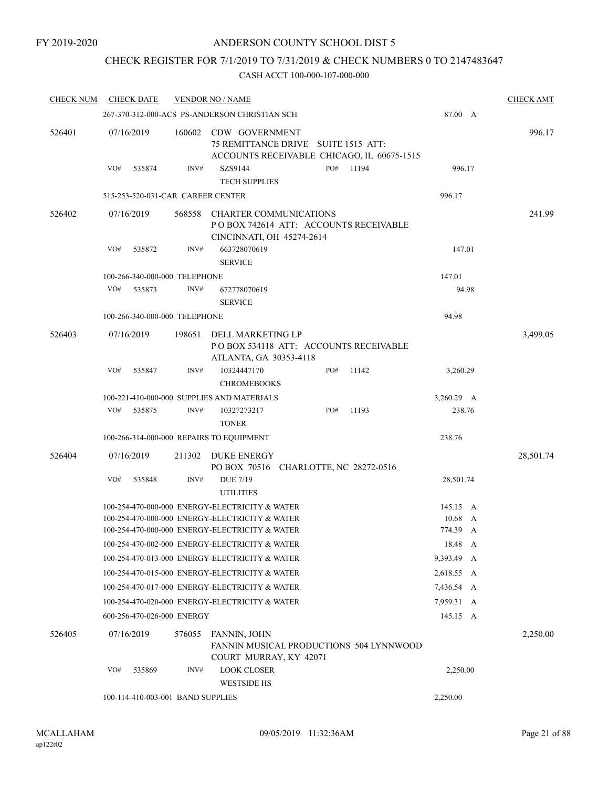# CHECK REGISTER FOR 7/1/2019 TO 7/31/2019 & CHECK NUMBERS 0 TO 2147483647

| <b>CHECK NUM</b> |            | <b>CHECK DATE</b>                 |        | <b>VENDOR NO / NAME</b>                                                                              |     |                                         |            |       | <b>CHECK AMT</b> |
|------------------|------------|-----------------------------------|--------|------------------------------------------------------------------------------------------------------|-----|-----------------------------------------|------------|-------|------------------|
|                  |            |                                   |        | 267-370-312-000-ACS PS-ANDERSON CHRISTIAN SCH                                                        |     |                                         | 87.00 A    |       |                  |
| 526401           | 07/16/2019 |                                   | 160602 | CDW GOVERNMENT<br>75 REMITTANCE DRIVE SUITE 1515 ATT:<br>ACCOUNTS RECEIVABLE CHICAGO, IL 60675-1515  |     |                                         |            |       | 996.17           |
|                  | VO#        | 535874                            | INV#   | SZS9144<br><b>TECH SUPPLIES</b>                                                                      | PO# | 11194                                   | 996.17     |       |                  |
|                  |            | 515-253-520-031-CAR CAREER CENTER |        |                                                                                                      |     |                                         | 996.17     |       |                  |
| 526402           | 07/16/2019 |                                   | 568558 | <b>CHARTER COMMUNICATIONS</b><br>PO BOX 742614 ATT: ACCOUNTS RECEIVABLE<br>CINCINNATI, OH 45274-2614 |     |                                         |            |       | 241.99           |
|                  | VO#        | 535872                            | INV#   | 663728070619<br><b>SERVICE</b>                                                                       |     |                                         | 147.01     |       |                  |
|                  |            | 100-266-340-000-000 TELEPHONE     |        |                                                                                                      |     |                                         | 147.01     |       |                  |
|                  | VO#        | 535873                            | INV#   | 672778070619<br><b>SERVICE</b>                                                                       |     |                                         |            | 94.98 |                  |
|                  |            | 100-266-340-000-000 TELEPHONE     |        |                                                                                                      |     |                                         | 94.98      |       |                  |
| 526403           | 07/16/2019 |                                   | 198651 | DELL MARKETING LP<br>POBOX 534118 ATT: ACCOUNTS RECEIVABLE<br>ATLANTA, GA 30353-4118                 |     |                                         |            |       | 3,499.05         |
|                  | VO#        | 535847                            | INV#   | 10324447170<br><b>CHROMEBOOKS</b>                                                                    | PO# | 11142                                   | 3,260.29   |       |                  |
|                  |            |                                   |        | 100-221-410-000-000 SUPPLIES AND MATERIALS                                                           |     |                                         | 3,260.29 A |       |                  |
|                  | VO#        | 535875                            | INV#   | 10327273217<br><b>TONER</b>                                                                          | PO# | 11193                                   | 238.76     |       |                  |
|                  |            |                                   |        | 100-266-314-000-000 REPAIRS TO EQUIPMENT                                                             |     |                                         | 238.76     |       |                  |
| 526404           | 07/16/2019 |                                   | 211302 | DUKE ENERGY<br>PO BOX 70516 CHARLOTTE, NC 28272-0516                                                 |     |                                         |            |       | 28,501.74        |
|                  | VO#        | 535848                            | INV#   | <b>DUE 7/19</b><br><b>UTILITIES</b>                                                                  |     |                                         | 28,501.74  |       |                  |
|                  |            |                                   |        | 100-254-470-000-000 ENERGY-ELECTRICITY & WATER                                                       |     |                                         | 145.15 A   |       |                  |
|                  |            |                                   |        | 100-254-470-000-000 ENERGY-ELECTRICITY & WATER                                                       |     |                                         | 10.68      | A     |                  |
|                  |            |                                   |        | 100-254-470-000-000 ENERGY-ELECTRICITY & WATER                                                       |     |                                         | 774.39 A   |       |                  |
|                  |            |                                   |        | 100-254-470-002-000 ENERGY-ELECTRICITY & WATER                                                       |     |                                         | 18.48 A    |       |                  |
|                  |            |                                   |        | 100-254-470-013-000 ENERGY-ELECTRICITY & WATER                                                       |     |                                         | 9,393.49 A |       |                  |
|                  |            |                                   |        | 100-254-470-015-000 ENERGY-ELECTRICITY & WATER                                                       |     |                                         | 2,618.55 A |       |                  |
|                  |            |                                   |        | 100-254-470-017-000 ENERGY-ELECTRICITY & WATER                                                       |     |                                         | 7,436.54 A |       |                  |
|                  |            |                                   |        | 100-254-470-020-000 ENERGY-ELECTRICITY & WATER                                                       |     |                                         | 7,959.31 A |       |                  |
|                  |            | 600-256-470-026-000 ENERGY        |        |                                                                                                      |     |                                         | 145.15 A   |       |                  |
| 526405           | 07/16/2019 |                                   | 576055 | FANNIN, JOHN<br>COURT MURRAY, KY 42071                                                               |     | FANNIN MUSICAL PRODUCTIONS 504 LYNNWOOD |            |       | 2,250.00         |
|                  | VO#        | 535869                            | INV#   | <b>LOOK CLOSER</b><br><b>WESTSIDE HS</b>                                                             |     |                                         | 2,250.00   |       |                  |
|                  |            | 100-114-410-003-001 BAND SUPPLIES |        |                                                                                                      |     |                                         | 2,250.00   |       |                  |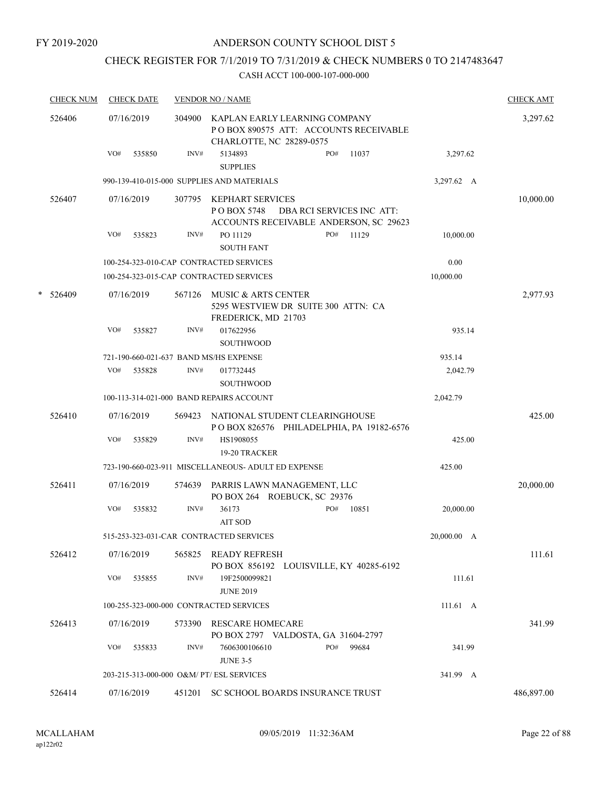#### FY 2019-2020

# ANDERSON COUNTY SCHOOL DIST 5

# CHECK REGISTER FOR 7/1/2019 TO 7/31/2019 & CHECK NUMBERS 0 TO 2147483647

| <b>CHECK NUM</b> | <b>CHECK DATE</b>                         |        | <b>VENDOR NO / NAME</b>                                                                                 |             | <b>CHECK AMT</b> |
|------------------|-------------------------------------------|--------|---------------------------------------------------------------------------------------------------------|-------------|------------------|
| 526406           | 07/16/2019                                | 304900 | KAPLAN EARLY LEARNING COMPANY<br>POBOX 890575 ATT: ACCOUNTS RECEIVABLE<br>CHARLOTTE, NC 28289-0575      |             | 3,297.62         |
|                  | VO#<br>535850                             | INV#   | 5134893<br>PO#<br>11037<br><b>SUPPLIES</b>                                                              | 3,297.62    |                  |
|                  |                                           |        | 990-139-410-015-000 SUPPLIES AND MATERIALS                                                              | 3,297.62 A  |                  |
| 526407           | 07/16/2019                                | 307795 | KEPHART SERVICES<br>DBA RCI SERVICES INC ATT:<br>P O BOX 5748<br>ACCOUNTS RECEIVABLE ANDERSON, SC 29623 |             | 10,000.00        |
|                  | VO#<br>535823                             | INV#   | PO 11129<br>PO#<br>11129<br><b>SOUTH FANT</b>                                                           | 10,000.00   |                  |
|                  |                                           |        | 100-254-323-010-CAP CONTRACTED SERVICES                                                                 | 0.00        |                  |
|                  |                                           |        | 100-254-323-015-CAP CONTRACTED SERVICES                                                                 | 10,000.00   |                  |
| $*$ 526409       | 07/16/2019                                | 567126 | MUSIC & ARTS CENTER<br>5295 WESTVIEW DR SUITE 300 ATTN: CA<br>FREDERICK, MD 21703                       |             | 2,977.93         |
|                  | VO#<br>535827                             | INV#   | 017622956<br><b>SOUTHWOOD</b>                                                                           | 935.14      |                  |
|                  | 721-190-660-021-637 BAND MS/HS EXPENSE    |        |                                                                                                         | 935.14      |                  |
|                  | VO#<br>535828                             | INV#   | 017732445<br><b>SOUTHWOOD</b>                                                                           | 2,042.79    |                  |
|                  |                                           |        | 100-113-314-021-000 BAND REPAIRS ACCOUNT                                                                | 2,042.79    |                  |
| 526410           | 07/16/2019                                |        | 569423 NATIONAL STUDENT CLEARINGHOUSE<br>POBOX 826576 PHILADELPHIA, PA 19182-6576                       |             | 425.00           |
|                  | VO#<br>535829                             | INV#   | HS1908055<br>19-20 TRACKER                                                                              | 425.00      |                  |
|                  |                                           |        | 723-190-660-023-911 MISCELLANEOUS- ADULT ED EXPENSE                                                     | 425.00      |                  |
| 526411           | 07/16/2019                                | 574639 | PARRIS LAWN MANAGEMENT, LLC<br>PO BOX 264 ROEBUCK, SC 29376                                             |             | 20,000.00        |
|                  | VO#<br>535832                             | INV#   | 36173<br>PO#<br>10851<br><b>AIT SOD</b>                                                                 | 20,000.00   |                  |
|                  |                                           |        | 515-253-323-031-CAR CONTRACTED SERVICES                                                                 | 20,000.00 A |                  |
| 526412           | 07/16/2019                                |        | 565825 READY REFRESH<br>PO BOX 856192 LOUISVILLE, KY 40285-6192                                         |             | 111.61           |
|                  | VO#<br>535855                             | INV#   | 19F2500099821<br><b>JUNE 2019</b>                                                                       | 111.61      |                  |
|                  |                                           |        | 100-255-323-000-000 CONTRACTED SERVICES                                                                 | 111.61 A    |                  |
| 526413           | 07/16/2019                                | 573390 | <b>RESCARE HOMECARE</b><br>PO BOX 2797 VALDOSTA, GA 31604-2797                                          |             | 341.99           |
|                  | VO#<br>535833                             | INV#   | 7606300106610<br>PO#<br>99684<br><b>JUNE 3-5</b>                                                        | 341.99      |                  |
|                  | 203-215-313-000-000 O&M/ PT/ ESL SERVICES |        |                                                                                                         | 341.99 A    |                  |
| 526414           | 07/16/2019                                | 451201 | SC SCHOOL BOARDS INSURANCE TRUST                                                                        |             | 486,897.00       |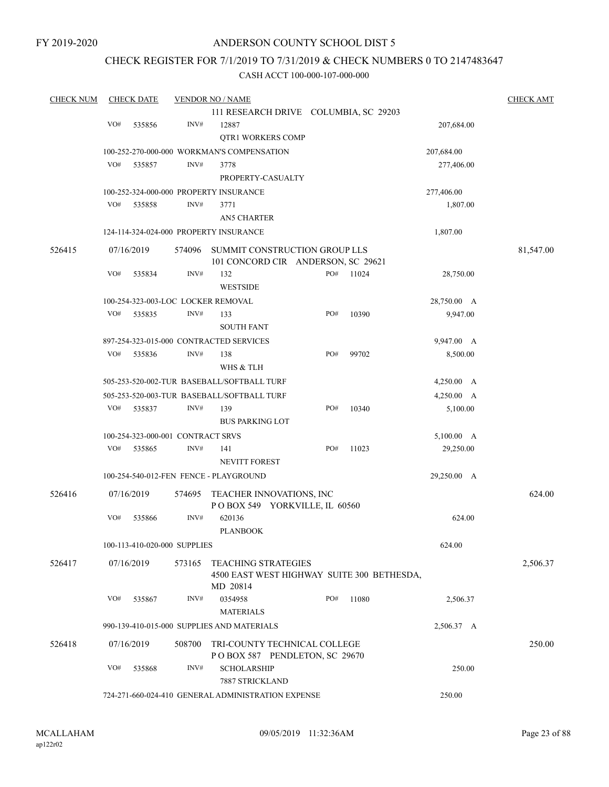# CHECK REGISTER FOR 7/1/2019 TO 7/31/2019 & CHECK NUMBERS 0 TO 2147483647

| <b>CHECK NUM</b> |                                                    | <b>CHECK DATE</b> |                                   | <b>VENDOR NO / NAME</b>                                                              |     |       |                        | <b>CHECK AMT</b> |
|------------------|----------------------------------------------------|-------------------|-----------------------------------|--------------------------------------------------------------------------------------|-----|-------|------------------------|------------------|
|                  |                                                    |                   |                                   | 111 RESEARCH DRIVE COLUMBIA, SC 29203                                                |     |       |                        |                  |
|                  | VO#                                                | 535856            | INV#                              | 12887                                                                                |     |       | 207,684.00             |                  |
|                  |                                                    |                   |                                   | <b>QTR1 WORKERS COMP</b>                                                             |     |       |                        |                  |
|                  |                                                    |                   |                                   | 100-252-270-000-000 WORKMAN'S COMPENSATION                                           |     |       | 207,684.00             |                  |
|                  | VO#                                                | 535857            | INV#                              | 3778                                                                                 |     |       | 277,406.00             |                  |
|                  |                                                    |                   |                                   | PROPERTY-CASUALTY                                                                    |     |       |                        |                  |
|                  |                                                    |                   |                                   | 100-252-324-000-000 PROPERTY INSURANCE                                               |     |       |                        |                  |
|                  | VO#                                                | 535858            | INV#                              | 3771                                                                                 |     |       | 277,406.00<br>1,807.00 |                  |
|                  |                                                    |                   |                                   | <b>AN5 CHARTER</b>                                                                   |     |       |                        |                  |
|                  |                                                    |                   |                                   |                                                                                      |     |       | 1,807.00               |                  |
|                  |                                                    |                   |                                   | 124-114-324-024-000 PROPERTY INSURANCE                                               |     |       |                        |                  |
| 526415           |                                                    | 07/16/2019        | 574096                            | SUMMIT CONSTRUCTION GROUP LLS<br>101 CONCORD CIR ANDERSON, SC 29621                  |     |       |                        | 81,547.00        |
|                  | VO#                                                | 535834            | INV#                              | 132                                                                                  | PO# | 11024 | 28,750.00              |                  |
|                  |                                                    |                   |                                   | <b>WESTSIDE</b>                                                                      |     |       |                        |                  |
|                  |                                                    |                   |                                   | 100-254-323-003-LOC LOCKER REMOVAL                                                   |     |       | 28,750.00 A            |                  |
|                  | VO#                                                | 535835            | INV#                              | 133                                                                                  | PO# | 10390 | 9,947.00               |                  |
|                  |                                                    |                   |                                   | <b>SOUTH FANT</b>                                                                    |     |       |                        |                  |
|                  |                                                    |                   |                                   | 897-254-323-015-000 CONTRACTED SERVICES                                              |     |       | 9,947.00 A             |                  |
|                  | VO#                                                | 535836            | INV#                              | 138                                                                                  | PO# | 99702 | 8,500.00               |                  |
|                  |                                                    |                   |                                   | WHS & TLH                                                                            |     |       |                        |                  |
|                  |                                                    |                   |                                   | 505-253-520-002-TUR BASEBALL/SOFTBALL TURF                                           |     |       | 4,250.00 A             |                  |
|                  |                                                    |                   |                                   |                                                                                      |     |       |                        |                  |
|                  |                                                    |                   |                                   | 505-253-520-003-TUR BASEBALL/SOFTBALL TURF                                           |     |       | 4,250.00 A             |                  |
|                  | VO#                                                | 535837            | INV#                              | 139                                                                                  | PO# | 10340 | 5,100.00               |                  |
|                  |                                                    |                   |                                   | <b>BUS PARKING LOT</b>                                                               |     |       |                        |                  |
|                  |                                                    |                   | 100-254-323-000-001 CONTRACT SRVS |                                                                                      |     |       | 5,100.00 A             |                  |
|                  | VO#                                                | 535865            | INV#                              | 141                                                                                  | PO# | 11023 | 29,250.00              |                  |
|                  |                                                    |                   |                                   | <b>NEVITT FOREST</b>                                                                 |     |       |                        |                  |
|                  |                                                    |                   |                                   | 100-254-540-012-FEN FENCE - PLAYGROUND                                               |     |       | 29,250.00 A            |                  |
| 526416           |                                                    | 07/16/2019        | 574695                            | TEACHER INNOVATIONS, INC                                                             |     |       |                        | 624.00           |
|                  |                                                    |                   |                                   | POBOX 549 YORKVILLE, IL 60560                                                        |     |       |                        |                  |
|                  | VO#                                                | 535866            | INV#                              | 620136                                                                               |     |       | 624.00                 |                  |
|                  |                                                    |                   |                                   | <b>PLANBOOK</b>                                                                      |     |       |                        |                  |
|                  |                                                    |                   | 100-113-410-020-000 SUPPLIES      |                                                                                      |     |       | 624.00                 |                  |
|                  |                                                    |                   |                                   |                                                                                      |     |       |                        |                  |
| 526417           |                                                    | 07/16/2019        | 573165                            | <b>TEACHING STRATEGIES</b><br>4500 EAST WEST HIGHWAY SUITE 300 BETHESDA,<br>MD 20814 |     |       |                        | 2,506.37         |
|                  | VO#                                                | 535867            | INV#                              | 0354958                                                                              | PO# | 11080 | 2,506.37               |                  |
|                  |                                                    |                   |                                   | <b>MATERIALS</b>                                                                     |     |       |                        |                  |
|                  |                                                    |                   |                                   |                                                                                      |     |       |                        |                  |
|                  |                                                    |                   |                                   | 990-139-410-015-000 SUPPLIES AND MATERIALS                                           |     |       | 2,506.37 A             |                  |
| 526418           |                                                    | 07/16/2019        | 508700                            | TRI-COUNTY TECHNICAL COLLEGE                                                         |     |       |                        | 250.00           |
|                  |                                                    |                   |                                   | POBOX 587 PENDLETON, SC 29670                                                        |     |       |                        |                  |
|                  | VO#                                                | 535868            | INV#                              | <b>SCHOLARSHIP</b>                                                                   |     |       | 250.00                 |                  |
|                  |                                                    |                   |                                   | 7887 STRICKLAND                                                                      |     |       |                        |                  |
|                  | 724-271-660-024-410 GENERAL ADMINISTRATION EXPENSE | 250.00            |                                   |                                                                                      |     |       |                        |                  |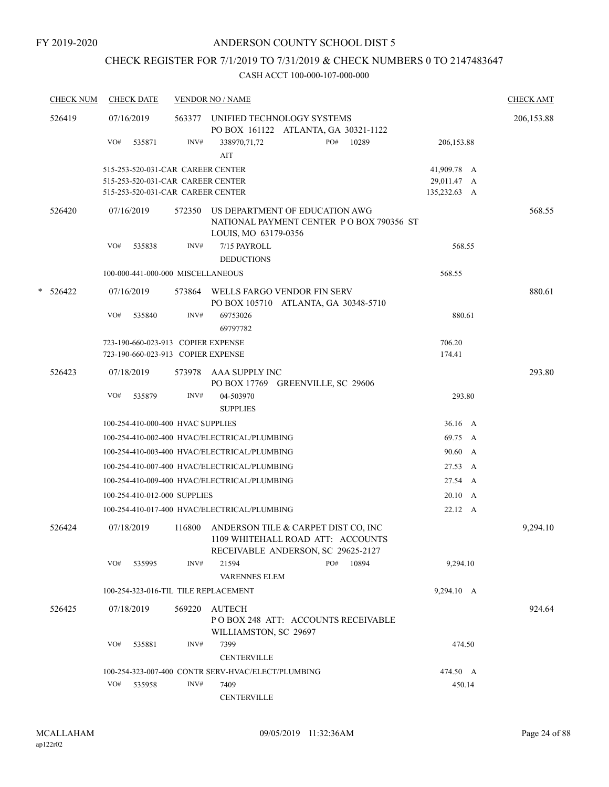# CHECK REGISTER FOR 7/1/2019 TO 7/31/2019 & CHECK NUMBERS 0 TO 2147483647

| <b>CHECK NUM</b> |     | <b>CHECK DATE</b>                  |        | <b>VENDOR NO / NAME</b>                                                                                        |              | <b>CHECK AMT</b> |
|------------------|-----|------------------------------------|--------|----------------------------------------------------------------------------------------------------------------|--------------|------------------|
| 526419           |     | 07/16/2019                         |        | 563377 UNIFIED TECHNOLOGY SYSTEMS<br>PO BOX 161122 ATLANTA, GA 30321-1122                                      |              | 206,153.88       |
|                  | VO# | 535871                             | INV#   | PO#<br>10289<br>338970,71,72<br>AIT                                                                            | 206,153.88   |                  |
|                  |     | 515-253-520-031-CAR CAREER CENTER  |        |                                                                                                                | 41,909.78 A  |                  |
|                  |     | 515-253-520-031-CAR CAREER CENTER  |        |                                                                                                                | 29,011.47 A  |                  |
|                  |     | 515-253-520-031-CAR CAREER CENTER  |        |                                                                                                                | 135,232.63 A |                  |
| 526420           |     | 07/16/2019                         | 572350 | US DEPARTMENT OF EDUCATION AWG<br>NATIONAL PAYMENT CENTER PO BOX 790356 ST<br>LOUIS, MO 63179-0356             |              | 568.55           |
|                  | VO# | 535838                             | INV#   | 7/15 PAYROLL                                                                                                   | 568.55       |                  |
|                  |     |                                    |        | <b>DEDUCTIONS</b>                                                                                              |              |                  |
|                  |     | 100-000-441-000-000 MISCELLANEOUS  |        |                                                                                                                | 568.55       |                  |
| $* 526422$       |     | 07/16/2019                         |        | 573864 WELLS FARGO VENDOR FIN SERV<br>PO BOX 105710 ATLANTA, GA 30348-5710                                     |              | 880.61           |
|                  | VO# | 535840                             | INV#   | 69753026<br>69797782                                                                                           | 880.61       |                  |
|                  |     | 723-190-660-023-913 COPIER EXPENSE |        |                                                                                                                | 706.20       |                  |
|                  |     | 723-190-660-023-913 COPIER EXPENSE |        |                                                                                                                | 174.41       |                  |
| 526423           |     | 07/18/2019                         |        | 573978 AAA SUPPLY INC<br>PO BOX 17769 GREENVILLE, SC 29606                                                     |              | 293.80           |
|                  | VO# | 535879                             | INV#   | 04-503970<br><b>SUPPLIES</b>                                                                                   | 293.80       |                  |
|                  |     | 100-254-410-000-400 HVAC SUPPLIES  |        |                                                                                                                | 36.16 A      |                  |
|                  |     |                                    |        | 100-254-410-002-400 HVAC/ELECTRICAL/PLUMBING                                                                   | 69.75 A      |                  |
|                  |     |                                    |        | 100-254-410-003-400 HVAC/ELECTRICAL/PLUMBING                                                                   | 90.60 A      |                  |
|                  |     |                                    |        | 100-254-410-007-400 HVAC/ELECTRICAL/PLUMBING                                                                   | 27.53 A      |                  |
|                  |     |                                    |        | 100-254-410-009-400 HVAC/ELECTRICAL/PLUMBING                                                                   | 27.54 A      |                  |
|                  |     | 100-254-410-012-000 SUPPLIES       |        |                                                                                                                | 20.10 A      |                  |
|                  |     |                                    |        | 100-254-410-017-400 HVAC/ELECTRICAL/PLUMBING                                                                   | 22.12 A      |                  |
|                  |     |                                    |        |                                                                                                                |              |                  |
| 526424           |     | 07/18/2019                         | 116800 | ANDERSON TILE & CARPET DIST CO, INC<br>1109 WHITEHALL ROAD ATT: ACCOUNTS<br>RECEIVABLE ANDERSON, SC 29625-2127 |              | 9,294.10         |
|                  |     | VO# 535995                         | INV#   | 21594<br>PO# 10894<br><b>VARENNES ELEM</b>                                                                     | 9,294.10     |                  |
|                  |     |                                    |        | 100-254-323-016-TIL TILE REPLACEMENT                                                                           | 9,294.10 A   |                  |
|                  |     |                                    |        |                                                                                                                |              | 924.64           |
| 526425           |     | 07/18/2019                         | 569220 | <b>AUTECH</b><br>POBOX 248 ATT: ACCOUNTS RECEIVABLE<br>WILLIAMSTON, SC 29697                                   |              |                  |
|                  | VO# | 535881                             | INV#   | 7399                                                                                                           | 474.50       |                  |
|                  |     |                                    |        | <b>CENTERVILLE</b>                                                                                             |              |                  |
|                  |     |                                    |        | 100-254-323-007-400 CONTR SERV-HVAC/ELECT/PLUMBING                                                             | 474.50 A     |                  |
|                  | VO# | 535958                             | INV#   | 7409<br><b>CENTERVILLE</b>                                                                                     | 450.14       |                  |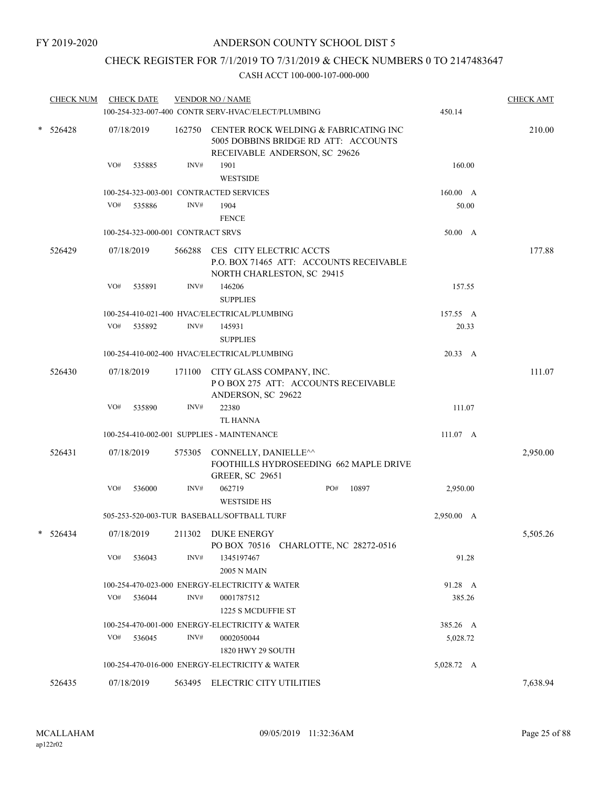# CHECK REGISTER FOR 7/1/2019 TO 7/31/2019 & CHECK NUMBERS 0 TO 2147483647

|   | <b>CHECK NUM</b> | <b>CHECK DATE</b>                       |        | <b>VENDOR NO / NAME</b><br>100-254-323-007-400 CONTR SERV-HVAC/ELECT/PLUMBING                                  | 450.14     | <b>CHECK AMT</b> |
|---|------------------|-----------------------------------------|--------|----------------------------------------------------------------------------------------------------------------|------------|------------------|
| * | 526428           | 07/18/2019                              | 162750 | CENTER ROCK WELDING & FABRICATING INC<br>5005 DOBBINS BRIDGE RD ATT: ACCOUNTS<br>RECEIVABLE ANDERSON, SC 29626 |            | 210.00           |
|   |                  | VO#<br>535885                           | INV#   | 1901<br><b>WESTSIDE</b>                                                                                        | 160.00     |                  |
|   |                  | 100-254-323-003-001 CONTRACTED SERVICES |        |                                                                                                                | 160.00 A   |                  |
|   |                  | VO#<br>535886                           | INV#   | 1904                                                                                                           | 50.00      |                  |
|   |                  |                                         |        | <b>FENCE</b>                                                                                                   |            |                  |
|   |                  | 100-254-323-000-001 CONTRACT SRVS       |        |                                                                                                                | 50.00 A    |                  |
|   | 526429           | 07/18/2019                              | 566288 | CES CITY ELECTRIC ACCTS<br>P.O. BOX 71465 ATT: ACCOUNTS RECEIVABLE<br>NORTH CHARLESTON, SC 29415               |            | 177.88           |
|   |                  | VO#<br>535891                           | INV#   | 146206<br><b>SUPPLIES</b>                                                                                      | 157.55     |                  |
|   |                  |                                         |        | 100-254-410-021-400 HVAC/ELECTRICAL/PLUMBING                                                                   | 157.55 A   |                  |
|   |                  | VO#<br>535892                           | INV#   | 145931                                                                                                         | 20.33      |                  |
|   |                  |                                         |        | <b>SUPPLIES</b>                                                                                                |            |                  |
|   |                  |                                         |        | 100-254-410-002-400 HVAC/ELECTRICAL/PLUMBING                                                                   | 20.33 A    |                  |
|   | 526430           | 07/18/2019                              | 171100 | CITY GLASS COMPANY, INC.<br>POBOX 275 ATT: ACCOUNTS RECEIVABLE<br>ANDERSON, SC 29622                           |            | 111.07           |
|   |                  | VO#<br>535890                           | INV#   | 22380<br><b>TL HANNA</b>                                                                                       | 111.07     |                  |
|   |                  |                                         |        | 100-254-410-002-001 SUPPLIES - MAINTENANCE                                                                     | 111.07 A   |                  |
|   | 526431           | 07/18/2019                              | 575305 | CONNELLY, DANIELLE^^<br>FOOTHILLS HYDROSEEDING 662 MAPLE DRIVE<br><b>GREER, SC 29651</b>                       |            | 2,950.00         |
|   |                  | VO#<br>536000                           | INV#   | 062719<br>PO#<br>10897<br><b>WESTSIDE HS</b>                                                                   | 2,950.00   |                  |
|   |                  |                                         |        | 505-253-520-003-TUR BASEBALL/SOFTBALL TURF                                                                     | 2,950.00 A |                  |
|   | $* 526434$       | 07/18/2019                              |        | 211302 DUKE ENERGY<br>PO BOX 70516 CHARLOTTE, NC 28272-0516                                                    |            | 5,505.26         |
|   |                  | VO#<br>536043                           | INV#   | 1345197467<br><b>2005 N MAIN</b>                                                                               | 91.28      |                  |
|   |                  |                                         |        | 100-254-470-023-000 ENERGY-ELECTRICITY & WATER                                                                 | 91.28 A    |                  |
|   |                  | VO#<br>536044                           | INV#   | 0001787512<br>1225 S MCDUFFIE ST                                                                               | 385.26     |                  |
|   |                  |                                         |        | 100-254-470-001-000 ENERGY-ELECTRICITY & WATER                                                                 | 385.26 A   |                  |
|   |                  | VO#<br>536045                           | INV#   | 0002050044<br>1820 HWY 29 SOUTH                                                                                | 5,028.72   |                  |
|   |                  |                                         |        | 100-254-470-016-000 ENERGY-ELECTRICITY & WATER                                                                 | 5,028.72 A |                  |
|   | 526435           | 07/18/2019                              | 563495 | ELECTRIC CITY UTILITIES                                                                                        |            | 7,638.94         |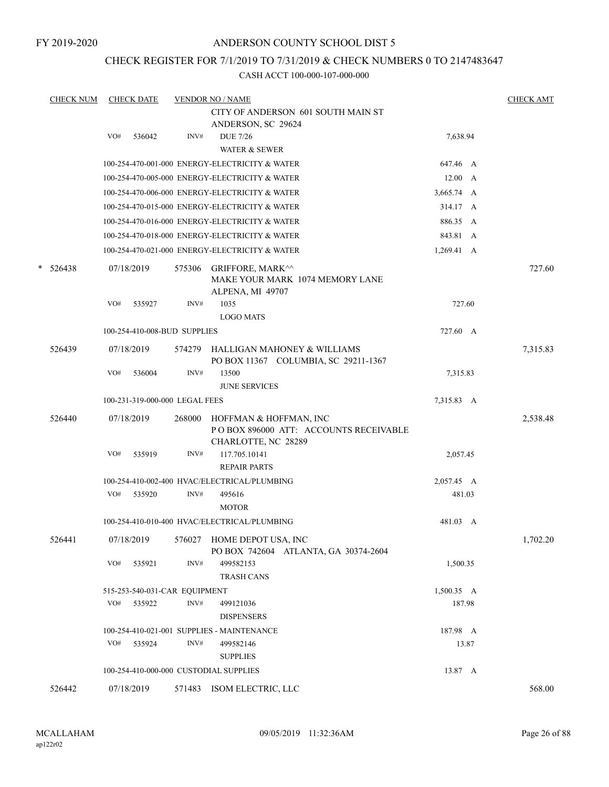# CHECK REGISTER FOR 7/1/2019 TO 7/31/2019 & CHECK NUMBERS 0 TO 2147483647

|   | <b>CHECK NUM</b> |     | <b>CHECK DATE</b>              |        | <b>VENDOR NO / NAME</b>                                                                 |                    | <b>CHECK AMT</b> |
|---|------------------|-----|--------------------------------|--------|-----------------------------------------------------------------------------------------|--------------------|------------------|
|   |                  |     |                                |        | CITY OF ANDERSON 601 SOUTH MAIN ST<br>ANDERSON, SC 29624                                |                    |                  |
|   |                  | VO# | 536042                         | INV#   | <b>DUE 7/26</b>                                                                         | 7,638.94           |                  |
|   |                  |     |                                |        | <b>WATER &amp; SEWER</b>                                                                |                    |                  |
|   |                  |     |                                |        | 100-254-470-001-000 ENERGY-ELECTRICITY & WATER                                          | 647.46 A           |                  |
|   |                  |     |                                |        | 100-254-470-005-000 ENERGY-ELECTRICITY & WATER                                          | $12.00\quad A$     |                  |
|   |                  |     |                                |        | 100-254-470-006-000 ENERGY-ELECTRICITY & WATER                                          | 3,665.74 A         |                  |
|   |                  |     |                                |        | 100-254-470-015-000 ENERGY-ELECTRICITY & WATER                                          | 314.17 A           |                  |
|   |                  |     |                                |        | 100-254-470-016-000 ENERGY-ELECTRICITY & WATER                                          | 886.35 A           |                  |
|   |                  |     |                                |        | 100-254-470-018-000 ENERGY-ELECTRICITY & WATER                                          | 843.81 A           |                  |
|   |                  |     |                                |        | 100-254-470-021-000 ENERGY-ELECTRICITY & WATER                                          | $1,269.41 \quad A$ |                  |
| * | 526438           |     | 07/18/2019                     | 575306 | <b>GRIFFORE, MARK^^</b><br>MAKE YOUR MARK 1074 MEMORY LANE<br>ALPENA, MI 49707          |                    | 727.60           |
|   |                  | VO# | 535927                         | INV#   | 1035<br><b>LOGO MATS</b>                                                                | 727.60             |                  |
|   |                  |     | 100-254-410-008-BUD SUPPLIES   |        |                                                                                         | 727.60 A           |                  |
|   | 526439           |     | 07/18/2019                     | 574279 | HALLIGAN MAHONEY & WILLIAMS<br>PO BOX 11367 COLUMBIA, SC 29211-1367                     |                    | 7,315.83         |
|   |                  | VO# | 536004                         | INV#   | 13500<br><b>JUNE SERVICES</b>                                                           | 7,315.83           |                  |
|   |                  |     | 100-231-319-000-000 LEGAL FEES |        |                                                                                         | 7,315.83 A         |                  |
|   | 526440           |     | 07/18/2019                     | 268000 | HOFFMAN & HOFFMAN, INC<br>PO BOX 896000 ATT: ACCOUNTS RECEIVABLE<br>CHARLOTTE, NC 28289 |                    | 2,538.48         |
|   |                  | VO# | 535919                         | INV#   | 117.705.10141<br><b>REPAIR PARTS</b>                                                    | 2,057.45           |                  |
|   |                  |     |                                |        | 100-254-410-002-400 HVAC/ELECTRICAL/PLUMBING                                            | 2,057.45 A         |                  |
|   |                  | VO# | 535920                         | INV#   | 495616<br><b>MOTOR</b>                                                                  | 481.03             |                  |
|   |                  |     |                                |        | 100-254-410-010-400 HVAC/ELECTRICAL/PLUMBING                                            | 481.03 A           |                  |
|   | 526441           |     | 07/18/2019                     |        | 576027 HOME DEPOT USA, INC<br>PO BOX 742604 ATLANTA, GA 30374-2604                      |                    | 1,702.20         |
|   |                  | VO# | 535921                         | INV#   | 499582153<br><b>TRASH CANS</b>                                                          | 1,500.35           |                  |
|   |                  |     | 515-253-540-031-CAR EQUIPMENT  |        |                                                                                         | $1,500.35$ A       |                  |
|   |                  | VO# | 535922                         | INV#   | 499121036<br><b>DISPENSERS</b>                                                          | 187.98             |                  |
|   |                  |     |                                |        | 100-254-410-021-001 SUPPLIES - MAINTENANCE                                              | 187.98 A           |                  |
|   |                  |     | VO# 535924                     | INV#   | 499582146<br><b>SUPPLIES</b>                                                            | 13.87              |                  |
|   |                  |     |                                |        | 100-254-410-000-000 CUSTODIAL SUPPLIES                                                  | 13.87 A            |                  |
|   | 526442           |     | 07/18/2019                     |        | 571483 ISOM ELECTRIC, LLC                                                               |                    | 568.00           |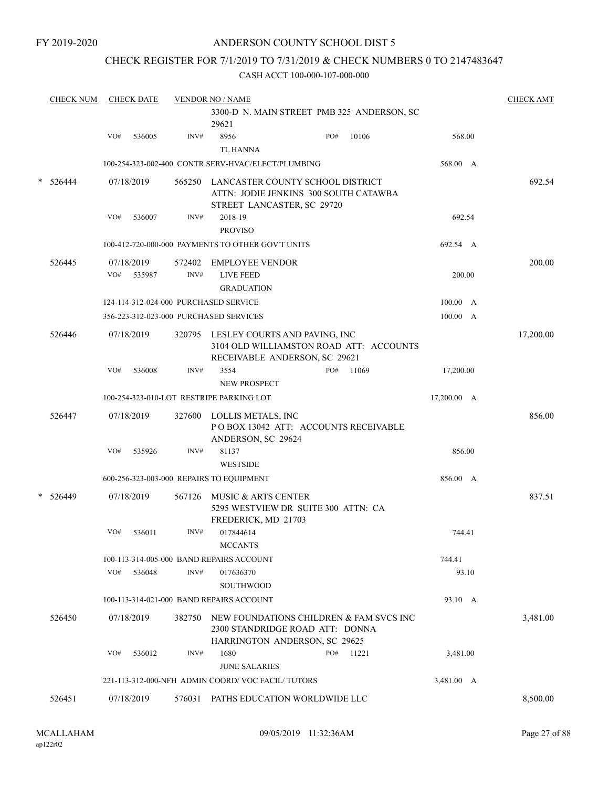FY 2019-2020

# ANDERSON COUNTY SCHOOL DIST 5

# CHECK REGISTER FOR 7/1/2019 TO 7/31/2019 & CHECK NUMBERS 0 TO 2147483647

|   | <b>CHECK NUM</b>                                    |     | <b>CHECK DATE</b>    |                | <b>VENDOR NO / NAME</b>                                                           |  |                                         |             | <b>CHECK AMT</b> |
|---|-----------------------------------------------------|-----|----------------------|----------------|-----------------------------------------------------------------------------------|--|-----------------------------------------|-------------|------------------|
|   | 3300-D N. MAIN STREET PMB 325 ANDERSON, SC<br>29621 |     |                      |                |                                                                                   |  |                                         |             |                  |
|   |                                                     | VO# | 536005               | INV#           | 8956<br><b>TL HANNA</b>                                                           |  | PO#<br>10106                            | 568.00      |                  |
|   |                                                     |     |                      |                | 100-254-323-002-400 CONTR SERV-HVAC/ELECT/PLUMBING                                |  |                                         | 568.00 A    |                  |
|   | 526444                                              |     | 07/18/2019           | 565250         | LANCASTER COUNTY SCHOOL DISTRICT<br>STREET LANCASTER, SC 29720                    |  | ATTN: JODIE JENKINS 300 SOUTH CATAWBA   |             | 692.54           |
|   |                                                     | VO# | 536007               | INV#           | 2018-19<br><b>PROVISO</b>                                                         |  |                                         | 692.54      |                  |
|   |                                                     |     |                      |                | 100-412-720-000-000 PAYMENTS TO OTHER GOV'T UNITS                                 |  |                                         | 692.54 A    |                  |
|   | 526445                                              | VO# | 07/18/2019<br>535987 | 572402<br>INV# | <b>EMPLOYEE VENDOR</b><br><b>LIVE FEED</b><br><b>GRADUATION</b>                   |  |                                         | 200.00      | 200.00           |
|   |                                                     |     |                      |                | 124-114-312-024-000 PURCHASED SERVICE                                             |  |                                         | 100.00 A    |                  |
|   |                                                     |     |                      |                | 356-223-312-023-000 PURCHASED SERVICES                                            |  |                                         | 100.00 A    |                  |
|   | 526446                                              |     | 07/18/2019           | 320795         | LESLEY COURTS AND PAVING, INC<br>RECEIVABLE ANDERSON, SC 29621                    |  | 3104 OLD WILLIAMSTON ROAD ATT: ACCOUNTS |             | 17,200.00        |
|   |                                                     | VO# | 536008               | INV#           | 3554<br><b>NEW PROSPECT</b>                                                       |  | PO#<br>11069                            | 17,200.00   |                  |
|   |                                                     |     |                      |                | 100-254-323-010-LOT RESTRIPE PARKING LOT                                          |  |                                         | 17,200.00 A |                  |
|   | 526447                                              |     | 07/18/2019           | 327600         | LOLLIS METALS, INC<br>ANDERSON, SC 29624                                          |  | POBOX 13042 ATT: ACCOUNTS RECEIVABLE    |             | 856.00           |
|   |                                                     | VO# | 535926               | INV#           | 81137<br><b>WESTSIDE</b>                                                          |  |                                         | 856.00      |                  |
|   |                                                     |     |                      |                | 600-256-323-003-000 REPAIRS TO EQUIPMENT                                          |  |                                         | 856.00 A    |                  |
| * | 526449                                              |     | 07/18/2019           | 567126         | MUSIC & ARTS CENTER<br>5295 WESTVIEW DR SUITE 300 ATTN: CA<br>FREDERICK, MD 21703 |  |                                         |             | 837.51           |
|   |                                                     | VO# | 536011               | INV#           | 017844614<br><b>MCCANTS</b>                                                       |  |                                         | 744.41      |                  |
|   |                                                     |     |                      |                | 100-113-314-005-000 BAND REPAIRS ACCOUNT                                          |  |                                         | 744.41      |                  |
|   |                                                     | VO# | 536048               | INV#           | 017636370<br><b>SOUTHWOOD</b>                                                     |  |                                         | 93.10       |                  |
|   |                                                     |     |                      |                | 100-113-314-021-000 BAND REPAIRS ACCOUNT                                          |  |                                         | 93.10 A     |                  |
|   | 526450                                              |     | 07/18/2019           | 382750         | 2300 STANDRIDGE ROAD ATT: DONNA<br>HARRINGTON ANDERSON, SC 29625                  |  | NEW FOUNDATIONS CHILDREN & FAM SVCS INC |             | 3,481.00         |
|   |                                                     | VO# | 536012               | INV#           | 1680                                                                              |  | PO#<br>11221                            | 3,481.00    |                  |
|   |                                                     |     |                      |                | <b>JUNE SALARIES</b><br>221-113-312-000-NFH ADMIN COORD/VOC FACIL/TUTORS          |  |                                         |             |                  |
|   |                                                     |     |                      |                |                                                                                   |  |                                         | 3,481.00 A  |                  |
|   | 526451                                              |     | 07/18/2019           |                | 576031 PATHS EDUCATION WORLDWIDE LLC                                              |  |                                         |             | 8,500.00         |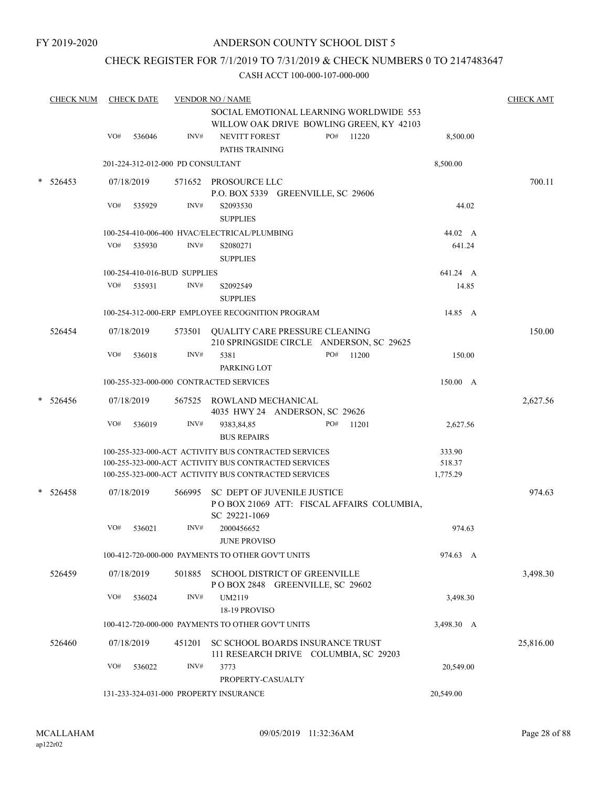# CHECK REGISTER FOR 7/1/2019 TO 7/31/2019 & CHECK NUMBERS 0 TO 2147483647

|   | <b>CHECK NUM</b> |     | <b>CHECK DATE</b> |                                   | <b>VENDOR NO / NAME</b><br>SOCIAL EMOTIONAL LEARNING WORLDWIDE 553<br>WILLOW OAK DRIVE BOWLING GREEN, KY 42103 |              | <b>CHECK AMT</b>   |           |  |
|---|------------------|-----|-------------------|-----------------------------------|----------------------------------------------------------------------------------------------------------------|--------------|--------------------|-----------|--|
|   |                  | VO# | 536046            | INV#                              | <b>NEVITT FOREST</b><br>PATHS TRAINING                                                                         | PO#<br>11220 | 8,500.00           |           |  |
|   |                  |     |                   | 201-224-312-012-000 PD CONSULTANT |                                                                                                                |              | 8,500.00           |           |  |
|   | $* 526453$       |     | 07/18/2019        |                                   | 571652 PROSOURCE LLC<br>P.O. BOX 5339 GREENVILLE, SC 29606                                                     |              |                    | 700.11    |  |
|   |                  | VO# | 535929            | INV#                              | S2093530<br><b>SUPPLIES</b>                                                                                    |              |                    | 44.02     |  |
|   |                  |     |                   |                                   | 100-254-410-006-400 HVAC/ELECTRICAL/PLUMBING                                                                   |              | 44.02 A            |           |  |
|   |                  | VO# | 535930            | INV#                              | S2080271<br><b>SUPPLIES</b>                                                                                    |              |                    | 641.24    |  |
|   |                  |     |                   | 100-254-410-016-BUD SUPPLIES      |                                                                                                                |              | 641.24 A           |           |  |
|   |                  | VO# | 535931            | INV#                              | S2092549<br><b>SUPPLIES</b>                                                                                    |              |                    | 14.85     |  |
|   |                  |     |                   |                                   | 100-254-312-000-ERP EMPLOYEE RECOGNITION PROGRAM                                                               |              |                    | 14.85 A   |  |
|   | 526454           |     | 07/18/2019        |                                   | 573501 OUALITY CARE PRESSURE CLEANING<br>210 SPRINGSIDE CIRCLE ANDERSON, SC 29625                              |              |                    | 150.00    |  |
|   |                  | VO# | 536018            | INV#                              | 5381<br>PARKING LOT                                                                                            | PO#<br>11200 |                    | 150.00    |  |
|   |                  |     |                   |                                   | 100-255-323-000-000 CONTRACTED SERVICES                                                                        |              | 150.00 A           |           |  |
| * | 526456           |     | 07/18/2019        |                                   | 567525 ROWLAND MECHANICAL<br>4035 HWY 24 ANDERSON, SC 29626                                                    |              |                    | 2,627.56  |  |
|   |                  | VO# | 536019            | INV#                              | 9383,84,85<br><b>BUS REPAIRS</b>                                                                               | PO#<br>11201 | 2,627.56           |           |  |
|   |                  |     |                   |                                   | 100-255-323-000-ACT ACTIVITY BUS CONTRACTED SERVICES                                                           |              | 333.90             |           |  |
|   |                  |     |                   |                                   | 100-255-323-000-ACT ACTIVITY BUS CONTRACTED SERVICES<br>100-255-323-000-ACT ACTIVITY BUS CONTRACTED SERVICES   |              | 518.37<br>1,775.29 |           |  |
|   | $* 526458$       |     | 07/18/2019        |                                   | 566995 SC DEPT OF JUVENILE JUSTICE<br>POBOX 21069 ATT: FISCAL AFFAIRS COLUMBIA,<br>SC 29221-1069               |              |                    | 974.63    |  |
|   |                  | VO# | 536021            | INV#                              | 2000456652<br><b>JUNE PROVISO</b>                                                                              |              |                    | 974.63    |  |
|   |                  |     |                   |                                   | 100-412-720-000-000 PAYMENTS TO OTHER GOV'T UNITS                                                              |              | 974.63 A           |           |  |
|   | 526459           |     | 07/18/2019        |                                   | 501885 SCHOOL DISTRICT OF GREENVILLE<br>POBOX 2848 GREENVILLE, SC 29602                                        |              |                    | 3,498.30  |  |
|   |                  | VO# | 536024            | INV#                              | UM2119<br>18-19 PROVISO                                                                                        |              |                    | 3,498.30  |  |
|   |                  |     |                   |                                   | 100-412-720-000-000 PAYMENTS TO OTHER GOV'T UNITS                                                              |              | 3,498.30 A         |           |  |
|   | 526460           |     | 07/18/2019        | 451201                            | SC SCHOOL BOARDS INSURANCE TRUST<br>111 RESEARCH DRIVE COLUMBIA, SC 29203                                      |              |                    | 25,816.00 |  |
|   |                  | VO# | 536022            | INV#                              | 3773<br>PROPERTY-CASUALTY                                                                                      |              | 20,549.00          |           |  |
|   |                  |     |                   |                                   | 131-233-324-031-000 PROPERTY INSURANCE                                                                         |              | 20,549.00          |           |  |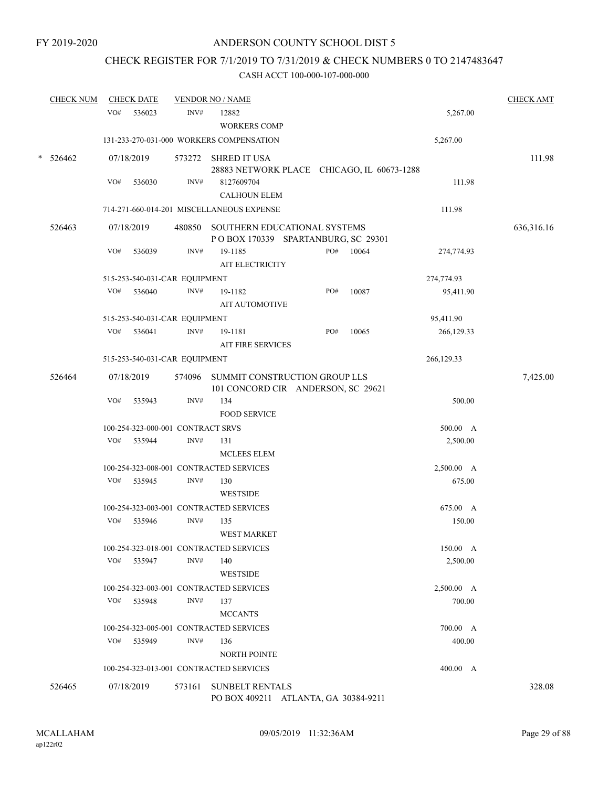# CHECK REGISTER FOR 7/1/2019 TO 7/31/2019 & CHECK NUMBERS 0 TO 2147483647

|        | <b>CHECK NUM</b> |     | <b>CHECK DATE</b>                 |                | <b>VENDOR NO / NAME</b>                                                    |     |       |            | <b>CHECK AMT</b> |
|--------|------------------|-----|-----------------------------------|----------------|----------------------------------------------------------------------------|-----|-------|------------|------------------|
|        |                  | VO# | 536023                            | INV#           | 12882                                                                      |     |       | 5,267.00   |                  |
|        |                  |     |                                   |                | <b>WORKERS COMP</b>                                                        |     |       |            |                  |
|        |                  |     |                                   |                | 131-233-270-031-000 WORKERS COMPENSATION                                   |     |       | 5,267.00   |                  |
| $\ast$ | 526462           |     | 07/18/2019                        |                | 573272 SHRED IT USA<br>28883 NETWORK PLACE CHICAGO, IL 60673-1288          |     |       |            | 111.98           |
|        |                  | VO# | 536030                            | INV#           | 8127609704<br><b>CALHOUN ELEM</b>                                          |     |       | 111.98     |                  |
|        |                  |     |                                   |                | 714-271-660-014-201 MISCELLANEOUS EXPENSE                                  |     |       | 111.98     |                  |
|        | 526463           |     | 07/18/2019                        |                | 480850 SOUTHERN EDUCATIONAL SYSTEMS<br>POBOX 170339 SPARTANBURG, SC 29301  |     |       |            | 636,316.16       |
|        |                  | VO# | 536039                            | INV#           | 19-1185<br>AIT ELECTRICITY                                                 | PO# | 10064 | 274,774.93 |                  |
|        |                  |     | 515-253-540-031-CAR EQUIPMENT     |                |                                                                            |     |       | 274,774.93 |                  |
|        |                  | VO# | 536040                            | INV#           | 19-1182<br><b>AIT AUTOMOTIVE</b>                                           | PO# | 10087 | 95,411.90  |                  |
|        |                  |     | 515-253-540-031-CAR EQUIPMENT     |                |                                                                            |     |       | 95,411.90  |                  |
|        |                  | VO# | 536041                            | INV#           | 19-1181<br><b>AIT FIRE SERVICES</b>                                        | PO# | 10065 | 266,129.33 |                  |
|        |                  |     | 515-253-540-031-CAR EQUIPMENT     |                |                                                                            |     |       | 266,129.33 |                  |
|        | 526464           |     | 07/18/2019                        |                | 574096 SUMMIT CONSTRUCTION GROUP LLS<br>101 CONCORD CIR ANDERSON, SC 29621 |     |       |            | 7,425.00         |
|        |                  | VO# | 535943                            | INV#           | 134<br><b>FOOD SERVICE</b>                                                 |     |       | 500.00     |                  |
|        |                  |     | 100-254-323-000-001 CONTRACT SRVS |                |                                                                            |     |       | 500.00 A   |                  |
|        |                  | VO# | 535944                            | INV#           | 131                                                                        |     |       | 2,500.00   |                  |
|        |                  |     |                                   |                | <b>MCLEES ELEM</b>                                                         |     |       |            |                  |
|        |                  |     |                                   |                | 100-254-323-008-001 CONTRACTED SERVICES                                    |     |       | 2,500.00 A |                  |
|        |                  | VO# | 535945                            | INV#           | 130<br><b>WESTSIDE</b>                                                     |     |       | 675.00     |                  |
|        |                  |     |                                   |                | 100-254-323-003-001 CONTRACTED SERVICES                                    |     |       | 675.00 A   |                  |
|        |                  | VO# | 535946                            | INV#           | 135<br><b>WEST MARKET</b>                                                  |     |       | 150.00     |                  |
|        |                  |     |                                   |                | 100-254-323-018-001 CONTRACTED SERVICES                                    |     |       | 150.00 A   |                  |
|        |                  | VO# | 535947                            | $\text{INV}\#$ | 140<br><b>WESTSIDE</b>                                                     |     |       | 2,500.00   |                  |
|        |                  |     |                                   |                | 100-254-323-003-001 CONTRACTED SERVICES                                    |     |       | 2,500.00 A |                  |
|        |                  | VO# | 535948                            | INV#           | 137<br><b>MCCANTS</b>                                                      |     |       | 700.00     |                  |
|        |                  |     |                                   |                | 100-254-323-005-001 CONTRACTED SERVICES                                    |     |       | 700.00 A   |                  |
|        |                  |     | VO# 535949                        | INV#           | 136<br><b>NORTH POINTE</b>                                                 |     |       | 400.00     |                  |
|        |                  |     |                                   |                | 100-254-323-013-001 CONTRACTED SERVICES                                    |     |       | 400.00 A   |                  |
|        | 526465           |     | 07/18/2019                        | 573161         | <b>SUNBELT RENTALS</b><br>PO BOX 409211 ATLANTA, GA 30384-9211             |     |       |            | 328.08           |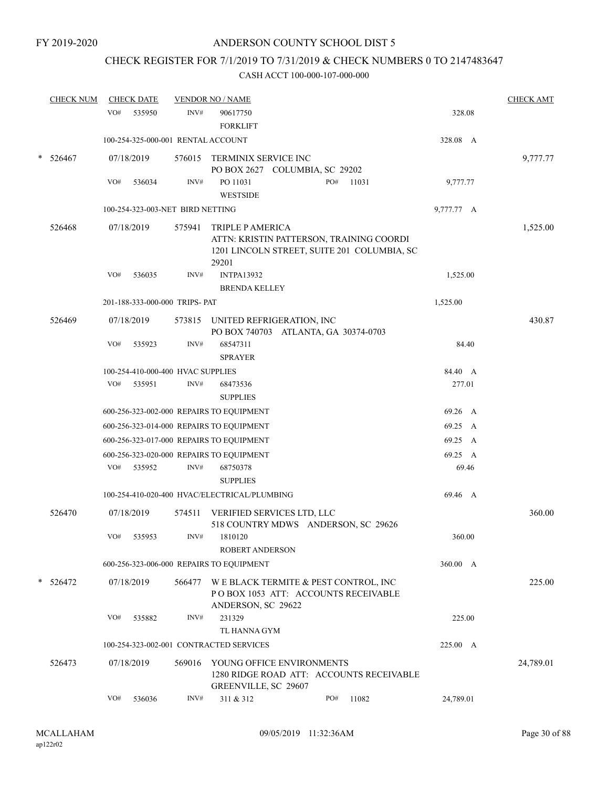# CHECK REGISTER FOR 7/1/2019 TO 7/31/2019 & CHECK NUMBERS 0 TO 2147483647

| <b>CHECK NUM</b> |     | <b>CHECK DATE</b>                  |        | <b>VENDOR NO / NAME</b>                                                                                                     |     |       |            | <b>CHECK AMT</b> |
|------------------|-----|------------------------------------|--------|-----------------------------------------------------------------------------------------------------------------------------|-----|-------|------------|------------------|
|                  | VO# | 535950                             | INV#   | 90617750<br><b>FORKLIFT</b>                                                                                                 |     |       | 328.08     |                  |
|                  |     | 100-254-325-000-001 RENTAL ACCOUNT |        |                                                                                                                             |     |       | 328.08 A   |                  |
| 526467           |     | 07/18/2019                         |        | 576015 TERMINIX SERVICE INC<br>PO BOX 2627 COLUMBIA, SC 29202                                                               |     |       |            | 9,777.77         |
|                  | VO# | 536034                             | INV#   | PO 11031<br><b>WESTSIDE</b>                                                                                                 | PO# | 11031 | 9,777.77   |                  |
|                  |     | 100-254-323-003-NET BIRD NETTING   |        |                                                                                                                             |     |       | 9,777.77 A |                  |
| 526468           |     | 07/18/2019                         | 575941 | <b>TRIPLE P AMERICA</b><br>ATTN: KRISTIN PATTERSON, TRAINING COORDI<br>1201 LINCOLN STREET, SUITE 201 COLUMBIA, SC<br>29201 |     |       |            | 1,525.00         |
|                  | VO# | 536035                             | INV#   | <b>INTPA13932</b><br><b>BRENDA KELLEY</b>                                                                                   |     |       | 1,525.00   |                  |
|                  |     | 201-188-333-000-000 TRIPS- PAT     |        |                                                                                                                             |     |       | 1,525.00   |                  |
| 526469           |     | 07/18/2019                         |        | 573815 UNITED REFRIGERATION, INC<br>PO BOX 740703 ATLANTA, GA 30374-0703                                                    |     |       |            | 430.87           |
|                  | VO# | 535923                             | INV#   | 68547311<br><b>SPRAYER</b>                                                                                                  |     |       | 84.40      |                  |
|                  |     | 100-254-410-000-400 HVAC SUPPLIES  |        |                                                                                                                             |     |       | 84.40 A    |                  |
|                  | VO# | 535951                             | INV#   | 68473536<br><b>SUPPLIES</b>                                                                                                 |     |       | 277.01     |                  |
|                  |     |                                    |        | 600-256-323-002-000 REPAIRS TO EQUIPMENT                                                                                    |     |       | 69.26 A    |                  |
|                  |     |                                    |        | 600-256-323-014-000 REPAIRS TO EQUIPMENT                                                                                    |     |       | 69.25 A    |                  |
|                  |     |                                    |        | 600-256-323-017-000 REPAIRS TO EQUIPMENT                                                                                    |     |       | 69.25 A    |                  |
|                  |     |                                    |        | 600-256-323-020-000 REPAIRS TO EQUIPMENT                                                                                    |     |       | 69.25 A    |                  |
|                  | VO# | 535952                             | INV#   | 68750378<br><b>SUPPLIES</b>                                                                                                 |     |       | 69.46      |                  |
|                  |     |                                    |        | 100-254-410-020-400 HVAC/ELECTRICAL/PLUMBING                                                                                |     |       | 69.46 A    |                  |
| 526470           |     | 07/18/2019                         | 574511 | VERIFIED SERVICES LTD, LLC<br>518 COUNTRY MDWS ANDERSON, SC 29626                                                           |     |       |            | 360.00           |
|                  | VO# | 535953                             | INV#   | 1810120<br><b>ROBERT ANDERSON</b>                                                                                           |     |       | 360.00     |                  |
|                  |     |                                    |        | 600-256-323-006-000 REPAIRS TO EQUIPMENT                                                                                    |     |       | 360.00 A   |                  |
| $* 526472$       |     | 07/18/2019                         | 566477 | W E BLACK TERMITE & PEST CONTROL, INC<br>POBOX 1053 ATT: ACCOUNTS RECEIVABLE                                                |     |       |            | 225.00           |
|                  | VO# | 535882                             | INV#   | ANDERSON, SC 29622<br>231329<br>TL HANNA GYM                                                                                |     |       | 225.00     |                  |
|                  |     |                                    |        | 100-254-323-002-001 CONTRACTED SERVICES                                                                                     |     |       | 225.00 A   |                  |
| 526473           |     | 07/18/2019                         | 569016 | YOUNG OFFICE ENVIRONMENTS<br>1280 RIDGE ROAD ATT: ACCOUNTS RECEIVABLE<br>GREENVILLE, SC 29607                               |     |       |            | 24,789.01        |
|                  | VO# | 536036                             | INV#   | 311 & 312                                                                                                                   | PO# | 11082 | 24,789.01  |                  |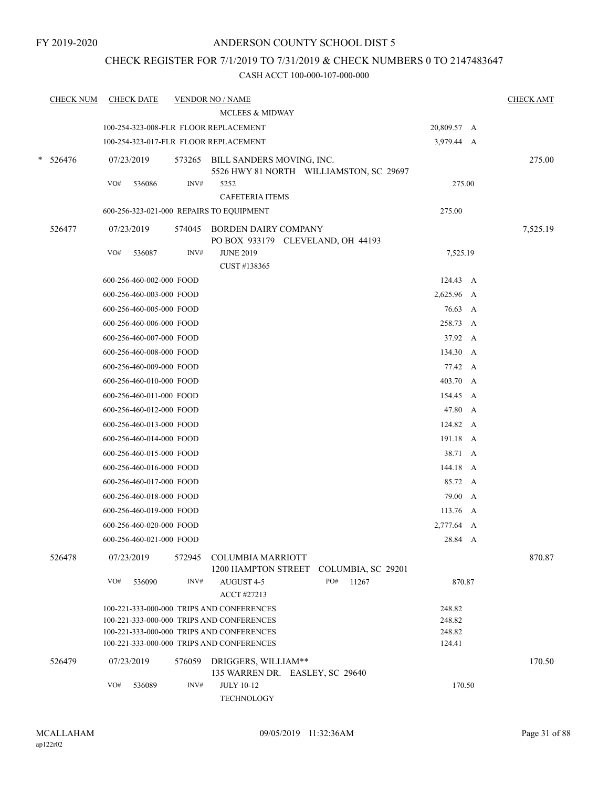# CHECK REGISTER FOR 7/1/2019 TO 7/31/2019 & CHECK NUMBERS 0 TO 2147483647

|   | <b>CHECK NUM</b> | <b>CHECK DATE</b>                        |        | <b>VENDOR NO / NAME</b><br><b>MCLEES &amp; MIDWAY</b>     |                                         |             | <b>CHECK AMT</b> |
|---|------------------|------------------------------------------|--------|-----------------------------------------------------------|-----------------------------------------|-------------|------------------|
|   |                  | 100-254-323-008-FLR FLOOR REPLACEMENT    |        |                                                           |                                         | 20,809.57 A |                  |
|   |                  | 100-254-323-017-FLR FLOOR REPLACEMENT    |        |                                                           |                                         | 3,979.44 A  |                  |
| * | 526476           | 07/23/2019                               |        | 573265 BILL SANDERS MOVING, INC.                          | 5526 HWY 81 NORTH WILLIAMSTON, SC 29697 |             | 275.00           |
|   |                  | VO#<br>536086                            | INV#   | 5252                                                      |                                         | 275.00      |                  |
|   |                  |                                          |        | <b>CAFETERIA ITEMS</b>                                    |                                         |             |                  |
|   |                  | 600-256-323-021-000 REPAIRS TO EQUIPMENT |        |                                                           |                                         | 275.00      |                  |
|   | 526477           | 07/23/2019                               | 574045 | BORDEN DAIRY COMPANY<br>PO BOX 933179 CLEVELAND, OH 44193 |                                         |             | 7,525.19         |
|   |                  | VO#<br>536087                            | INV#   | <b>JUNE 2019</b><br>CUST #138365                          |                                         | 7,525.19    |                  |
|   |                  | 600-256-460-002-000 FOOD                 |        |                                                           |                                         | 124.43 A    |                  |
|   |                  | 600-256-460-003-000 FOOD                 |        |                                                           |                                         | 2,625.96 A  |                  |
|   |                  | 600-256-460-005-000 FOOD                 |        |                                                           |                                         | 76.63 A     |                  |
|   |                  | 600-256-460-006-000 FOOD                 |        |                                                           |                                         | 258.73 A    |                  |
|   |                  | 600-256-460-007-000 FOOD                 |        |                                                           |                                         | 37.92 A     |                  |
|   |                  | 600-256-460-008-000 FOOD                 |        |                                                           |                                         | 134.30 A    |                  |
|   |                  | 600-256-460-009-000 FOOD                 |        |                                                           |                                         | 77.42 A     |                  |
|   |                  | 600-256-460-010-000 FOOD                 |        |                                                           |                                         | 403.70 A    |                  |
|   |                  | 600-256-460-011-000 FOOD                 |        |                                                           |                                         | 154.45 A    |                  |
|   |                  | 600-256-460-012-000 FOOD                 |        |                                                           |                                         | 47.80 A     |                  |
|   |                  | 600-256-460-013-000 FOOD                 |        |                                                           |                                         | 124.82 A    |                  |
|   |                  | 600-256-460-014-000 FOOD                 |        |                                                           |                                         | 191.18 A    |                  |
|   |                  | 600-256-460-015-000 FOOD                 |        |                                                           |                                         | 38.71 A     |                  |
|   |                  | 600-256-460-016-000 FOOD                 |        |                                                           |                                         | 144.18 A    |                  |
|   |                  | 600-256-460-017-000 FOOD                 |        |                                                           |                                         | 85.72 A     |                  |
|   |                  | 600-256-460-018-000 FOOD                 |        |                                                           |                                         | 79.00 A     |                  |
|   |                  | 600-256-460-019-000 FOOD                 |        |                                                           |                                         | 113.76 A    |                  |
|   |                  | 600-256-460-020-000 FOOD                 |        |                                                           |                                         | 2,777.64 A  |                  |
|   |                  | 600-256-460-021-000 FOOD                 |        |                                                           |                                         | 28.84 A     |                  |
|   | 526478           | 07/23/2019                               |        | 572945 COLUMBIA MARRIOTT<br>1200 HAMPTON STREET           | COLUMBIA, SC 29201                      |             | 870.87           |
|   |                  | VO#<br>536090                            | INV#   | AUGUST 4-5<br>ACCT #27213                                 | PO#<br>11267                            | 870.87      |                  |
|   |                  |                                          |        | 100-221-333-000-000 TRIPS AND CONFERENCES                 |                                         | 248.82      |                  |
|   |                  |                                          |        | 100-221-333-000-000 TRIPS AND CONFERENCES                 |                                         | 248.82      |                  |
|   |                  |                                          |        | 100-221-333-000-000 TRIPS AND CONFERENCES                 |                                         | 248.82      |                  |
|   |                  |                                          |        | 100-221-333-000-000 TRIPS AND CONFERENCES                 |                                         | 124.41      |                  |
|   | 526479           | 07/23/2019                               |        | 576059 DRIGGERS, WILLIAM**                                |                                         |             | 170.50           |
|   |                  |                                          |        | 135 WARREN DR. EASLEY, SC 29640                           |                                         |             |                  |
|   |                  | VO#<br>536089                            | INV#   | <b>JULY 10-12</b><br>TECHNOLOGY                           |                                         | 170.50      |                  |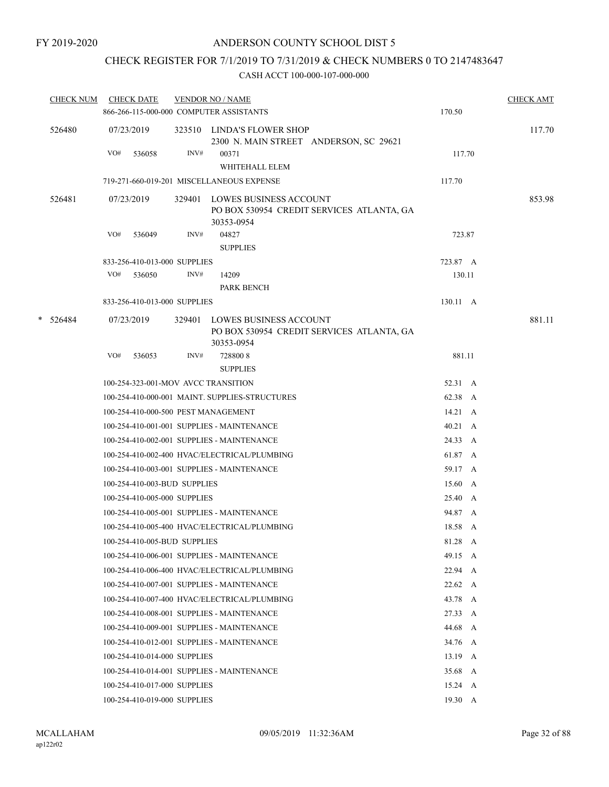# CHECK REGISTER FOR 7/1/2019 TO 7/31/2019 & CHECK NUMBERS 0 TO 2147483647

| <b>CHECK NUM</b> |     | <b>CHECK DATE</b>            |      | <b>VENDOR NO / NAME</b>                                                                  |                 | <b>CHECK AMT</b> |
|------------------|-----|------------------------------|------|------------------------------------------------------------------------------------------|-----------------|------------------|
|                  |     |                              |      | 866-266-115-000-000 COMPUTER ASSISTANTS                                                  | 170.50          |                  |
| 526480           |     | 07/23/2019                   |      | 323510 LINDA'S FLOWER SHOP<br>2300 N. MAIN STREET ANDERSON, SC 29621                     |                 | 117.70           |
|                  | VO# | 536058                       | INV# | 00371<br>WHITEHALL ELEM                                                                  | 117.70          |                  |
|                  |     |                              |      | 719-271-660-019-201 MISCELLANEOUS EXPENSE                                                | 117.70          |                  |
| 526481           |     | 07/23/2019                   |      | 329401 LOWES BUSINESS ACCOUNT<br>PO BOX 530954 CREDIT SERVICES ATLANTA, GA<br>30353-0954 |                 | 853.98           |
|                  | VO# | 536049                       | INV# | 04827                                                                                    | 723.87          |                  |
|                  |     |                              |      | <b>SUPPLIES</b>                                                                          |                 |                  |
|                  |     | 833-256-410-013-000 SUPPLIES |      |                                                                                          | 723.87 A        |                  |
|                  | VO# | 536050                       | INV# | 14209                                                                                    | 130.11          |                  |
|                  |     |                              |      | PARK BENCH                                                                               |                 |                  |
|                  |     | 833-256-410-013-000 SUPPLIES |      |                                                                                          | 130.11 A        |                  |
| $* 526484$       |     | 07/23/2019                   |      | 329401 LOWES BUSINESS ACCOUNT<br>PO BOX 530954 CREDIT SERVICES ATLANTA, GA<br>30353-0954 |                 | 881.11           |
|                  | VO# | 536053                       | INV# | 7288008<br><b>SUPPLIES</b>                                                               | 881.11          |                  |
|                  |     |                              |      | 100-254-323-001-MOV AVCC TRANSITION                                                      | 52.31 A         |                  |
|                  |     |                              |      | 100-254-410-000-001 MAINT. SUPPLIES-STRUCTURES                                           | 62.38 A         |                  |
|                  |     |                              |      | 100-254-410-000-500 PEST MANAGEMENT                                                      | $14.21 \quad A$ |                  |
|                  |     |                              |      | 100-254-410-001-001 SUPPLIES - MAINTENANCE                                               | $40.21 \quad A$ |                  |
|                  |     |                              |      | 100-254-410-002-001 SUPPLIES - MAINTENANCE                                               | 24.33 A         |                  |
|                  |     |                              |      | 100-254-410-002-400 HVAC/ELECTRICAL/PLUMBING                                             | 61.87 A         |                  |
|                  |     |                              |      | 100-254-410-003-001 SUPPLIES - MAINTENANCE                                               | 59.17 A         |                  |
|                  |     | 100-254-410-003-BUD SUPPLIES |      |                                                                                          | 15.60 A         |                  |
|                  |     | 100-254-410-005-000 SUPPLIES |      |                                                                                          | 25.40 A         |                  |
|                  |     |                              |      | 100-254-410-005-001 SUPPLIES - MAINTENANCE                                               | 94.87 A         |                  |
|                  |     |                              |      | 100-254-410-005-400 HVAC/ELECTRICAL/PLUMBING                                             | 18.58 A         |                  |
|                  |     | 100-254-410-005-BUD SUPPLIES |      |                                                                                          | 81.28 A         |                  |
|                  |     |                              |      | 100-254-410-006-001 SUPPLIES - MAINTENANCE                                               | 49.15 A         |                  |
|                  |     |                              |      | 100-254-410-006-400 HVAC/ELECTRICAL/PLUMBING                                             | 22.94 A         |                  |
|                  |     |                              |      | 100-254-410-007-001 SUPPLIES - MAINTENANCE                                               | $22.62 \quad A$ |                  |
|                  |     |                              |      | 100-254-410-007-400 HVAC/ELECTRICAL/PLUMBING                                             | 43.78 A         |                  |
|                  |     |                              |      | 100-254-410-008-001 SUPPLIES - MAINTENANCE                                               | 27.33 A         |                  |
|                  |     |                              |      | 100-254-410-009-001 SUPPLIES - MAINTENANCE                                               | 44.68 A         |                  |
|                  |     |                              |      | 100-254-410-012-001 SUPPLIES - MAINTENANCE                                               | 34.76 A         |                  |
|                  |     | 100-254-410-014-000 SUPPLIES |      |                                                                                          | $13.19 \quad A$ |                  |
|                  |     |                              |      | 100-254-410-014-001 SUPPLIES - MAINTENANCE                                               | 35.68 A         |                  |
|                  |     | 100-254-410-017-000 SUPPLIES |      |                                                                                          | $15.24 \quad A$ |                  |
|                  |     | 100-254-410-019-000 SUPPLIES |      |                                                                                          | $19.30\quad A$  |                  |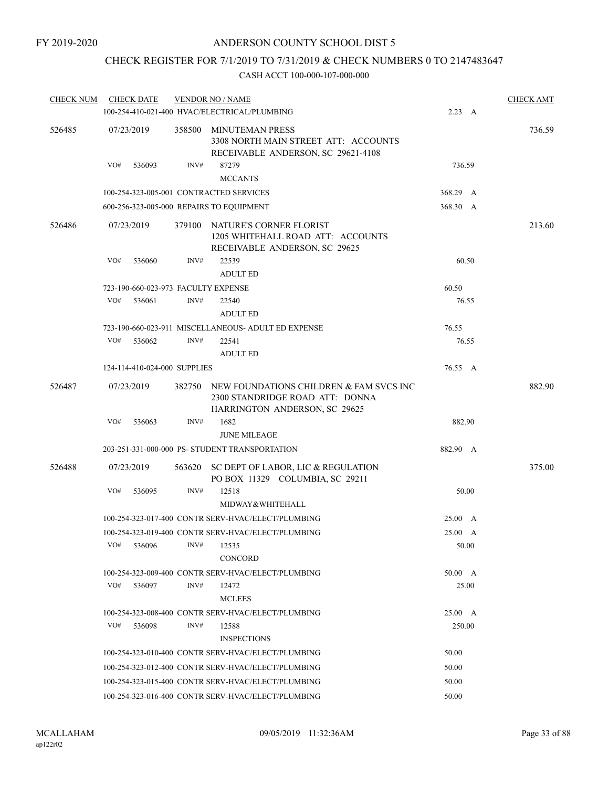# CHECK REGISTER FOR 7/1/2019 TO 7/31/2019 & CHECK NUMBERS 0 TO 2147483647

| <b>CHECK NUM</b> | <b>CHECK DATE</b>                   |        | <b>VENDOR NO / NAME</b>                                                                                            |                | <b>CHECK AMT</b> |
|------------------|-------------------------------------|--------|--------------------------------------------------------------------------------------------------------------------|----------------|------------------|
|                  |                                     |        | 100-254-410-021-400 HVAC/ELECTRICAL/PLUMBING                                                                       | 2.23 A         |                  |
| 526485           | 07/23/2019                          | 358500 | MINUTEMAN PRESS<br>3308 NORTH MAIN STREET ATT: ACCOUNTS<br>RECEIVABLE ANDERSON, SC 29621-4108                      |                | 736.59           |
|                  | VO#<br>536093                       | INV#   | 87279<br><b>MCCANTS</b>                                                                                            | 736.59         |                  |
|                  |                                     |        | 100-254-323-005-001 CONTRACTED SERVICES                                                                            | 368.29 A       |                  |
|                  |                                     |        | 600-256-323-005-000 REPAIRS TO EQUIPMENT                                                                           | 368.30 A       |                  |
| 526486           | 07/23/2019                          | 379100 | NATURE'S CORNER FLORIST<br>1205 WHITEHALL ROAD ATT: ACCOUNTS<br>RECEIVABLE ANDERSON, SC 29625                      |                | 213.60           |
|                  | VO#<br>536060                       | INV#   | 22539<br><b>ADULT ED</b>                                                                                           | 60.50          |                  |
|                  | 723-190-660-023-973 FACULTY EXPENSE |        |                                                                                                                    | 60.50          |                  |
|                  | VO#<br>536061                       | INV#   | 22540<br><b>ADULT ED</b>                                                                                           | 76.55          |                  |
|                  |                                     |        | 723-190-660-023-911 MISCELLANEOUS- ADULT ED EXPENSE                                                                | 76.55          |                  |
|                  | VO#<br>536062                       | INV#   | 22541<br><b>ADULT ED</b>                                                                                           | 76.55          |                  |
|                  | 124-114-410-024-000 SUPPLIES        |        |                                                                                                                    | 76.55 A        |                  |
| 526487           | 07/23/2019                          | 382750 | NEW FOUNDATIONS CHILDREN & FAM SVCS INC<br>2300 STANDRIDGE ROAD ATT: DONNA<br><b>HARRINGTON ANDERSON, SC 29625</b> |                | 882.90           |
|                  | VO#<br>536063                       | INV#   | 1682<br><b>JUNE MILEAGE</b>                                                                                        | 882.90         |                  |
|                  |                                     |        | 203-251-331-000-000 PS- STUDENT TRANSPORTATION                                                                     | 882.90 A       |                  |
| 526488           | 07/23/2019                          | 563620 | SC DEPT OF LABOR, LIC & REGULATION<br>PO BOX 11329 COLUMBIA, SC 29211                                              |                | 375.00           |
|                  | VO#<br>536095                       | INV#   | 12518<br>MIDWAY&WHITEHALL                                                                                          | 50.00          |                  |
|                  |                                     |        | 100-254-323-017-400 CONTR SERV-HVAC/ELECT/PLUMBING                                                                 | 25.00 A        |                  |
|                  |                                     |        | 100-254-323-019-400 CONTR SERV-HVAC/ELECT/PLUMBING                                                                 | 25.00 A        |                  |
|                  | VO#<br>536096                       | INV#   | 12535<br><b>CONCORD</b>                                                                                            | 50.00          |                  |
|                  |                                     |        | 100-254-323-009-400 CONTR SERV-HVAC/ELECT/PLUMBING                                                                 | $50.00\quad A$ |                  |
|                  | VO#<br>536097                       | INV#   | 12472<br><b>MCLEES</b>                                                                                             | 25.00          |                  |
|                  |                                     |        | 100-254-323-008-400 CONTR SERV-HVAC/ELECT/PLUMBING                                                                 | $25.00\quad A$ |                  |
|                  | VO#<br>536098                       | INV#   | 12588<br><b>INSPECTIONS</b>                                                                                        | 250.00         |                  |
|                  |                                     |        | 100-254-323-010-400 CONTR SERV-HVAC/ELECT/PLUMBING                                                                 | 50.00          |                  |
|                  |                                     |        | 100-254-323-012-400 CONTR SERV-HVAC/ELECT/PLUMBING                                                                 | 50.00          |                  |
|                  |                                     |        | 100-254-323-015-400 CONTR SERV-HVAC/ELECT/PLUMBING                                                                 | 50.00          |                  |
|                  |                                     |        | 100-254-323-016-400 CONTR SERV-HVAC/ELECT/PLUMBING                                                                 | 50.00          |                  |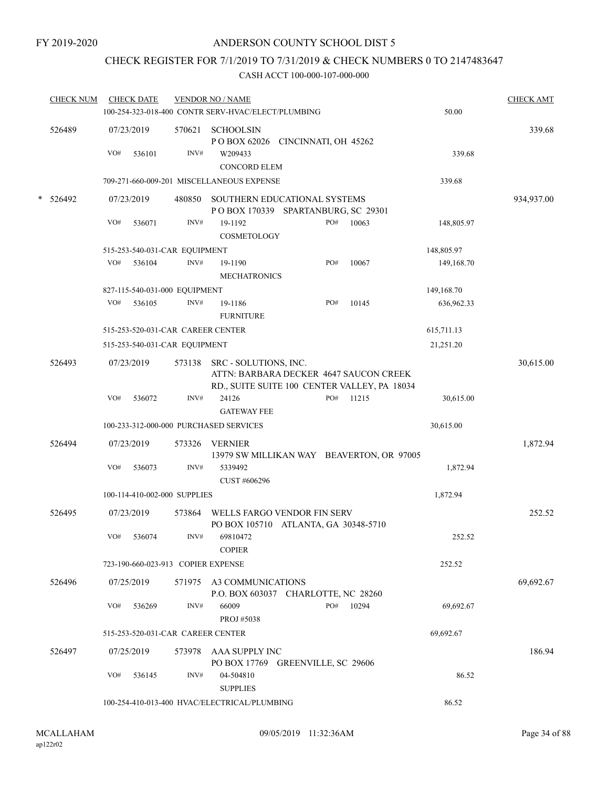# CHECK REGISTER FOR 7/1/2019 TO 7/31/2019 & CHECK NUMBERS 0 TO 2147483647

|   | <b>CHECK NUM</b> |     | <b>CHECK DATE</b> |                                    | <b>VENDOR NO / NAME</b><br>100-254-323-018-400 CONTR SERV-HVAC/ELECT/PLUMBING |                      |     |           | 50.00        | <b>CHECK AMT</b> |
|---|------------------|-----|-------------------|------------------------------------|-------------------------------------------------------------------------------|----------------------|-----|-----------|--------------|------------------|
|   |                  |     |                   |                                    |                                                                               |                      |     |           |              |                  |
|   | 526489           |     | 07/23/2019        | 570621                             | <b>SCHOOLSIN</b><br>POBOX 62026 CINCINNATI, OH 45262                          |                      |     |           |              | 339.68           |
|   |                  | VO# | 536101            | INV#                               | W209433                                                                       |                      |     |           | 339.68       |                  |
|   |                  |     |                   |                                    | <b>CONCORD ELEM</b>                                                           |                      |     |           |              |                  |
|   |                  |     |                   |                                    | 709-271-660-009-201 MISCELLANEOUS EXPENSE                                     |                      |     |           | 339.68       |                  |
| * | 526492           |     | 07/23/2019        | 480850                             | SOUTHERN EDUCATIONAL SYSTEMS                                                  |                      |     |           |              | 934,937.00       |
|   |                  |     |                   |                                    | POBOX 170339 SPARTANBURG, SC 29301                                            |                      |     |           |              |                  |
|   |                  | VO# | 536071            | INV#                               | 19-1192<br>COSMETOLOGY                                                        |                      | PO# | 10063     | 148,805.97   |                  |
|   |                  |     |                   | 515-253-540-031-CAR EQUIPMENT      |                                                                               |                      |     |           | 148,805.97   |                  |
|   |                  | VO# | 536104            | INV#                               | 19-1190                                                                       |                      | PO# | 10067     | 149, 168. 70 |                  |
|   |                  |     |                   |                                    | <b>MECHATRONICS</b>                                                           |                      |     |           |              |                  |
|   |                  |     |                   | 827-115-540-031-000 EQUIPMENT      |                                                                               |                      |     |           | 149,168.70   |                  |
|   |                  | VO# | 536105            | INV#                               | 19-1186                                                                       |                      | PO# | 10145     | 636,962.33   |                  |
|   |                  |     |                   |                                    | <b>FURNITURE</b>                                                              |                      |     |           |              |                  |
|   |                  |     |                   | 515-253-520-031-CAR CAREER CENTER  |                                                                               |                      |     |           | 615,711.13   |                  |
|   |                  |     |                   | 515-253-540-031-CAR EQUIPMENT      |                                                                               |                      |     |           | 21,251.20    |                  |
|   | 526493           |     | 07/23/2019        | 573138                             | SRC - SOLUTIONS, INC.<br>ATTN: BARBARA DECKER 4647 SAUCON CREEK               |                      |     |           |              | 30,615.00        |
|   |                  | VO# |                   | INV#                               | RD., SUITE SUITE 100 CENTER VALLEY, PA 18034<br>24126                         |                      | PO# |           |              |                  |
|   |                  |     | 536072            |                                    | <b>GATEWAY FEE</b>                                                            |                      |     | 11215     | 30,615.00    |                  |
|   |                  |     |                   |                                    | 100-233-312-000-000 PURCHASED SERVICES                                        |                      |     |           | 30,615.00    |                  |
|   |                  |     |                   |                                    |                                                                               |                      |     |           |              |                  |
|   | 526494           |     | 07/23/2019        | 573326                             | <b>VERNIER</b><br>13979 SW MILLIKAN WAY BEAVERTON, OR 97005                   |                      |     |           |              | 1,872.94         |
|   |                  | VO# | 536073            | INV#                               | 5339492                                                                       |                      |     |           | 1,872.94     |                  |
|   |                  |     |                   |                                    | CUST #606296                                                                  |                      |     |           |              |                  |
|   |                  |     |                   | 100-114-410-002-000 SUPPLIES       |                                                                               |                      |     |           | 1,872.94     |                  |
|   | 526495           |     | 07/23/2019        | 573864                             | WELLS FARGO VENDOR FIN SERV                                                   |                      |     |           |              | 252.52           |
|   |                  |     |                   |                                    | PO BOX 105710 ATLANTA, GA 30348-5710                                          |                      |     |           |              |                  |
|   |                  | VO# | 536074            | INV#                               | 69810472                                                                      |                      |     |           | 252.52       |                  |
|   |                  |     |                   | 723-190-660-023-913 COPIER EXPENSE | <b>COPIER</b>                                                                 |                      |     |           | 252.52       |                  |
|   |                  |     |                   |                                    |                                                                               |                      |     |           |              |                  |
|   | 526496           |     | 07/25/2019        |                                    | 571975 A3 COMMUNICATIONS                                                      |                      |     |           |              | 69,692.67        |
|   |                  | VO# | 536269            | INV#                               | P.O. BOX 603037 CHARLOTTE, NC 28260<br>66009<br>PROJ #5038                    |                      |     | PO# 10294 | 69,692.67    |                  |
|   |                  |     |                   | 515-253-520-031-CAR CAREER CENTER  |                                                                               |                      |     |           | 69,692.67    |                  |
|   | 526497           |     | 07/25/2019        |                                    | 573978 AAA SUPPLY INC                                                         |                      |     |           |              | 186.94           |
|   |                  |     |                   |                                    | PO BOX 17769                                                                  | GREENVILLE, SC 29606 |     |           |              |                  |
|   |                  | VO# | 536145            | INV#                               | 04-504810                                                                     |                      |     |           | 86.52        |                  |
|   |                  |     |                   |                                    | <b>SUPPLIES</b>                                                               |                      |     |           |              |                  |
|   |                  |     |                   |                                    | 100-254-410-013-400 HVAC/ELECTRICAL/PLUMBING                                  |                      |     |           | 86.52        |                  |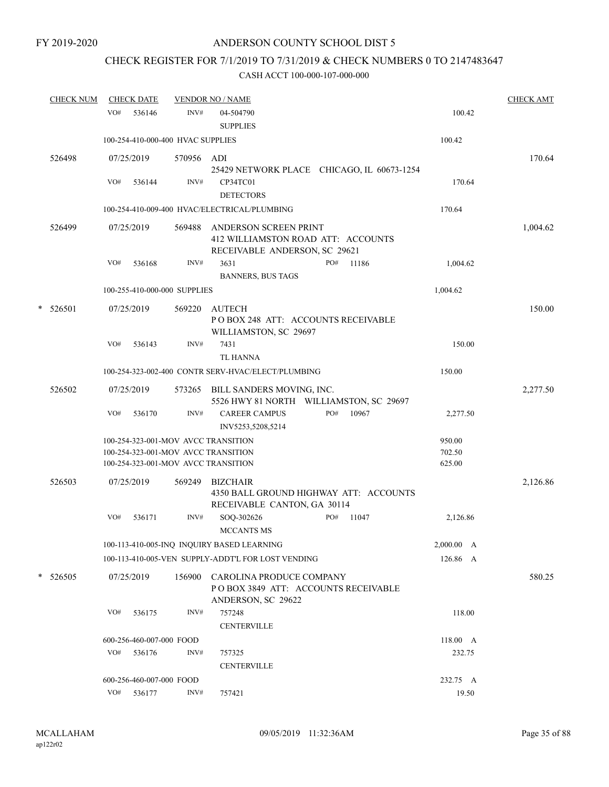# CHECK REGISTER FOR 7/1/2019 TO 7/31/2019 & CHECK NUMBERS 0 TO 2147483647

|   | <u>CHECK NUM</u><br><b>CHECK DATE</b> |     |                          |                                   | <b>VENDOR NO / NAME</b>                            |     |       |            | <b>CHECK AMT</b> |
|---|---------------------------------------|-----|--------------------------|-----------------------------------|----------------------------------------------------|-----|-------|------------|------------------|
|   |                                       | VO# | 536146                   | INV#                              | 04-504790                                          |     |       | 100.42     |                  |
|   |                                       |     |                          |                                   | <b>SUPPLIES</b>                                    |     |       |            |                  |
|   |                                       |     |                          | 100-254-410-000-400 HVAC SUPPLIES |                                                    |     |       | 100.42     |                  |
|   | 526498                                |     | 07/25/2019               | 570956 ADI                        |                                                    |     |       |            | 170.64           |
|   |                                       |     |                          |                                   | 25429 NETWORK PLACE CHICAGO, IL 60673-1254         |     |       |            |                  |
|   |                                       | VO# | 536144                   | INV#                              | CP34TC01                                           |     |       | 170.64     |                  |
|   |                                       |     |                          |                                   | <b>DETECTORS</b>                                   |     |       |            |                  |
|   |                                       |     |                          |                                   | 100-254-410-009-400 HVAC/ELECTRICAL/PLUMBING       |     |       | 170.64     |                  |
|   | 526499                                |     | 07/25/2019               | 569488                            | ANDERSON SCREEN PRINT                              |     |       |            | 1,004.62         |
|   |                                       |     |                          |                                   | 412 WILLIAMSTON ROAD ATT: ACCOUNTS                 |     |       |            |                  |
|   |                                       |     |                          |                                   | RECEIVABLE ANDERSON, SC 29621                      |     |       |            |                  |
|   |                                       | VO# | 536168                   | INV#                              | 3631                                               | PO# | 11186 | 1,004.62   |                  |
|   |                                       |     |                          |                                   | <b>BANNERS, BUS TAGS</b>                           |     |       |            |                  |
|   |                                       |     |                          | 100-255-410-000-000 SUPPLIES      |                                                    |     |       | 1,004.62   |                  |
| * | 526501                                |     | 07/25/2019               | 569220                            | <b>AUTECH</b>                                      |     |       |            | 150.00           |
|   |                                       |     |                          |                                   | POBOX 248 ATT: ACCOUNTS RECEIVABLE                 |     |       |            |                  |
|   |                                       |     |                          |                                   | WILLIAMSTON, SC 29697                              |     |       |            |                  |
|   |                                       | VO# | 536143                   | INV#                              | 7431                                               |     |       | 150.00     |                  |
|   |                                       |     |                          |                                   | <b>TL HANNA</b>                                    |     |       |            |                  |
|   |                                       |     |                          |                                   | 100-254-323-002-400 CONTR SERV-HVAC/ELECT/PLUMBING |     |       | 150.00     |                  |
|   | 526502                                |     | 07/25/2019               |                                   | 573265 BILL SANDERS MOVING, INC.                   |     |       |            | 2,277.50         |
|   |                                       |     |                          |                                   | 5526 HWY 81 NORTH WILLIAMSTON, SC 29697            |     |       |            |                  |
|   |                                       | VO# | 536170                   | INV#                              | <b>CAREER CAMPUS</b>                               | PO# | 10967 | 2,277.50   |                  |
|   |                                       |     |                          |                                   | INV5253,5208,5214                                  |     |       |            |                  |
|   |                                       |     |                          |                                   | 100-254-323-001-MOV AVCC TRANSITION                |     |       | 950.00     |                  |
|   |                                       |     |                          |                                   | 100-254-323-001-MOV AVCC TRANSITION                |     |       | 702.50     |                  |
|   |                                       |     |                          |                                   | 100-254-323-001-MOV AVCC TRANSITION                |     |       | 625.00     |                  |
|   | 526503                                |     | 07/25/2019               | 569249                            | <b>BIZCHAIR</b>                                    |     |       |            | 2,126.86         |
|   |                                       |     |                          |                                   | 4350 BALL GROUND HIGHWAY ATT: ACCOUNTS             |     |       |            |                  |
|   |                                       |     |                          |                                   | RECEIVABLE CANTON, GA 30114                        |     |       |            |                  |
|   |                                       | VO# | 536171                   | INV#                              | SOQ-302626                                         | PO# | 11047 | 2,126.86   |                  |
|   |                                       |     |                          |                                   | <b>MCCANTS MS</b>                                  |     |       |            |                  |
|   |                                       |     |                          |                                   | 100-113-410-005-INQ INQUIRY BASED LEARNING         |     |       | 2,000.00 A |                  |
|   |                                       |     |                          |                                   | 100-113-410-005-VEN SUPPLY-ADDT'L FOR LOST VENDING |     |       | 126.86 A   |                  |
|   | $*$ 526505                            |     | 07/25/2019               | 156900                            | CAROLINA PRODUCE COMPANY                           |     |       |            | 580.25           |
|   |                                       |     |                          |                                   | POBOX 3849 ATT: ACCOUNTS RECEIVABLE                |     |       |            |                  |
|   |                                       |     |                          |                                   | ANDERSON, SC 29622                                 |     |       |            |                  |
|   |                                       | VO# | 536175                   | INV#                              | 757248                                             |     |       | 118.00     |                  |
|   |                                       |     |                          |                                   | <b>CENTERVILLE</b>                                 |     |       |            |                  |
|   |                                       |     | 600-256-460-007-000 FOOD |                                   |                                                    |     |       | 118.00 A   |                  |
|   |                                       | VO# | 536176                   | INV#                              | 757325                                             |     |       | 232.75     |                  |
|   |                                       |     |                          |                                   | <b>CENTERVILLE</b>                                 |     |       |            |                  |
|   |                                       |     | 600-256-460-007-000 FOOD |                                   |                                                    |     |       | 232.75 A   |                  |
|   |                                       |     | VO# 536177               | INV#                              | 757421                                             |     |       | 19.50      |                  |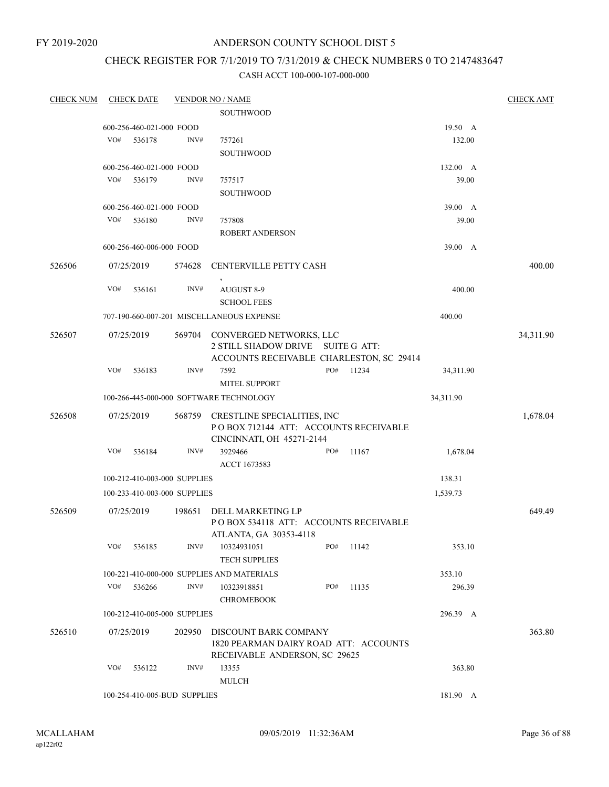FY 2019-2020

# ANDERSON COUNTY SCHOOL DIST 5

# CHECK REGISTER FOR 7/1/2019 TO 7/31/2019 & CHECK NUMBERS 0 TO 2147483647

| <b>CHECK NUM</b> |     | <b>CHECK DATE</b>        |                              | <b>VENDOR NO / NAME</b>                                                |     |                     |           | <b>CHECK AMT</b> |
|------------------|-----|--------------------------|------------------------------|------------------------------------------------------------------------|-----|---------------------|-----------|------------------|
|                  |     |                          |                              | SOUTHWOOD                                                              |     |                     |           |                  |
|                  |     | 600-256-460-021-000 FOOD |                              |                                                                        |     |                     | 19.50 A   |                  |
|                  | VO# | 536178                   | INV#                         | 757261                                                                 |     |                     | 132.00    |                  |
|                  |     |                          |                              | <b>SOUTHWOOD</b>                                                       |     |                     |           |                  |
|                  |     | 600-256-460-021-000 FOOD |                              |                                                                        |     |                     | 132.00 A  |                  |
|                  | VO# | 536179                   | INV#                         | 757517                                                                 |     |                     | 39.00     |                  |
|                  |     |                          |                              | <b>SOUTHWOOD</b>                                                       |     |                     |           |                  |
|                  |     | 600-256-460-021-000 FOOD |                              |                                                                        |     |                     | 39.00 A   |                  |
|                  | VO# | 536180                   | INV#                         | 757808                                                                 |     |                     | 39.00     |                  |
|                  |     |                          |                              | ROBERT ANDERSON                                                        |     |                     |           |                  |
|                  |     | 600-256-460-006-000 FOOD |                              |                                                                        |     |                     | 39.00 A   |                  |
| 526506           |     | 07/25/2019               | 574628                       | CENTERVILLE PETTY CASH                                                 |     |                     |           | 400.00           |
|                  | VO# | 536161                   | INV#                         | AUGUST 8-9                                                             |     |                     | 400.00    |                  |
|                  |     |                          |                              | <b>SCHOOL FEES</b>                                                     |     |                     |           |                  |
|                  |     |                          |                              | 707-190-660-007-201 MISCELLANEOUS EXPENSE                              |     |                     | 400.00    |                  |
| 526507           |     | 07/25/2019               | 569704                       | CONVERGED NETWORKS, LLC<br>2 STILL SHADOW DRIVE                        |     | <b>SUITE G ATT:</b> |           | 34,311.90        |
|                  |     |                          |                              | ACCOUNTS RECEIVABLE CHARLESTON, SC 29414                               |     |                     |           |                  |
|                  | VO# | 536183                   | INV#                         | 7592                                                                   | PO# | 11234               | 34,311.90 |                  |
|                  |     |                          |                              | <b>MITEL SUPPORT</b>                                                   |     |                     |           |                  |
|                  |     |                          |                              | 100-266-445-000-000 SOFTWARE TECHNOLOGY                                |     |                     | 34,311.90 |                  |
|                  |     |                          |                              |                                                                        |     |                     |           |                  |
| 526508           |     | 07/25/2019               | 568759                       | CRESTLINE SPECIALITIES, INC<br>PO BOX 712144 ATT: ACCOUNTS RECEIVABLE  |     |                     |           | 1,678.04         |
|                  | VO# | 536184                   | INV#                         | CINCINNATI, OH 45271-2144<br>3929466                                   | PO# | 11167               | 1,678.04  |                  |
|                  |     |                          |                              | ACCT 1673583                                                           |     |                     |           |                  |
|                  |     |                          | 100-212-410-003-000 SUPPLIES |                                                                        |     |                     | 138.31    |                  |
|                  |     |                          | 100-233-410-003-000 SUPPLIES |                                                                        |     |                     | 1,539.73  |                  |
| 526509           |     | 07/25/2019               | 198651                       | DELL MARKETING LP                                                      |     |                     |           | 649.49           |
|                  |     |                          |                              | POBOX 534118 ATT: ACCOUNTS RECEIVABLE<br>ATLANTA, GA 30353-4118        |     |                     |           |                  |
|                  | VO# | 536185                   | INV#                         | 10324931051                                                            | PO# | 11142               | 353.10    |                  |
|                  |     |                          |                              | <b>TECH SUPPLIES</b>                                                   |     |                     |           |                  |
|                  |     |                          |                              | 100-221-410-000-000 SUPPLIES AND MATERIALS                             |     |                     | 353.10    |                  |
|                  | VO# | 536266                   | INV#                         | 10323918851                                                            | PO# | 11135               | 296.39    |                  |
|                  |     |                          |                              | <b>CHROMEBOOK</b>                                                      |     |                     |           |                  |
|                  |     |                          | 100-212-410-005-000 SUPPLIES |                                                                        |     |                     | 296.39 A  |                  |
| 526510           |     | 07/25/2019               | 202950                       | DISCOUNT BARK COMPANY                                                  |     |                     |           | 363.80           |
|                  |     |                          |                              | 1820 PEARMAN DAIRY ROAD ATT: ACCOUNTS<br>RECEIVABLE ANDERSON, SC 29625 |     |                     |           |                  |
|                  | VO# | 536122                   | INV#                         | 13355                                                                  |     |                     | 363.80    |                  |
|                  |     |                          |                              | <b>MULCH</b>                                                           |     |                     |           |                  |
|                  |     |                          | 100-254-410-005-BUD SUPPLIES |                                                                        |     |                     | 181.90 A  |                  |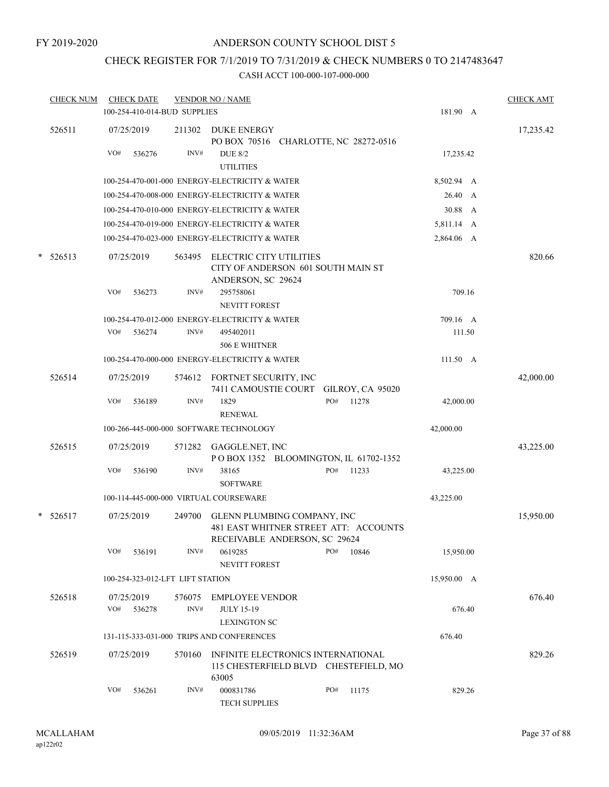## CHECK REGISTER FOR 7/1/2019 TO 7/31/2019 & CHECK NUMBERS 0 TO 2147483647

| <b>CHECK NUM</b> |     | <b>CHECK DATE</b> |                                  | <b>VENDOR NO / NAME</b>                                                                               |     |       |                    | <b>CHECK AMT</b> |
|------------------|-----|-------------------|----------------------------------|-------------------------------------------------------------------------------------------------------|-----|-------|--------------------|------------------|
|                  |     |                   | 100-254-410-014-BUD SUPPLIES     |                                                                                                       |     |       | 181.90 A           |                  |
| 526511           |     | 07/25/2019        | 211302                           | DUKE ENERGY<br>PO BOX 70516 CHARLOTTE, NC 28272-0516                                                  |     |       |                    | 17,235.42        |
|                  | VO# | 536276            | INV#                             | <b>DUE 8/2</b><br><b>UTILITIES</b>                                                                    |     |       | 17,235.42          |                  |
|                  |     |                   |                                  | 100-254-470-001-000 ENERGY-ELECTRICITY & WATER                                                        |     |       | 8,502.94 A         |                  |
|                  |     |                   |                                  | 100-254-470-008-000 ENERGY-ELECTRICITY & WATER                                                        |     |       | 26.40 A            |                  |
|                  |     |                   |                                  | 100-254-470-010-000 ENERGY-ELECTRICITY & WATER                                                        |     |       | 30.88 A            |                  |
|                  |     |                   |                                  | 100-254-470-019-000 ENERGY-ELECTRICITY & WATER                                                        |     |       | 5,811.14 A         |                  |
|                  |     |                   |                                  | 100-254-470-023-000 ENERGY-ELECTRICITY & WATER                                                        |     |       | 2,864.06 A         |                  |
| $*$ 526513       |     | 07/25/2019        | 563495                           | ELECTRIC CITY UTILITIES<br>CITY OF ANDERSON 601 SOUTH MAIN ST<br>ANDERSON, SC 29624                   |     |       |                    | 820.66           |
|                  | VO# | 536273            | INV#                             | 295758061<br><b>NEVITT FOREST</b>                                                                     |     |       | 709.16             |                  |
|                  |     |                   |                                  | 100-254-470-012-000 ENERGY-ELECTRICITY & WATER                                                        |     |       | 709.16 A           |                  |
|                  | VO# | 536274            | INV#                             | 495402011<br>506 E WHITNER                                                                            |     |       | 111.50             |                  |
|                  |     |                   |                                  | 100-254-470-000-000 ENERGY-ELECTRICITY & WATER                                                        |     |       | $111.50 \text{ A}$ |                  |
| 526514           |     | 07/25/2019        |                                  | 574612 FORTNET SECURITY, INC<br>7411 CAMOUSTIE COURT GILROY, CA 95020                                 |     |       |                    | 42,000.00        |
|                  | VO# | 536189            | INV#                             | 1829<br><b>RENEWAL</b>                                                                                | PO# | 11278 | 42,000.00          |                  |
|                  |     |                   |                                  | 100-266-445-000-000 SOFTWARE TECHNOLOGY                                                               |     |       | 42,000.00          |                  |
| 526515           |     | 07/25/2019        | 571282                           | GAGGLE.NET, INC<br>POBOX 1352 BLOOMINGTON, IL 61702-1352                                              |     |       |                    | 43,225.00        |
|                  | VO# | 536190            | INV#                             | 38165<br><b>SOFTWARE</b>                                                                              | PO# | 11233 | 43,225.00          |                  |
|                  |     |                   |                                  | 100-114-445-000-000 VIRTUAL COURSEWARE                                                                |     |       | 43,225.00          |                  |
| $* 526517$       |     | 07/25/2019        | 249700                           | GLENN PLUMBING COMPANY, INC<br>481 EAST WHITNER STREET ATT: ACCOUNTS<br>RECEIVABLE ANDERSON, SC 29624 |     |       |                    | 15,950.00        |
|                  | VO# | 536191            | INV#                             | 0619285<br>NEVITT FOREST                                                                              | PO# | 10846 | 15,950.00          |                  |
|                  |     |                   | 100-254-323-012-LFT LIFT STATION |                                                                                                       |     |       | 15,950.00 A        |                  |
| 526518           |     | 07/25/2019        | 576075                           | <b>EMPLOYEE VENDOR</b>                                                                                |     |       |                    | 676.40           |
|                  | VO# | 536278            | INV#                             | <b>JULY 15-19</b><br><b>LEXINGTON SC</b>                                                              |     |       | 676.40             |                  |
|                  |     |                   |                                  | 131-115-333-031-000 TRIPS AND CONFERENCES                                                             |     |       | 676.40             |                  |
| 526519           |     | 07/25/2019        | 570160                           | INFINITE ELECTRONICS INTERNATIONAL                                                                    |     |       |                    | 829.26           |
|                  |     |                   |                                  | 115 CHESTERFIELD BLVD CHESTEFIELD, MO<br>63005                                                        |     |       |                    |                  |
|                  | VO# | 536261            | INV#                             | 000831786<br><b>TECH SUPPLIES</b>                                                                     | PO# | 11175 | 829.26             |                  |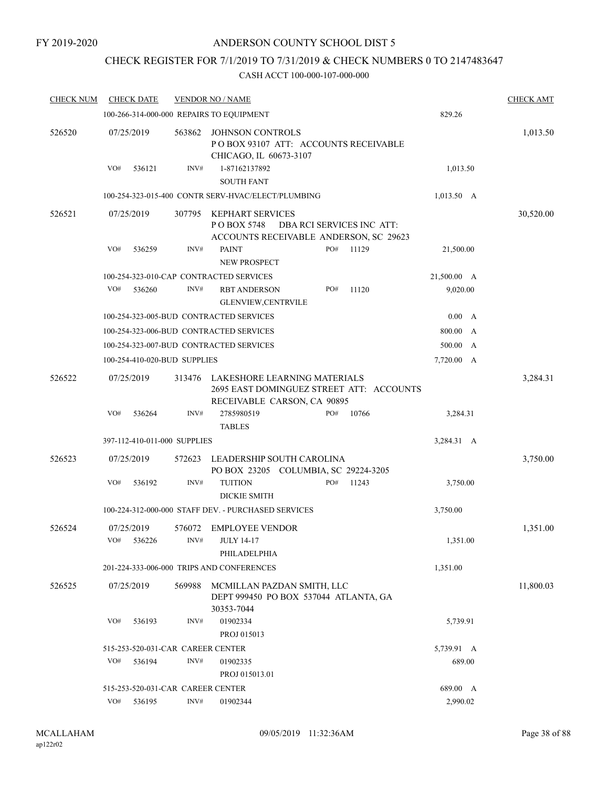## CHECK REGISTER FOR 7/1/2019 TO 7/31/2019 & CHECK NUMBERS 0 TO 2147483647

| <b>CHECK NUM</b> |     | <b>CHECK DATE</b>                 |        | <b>VENDOR NO / NAME</b>                                                                                 |     |                           |              | <b>CHECK AMT</b> |
|------------------|-----|-----------------------------------|--------|---------------------------------------------------------------------------------------------------------|-----|---------------------------|--------------|------------------|
|                  |     |                                   |        | 100-266-314-000-000 REPAIRS TO EQUIPMENT                                                                |     |                           | 829.26       |                  |
| 526520           |     | 07/25/2019                        | 563862 | <b>JOHNSON CONTROLS</b><br>PO BOX 93107 ATT: ACCOUNTS RECEIVABLE<br>CHICAGO, IL 60673-3107              |     |                           |              | 1,013.50         |
|                  | VO# | 536121                            | INV#   | 1-87162137892<br><b>SOUTH FANT</b>                                                                      |     |                           | 1,013.50     |                  |
|                  |     |                                   |        | 100-254-323-015-400 CONTR SERV-HVAC/ELECT/PLUMBING                                                      |     |                           | $1,013.50$ A |                  |
| 526521           |     | 07/25/2019                        | 307795 | KEPHART SERVICES<br>PO BOX 5748<br>ACCOUNTS RECEIVABLE ANDERSON, SC 29623                               |     | DBA RCI SERVICES INC ATT: |              | 30,520.00        |
|                  | VO# | 536259                            | INV#   | <b>PAINT</b><br><b>NEW PROSPECT</b>                                                                     | PO# | 11129                     | 21,500.00    |                  |
|                  |     |                                   |        | 100-254-323-010-CAP CONTRACTED SERVICES                                                                 |     |                           | 21,500.00 A  |                  |
|                  | VO# | 536260                            | INV#   | <b>RBT ANDERSON</b><br><b>GLENVIEW,CENTRVILE</b>                                                        | PO# | 11120                     | 9,020.00     |                  |
|                  |     |                                   |        | 100-254-323-005-BUD CONTRACTED SERVICES                                                                 |     |                           | 0.00 A       |                  |
|                  |     |                                   |        | 100-254-323-006-BUD CONTRACTED SERVICES                                                                 |     |                           | 800.00 A     |                  |
|                  |     |                                   |        | 100-254-323-007-BUD CONTRACTED SERVICES                                                                 |     |                           | 500.00<br>A  |                  |
|                  |     | 100-254-410-020-BUD SUPPLIES      |        |                                                                                                         |     |                           | 7,720.00 A   |                  |
| 526522           |     | 07/25/2019                        | 313476 | LAKESHORE LEARNING MATERIALS<br>2695 EAST DOMINGUEZ STREET ATT: ACCOUNTS<br>RECEIVABLE CARSON, CA 90895 |     |                           |              | 3,284.31         |
|                  | VO# | 536264                            | INV#   | 2785980519<br><b>TABLES</b>                                                                             | PO# | 10766                     | 3,284.31     |                  |
|                  |     | 397-112-410-011-000 SUPPLIES      |        |                                                                                                         |     |                           | 3,284.31 A   |                  |
| 526523           |     | 07/25/2019                        | 572623 | LEADERSHIP SOUTH CAROLINA<br>PO BOX 23205 COLUMBIA, SC 29224-3205                                       |     |                           |              | 3,750.00         |
|                  | VO# | 536192                            | INV#   | <b>TUITION</b><br><b>DICKIE SMITH</b>                                                                   | PO# | 11243                     | 3,750.00     |                  |
|                  |     |                                   |        | 100-224-312-000-000 STAFF DEV. - PURCHASED SERVICES                                                     |     |                           | 3,750.00     |                  |
| 526524           |     | 07/25/2019                        |        | 576072 EMPLOYEE VENDOR                                                                                  |     |                           |              | 1,351.00         |
|                  |     | VO# 536226                        |        | $INV#$ JULY 14-17<br>PHILADELPHIA                                                                       |     |                           | 1,351.00     |                  |
|                  |     |                                   |        | 201-224-333-006-000 TRIPS AND CONFERENCES                                                               |     |                           | 1,351.00     |                  |
| 526525           |     | 07/25/2019                        | 569988 | MCMILLAN PAZDAN SMITH, LLC<br>DEPT 999450 PO BOX 537044 ATLANTA, GA<br>30353-7044                       |     |                           |              | 11,800.03        |
|                  | VO# | 536193                            | INV#   | 01902334                                                                                                |     |                           | 5,739.91     |                  |
|                  |     |                                   |        | PROJ 015013                                                                                             |     |                           |              |                  |
|                  |     | 515-253-520-031-CAR CAREER CENTER |        |                                                                                                         |     |                           | 5,739.91 A   |                  |
|                  | VO# | 536194                            | INV#   | 01902335<br>PROJ 015013.01                                                                              |     |                           | 689.00       |                  |
|                  |     | 515-253-520-031-CAR CAREER CENTER |        |                                                                                                         |     |                           | 689.00 A     |                  |
|                  | VO# | 536195                            | INV#   | 01902344                                                                                                |     |                           | 2,990.02     |                  |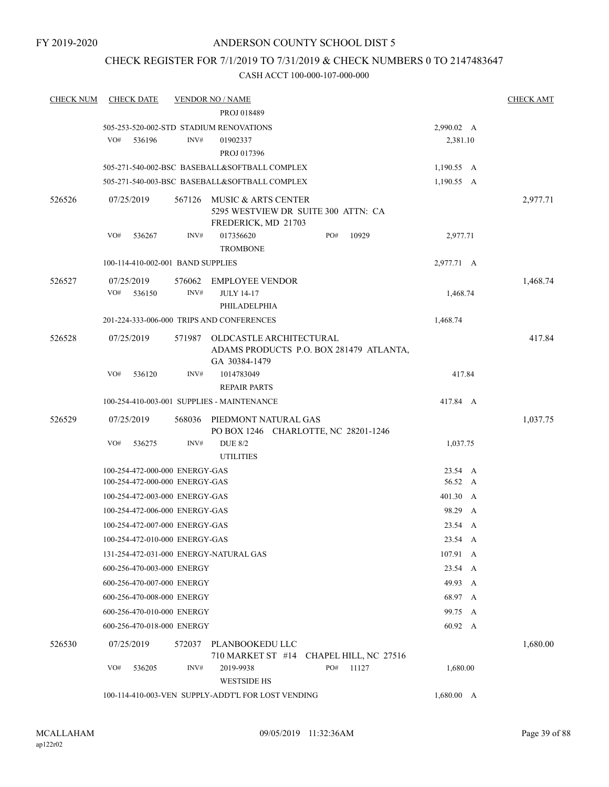## CHECK REGISTER FOR 7/1/2019 TO 7/31/2019 & CHECK NUMBERS 0 TO 2147483647

| <b>CHECK NUM</b> | <b>CHECK DATE</b>                      |        | <b>VENDOR NO / NAME</b>                                                             |     |       |            | <b>CHECK AMT</b> |
|------------------|----------------------------------------|--------|-------------------------------------------------------------------------------------|-----|-------|------------|------------------|
|                  |                                        |        | PROJ 018489                                                                         |     |       |            |                  |
|                  |                                        |        | 505-253-520-002-STD STADIUM RENOVATIONS                                             |     |       | 2,990.02 A |                  |
|                  | VO#<br>536196                          | INV#   | 01902337                                                                            |     |       | 2,381.10   |                  |
|                  |                                        |        | PROJ 017396                                                                         |     |       |            |                  |
|                  |                                        |        | 505-271-540-002-BSC BASEBALL&SOFTBALL COMPLEX                                       |     |       | 1,190.55 A |                  |
|                  |                                        |        | 505-271-540-003-BSC BASEBALL&SOFTBALL COMPLEX                                       |     |       | 1,190.55 A |                  |
| 526526           | 07/25/2019                             | 567126 | MUSIC & ARTS CENTER<br>5295 WESTVIEW DR SUITE 300 ATTN: CA<br>FREDERICK, MD 21703   |     |       |            | 2,977.71         |
|                  | VO#<br>536267                          | INV#   | 017356620<br><b>TROMBONE</b>                                                        | PO# | 10929 | 2,977.71   |                  |
|                  | 100-114-410-002-001 BAND SUPPLIES      |        |                                                                                     |     |       | 2,977.71 A |                  |
|                  |                                        |        |                                                                                     |     |       |            |                  |
| 526527           | 07/25/2019<br>VO#<br>536150            | INV#   | 576062 EMPLOYEE VENDOR<br><b>JULY 14-17</b><br>PHILADELPHIA                         |     |       | 1,468.74   | 1,468.74         |
|                  |                                        |        | 201-224-333-006-000 TRIPS AND CONFERENCES                                           |     |       | 1,468.74   |                  |
| 526528           | 07/25/2019                             | 571987 | OLDCASTLE ARCHITECTURAL<br>ADAMS PRODUCTS P.O. BOX 281479 ATLANTA,<br>GA 30384-1479 |     |       |            | 417.84           |
|                  | VO#<br>536120                          | INV#   | 1014783049<br><b>REPAIR PARTS</b>                                                   |     |       | 417.84     |                  |
|                  |                                        |        | 100-254-410-003-001 SUPPLIES - MAINTENANCE                                          |     |       | 417.84 A   |                  |
| 526529           | 07/25/2019                             | 568036 | PIEDMONT NATURAL GAS<br>PO BOX 1246 CHARLOTTE, NC 28201-1246                        |     |       |            | 1,037.75         |
|                  | VO#<br>536275                          | INV#   | <b>DUE 8/2</b><br><b>UTILITIES</b>                                                  |     |       | 1,037.75   |                  |
|                  | 100-254-472-000-000 ENERGY-GAS         |        |                                                                                     |     |       | 23.54 A    |                  |
|                  | 100-254-472-000-000 ENERGY-GAS         |        |                                                                                     |     |       | 56.52 A    |                  |
|                  | 100-254-472-003-000 ENERGY-GAS         |        |                                                                                     |     |       | 401.30 A   |                  |
|                  | 100-254-472-006-000 ENERGY-GAS         |        |                                                                                     |     |       | 98.29 A    |                  |
|                  | 100-254-472-007-000 ENERGY-GAS         |        |                                                                                     |     |       | 23.54 A    |                  |
|                  | 100-254-472-010-000 ENERGY-GAS         |        |                                                                                     |     |       | 23.54 A    |                  |
|                  | 131-254-472-031-000 ENERGY-NATURAL GAS |        |                                                                                     |     |       | 107.91 A   |                  |
|                  | 600-256-470-003-000 ENERGY             |        |                                                                                     |     |       | 23.54 A    |                  |
|                  | 600-256-470-007-000 ENERGY             |        |                                                                                     |     |       | 49.93 A    |                  |
|                  | 600-256-470-008-000 ENERGY             |        |                                                                                     |     |       | 68.97 A    |                  |
|                  | 600-256-470-010-000 ENERGY             |        |                                                                                     |     |       | 99.75 A    |                  |
|                  | 600-256-470-018-000 ENERGY             |        |                                                                                     |     |       | 60.92 A    |                  |
| 526530           | 07/25/2019                             | 572037 | PLANBOOKEDU LLC<br>710 MARKET ST #14 CHAPEL HILL, NC 27516                          |     |       |            | 1,680.00         |
|                  | VO#<br>536205                          | INV#   | 2019-9938<br><b>WESTSIDE HS</b>                                                     | PO# | 11127 | 1,680.00   |                  |
|                  |                                        |        | 100-114-410-003-VEN SUPPLY-ADDT'L FOR LOST VENDING                                  |     |       | 1,680.00 A |                  |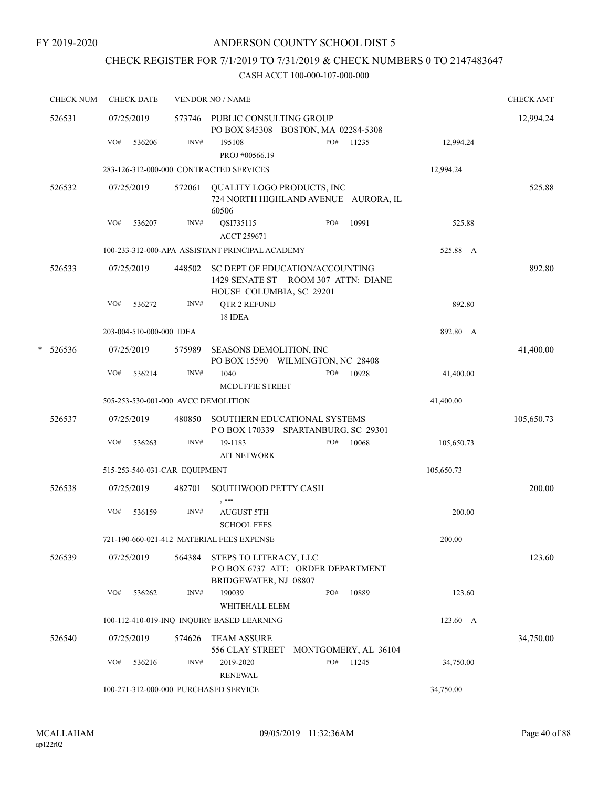## CHECK REGISTER FOR 7/1/2019 TO 7/31/2019 & CHECK NUMBERS 0 TO 2147483647

|   | <b>CHECK NUM</b> | <b>CHECK DATE</b>                       |                | <b>VENDOR NO / NAME</b>                                                                            |       |            | <b>CHECK AMT</b> |
|---|------------------|-----------------------------------------|----------------|----------------------------------------------------------------------------------------------------|-------|------------|------------------|
|   | 526531           | 07/25/2019                              |                | 573746 PUBLIC CONSULTING GROUP<br>PO BOX 845308 BOSTON, MA 02284-5308                              |       |            | 12,994.24        |
|   |                  | VO#<br>536206                           | INV#           | 195108<br>PO#<br>PROJ #00566.19                                                                    | 11235 | 12,994.24  |                  |
|   |                  | 283-126-312-000-000 CONTRACTED SERVICES |                |                                                                                                    |       | 12,994.24  |                  |
|   | 526532           | 07/25/2019                              | 572061         | QUALITY LOGO PRODUCTS, INC<br>724 NORTH HIGHLAND AVENUE AURORA, IL<br>60506                        |       |            | 525.88           |
|   |                  | VO#<br>536207                           | INV#           | QSI735115<br>PO#<br><b>ACCT 259671</b>                                                             | 10991 | 525.88     |                  |
|   |                  |                                         |                | 100-233-312-000-APA ASSISTANT PRINCIPAL ACADEMY                                                    |       | 525.88 A   |                  |
|   | 526533           | 07/25/2019                              | 448502         | SC DEPT OF EDUCATION/ACCOUNTING<br>1429 SENATE ST ROOM 307 ATTN: DIANE<br>HOUSE COLUMBIA, SC 29201 |       |            | 892.80           |
|   |                  | VO#<br>536272                           | INV#           | QTR 2 REFUND<br>18 IDEA                                                                            |       | 892.80     |                  |
|   |                  | 203-004-510-000-000 IDEA                |                |                                                                                                    |       | 892.80 A   |                  |
| * | 526536           | 07/25/2019                              | 575989         | SEASONS DEMOLITION, INC<br>PO BOX 15590 WILMINGTON, NC 28408                                       |       |            | 41,400.00        |
|   |                  | VO#<br>536214                           | INV#           | 1040<br>PO#<br><b>MCDUFFIE STREET</b>                                                              | 10928 | 41,400.00  |                  |
|   |                  | 505-253-530-001-000 AVCC DEMOLITION     |                |                                                                                                    |       | 41,400.00  |                  |
|   | 526537           | 07/25/2019                              | 480850         | SOUTHERN EDUCATIONAL SYSTEMS<br>POBOX 170339 SPARTANBURG, SC 29301                                 |       |            | 105,650.73       |
|   |                  | VO#<br>536263                           | INV#           | 19-1183<br>PO#<br><b>AIT NETWORK</b>                                                               | 10068 | 105,650.73 |                  |
|   |                  | 515-253-540-031-CAR EQUIPMENT           |                |                                                                                                    |       | 105,650.73 |                  |
|   | 526538           | 07/25/2019                              | 482701         | <b>SOUTHWOOD PETTY CASH</b><br>, ---                                                               |       |            | 200.00           |
|   |                  | VO#<br>536159                           | INV#           | <b>AUGUST 5TH</b><br><b>SCHOOL FEES</b>                                                            |       | 200.00     |                  |
|   |                  |                                         |                | 721-190-660-021-412 MATERIAL FEES EXPENSE                                                          |       | 200.00     |                  |
|   | 526539           | 07/25/2019                              | 564384         | STEPS TO LITERACY, LLC<br>POBOX 6737 ATT: ORDER DEPARTMENT<br>BRIDGEWATER, NJ 08807                |       |            | 123.60           |
|   |                  | VO#<br>536262                           | $\text{INV}\#$ | PO#<br>190039<br>WHITEHALL ELEM                                                                    | 10889 | 123.60     |                  |
|   |                  |                                         |                | 100-112-410-019-INQ INQUIRY BASED LEARNING                                                         |       | 123.60 A   |                  |
|   | 526540           | 07/25/2019                              | 574626         | <b>TEAM ASSURE</b><br>556 CLAY STREET<br>MONTGOMERY, AL 36104                                      |       |            | 34,750.00        |
|   |                  | VO#<br>536216                           | INV#           | PO#<br>2019-2020<br><b>RENEWAL</b>                                                                 | 11245 | 34,750.00  |                  |
|   |                  | 100-271-312-000-000 PURCHASED SERVICE   |                |                                                                                                    |       | 34,750.00  |                  |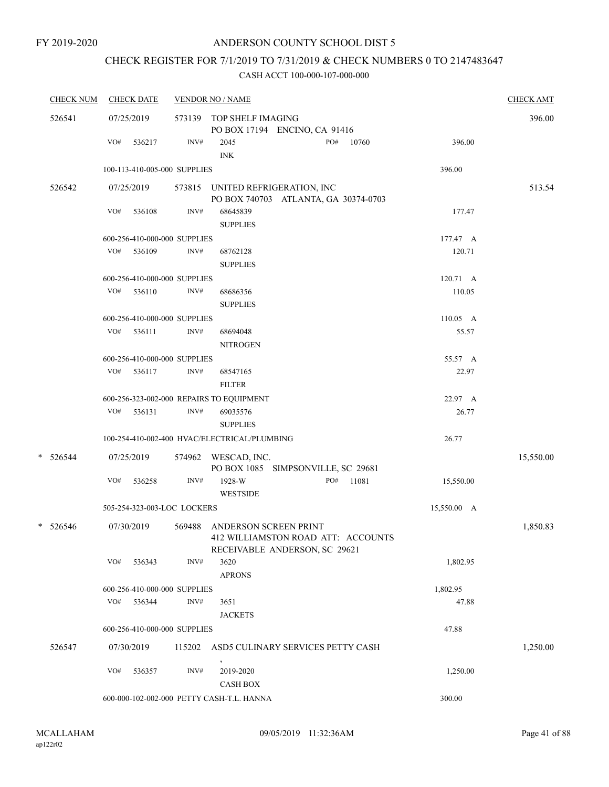## CHECK REGISTER FOR 7/1/2019 TO 7/31/2019 & CHECK NUMBERS 0 TO 2147483647

| <b>CHECK NUM</b> |     | <b>CHECK DATE</b>            |        | <b>VENDOR NO / NAME</b>                                                                      |                    | <b>CHECK AMT</b> |
|------------------|-----|------------------------------|--------|----------------------------------------------------------------------------------------------|--------------------|------------------|
| 526541           |     | 07/25/2019                   |        | 573139 TOP SHELF IMAGING<br>PO BOX 17194 ENCINO, CA 91416                                    |                    | 396.00           |
|                  | VO# | 536217                       | INV#   | PO#<br>2045<br>10760<br><b>INK</b>                                                           | 396.00             |                  |
|                  |     | 100-113-410-005-000 SUPPLIES |        |                                                                                              | 396.00             |                  |
| 526542           |     | 07/25/2019                   |        | 573815 UNITED REFRIGERATION, INC<br>PO BOX 740703 ATLANTA, GA 30374-0703                     |                    | 513.54           |
|                  | VO# | 536108                       | INV#   | 68645839<br><b>SUPPLIES</b>                                                                  | 177.47             |                  |
|                  |     | 600-256-410-000-000 SUPPLIES |        |                                                                                              | 177.47 A           |                  |
|                  | VO# | 536109                       | INV#   | 68762128<br><b>SUPPLIES</b>                                                                  | 120.71             |                  |
|                  |     | 600-256-410-000-000 SUPPLIES |        |                                                                                              | 120.71 A           |                  |
|                  |     | $VO#$ 536110                 | INV#   | 68686356<br><b>SUPPLIES</b>                                                                  | 110.05             |                  |
|                  |     | 600-256-410-000-000 SUPPLIES |        |                                                                                              | $110.05 \text{ A}$ |                  |
|                  | VO# | 536111                       | INV#   | 68694048<br><b>NITROGEN</b>                                                                  | 55.57              |                  |
|                  |     | 600-256-410-000-000 SUPPLIES |        |                                                                                              | 55.57 A            |                  |
|                  | VO# | 536117                       | INV#   | 68547165<br><b>FILTER</b>                                                                    | 22.97              |                  |
|                  |     |                              |        | 600-256-323-002-000 REPAIRS TO EQUIPMENT                                                     | 22.97 A            |                  |
|                  |     | $VO#$ 536131                 | INV#   | 69035576<br><b>SUPPLIES</b>                                                                  | 26.77              |                  |
|                  |     |                              |        | 100-254-410-002-400 HVAC/ELECTRICAL/PLUMBING                                                 | 26.77              |                  |
| $*$ 526544       |     | 07/25/2019                   |        | 574962 WESCAD, INC.<br>PO BOX 1085 SIMPSONVILLE, SC 29681                                    |                    | 15,550.00        |
|                  | VO# | 536258                       | INV#   | 1928-W<br>PO#<br>11081<br><b>WESTSIDE</b>                                                    | 15,550.00          |                  |
|                  |     | 505-254-323-003-LOC LOCKERS  |        |                                                                                              | 15,550.00 A        |                  |
| * 526546         |     | 07/30/2019                   | 569488 | ANDERSON SCREEN PRINT<br>412 WILLIAMSTON ROAD ATT: ACCOUNTS<br>RECEIVABLE ANDERSON, SC 29621 |                    | 1,850.83         |
|                  | VO# | 536343                       | INV#   | 3620<br><b>APRONS</b>                                                                        | 1,802.95           |                  |
|                  |     | 600-256-410-000-000 SUPPLIES |        |                                                                                              | 1,802.95           |                  |
|                  | VO# | 536344                       | INV#   | 3651<br><b>JACKETS</b>                                                                       | 47.88              |                  |
|                  |     | 600-256-410-000-000 SUPPLIES |        |                                                                                              | 47.88              |                  |
| 526547           |     | 07/30/2019                   | 115202 | ASD5 CULINARY SERVICES PETTY CASH                                                            |                    | 1,250.00         |
|                  | VO# | 536357                       | INV#   | 2019-2020<br><b>CASH BOX</b>                                                                 | 1,250.00           |                  |
|                  |     |                              |        | 600-000-102-002-000 PETTY CASH-T.L. HANNA                                                    | 300.00             |                  |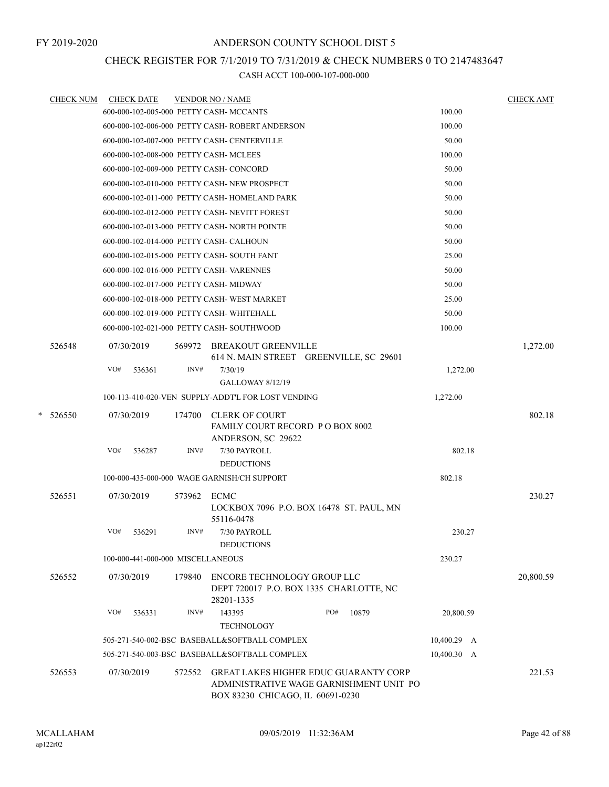## CHECK REGISTER FOR 7/1/2019 TO 7/31/2019 & CHECK NUMBERS 0 TO 2147483647

|   | <b>CHECK NUM</b> |            | <b>CHECK DATE</b>                 |        | <b>VENDOR NO / NAME</b>                            |                                              |             | <b>CHECK AMT</b> |
|---|------------------|------------|-----------------------------------|--------|----------------------------------------------------|----------------------------------------------|-------------|------------------|
|   |                  |            |                                   |        | 600-000-102-005-000 PETTY CASH- MCCANTS            |                                              | 100.00      |                  |
|   |                  |            |                                   |        | 600-000-102-006-000 PETTY CASH-ROBERT ANDERSON     |                                              | 100.00      |                  |
|   |                  |            |                                   |        | 600-000-102-007-000 PETTY CASH- CENTERVILLE        |                                              | 50.00       |                  |
|   |                  |            |                                   |        | 600-000-102-008-000 PETTY CASH- MCLEES             |                                              | 100.00      |                  |
|   |                  |            |                                   |        | 600-000-102-009-000 PETTY CASH- CONCORD            |                                              | 50.00       |                  |
|   |                  |            |                                   |        | 600-000-102-010-000 PETTY CASH-NEW PROSPECT        |                                              | 50.00       |                  |
|   |                  |            |                                   |        | 600-000-102-011-000 PETTY CASH- HOMELAND PARK      |                                              | 50.00       |                  |
|   |                  |            |                                   |        | 600-000-102-012-000 PETTY CASH- NEVITT FOREST      |                                              | 50.00       |                  |
|   |                  |            |                                   |        | 600-000-102-013-000 PETTY CASH- NORTH POINTE       |                                              | 50.00       |                  |
|   |                  |            |                                   |        | 600-000-102-014-000 PETTY CASH- CALHOUN            |                                              | 50.00       |                  |
|   |                  |            |                                   |        | 600-000-102-015-000 PETTY CASH- SOUTH FANT         |                                              | 25.00       |                  |
|   |                  |            |                                   |        | 600-000-102-016-000 PETTY CASH-VARENNES            |                                              | 50.00       |                  |
|   |                  |            |                                   |        | 600-000-102-017-000 PETTY CASH- MIDWAY             |                                              | 50.00       |                  |
|   |                  |            |                                   |        | 600-000-102-018-000 PETTY CASH-WEST MARKET         |                                              | 25.00       |                  |
|   |                  |            |                                   |        | 600-000-102-019-000 PETTY CASH-WHITEHALL           |                                              | 50.00       |                  |
|   |                  |            |                                   |        | 600-000-102-021-000 PETTY CASH- SOUTHWOOD          |                                              | 100.00      |                  |
|   | 526548           |            | 07/30/2019                        |        | 569972 BREAKOUT GREENVILLE                         |                                              |             | 1,272.00         |
|   |                  |            |                                   |        |                                                    | 614 N. MAIN STREET GREENVILLE, SC 29601      |             |                  |
|   |                  | VO#        | 536361                            | INV#   | 7/30/19                                            |                                              | 1,272.00    |                  |
|   |                  |            |                                   |        | <b>GALLOWAY 8/12/19</b>                            |                                              |             |                  |
|   |                  |            |                                   |        | 100-113-410-020-VEN SUPPLY-ADDT'L FOR LOST VENDING |                                              | 1,272.00    |                  |
| * | 526550           |            | 07/30/2019                        | 174700 | <b>CLERK OF COURT</b>                              |                                              |             | 802.18           |
|   |                  |            |                                   |        | <b>FAMILY COURT RECORD PO BOX 8002</b>             |                                              |             |                  |
|   |                  |            |                                   |        | ANDERSON, SC 29622                                 |                                              |             |                  |
|   |                  | VO#        | 536287                            | INV#   | 7/30 PAYROLL                                       |                                              | 802.18      |                  |
|   |                  |            |                                   |        | <b>DEDUCTIONS</b>                                  |                                              |             |                  |
|   |                  |            |                                   |        | 100-000-435-000-000 WAGE GARNISH/CH SUPPORT        |                                              | 802.18      |                  |
|   | 526551           | 07/30/2019 |                                   | 573962 | ECMC                                               |                                              |             | 230.27           |
|   |                  |            |                                   |        | 55116-0478                                         | LOCKBOX 7096 P.O. BOX 16478 ST. PAUL, MN     |             |                  |
|   |                  | VO#        | 536291                            | INV#   | 7/30 PAYROLL                                       |                                              | 230.27      |                  |
|   |                  |            |                                   |        | <b>DEDUCTIONS</b>                                  |                                              |             |                  |
|   |                  |            | 100-000-441-000-000 MISCELLANEOUS |        |                                                    |                                              | 230.27      |                  |
|   | 526552           |            | 07/30/2019                        | 179840 | ENCORE TECHNOLOGY GROUP LLC                        |                                              |             | 20,800.59        |
|   |                  |            |                                   |        |                                                    | DEPT 720017 P.O. BOX 1335 CHARLOTTE, NC      |             |                  |
|   |                  |            |                                   |        | 28201-1335                                         |                                              |             |                  |
|   |                  | VO#        | 536331                            | INV#   | 143395                                             | PO#<br>10879                                 | 20,800.59   |                  |
|   |                  |            |                                   |        | <b>TECHNOLOGY</b>                                  |                                              |             |                  |
|   |                  |            |                                   |        | 505-271-540-002-BSC BASEBALL&SOFTBALL COMPLEX      |                                              | 10,400.29 A |                  |
|   |                  |            |                                   |        | 505-271-540-003-BSC BASEBALL&SOFTBALL COMPLEX      |                                              | 10,400.30 A |                  |
|   | 526553           |            | 07/30/2019                        | 572552 |                                                    | <b>GREAT LAKES HIGHER EDUC GUARANTY CORP</b> |             | 221.53           |
|   |                  |            |                                   |        | BOX 83230 CHICAGO, IL 60691-0230                   | ADMINISTRATIVE WAGE GARNISHMENT UNIT PO      |             |                  |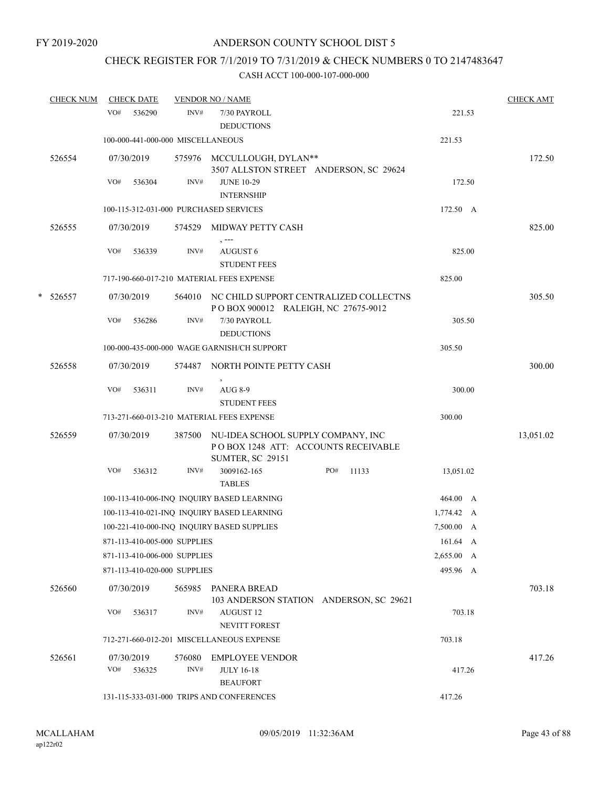## CHECK REGISTER FOR 7/1/2019 TO 7/31/2019 & CHECK NUMBERS 0 TO 2147483647

|   | <b>CHECK NUM</b> |     | <b>CHECK DATE</b>    |                                   | <b>VENDOR NO / NAME</b>                                                                              |              |            | <b>CHECK AMT</b> |
|---|------------------|-----|----------------------|-----------------------------------|------------------------------------------------------------------------------------------------------|--------------|------------|------------------|
|   |                  | VO# | 536290               | INV#                              | 7/30 PAYROLL<br><b>DEDUCTIONS</b>                                                                    |              | 221.53     |                  |
|   |                  |     |                      | 100-000-441-000-000 MISCELLANEOUS |                                                                                                      |              | 221.53     |                  |
|   | 526554           |     | 07/30/2019           |                                   | 575976 MCCULLOUGH, DYLAN**<br>3507 ALLSTON STREET ANDERSON, SC 29624                                 |              |            | 172.50           |
|   |                  | VO# | 536304               | INV#                              | <b>JUNE 10-29</b><br><b>INTERNSHIP</b>                                                               |              | 172.50     |                  |
|   |                  |     |                      |                                   | 100-115-312-031-000 PURCHASED SERVICES                                                               |              | 172.50 A   |                  |
|   | 526555           |     | 07/30/2019           | 574529                            | MIDWAY PETTY CASH<br>$, --$                                                                          |              |            | 825.00           |
|   |                  | VO# | 536339               | INV#                              | AUGUST 6<br><b>STUDENT FEES</b>                                                                      |              | 825.00     |                  |
|   |                  |     |                      |                                   | 717-190-660-017-210 MATERIAL FEES EXPENSE                                                            |              | 825.00     |                  |
| * | 526557           |     | 07/30/2019           |                                   | 564010 NC CHILD SUPPORT CENTRALIZED COLLECTNS<br>POBOX 900012 RALEIGH, NC 27675-9012                 |              |            | 305.50           |
|   |                  | VO# | 536286               | INV#                              | 7/30 PAYROLL<br><b>DEDUCTIONS</b>                                                                    |              | 305.50     |                  |
|   |                  |     |                      |                                   | 100-000-435-000-000 WAGE GARNISH/CH SUPPORT                                                          |              | 305.50     |                  |
|   | 526558           |     | 07/30/2019           | 574487                            | NORTH POINTE PETTY CASH                                                                              |              |            | 300.00           |
|   |                  | VO# | 536311               | INV#                              | AUG 8-9<br><b>STUDENT FEES</b>                                                                       |              | 300.00     |                  |
|   |                  |     |                      |                                   | 713-271-660-013-210 MATERIAL FEES EXPENSE                                                            |              | 300.00     |                  |
|   | 526559           |     | 07/30/2019           | 387500                            | NU-IDEA SCHOOL SUPPLY COMPANY, INC<br>POBOX 1248 ATT: ACCOUNTS RECEIVABLE<br><b>SUMTER, SC 29151</b> |              |            | 13,051.02        |
|   |                  | VO# | 536312               | INV#                              | 3009162-165<br><b>TABLES</b>                                                                         | PO#<br>11133 | 13,051.02  |                  |
|   |                  |     |                      |                                   | 100-113-410-006-INQ INQUIRY BASED LEARNING                                                           |              | 464.00 A   |                  |
|   |                  |     |                      |                                   | 100-113-410-021-INQ INQUIRY BASED LEARNING                                                           |              | 1,774.42 A |                  |
|   |                  |     |                      |                                   | 100-221-410-000-INQ INQUIRY BASED SUPPLIES                                                           |              | 7,500.00 A |                  |
|   |                  |     |                      | 871-113-410-005-000 SUPPLIES      |                                                                                                      |              | 161.64 A   |                  |
|   |                  |     |                      | 871-113-410-006-000 SUPPLIES      |                                                                                                      |              | 2,655.00 A |                  |
|   |                  |     |                      | 871-113-410-020-000 SUPPLIES      |                                                                                                      |              | 495.96 A   |                  |
|   | 526560           |     | 07/30/2019           |                                   | 565985 PANERA BREAD<br>103 ANDERSON STATION ANDERSON, SC 29621                                       |              |            | 703.18           |
|   |                  | VO# | 536317               | INV#                              | <b>AUGUST 12</b><br><b>NEVITT FOREST</b>                                                             |              | 703.18     |                  |
|   |                  |     |                      |                                   | 712-271-660-012-201 MISCELLANEOUS EXPENSE                                                            |              | 703.18     |                  |
|   | 526561           | VO# | 07/30/2019<br>536325 | 576080<br>INV#                    | <b>EMPLOYEE VENDOR</b><br><b>JULY 16-18</b>                                                          |              | 417.26     | 417.26           |
|   |                  |     |                      |                                   | <b>BEAUFORT</b><br>131-115-333-031-000 TRIPS AND CONFERENCES                                         |              | 417.26     |                  |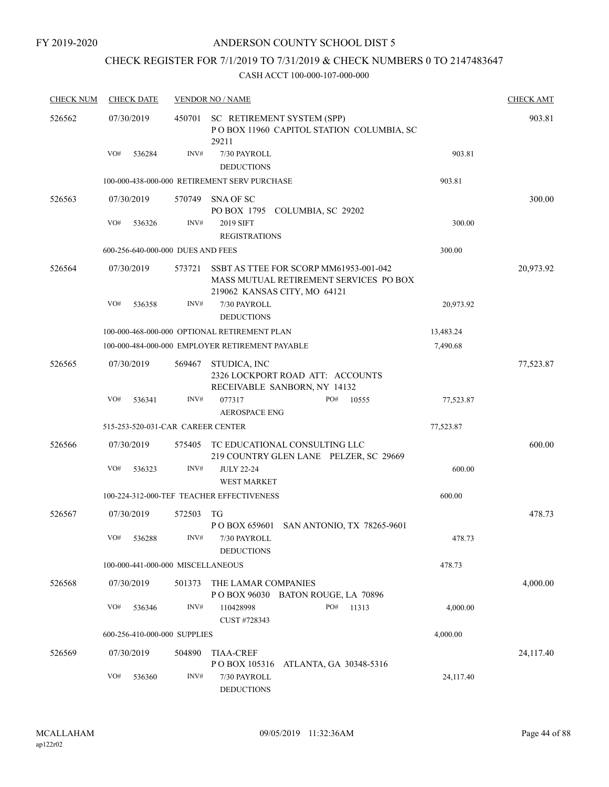## CHECK REGISTER FOR 7/1/2019 TO 7/31/2019 & CHECK NUMBERS 0 TO 2147483647

| <b>CHECK NUM</b> | <b>CHECK DATE</b>                 |        | <b>VENDOR NO / NAME</b>                                                                                          |           | <b>CHECK AMT</b> |
|------------------|-----------------------------------|--------|------------------------------------------------------------------------------------------------------------------|-----------|------------------|
| 526562           | 07/30/2019                        | 450701 | SC RETIREMENT SYSTEM (SPP)<br>POBOX 11960 CAPITOL STATION COLUMBIA, SC<br>29211                                  |           | 903.81           |
|                  | VO#<br>536284                     | INV#   | 7/30 PAYROLL<br><b>DEDUCTIONS</b>                                                                                | 903.81    |                  |
|                  |                                   |        | 100-000-438-000-000 RETIREMENT SERV PURCHASE                                                                     | 903.81    |                  |
| 526563           | 07/30/2019                        | 570749 | SNA OF SC<br>PO BOX 1795 COLUMBIA, SC 29202                                                                      |           | 300.00           |
|                  | VO#<br>536326                     | INV#   | 2019 SIFT<br><b>REGISTRATIONS</b>                                                                                | 300.00    |                  |
|                  | 600-256-640-000-000 DUES AND FEES |        |                                                                                                                  | 300.00    |                  |
| 526564           | 07/30/2019                        | 573721 | SSBT AS TTEE FOR SCORP MM61953-001-042<br>MASS MUTUAL RETIREMENT SERVICES PO BOX<br>219062 KANSAS CITY, MO 64121 |           | 20,973.92        |
|                  | VO#<br>536358                     | INV#   | 7/30 PAYROLL<br><b>DEDUCTIONS</b>                                                                                | 20,973.92 |                  |
|                  |                                   |        | 100-000-468-000-000 OPTIONAL RETIREMENT PLAN                                                                     | 13,483.24 |                  |
|                  |                                   |        | 100-000-484-000-000 EMPLOYER RETIREMENT PAYABLE                                                                  | 7,490.68  |                  |
| 526565           | 07/30/2019                        | 569467 | STUDICA, INC<br>2326 LOCKPORT ROAD ATT: ACCOUNTS<br>RECEIVABLE SANBORN, NY 14132                                 |           | 77,523.87        |
|                  | VO#<br>536341                     | INV#   | 077317<br>PO#<br>10555<br><b>AEROSPACE ENG</b>                                                                   | 77,523.87 |                  |
|                  | 515-253-520-031-CAR CAREER CENTER |        |                                                                                                                  | 77,523.87 |                  |
| 526566           | 07/30/2019                        | 575405 | TC EDUCATIONAL CONSULTING LLC<br>219 COUNTRY GLEN LANE PELZER, SC 29669                                          |           | 600.00           |
|                  | VO#<br>536323                     | INV#   | <b>JULY 22-24</b><br>WEST MARKET                                                                                 | 600.00    |                  |
|                  |                                   |        | 100-224-312-000-TEF TEACHER EFFECTIVENESS                                                                        | 600.00    |                  |
| 526567           | 07/30/2019                        | 572503 | TG<br>P O BOX 659601 SAN ANTONIO, TX 78265-9601                                                                  |           | 478.73           |
|                  | VO#<br>536288                     | INV#   | 7/30 PAYROLL<br><b>DEDUCTIONS</b>                                                                                | 478.73    |                  |
|                  | 100-000-441-000-000 MISCELLANEOUS |        |                                                                                                                  | 478.73    |                  |
| 526568           | 07/30/2019                        | 501373 | THE LAMAR COMPANIES<br>POBOX 96030 BATON ROUGE, LA 70896                                                         |           | 4,000.00         |
|                  | VO#<br>536346                     | INV#   | PO#<br>110428998<br>11313<br>CUST #728343                                                                        | 4,000.00  |                  |
|                  | 600-256-410-000-000 SUPPLIES      |        |                                                                                                                  | 4,000.00  |                  |
| 526569           | 07/30/2019                        | 504890 | <b>TIAA-CREF</b><br>P O BOX 105316<br>ATLANTA, GA 30348-5316                                                     |           | 24,117.40        |
|                  | VO#<br>536360                     | INV#   | 7/30 PAYROLL<br><b>DEDUCTIONS</b>                                                                                | 24,117.40 |                  |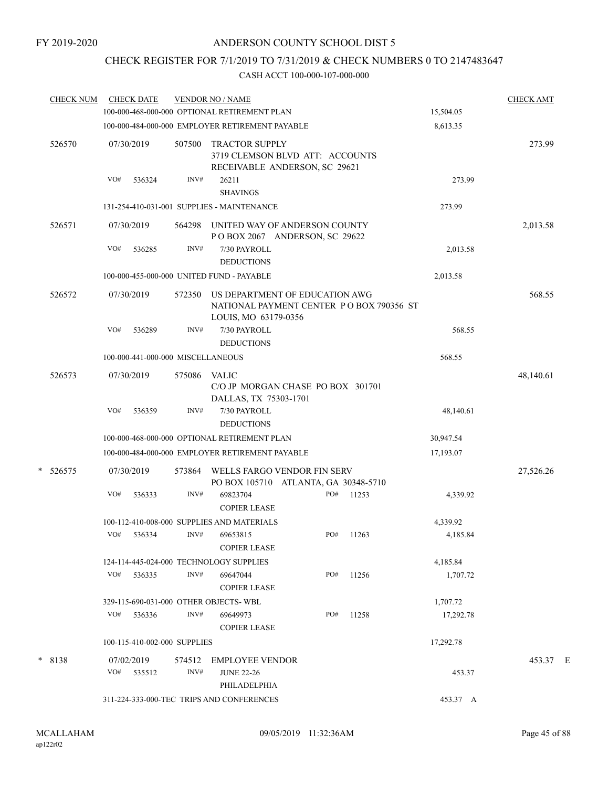# CHECK REGISTER FOR 7/1/2019 TO 7/31/2019 & CHECK NUMBERS 0 TO 2147483647

| <b>CHECK NUM</b> |     | <b>CHECK DATE</b>                 |                | <b>VENDOR NO / NAME</b>                                                                            |     |       |           | <b>CHECK AMT</b> |  |
|------------------|-----|-----------------------------------|----------------|----------------------------------------------------------------------------------------------------|-----|-------|-----------|------------------|--|
|                  |     |                                   |                | 100-000-468-000-000 OPTIONAL RETIREMENT PLAN                                                       |     |       | 15,504.05 |                  |  |
|                  |     |                                   |                | 100-000-484-000-000 EMPLOYER RETIREMENT PAYABLE                                                    |     |       | 8,613.35  |                  |  |
| 526570           |     | 07/30/2019                        | 507500         | <b>TRACTOR SUPPLY</b><br>3719 CLEMSON BLVD ATT: ACCOUNTS<br>RECEIVABLE ANDERSON, SC 29621          |     |       |           | 273.99           |  |
|                  | VO# | 536324                            | INV#           | 26211<br><b>SHAVINGS</b>                                                                           |     |       | 273.99    |                  |  |
|                  |     |                                   |                | 131-254-410-031-001 SUPPLIES - MAINTENANCE                                                         |     |       | 273.99    |                  |  |
| 526571           |     | 07/30/2019                        | 564298         | UNITED WAY OF ANDERSON COUNTY<br>POBOX 2067 ANDERSON, SC 29622                                     |     |       |           | 2,013.58         |  |
|                  | VO# | 536285                            | INV#           | 7/30 PAYROLL<br><b>DEDUCTIONS</b>                                                                  |     |       | 2,013.58  |                  |  |
|                  |     |                                   |                | 100-000-455-000-000 UNITED FUND - PAYABLE                                                          |     |       | 2,013.58  |                  |  |
| 526572           |     | 07/30/2019                        | 572350         | US DEPARTMENT OF EDUCATION AWG<br>NATIONAL PAYMENT CENTER PO BOX 790356 ST<br>LOUIS, MO 63179-0356 |     |       |           | 568.55           |  |
|                  | VO# | 536289                            | INV#           | 7/30 PAYROLL<br><b>DEDUCTIONS</b>                                                                  |     |       | 568.55    |                  |  |
|                  |     | 100-000-441-000-000 MISCELLANEOUS |                |                                                                                                    |     |       | 568.55    |                  |  |
| 526573           |     | 07/30/2019                        | 575086         | <b>VALIC</b><br>C/O JP MORGAN CHASE PO BOX 301701<br>DALLAS, TX 75303-1701                         |     |       |           | 48,140.61        |  |
|                  | VO# | 536359                            | INV#           | 7/30 PAYROLL<br><b>DEDUCTIONS</b>                                                                  |     |       | 48,140.61 |                  |  |
|                  |     |                                   |                | 100-000-468-000-000 OPTIONAL RETIREMENT PLAN                                                       |     |       | 30,947.54 |                  |  |
|                  |     |                                   |                | 100-000-484-000-000 EMPLOYER RETIREMENT PAYABLE                                                    |     |       | 17,193.07 |                  |  |
| $* 526575$       |     | 07/30/2019                        | 573864         | WELLS FARGO VENDOR FIN SERV<br>PO BOX 105710 ATLANTA, GA 30348-5710                                |     |       |           | 27,526.26        |  |
|                  | VO# | 536333                            | INV#           | 69823704<br><b>COPIER LEASE</b>                                                                    | PO# | 11253 | 4,339.92  |                  |  |
|                  |     |                                   |                | 100-112-410-008-000 SUPPLIES AND MATERIALS                                                         |     |       | 4,339.92  |                  |  |
|                  | VO# | 536334                            | INV#           | 69653815<br><b>COPIER LEASE</b>                                                                    | PO# | 11263 | 4,185.84  |                  |  |
|                  |     |                                   |                | 124-114-445-024-000 TECHNOLOGY SUPPLIES                                                            |     |       | 4,185.84  |                  |  |
|                  | VO# | 536335                            | INV#           | 69647044<br><b>COPIER LEASE</b>                                                                    | PO# | 11256 | 1,707.72  |                  |  |
|                  |     |                                   |                | 329-115-690-031-000 OTHER OBJECTS-WBL                                                              |     |       | 1,707.72  |                  |  |
|                  | VO# | 536336                            | INV#           | 69649973<br><b>COPIER LEASE</b>                                                                    | PO# | 11258 | 17,292.78 |                  |  |
|                  |     | 100-115-410-002-000 SUPPLIES      |                |                                                                                                    |     |       | 17,292.78 |                  |  |
| * 8138           | VO# | 07/02/2019<br>535512              | 574512<br>INV# | <b>EMPLOYEE VENDOR</b><br><b>JUNE 22-26</b>                                                        |     |       | 453.37    | 453.37 E         |  |
|                  |     |                                   |                | PHILADELPHIA<br>311-224-333-000-TEC TRIPS AND CONFERENCES                                          |     |       | 453.37 A  |                  |  |
|                  |     |                                   |                |                                                                                                    |     |       |           |                  |  |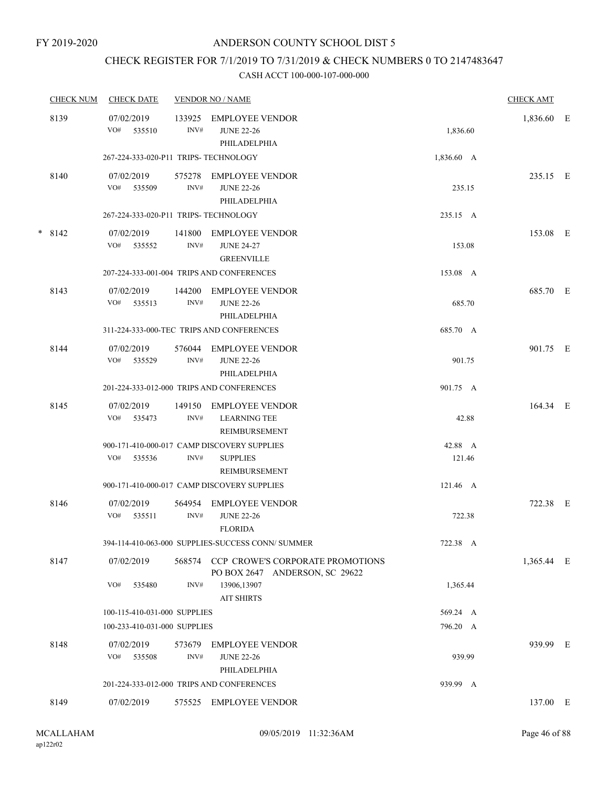## CHECK REGISTER FOR 7/1/2019 TO 7/31/2019 & CHECK NUMBERS 0 TO 2147483647

| <b>CHECK NUM</b> | <b>CHECK DATE</b>                     |                | <b>VENDOR NO / NAME</b>                                                         |                   | <b>CHECK AMT</b> |   |
|------------------|---------------------------------------|----------------|---------------------------------------------------------------------------------|-------------------|------------------|---|
| 8139             | 07/02/2019<br>VO#<br>535510           | 133925<br>INV# | <b>EMPLOYEE VENDOR</b><br><b>JUNE 22-26</b><br>PHILADELPHIA                     | 1,836.60          | 1,836.60         | E |
|                  | 267-224-333-020-P11 TRIPS- TECHNOLOGY |                |                                                                                 | 1,836.60 A        |                  |   |
| 8140             | 07/02/2019<br>VO# 535509              | 575278<br>INV# | <b>EMPLOYEE VENDOR</b><br><b>JUNE 22-26</b><br>PHILADELPHIA                     | 235.15            | 235.15 E         |   |
|                  | 267-224-333-020-P11 TRIPS- TECHNOLOGY |                |                                                                                 | 235.15 A          |                  |   |
| $* 8142$         | 07/02/2019<br>VO# 535552              | 141800<br>INV# | EMPLOYEE VENDOR<br><b>JUNE 24-27</b><br><b>GREENVILLE</b>                       | 153.08            | 153.08 E         |   |
|                  |                                       |                | 207-224-333-001-004 TRIPS AND CONFERENCES                                       | 153.08 A          |                  |   |
| 8143             | 07/02/2019<br>VO#<br>535513           | 144200<br>INV# | <b>EMPLOYEE VENDOR</b><br><b>JUNE 22-26</b><br>PHILADELPHIA                     | 685.70            | 685.70 E         |   |
|                  |                                       |                | 311-224-333-000-TEC TRIPS AND CONFERENCES                                       | 685.70 A          |                  |   |
| 8144             | 07/02/2019<br>VO#<br>535529           | 576044<br>INV# | <b>EMPLOYEE VENDOR</b><br><b>JUNE 22-26</b><br>PHILADELPHIA                     | 901.75            | 901.75 E         |   |
|                  |                                       |                | 201-224-333-012-000 TRIPS AND CONFERENCES                                       | 901.75 A          |                  |   |
| 8145             | 07/02/2019<br>VO#<br>535473           | 149150<br>INV# | <b>EMPLOYEE VENDOR</b><br><b>LEARNING TEE</b><br>REIMBURSEMENT                  | 42.88             | 164.34 E         |   |
|                  | VO#<br>535536                         | INV#           | 900-171-410-000-017 CAMP DISCOVERY SUPPLIES<br><b>SUPPLIES</b><br>REIMBURSEMENT | 42.88 A<br>121.46 |                  |   |
|                  |                                       |                | 900-171-410-000-017 CAMP DISCOVERY SUPPLIES                                     | 121.46 A          |                  |   |
| 8146             | 07/02/2019<br>VO#<br>535511           | 564954<br>INV# | <b>EMPLOYEE VENDOR</b><br><b>JUNE 22-26</b><br><b>FLORIDA</b>                   | 722.38            | 722.38 E         |   |
|                  |                                       |                | 394-114-410-063-000 SUPPLIES-SUCCESS CONN/ SUMMER                               | 722.38 A          |                  |   |
| 8147             | 07/02/2019<br>VO#                     | 568574         | CCP CROWE'S CORPORATE PROMOTIONS<br>PO BOX 2647 ANDERSON, SC 29622              |                   | 1,365.44 E       |   |
|                  | 535480                                | INV#           | 13906,13907<br><b>AIT SHIRTS</b>                                                | 1,365.44          |                  |   |
|                  | 100-115-410-031-000 SUPPLIES          |                |                                                                                 | 569.24 A          |                  |   |
|                  | 100-233-410-031-000 SUPPLIES          |                |                                                                                 | 796.20 A          |                  |   |
| 8148             | 07/02/2019<br>VO#<br>535508           | 573679<br>INV# | EMPLOYEE VENDOR<br><b>JUNE 22-26</b><br>PHILADELPHIA                            | 939.99            | 939.99 E         |   |
|                  |                                       |                | 201-224-333-012-000 TRIPS AND CONFERENCES                                       | 939.99 A          |                  |   |
| 8149             | 07/02/2019                            |                | 575525 EMPLOYEE VENDOR                                                          |                   | 137.00 E         |   |
|                  |                                       |                |                                                                                 |                   |                  |   |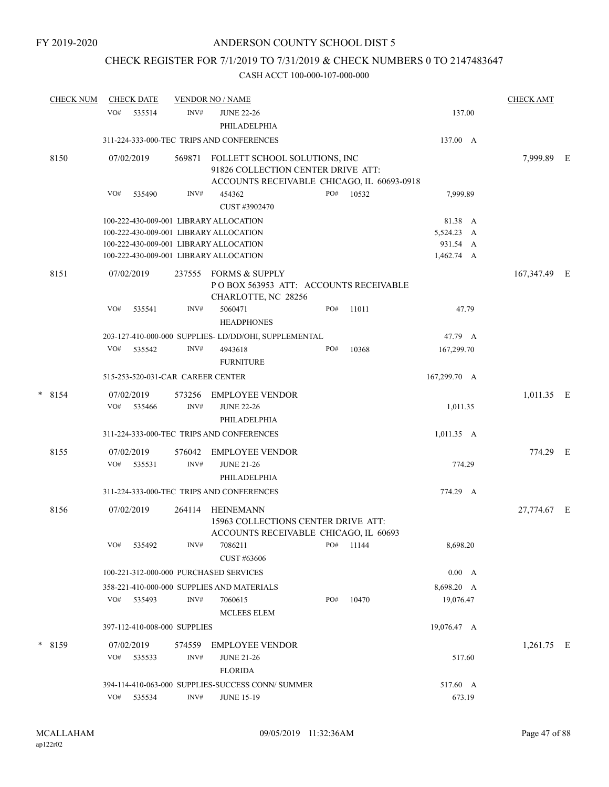## CHECK REGISTER FOR 7/1/2019 TO 7/31/2019 & CHECK NUMBERS 0 TO 2147483647

|   | <b>CHECK NUM</b> |     | <b>CHECK DATE</b>    |                                   | <b>VENDOR NO / NAME</b>                                                                                           |     |       |                         | <b>CHECK AMT</b> |     |
|---|------------------|-----|----------------------|-----------------------------------|-------------------------------------------------------------------------------------------------------------------|-----|-------|-------------------------|------------------|-----|
|   |                  | VO# | 535514               | INV#                              | <b>JUNE 22-26</b><br>PHILADELPHIA                                                                                 |     |       | 137.00                  |                  |     |
|   |                  |     |                      |                                   | 311-224-333-000-TEC TRIPS AND CONFERENCES                                                                         |     |       | 137.00 A                |                  |     |
|   | 8150             |     | 07/02/2019           | 569871                            | FOLLETT SCHOOL SOLUTIONS, INC<br>91826 COLLECTION CENTER DRIVE ATT:<br>ACCOUNTS RECEIVABLE CHICAGO, IL 60693-0918 |     |       |                         | 7,999.89         | - E |
|   |                  | VO# | 535490               | INV#                              | 454362<br>CUST #3902470                                                                                           | PO# | 10532 | 7,999.89                |                  |     |
|   |                  |     |                      |                                   | 100-222-430-009-001 LIBRARY ALLOCATION                                                                            |     |       | 81.38 A                 |                  |     |
|   |                  |     |                      |                                   | 100-222-430-009-001 LIBRARY ALLOCATION                                                                            |     |       | 5,524.23 A              |                  |     |
|   |                  |     |                      |                                   | 100-222-430-009-001 LIBRARY ALLOCATION                                                                            |     |       | 931.54 A                |                  |     |
|   |                  |     |                      |                                   | 100-222-430-009-001 LIBRARY ALLOCATION                                                                            |     |       | 1,462.74 A              |                  |     |
|   | 8151             |     | 07/02/2019           | 237555                            | FORMS & SUPPLY<br>POBOX 563953 ATT: ACCOUNTS RECEIVABLE<br>CHARLOTTE, NC 28256                                    |     |       |                         | 167,347.49 E     |     |
|   |                  | VO# | 535541               | INV#                              | 5060471<br><b>HEADPHONES</b>                                                                                      | PO# | 11011 | 47.79                   |                  |     |
|   |                  |     |                      |                                   | 203-127-410-000-000 SUPPLIES-LD/DD/OHI, SUPPLEMENTAL                                                              |     |       | 47.79 A                 |                  |     |
|   |                  | VO# | 535542               | INV#                              | 4943618<br><b>FURNITURE</b>                                                                                       | PO# | 10368 | 167,299.70              |                  |     |
|   |                  |     |                      | 515-253-520-031-CAR CAREER CENTER |                                                                                                                   |     |       | 167,299.70 A            |                  |     |
|   |                  |     |                      |                                   |                                                                                                                   |     |       |                         |                  |     |
| * | 8154             | VO# | 07/02/2019<br>535466 | 573256<br>INV#                    | <b>EMPLOYEE VENDOR</b><br><b>JUNE 22-26</b>                                                                       |     |       | 1,011.35                | $1,011.35$ E     |     |
|   |                  |     |                      |                                   | PHILADELPHIA                                                                                                      |     |       |                         |                  |     |
|   |                  |     |                      |                                   | 311-224-333-000-TEC TRIPS AND CONFERENCES                                                                         |     |       | $1,011.35$ A            |                  |     |
|   | 8155             |     | 07/02/2019           | 576042                            | <b>EMPLOYEE VENDOR</b>                                                                                            |     |       |                         | 774.29 E         |     |
|   |                  | VO# | 535531               | INV#                              | <b>JUNE 21-26</b><br>PHILADELPHIA                                                                                 |     |       | 774.29                  |                  |     |
|   |                  |     |                      |                                   | 311-224-333-000-TEC TRIPS AND CONFERENCES                                                                         |     |       | 774.29 A                |                  |     |
|   | 8156             |     | 07/02/2019           | 264114                            | HEINEMANN                                                                                                         |     |       |                         | 27,774.67 E      |     |
|   |                  |     |                      |                                   | 15963 COLLECTIONS CENTER DRIVE ATT:<br>ACCOUNTS RECEIVABLE CHICAGO, IL 60693                                      |     |       |                         |                  |     |
|   |                  | VO# | 535492               | INV#                              | 7086211                                                                                                           | PO# | 11144 | 8,698.20                |                  |     |
|   |                  |     |                      |                                   | CUST #63606<br>100-221-312-000-000 PURCHASED SERVICES                                                             |     |       |                         |                  |     |
|   |                  |     |                      |                                   |                                                                                                                   |     |       | 0.00 A                  |                  |     |
|   |                  | VO# | 535493               | INV#                              | 358-221-410-000-000 SUPPLIES AND MATERIALS<br>7060615                                                             | PO# | 10470 | 8,698.20 A<br>19,076.47 |                  |     |
|   |                  |     |                      |                                   | <b>MCLEES ELEM</b>                                                                                                |     |       |                         |                  |     |
|   |                  |     |                      | 397-112-410-008-000 SUPPLIES      |                                                                                                                   |     |       | 19,076.47 A             |                  |     |
|   | $*$ 8159         |     | 07/02/2019           | 574559                            | <b>EMPLOYEE VENDOR</b>                                                                                            |     |       |                         | $1,261.75$ E     |     |
|   |                  | VO# | 535533               | INV#                              | <b>JUNE 21-26</b><br><b>FLORIDA</b>                                                                               |     |       | 517.60                  |                  |     |
|   |                  |     |                      |                                   | 394-114-410-063-000 SUPPLIES-SUCCESS CONN/ SUMMER                                                                 |     |       | 517.60 A                |                  |     |
|   |                  |     | VO# 535534           | INV#                              | <b>JUNE 15-19</b>                                                                                                 |     |       | 673.19                  |                  |     |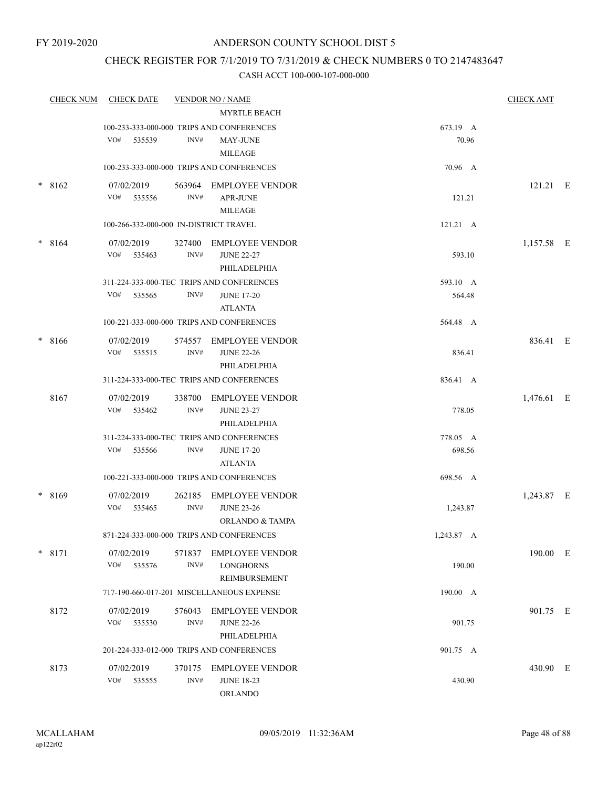## CHECK REGISTER FOR 7/1/2019 TO 7/31/2019 & CHECK NUMBERS 0 TO 2147483647

|        | <b>CHECK NUM</b> | <b>CHECK DATE</b>                      |                | <b>VENDOR NO / NAME</b>                                                                               |                    | <b>CHECK AMT</b> |  |
|--------|------------------|----------------------------------------|----------------|-------------------------------------------------------------------------------------------------------|--------------------|------------------|--|
|        |                  | VO#<br>535539                          | INV#           | <b>MYRTLE BEACH</b><br>100-233-333-000-000 TRIPS AND CONFERENCES<br><b>MAY-JUNE</b><br><b>MILEAGE</b> | 673.19 A<br>70.96  |                  |  |
|        |                  |                                        |                | 100-233-333-000-000 TRIPS AND CONFERENCES                                                             | 70.96 A            |                  |  |
|        | $*8162$          | 07/02/2019<br>VO# 535556               | INV#           | 563964 EMPLOYEE VENDOR<br><b>APR-JUNE</b><br><b>MILEAGE</b>                                           | 121.21             | $121.21$ E       |  |
|        |                  | 100-266-332-000-000 IN-DISTRICT TRAVEL |                |                                                                                                       | 121.21 A           |                  |  |
| $\ast$ | 8164             | 07/02/2019<br>VO#<br>535463            | 327400<br>INV# | <b>EMPLOYEE VENDOR</b><br><b>JUNE 22-27</b><br>PHILADELPHIA                                           | 593.10             | 1,157.58 E       |  |
|        |                  | VO#<br>535565                          | INV#           | 311-224-333-000-TEC TRIPS AND CONFERENCES<br><b>JUNE 17-20</b><br><b>ATLANTA</b>                      | 593.10 A<br>564.48 |                  |  |
|        |                  |                                        |                | 100-221-333-000-000 TRIPS AND CONFERENCES                                                             | 564.48 A           |                  |  |
| $\ast$ | 8166             | 07/02/2019<br>VO# 535515               | INV#           | 574557 EMPLOYEE VENDOR<br><b>JUNE 22-26</b><br>PHILADELPHIA                                           | 836.41             | 836.41 E         |  |
|        |                  |                                        |                | 311-224-333-000-TEC TRIPS AND CONFERENCES                                                             | 836.41 A           |                  |  |
|        | 8167             | 07/02/2019<br>VO#<br>535462            | 338700<br>INV# | EMPLOYEE VENDOR<br><b>JUNE 23-27</b><br>PHILADELPHIA                                                  | 778.05             | 1,476.61 E       |  |
|        |                  | VO#<br>535566                          | INV#           | 311-224-333-000-TEC TRIPS AND CONFERENCES<br><b>JUNE 17-20</b><br><b>ATLANTA</b>                      | 778.05 A<br>698.56 |                  |  |
|        |                  |                                        |                | 100-221-333-000-000 TRIPS AND CONFERENCES                                                             | 698.56 A           |                  |  |
| *      | 8169             | 07/02/2019<br>VO# 535465               | 262185<br>INV# | EMPLOYEE VENDOR<br><b>JUNE 23-26</b><br><b>ORLANDO &amp; TAMPA</b>                                    | 1,243.87           | 1,243.87 E       |  |
|        |                  |                                        |                | 871-224-333-000-000 TRIPS AND CONFERENCES                                                             | 1,243.87 A         |                  |  |
|        | $*$ 8171         | 07/02/2019<br>VO#<br>535576            | INV#           | 571837 EMPLOYEE VENDOR<br><b>LONGHORNS</b><br>REIMBURSEMENT                                           | 190.00             | 190.00 E         |  |
|        |                  |                                        |                | 717-190-660-017-201 MISCELLANEOUS EXPENSE                                                             | 190.00 A           |                  |  |
|        | 8172             | 07/02/2019<br>VO#<br>535530            | INV#           | 576043 EMPLOYEE VENDOR<br><b>JUNE 22-26</b><br>PHILADELPHIA                                           | 901.75             | 901.75 E         |  |
|        |                  |                                        |                | 201-224-333-012-000 TRIPS AND CONFERENCES                                                             | 901.75 A           |                  |  |
|        | 8173             | 07/02/2019<br>VO#<br>535555            | $\text{INV}\#$ | 370175 EMPLOYEE VENDOR<br><b>JUNE 18-23</b><br>ORLANDO                                                | 430.90             | 430.90 E         |  |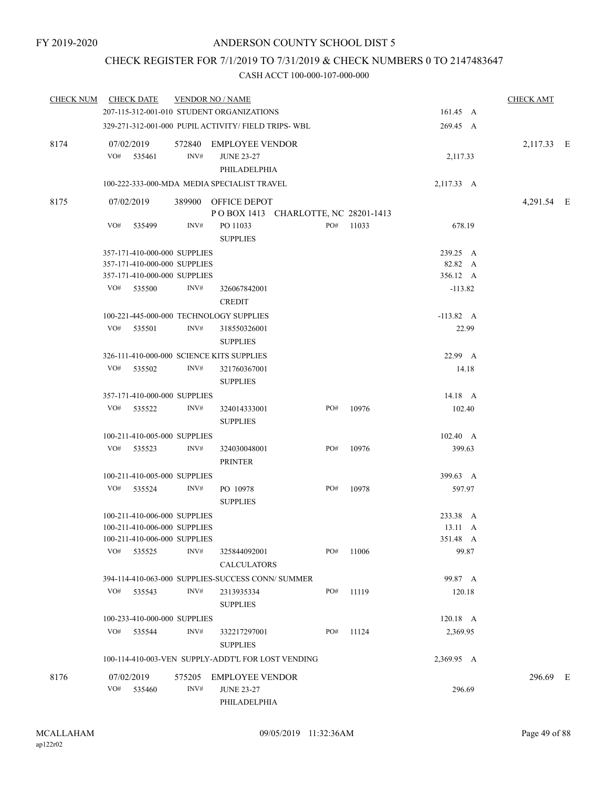## CHECK REGISTER FOR 7/1/2019 TO 7/31/2019 & CHECK NUMBERS 0 TO 2147483647

|     |                                |                                                                                                                                                                                             |                                 |                                                                                                                                                                                                                                                                                                                                                                                                                                                                                                                                                           |                                                                                                                                                                                                                                                                                                                                                                                             |       |                                              |       | <b>CHECK AMT</b>                                                                                                                                                                                                                                                                                                                              |  |
|-----|--------------------------------|---------------------------------------------------------------------------------------------------------------------------------------------------------------------------------------------|---------------------------------|-----------------------------------------------------------------------------------------------------------------------------------------------------------------------------------------------------------------------------------------------------------------------------------------------------------------------------------------------------------------------------------------------------------------------------------------------------------------------------------------------------------------------------------------------------------|---------------------------------------------------------------------------------------------------------------------------------------------------------------------------------------------------------------------------------------------------------------------------------------------------------------------------------------------------------------------------------------------|-------|----------------------------------------------|-------|-----------------------------------------------------------------------------------------------------------------------------------------------------------------------------------------------------------------------------------------------------------------------------------------------------------------------------------------------|--|
|     |                                |                                                                                                                                                                                             |                                 |                                                                                                                                                                                                                                                                                                                                                                                                                                                                                                                                                           |                                                                                                                                                                                                                                                                                                                                                                                             |       |                                              |       |                                                                                                                                                                                                                                                                                                                                               |  |
|     |                                |                                                                                                                                                                                             |                                 |                                                                                                                                                                                                                                                                                                                                                                                                                                                                                                                                                           |                                                                                                                                                                                                                                                                                                                                                                                             |       |                                              |       |                                                                                                                                                                                                                                                                                                                                               |  |
| VO# |                                | INV#                                                                                                                                                                                        | <b>JUNE 23-27</b>               |                                                                                                                                                                                                                                                                                                                                                                                                                                                                                                                                                           |                                                                                                                                                                                                                                                                                                                                                                                             |       |                                              |       | 2,117.33 E                                                                                                                                                                                                                                                                                                                                    |  |
|     |                                |                                                                                                                                                                                             |                                 |                                                                                                                                                                                                                                                                                                                                                                                                                                                                                                                                                           |                                                                                                                                                                                                                                                                                                                                                                                             |       |                                              |       |                                                                                                                                                                                                                                                                                                                                               |  |
|     |                                |                                                                                                                                                                                             |                                 |                                                                                                                                                                                                                                                                                                                                                                                                                                                                                                                                                           |                                                                                                                                                                                                                                                                                                                                                                                             |       |                                              |       | 4,291.54 E                                                                                                                                                                                                                                                                                                                                    |  |
| VO# |                                | INV#                                                                                                                                                                                        | PO 11033<br><b>SUPPLIES</b>     |                                                                                                                                                                                                                                                                                                                                                                                                                                                                                                                                                           | PO#                                                                                                                                                                                                                                                                                                                                                                                         | 11033 |                                              |       |                                                                                                                                                                                                                                                                                                                                               |  |
|     |                                |                                                                                                                                                                                             |                                 |                                                                                                                                                                                                                                                                                                                                                                                                                                                                                                                                                           |                                                                                                                                                                                                                                                                                                                                                                                             |       |                                              |       |                                                                                                                                                                                                                                                                                                                                               |  |
|     |                                |                                                                                                                                                                                             |                                 |                                                                                                                                                                                                                                                                                                                                                                                                                                                                                                                                                           |                                                                                                                                                                                                                                                                                                                                                                                             |       |                                              |       |                                                                                                                                                                                                                                                                                                                                               |  |
|     |                                |                                                                                                                                                                                             |                                 |                                                                                                                                                                                                                                                                                                                                                                                                                                                                                                                                                           |                                                                                                                                                                                                                                                                                                                                                                                             |       |                                              |       |                                                                                                                                                                                                                                                                                                                                               |  |
| VO# |                                | INV#                                                                                                                                                                                        | 326067842001                    |                                                                                                                                                                                                                                                                                                                                                                                                                                                                                                                                                           |                                                                                                                                                                                                                                                                                                                                                                                             |       |                                              |       |                                                                                                                                                                                                                                                                                                                                               |  |
|     |                                |                                                                                                                                                                                             |                                 |                                                                                                                                                                                                                                                                                                                                                                                                                                                                                                                                                           |                                                                                                                                                                                                                                                                                                                                                                                             |       |                                              |       |                                                                                                                                                                                                                                                                                                                                               |  |
| VO# |                                | INV#                                                                                                                                                                                        | 318550326001                    |                                                                                                                                                                                                                                                                                                                                                                                                                                                                                                                                                           |                                                                                                                                                                                                                                                                                                                                                                                             |       |                                              |       |                                                                                                                                                                                                                                                                                                                                               |  |
|     |                                |                                                                                                                                                                                             |                                 |                                                                                                                                                                                                                                                                                                                                                                                                                                                                                                                                                           |                                                                                                                                                                                                                                                                                                                                                                                             |       |                                              |       |                                                                                                                                                                                                                                                                                                                                               |  |
|     |                                |                                                                                                                                                                                             |                                 |                                                                                                                                                                                                                                                                                                                                                                                                                                                                                                                                                           |                                                                                                                                                                                                                                                                                                                                                                                             |       |                                              |       |                                                                                                                                                                                                                                                                                                                                               |  |
|     |                                |                                                                                                                                                                                             | <b>SUPPLIES</b>                 |                                                                                                                                                                                                                                                                                                                                                                                                                                                                                                                                                           |                                                                                                                                                                                                                                                                                                                                                                                             |       |                                              |       |                                                                                                                                                                                                                                                                                                                                               |  |
|     |                                |                                                                                                                                                                                             |                                 |                                                                                                                                                                                                                                                                                                                                                                                                                                                                                                                                                           |                                                                                                                                                                                                                                                                                                                                                                                             |       |                                              |       |                                                                                                                                                                                                                                                                                                                                               |  |
| VO# |                                | INV#                                                                                                                                                                                        | 324014333001<br><b>SUPPLIES</b> |                                                                                                                                                                                                                                                                                                                                                                                                                                                                                                                                                           | PO#                                                                                                                                                                                                                                                                                                                                                                                         | 10976 |                                              |       |                                                                                                                                                                                                                                                                                                                                               |  |
|     |                                |                                                                                                                                                                                             |                                 |                                                                                                                                                                                                                                                                                                                                                                                                                                                                                                                                                           |                                                                                                                                                                                                                                                                                                                                                                                             |       |                                              |       |                                                                                                                                                                                                                                                                                                                                               |  |
| VO# |                                | INV#                                                                                                                                                                                        | 324030048001<br><b>PRINTER</b>  |                                                                                                                                                                                                                                                                                                                                                                                                                                                                                                                                                           | PO#                                                                                                                                                                                                                                                                                                                                                                                         | 10976 |                                              |       |                                                                                                                                                                                                                                                                                                                                               |  |
|     |                                |                                                                                                                                                                                             |                                 |                                                                                                                                                                                                                                                                                                                                                                                                                                                                                                                                                           |                                                                                                                                                                                                                                                                                                                                                                                             |       |                                              |       |                                                                                                                                                                                                                                                                                                                                               |  |
| VO# |                                | INV#                                                                                                                                                                                        | PO 10978                        |                                                                                                                                                                                                                                                                                                                                                                                                                                                                                                                                                           | PO#                                                                                                                                                                                                                                                                                                                                                                                         | 10978 |                                              |       |                                                                                                                                                                                                                                                                                                                                               |  |
|     |                                |                                                                                                                                                                                             |                                 |                                                                                                                                                                                                                                                                                                                                                                                                                                                                                                                                                           |                                                                                                                                                                                                                                                                                                                                                                                             |       |                                              |       |                                                                                                                                                                                                                                                                                                                                               |  |
|     |                                |                                                                                                                                                                                             |                                 |                                                                                                                                                                                                                                                                                                                                                                                                                                                                                                                                                           |                                                                                                                                                                                                                                                                                                                                                                                             |       |                                              |       |                                                                                                                                                                                                                                                                                                                                               |  |
|     |                                |                                                                                                                                                                                             |                                 |                                                                                                                                                                                                                                                                                                                                                                                                                                                                                                                                                           |                                                                                                                                                                                                                                                                                                                                                                                             |       |                                              |       |                                                                                                                                                                                                                                                                                                                                               |  |
|     |                                | INV#                                                                                                                                                                                        | 325844092001                    |                                                                                                                                                                                                                                                                                                                                                                                                                                                                                                                                                           | PO#                                                                                                                                                                                                                                                                                                                                                                                         | 11006 |                                              | 99.87 |                                                                                                                                                                                                                                                                                                                                               |  |
|     |                                |                                                                                                                                                                                             |                                 |                                                                                                                                                                                                                                                                                                                                                                                                                                                                                                                                                           |                                                                                                                                                                                                                                                                                                                                                                                             |       |                                              |       |                                                                                                                                                                                                                                                                                                                                               |  |
|     |                                | INV#                                                                                                                                                                                        | 2313935334                      |                                                                                                                                                                                                                                                                                                                                                                                                                                                                                                                                                           | PO#                                                                                                                                                                                                                                                                                                                                                                                         | 11119 |                                              |       |                                                                                                                                                                                                                                                                                                                                               |  |
|     |                                |                                                                                                                                                                                             |                                 |                                                                                                                                                                                                                                                                                                                                                                                                                                                                                                                                                           |                                                                                                                                                                                                                                                                                                                                                                                             |       |                                              |       |                                                                                                                                                                                                                                                                                                                                               |  |
|     |                                |                                                                                                                                                                                             |                                 |                                                                                                                                                                                                                                                                                                                                                                                                                                                                                                                                                           |                                                                                                                                                                                                                                                                                                                                                                                             |       |                                              |       |                                                                                                                                                                                                                                                                                                                                               |  |
|     |                                |                                                                                                                                                                                             | <b>SUPPLIES</b>                 |                                                                                                                                                                                                                                                                                                                                                                                                                                                                                                                                                           |                                                                                                                                                                                                                                                                                                                                                                                             |       |                                              |       |                                                                                                                                                                                                                                                                                                                                               |  |
|     |                                |                                                                                                                                                                                             |                                 |                                                                                                                                                                                                                                                                                                                                                                                                                                                                                                                                                           |                                                                                                                                                                                                                                                                                                                                                                                             |       |                                              |       |                                                                                                                                                                                                                                                                                                                                               |  |
| VO# |                                | INV#                                                                                                                                                                                        | <b>JUNE 23-27</b>               |                                                                                                                                                                                                                                                                                                                                                                                                                                                                                                                                                           |                                                                                                                                                                                                                                                                                                                                                                                             |       |                                              |       | 296.69 E                                                                                                                                                                                                                                                                                                                                      |  |
|     | <b>CHECK NUM</b><br>VO#<br>VO# | <b>CHECK DATE</b><br>07/02/2019<br>535461<br>07/02/2019<br>535499<br>535500<br>535501<br>535502<br>535522<br>535523<br>535524<br>VO# 535525<br>VO# 535543<br>535544<br>07/02/2019<br>535460 | INV#<br>INV#                    | <b>VENDOR NO / NAME</b><br>357-171-410-000-000 SUPPLIES<br>357-171-410-000-000 SUPPLIES<br>357-171-410-000-000 SUPPLIES<br><b>CREDIT</b><br>100-221-445-000-000 TECHNOLOGY SUPPLIES<br><b>SUPPLIES</b><br>326-111-410-000-000 SCIENCE KITS SUPPLIES<br>321760367001<br>357-171-410-000-000 SUPPLIES<br>100-211-410-005-000 SUPPLIES<br>100-211-410-005-000 SUPPLIES<br><b>SUPPLIES</b><br>100-211-410-006-000 SUPPLIES<br>100-211-410-006-000 SUPPLIES<br>100-211-410-006-000 SUPPLIES<br><b>SUPPLIES</b><br>100-233-410-000-000 SUPPLIES<br>332217297001 | 207-115-312-001-010 STUDENT ORGANIZATIONS<br>329-271-312-001-000 PUPIL ACTIVITY/ FIELD TRIPS-WBL<br>572840 EMPLOYEE VENDOR<br>PHILADELPHIA<br>100-222-333-000-MDA MEDIA SPECIALIST TRAVEL<br>389900 OFFICE DEPOT<br><b>CALCULATORS</b><br>394-114-410-063-000 SUPPLIES-SUCCESS CONN/ SUMMER<br>100-114-410-003-VEN SUPPLY-ADDT'L FOR LOST VENDING<br>575205 EMPLOYEE VENDOR<br>PHILADELPHIA | PO#   | POBOX 1413 CHARLOTTE, NC 28201-1413<br>11124 |       | 161.45 A<br>269.45 A<br>2,117.33<br>2,117.33 A<br>678.19<br>239.25 A<br>82.82 A<br>356.12 A<br>$-113.82$<br>$-113.82 \, A$<br>22.99<br>22.99 A<br>14.18<br>14.18 A<br>102.40<br>$102.40 \, A$<br>399.63<br>399.63 A<br>597.97<br>233.38 A<br>$13.11 \quad A$<br>351.48 A<br>99.87 A<br>120.18<br>120.18 A<br>2,369.95<br>2,369.95 A<br>296.69 |  |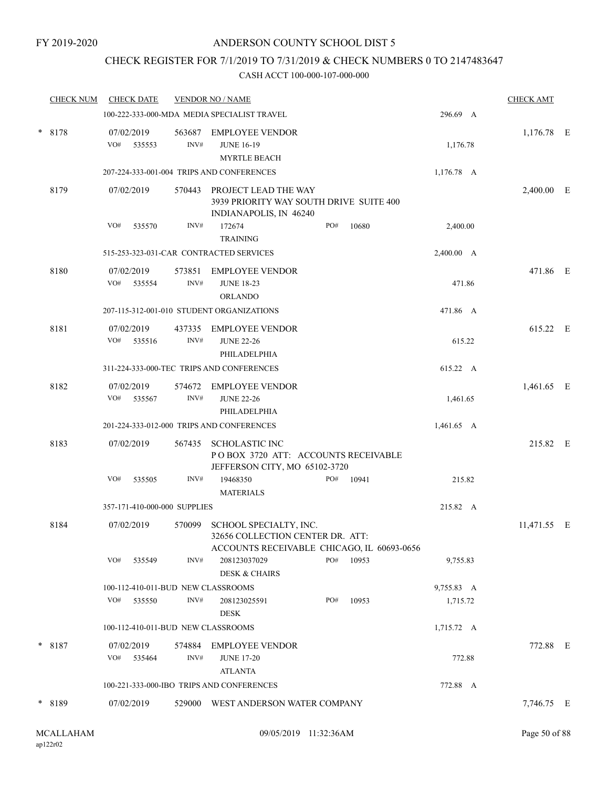## CHECK REGISTER FOR 7/1/2019 TO 7/31/2019 & CHECK NUMBERS 0 TO 2147483647

| <b>CHECK NUM</b> |                   | <b>CHECK DATE</b> |                              | <b>VENDOR NO / NAME</b>                                                                                  |     |       |              | <b>CHECK AMT</b> |  |
|------------------|-------------------|-------------------|------------------------------|----------------------------------------------------------------------------------------------------------|-----|-------|--------------|------------------|--|
|                  |                   |                   |                              | 100-222-333-000-MDA MEDIA SPECIALIST TRAVEL                                                              |     |       | 296.69 A     |                  |  |
| * 8178           | 07/02/2019<br>VO# | 535553            | 563687<br>INV#               | <b>EMPLOYEE VENDOR</b><br><b>JUNE 16-19</b><br><b>MYRTLE BEACH</b>                                       |     |       | 1,176.78     | $1,176.78$ E     |  |
|                  |                   |                   |                              | 207-224-333-001-004 TRIPS AND CONFERENCES                                                                |     |       | $1,176.78$ A |                  |  |
| 8179             | 07/02/2019        |                   | 570443                       | PROJECT LEAD THE WAY<br>3939 PRIORITY WAY SOUTH DRIVE SUITE 400<br>INDIANAPOLIS, IN 46240                |     |       |              | 2,400.00 E       |  |
|                  | VO#               | 535570            | INV#                         | 172674<br><b>TRAINING</b>                                                                                | PO# | 10680 | 2,400.00     |                  |  |
|                  |                   |                   |                              | 515-253-323-031-CAR CONTRACTED SERVICES                                                                  |     |       | 2,400.00 A   |                  |  |
| 8180             | 07/02/2019<br>VO# | 535554            | 573851<br>INV#               | <b>EMPLOYEE VENDOR</b><br><b>JUNE 18-23</b><br><b>ORLANDO</b>                                            |     |       | 471.86       | 471.86 E         |  |
|                  |                   |                   |                              | 207-115-312-001-010 STUDENT ORGANIZATIONS                                                                |     |       | 471.86 A     |                  |  |
| 8181             | 07/02/2019<br>VO# | 535516            | INV#                         | 437335 EMPLOYEE VENDOR<br><b>JUNE 22-26</b><br>PHILADELPHIA                                              |     |       | 615.22       | 615.22 E         |  |
|                  |                   |                   |                              | 311-224-333-000-TEC TRIPS AND CONFERENCES                                                                |     |       | 615.22 A     |                  |  |
| 8182             | 07/02/2019<br>VO# | 535567            | 574672<br>INV#               | <b>EMPLOYEE VENDOR</b><br><b>JUNE 22-26</b><br>PHILADELPHIA                                              |     |       | 1,461.65     | 1,461.65 E       |  |
|                  |                   |                   |                              | 201-224-333-012-000 TRIPS AND CONFERENCES                                                                |     |       | 1,461.65 A   |                  |  |
| 8183             | 07/02/2019        |                   | 567435                       | <b>SCHOLASTIC INC</b><br>POBOX 3720 ATT: ACCOUNTS RECEIVABLE<br>JEFFERSON CITY, MO 65102-3720            |     |       |              | 215.82 E         |  |
|                  | VO#               | 535505            | INV#                         | 19468350<br><b>MATERIALS</b>                                                                             | PO# | 10941 | 215.82       |                  |  |
|                  |                   |                   | 357-171-410-000-000 SUPPLIES |                                                                                                          |     |       | 215.82 A     |                  |  |
| 8184             | 07/02/2019        |                   | 570099                       | SCHOOL SPECIALTY, INC.<br>32656 COLLECTION CENTER DR. ATT:<br>ACCOUNTS RECEIVABLE CHICAGO, IL 60693-0656 |     |       |              | 11,471.55 E      |  |
|                  | VO#               | 535549            | INV#                         | 208123037029<br><b>DESK &amp; CHAIRS</b>                                                                 | PO# | 10953 | 9,755.83     |                  |  |
|                  |                   |                   |                              | 100-112-410-011-BUD NEW CLASSROOMS                                                                       |     |       | 9,755.83 A   |                  |  |
|                  | VO#               | 535550            | INV#                         | 208123025591<br><b>DESK</b>                                                                              | PO# | 10953 | 1,715.72     |                  |  |
|                  |                   |                   |                              | 100-112-410-011-BUD NEW CLASSROOMS                                                                       |     |       | 1,715.72 A   |                  |  |
| $* 8187$         | 07/02/2019<br>VO# | 535464            | INV#                         | 574884 EMPLOYEE VENDOR<br><b>JUNE 17-20</b><br><b>ATLANTA</b>                                            |     |       | 772.88       | 772.88 E         |  |
|                  |                   |                   |                              | 100-221-333-000-IBO TRIPS AND CONFERENCES                                                                |     |       | 772.88 A     |                  |  |
| * 8189           | 07/02/2019        |                   |                              | 529000 WEST ANDERSON WATER COMPANY                                                                       |     |       |              | 7,746.75 E       |  |
|                  |                   |                   |                              |                                                                                                          |     |       |              |                  |  |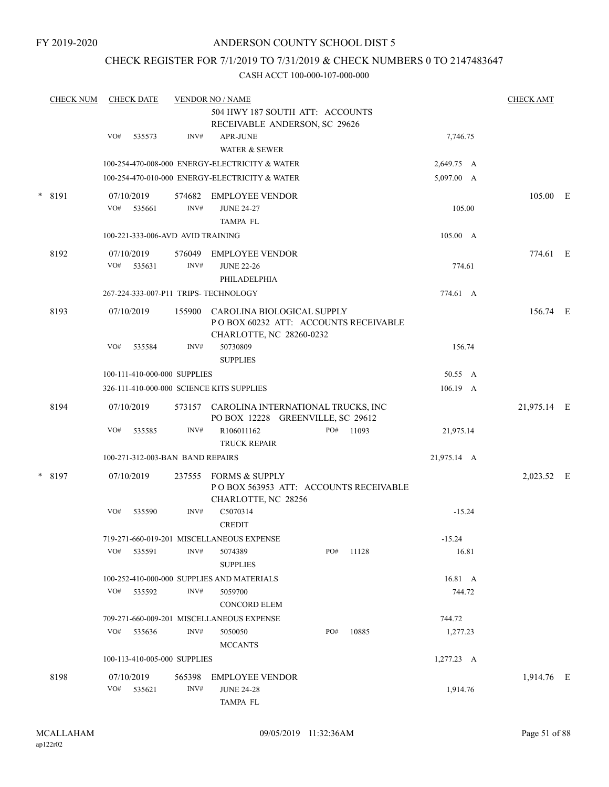## CHECK REGISTER FOR 7/1/2019 TO 7/31/2019 & CHECK NUMBERS 0 TO 2147483647

|  | <b>CHECK NUM</b> |     | <b>CHECK DATE</b>                 |                | <b>VENDOR NO / NAME</b>                                                                        |     |       |              | <b>CHECK AMT</b> |  |
|--|------------------|-----|-----------------------------------|----------------|------------------------------------------------------------------------------------------------|-----|-------|--------------|------------------|--|
|  |                  |     |                                   |                | 504 HWY 187 SOUTH ATT: ACCOUNTS<br>RECEIVABLE ANDERSON, SC 29626                               |     |       |              |                  |  |
|  |                  | VO# | 535573                            | INV#           | <b>APR-JUNE</b>                                                                                |     |       | 7,746.75     |                  |  |
|  |                  |     |                                   |                | <b>WATER &amp; SEWER</b>                                                                       |     |       |              |                  |  |
|  |                  |     |                                   |                | 100-254-470-008-000 ENERGY-ELECTRICITY & WATER                                                 |     |       | 2,649.75 A   |                  |  |
|  |                  |     |                                   |                | 100-254-470-010-000 ENERGY-ELECTRICITY & WATER                                                 |     |       | 5,097.00 A   |                  |  |
|  | * 8191           |     | 07/10/2019                        | 574682         | EMPLOYEE VENDOR                                                                                |     |       |              | 105.00 E         |  |
|  |                  | VO# | 535661                            | INV#           | <b>JUNE 24-27</b>                                                                              |     |       | 105.00       |                  |  |
|  |                  |     |                                   |                | <b>TAMPA FL</b>                                                                                |     |       |              |                  |  |
|  |                  |     | 100-221-333-006-AVD AVID TRAINING |                |                                                                                                |     |       | 105.00 A     |                  |  |
|  | 8192             |     | 07/10/2019                        | 576049         | <b>EMPLOYEE VENDOR</b>                                                                         |     |       |              | 774.61 E         |  |
|  |                  | VO# | 535631                            | INV#           | <b>JUNE 22-26</b>                                                                              |     |       | 774.61       |                  |  |
|  |                  |     |                                   |                | PHILADELPHIA                                                                                   |     |       |              |                  |  |
|  |                  |     |                                   |                | 267-224-333-007-P11 TRIPS- TECHNOLOGY                                                          |     |       | 774.61 A     |                  |  |
|  | 8193             |     | 07/10/2019                        | 155900         | CAROLINA BIOLOGICAL SUPPLY<br>POBOX 60232 ATT: ACCOUNTS RECEIVABLE<br>CHARLOTTE, NC 28260-0232 |     |       |              | 156.74 E         |  |
|  |                  | VO# | 535584                            | INV#           | 50730809<br><b>SUPPLIES</b>                                                                    |     |       | 156.74       |                  |  |
|  |                  |     | 100-111-410-000-000 SUPPLIES      |                |                                                                                                |     |       | 50.55 A      |                  |  |
|  |                  |     |                                   |                | 326-111-410-000-000 SCIENCE KITS SUPPLIES                                                      |     |       | 106.19 A     |                  |  |
|  | 8194             |     | 07/10/2019                        |                | 573157 CAROLINA INTERNATIONAL TRUCKS, INC<br>PO BOX 12228 GREENVILLE, SC 29612                 |     |       |              | 21,975.14 E      |  |
|  |                  | VO# | 535585                            | INV#           | R106011162<br><b>TRUCK REPAIR</b>                                                              | PO# | 11093 | 21,975.14    |                  |  |
|  |                  |     | 100-271-312-003-BAN BAND REPAIRS  |                |                                                                                                |     |       | 21,975.14 A  |                  |  |
|  | * 8197           |     | 07/10/2019                        | 237555         | FORMS & SUPPLY<br>POBOX 563953 ATT: ACCOUNTS RECEIVABLE<br>CHARLOTTE, NC 28256                 |     |       |              | 2,023.52 E       |  |
|  |                  | VO# | 535590                            | INV#           | C5070314<br><b>CREDIT</b>                                                                      |     |       | $-15.24$     |                  |  |
|  |                  |     |                                   |                | 719-271-660-019-201 MISCELLANEOUS EXPENSE                                                      |     |       | $-15.24$     |                  |  |
|  |                  |     | VO# 535591                        | INV#           | 5074389<br><b>SUPPLIES</b>                                                                     | PO# | 11128 | 16.81        |                  |  |
|  |                  |     |                                   |                | 100-252-410-000-000 SUPPLIES AND MATERIALS                                                     |     |       | 16.81 A      |                  |  |
|  |                  | VO# | 535592                            | INV#           | 5059700<br><b>CONCORD ELEM</b>                                                                 |     |       | 744.72       |                  |  |
|  |                  |     |                                   |                | 709-271-660-009-201 MISCELLANEOUS EXPENSE                                                      |     |       | 744.72       |                  |  |
|  |                  |     | VO# 535636                        | INV#           | 5050050<br><b>MCCANTS</b>                                                                      | PO# | 10885 | 1,277.23     |                  |  |
|  |                  |     | 100-113-410-005-000 SUPPLIES      |                |                                                                                                |     |       | $1,277.23$ A |                  |  |
|  | 8198             |     | 07/10/2019<br>$VO#$ 535621        | 565398<br>INV# | <b>EMPLOYEE VENDOR</b><br><b>JUNE 24-28</b>                                                    |     |       | 1,914.76     | 1,914.76 E       |  |
|  |                  |     |                                   |                | TAMPA FL                                                                                       |     |       |              |                  |  |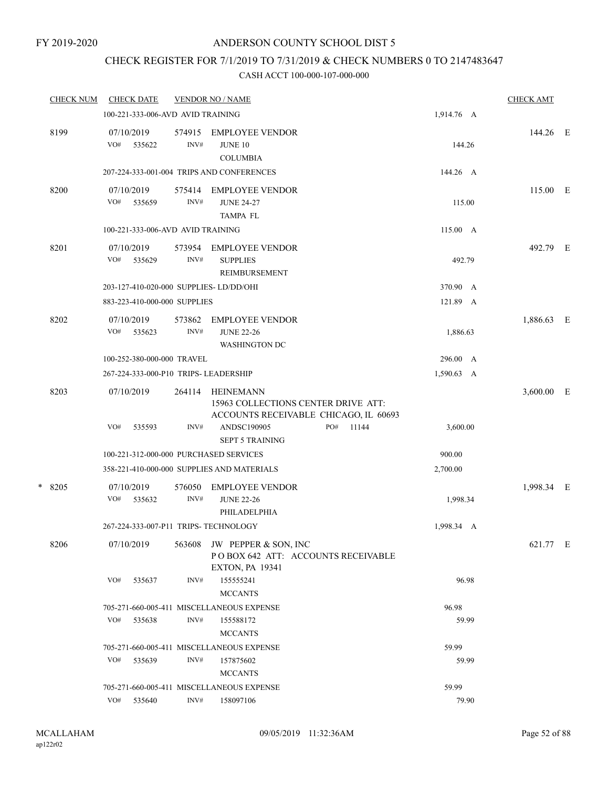## CHECK REGISTER FOR 7/1/2019 TO 7/31/2019 & CHECK NUMBERS 0 TO 2147483647

|   | <b>CHECK NUM</b> |                   | <b>CHECK DATE</b>                 |                | <b>VENDOR NO / NAME</b>                                                                          |     |       |            |       | <b>CHECK AMT</b> |   |
|---|------------------|-------------------|-----------------------------------|----------------|--------------------------------------------------------------------------------------------------|-----|-------|------------|-------|------------------|---|
|   |                  |                   | 100-221-333-006-AVD AVID TRAINING |                |                                                                                                  |     |       | 1,914.76 A |       |                  |   |
|   | 8199             | 07/10/2019<br>VO# | 535622                            | 574915<br>INV# | <b>EMPLOYEE VENDOR</b><br><b>JUNE 10</b><br><b>COLUMBIA</b>                                      |     |       | 144.26     |       | 144.26 E         |   |
|   |                  |                   |                                   |                | 207-224-333-001-004 TRIPS AND CONFERENCES                                                        |     |       | 144.26 A   |       |                  |   |
|   | 8200             | 07/10/2019<br>VO# | 535659                            | 575414<br>INV# | <b>EMPLOYEE VENDOR</b><br><b>JUNE 24-27</b><br><b>TAMPA FL</b>                                   |     |       | 115.00     |       | 115.00 E         |   |
|   |                  |                   | 100-221-333-006-AVD AVID TRAINING |                |                                                                                                  |     |       | 115.00 A   |       |                  |   |
|   | 8201             | 07/10/2019<br>VO# | 535629                            | 573954<br>INV# | <b>EMPLOYEE VENDOR</b><br><b>SUPPLIES</b><br>REIMBURSEMENT                                       |     |       | 492.79     |       | 492.79 E         |   |
|   |                  |                   |                                   |                | 203-127-410-020-000 SUPPLIES-LD/DD/OHI                                                           |     |       | 370.90 A   |       |                  |   |
|   |                  |                   | 883-223-410-000-000 SUPPLIES      |                |                                                                                                  |     |       | 121.89 A   |       |                  |   |
|   | 8202             | 07/10/2019<br>VO# | 535623                            | 573862<br>INV# | <b>EMPLOYEE VENDOR</b><br><b>JUNE 22-26</b><br><b>WASHINGTON DC</b>                              |     |       | 1,886.63   |       | 1,886.63         | E |
|   |                  |                   | 100-252-380-000-000 TRAVEL        |                |                                                                                                  |     |       | 296.00 A   |       |                  |   |
|   |                  |                   |                                   |                | 267-224-333-000-P10 TRIPS- LEADERSHIP                                                            |     |       | 1,590.63 A |       |                  |   |
|   | 8203             | 07/10/2019        |                                   | 264114         | <b>HEINEMANN</b><br>15963 COLLECTIONS CENTER DRIVE ATT:<br>ACCOUNTS RECEIVABLE CHICAGO, IL 60693 |     |       |            |       | 3,600.00         | Е |
|   |                  | VO#               | 535593                            | INV#           | ANDSC190905<br><b>SEPT 5 TRAINING</b>                                                            | PO# | 11144 | 3,600.00   |       |                  |   |
|   |                  |                   |                                   |                | 100-221-312-000-000 PURCHASED SERVICES                                                           |     |       | 900.00     |       |                  |   |
|   |                  |                   |                                   |                | 358-221-410-000-000 SUPPLIES AND MATERIALS                                                       |     |       | 2,700.00   |       |                  |   |
| * | 8205             | 07/10/2019<br>VO# | 535632                            | 576050<br>INV# | <b>EMPLOYEE VENDOR</b><br><b>JUNE 22-26</b><br>PHILADELPHIA                                      |     |       | 1,998.34   |       | 1,998.34 E       |   |
|   |                  |                   |                                   |                | 267-224-333-007-P11 TRIPS- TECHNOLOGY                                                            |     |       | 1,998.34 A |       |                  |   |
|   | 8206             | 07/10/2019        |                                   | 563608         | JW PEPPER & SON, INC<br>POBOX 642 ATT: ACCOUNTS RECEIVABLE<br><b>EXTON, PA 19341</b>             |     |       |            |       | 621.77 E         |   |
|   |                  | VO#               | 535637                            | INV#           | 155555241<br><b>MCCANTS</b>                                                                      |     |       |            | 96.98 |                  |   |
|   |                  |                   |                                   |                | 705-271-660-005-411 MISCELLANEOUS EXPENSE                                                        |     |       | 96.98      |       |                  |   |
|   |                  | VO#               | 535638                            | INV#           | 155588172<br><b>MCCANTS</b>                                                                      |     |       |            | 59.99 |                  |   |
|   |                  |                   |                                   |                | 705-271-660-005-411 MISCELLANEOUS EXPENSE                                                        |     |       | 59.99      |       |                  |   |
|   |                  | VO#               | 535639                            | INV#           | 157875602<br><b>MCCANTS</b>                                                                      |     |       |            | 59.99 |                  |   |
|   |                  |                   |                                   |                | 705-271-660-005-411 MISCELLANEOUS EXPENSE                                                        |     |       | 59.99      |       |                  |   |
|   |                  | VO#               | 535640                            | INV#           | 158097106                                                                                        |     |       |            | 79.90 |                  |   |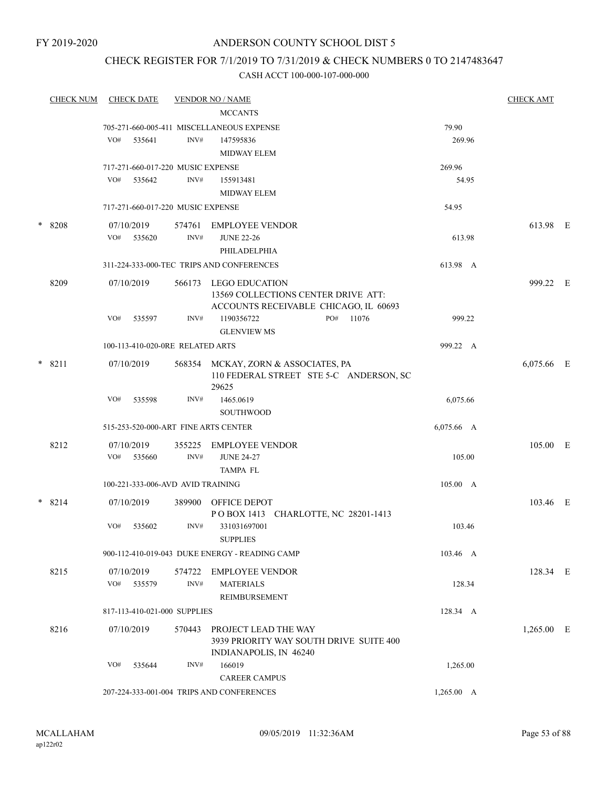## CHECK REGISTER FOR 7/1/2019 TO 7/31/2019 & CHECK NUMBERS 0 TO 2147483647

| <b>CHECK NUM</b> |            | <b>CHECK DATE</b> |                                   | <b>VENDOR NO / NAME</b>                                                        |                    | <b>CHECK AMT</b> |  |
|------------------|------------|-------------------|-----------------------------------|--------------------------------------------------------------------------------|--------------------|------------------|--|
|                  |            |                   |                                   | <b>MCCANTS</b>                                                                 |                    |                  |  |
|                  |            |                   |                                   | 705-271-660-005-411 MISCELLANEOUS EXPENSE                                      | 79.90              |                  |  |
|                  | VO#        | 535641            | INV#                              | 147595836                                                                      | 269.96             |                  |  |
|                  |            |                   |                                   | <b>MIDWAY ELEM</b>                                                             |                    |                  |  |
|                  |            |                   | 717-271-660-017-220 MUSIC EXPENSE |                                                                                | 269.96             |                  |  |
|                  | VO#        | 535642            | INV#                              | 155913481                                                                      | 54.95              |                  |  |
|                  |            |                   |                                   | <b>MIDWAY ELEM</b>                                                             |                    |                  |  |
|                  |            |                   | 717-271-660-017-220 MUSIC EXPENSE |                                                                                | 54.95              |                  |  |
| * 8208           | 07/10/2019 |                   | 574761                            | EMPLOYEE VENDOR                                                                |                    | 613.98 E         |  |
|                  | VO#        | 535620            | INV#                              | <b>JUNE 22-26</b>                                                              | 613.98             |                  |  |
|                  |            |                   |                                   | PHILADELPHIA                                                                   |                    |                  |  |
|                  |            |                   |                                   | 311-224-333-000-TEC TRIPS AND CONFERENCES                                      | 613.98 A           |                  |  |
| 8209             | 07/10/2019 |                   |                                   | 566173 LEGO EDUCATION                                                          |                    | 999.22 E         |  |
|                  |            |                   |                                   | 13569 COLLECTIONS CENTER DRIVE ATT:                                            |                    |                  |  |
|                  | VO#        | 535597            | INV#                              | ACCOUNTS RECEIVABLE CHICAGO, IL 60693<br>PO#<br>1190356722<br>11076            | 999.22             |                  |  |
|                  |            |                   |                                   | <b>GLENVIEW MS</b>                                                             |                    |                  |  |
|                  |            |                   | 100-113-410-020-0RE RELATED ARTS  |                                                                                | 999.22 A           |                  |  |
|                  |            |                   |                                   |                                                                                |                    |                  |  |
| $* 8211$         | 07/10/2019 |                   |                                   | 568354 MCKAY, ZORN & ASSOCIATES, PA<br>110 FEDERAL STREET STE 5-C ANDERSON, SC |                    | 6,075.66 E       |  |
|                  |            |                   |                                   | 29625                                                                          |                    |                  |  |
|                  | VO#        | 535598            | INV#                              | 1465.0619                                                                      | 6,075.66           |                  |  |
|                  |            |                   |                                   | <b>SOUTHWOOD</b>                                                               |                    |                  |  |
|                  |            |                   |                                   | 515-253-520-000-ART FINE ARTS CENTER                                           | 6,075.66 A         |                  |  |
| 8212             | 07/10/2019 |                   | 355225                            | EMPLOYEE VENDOR                                                                |                    | 105.00 E         |  |
|                  | VO#        | 535660            | INV#                              | <b>JUNE 24-27</b>                                                              | 105.00             |                  |  |
|                  |            |                   |                                   | <b>TAMPA FL</b>                                                                |                    |                  |  |
|                  |            |                   | 100-221-333-006-AVD AVID TRAINING |                                                                                | 105.00 A           |                  |  |
| $* 8214$         | 07/10/2019 |                   |                                   | 389900 OFFICE DEPOT                                                            |                    | 103.46 E         |  |
|                  |            |                   |                                   | POBOX 1413 CHARLOTTE, NC 28201-1413                                            |                    |                  |  |
|                  | VO#        | 535602            | INV#                              | 331031697001                                                                   | 103.46             |                  |  |
|                  |            |                   |                                   | <b>SUPPLIES</b>                                                                |                    |                  |  |
|                  |            |                   |                                   | 900-112-410-019-043 DUKE ENERGY - READING CAMP                                 | 103.46 A           |                  |  |
| 8215             | 07/10/2019 |                   |                                   | 574722 EMPLOYEE VENDOR                                                         |                    | 128.34 E         |  |
|                  |            | VO# 535579        | INV#                              | <b>MATERIALS</b>                                                               | 128.34             |                  |  |
|                  |            |                   |                                   | REIMBURSEMENT                                                                  |                    |                  |  |
|                  |            |                   | 817-113-410-021-000 SUPPLIES      |                                                                                | 128.34 A           |                  |  |
| 8216             | 07/10/2019 |                   |                                   | 570443 PROJECT LEAD THE WAY                                                    |                    | $1,265.00$ E     |  |
|                  |            |                   |                                   | 3939 PRIORITY WAY SOUTH DRIVE SUITE 400                                        |                    |                  |  |
|                  |            |                   |                                   | INDIANAPOLIS, IN 46240                                                         |                    |                  |  |
|                  | VO#        | 535644            | INV#                              | 166019                                                                         | 1,265.00           |                  |  |
|                  |            |                   |                                   | <b>CAREER CAMPUS</b>                                                           |                    |                  |  |
|                  |            |                   |                                   | 207-224-333-001-004 TRIPS AND CONFERENCES                                      | $1,265.00 \quad A$ |                  |  |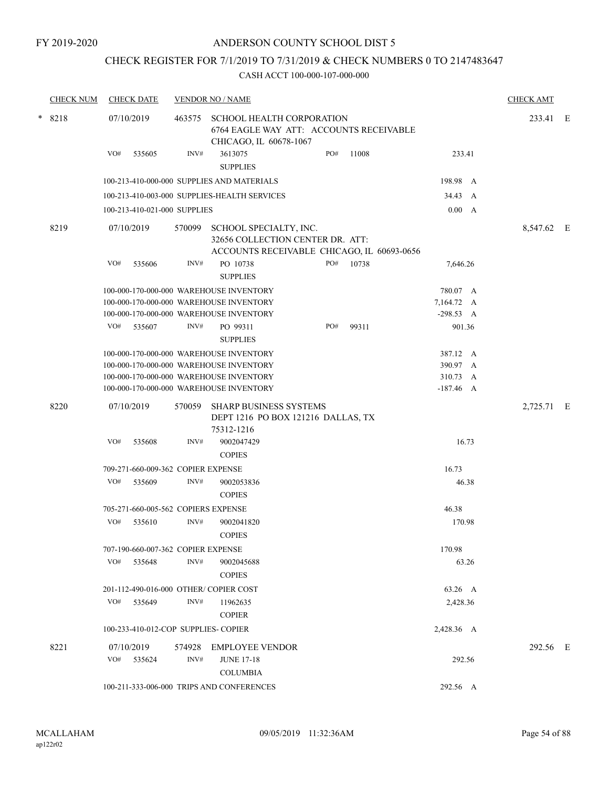## CHECK REGISTER FOR 7/1/2019 TO 7/31/2019 & CHECK NUMBERS 0 TO 2147483647

| <b>CHECK NUM</b> | <b>CHECK DATE</b> |        |                              | <b>VENDOR NO / NAME</b>                                                                                  |     |       |             | <b>CHECK AMT</b> |  |
|------------------|-------------------|--------|------------------------------|----------------------------------------------------------------------------------------------------------|-----|-------|-------------|------------------|--|
| * 8218           | 07/10/2019        |        | 463575                       | <b>SCHOOL HEALTH CORPORATION</b><br>6764 EAGLE WAY ATT: ACCOUNTS RECEIVABLE<br>CHICAGO, IL 60678-1067    |     |       |             | 233.41 E         |  |
|                  | VO#               | 535605 | INV#                         | 3613075<br><b>SUPPLIES</b>                                                                               | PO# | 11008 | 233.41      |                  |  |
|                  |                   |        |                              | 100-213-410-000-000 SUPPLIES AND MATERIALS                                                               |     |       | 198.98 A    |                  |  |
|                  |                   |        |                              | 100-213-410-003-000 SUPPLIES-HEALTH SERVICES                                                             |     |       | 34.43 A     |                  |  |
|                  |                   |        | 100-213-410-021-000 SUPPLIES |                                                                                                          |     |       | 0.00 A      |                  |  |
|                  |                   |        |                              |                                                                                                          |     |       |             |                  |  |
| 8219             | 07/10/2019        |        | 570099                       | SCHOOL SPECIALTY, INC.<br>32656 COLLECTION CENTER DR. ATT:<br>ACCOUNTS RECEIVABLE CHICAGO, IL 60693-0656 |     |       |             | 8,547.62 E       |  |
|                  | VO#               | 535606 | INV#                         | PO 10738<br><b>SUPPLIES</b>                                                                              | PO# | 10738 | 7,646.26    |                  |  |
|                  |                   |        |                              | 100-000-170-000-000 WAREHOUSE INVENTORY                                                                  |     |       | 780.07 A    |                  |  |
|                  |                   |        |                              | 100-000-170-000-000 WAREHOUSE INVENTORY                                                                  |     |       | 7,164.72 A  |                  |  |
|                  |                   |        |                              | 100-000-170-000-000 WAREHOUSE INVENTORY                                                                  |     |       | $-298.53 A$ |                  |  |
|                  | VO#               | 535607 | INV#                         | PO 99311<br><b>SUPPLIES</b>                                                                              | PO# | 99311 | 901.36      |                  |  |
|                  |                   |        |                              | 100-000-170-000-000 WAREHOUSE INVENTORY                                                                  |     |       | 387.12 A    |                  |  |
|                  |                   |        |                              | 100-000-170-000-000 WAREHOUSE INVENTORY                                                                  |     |       | 390.97 A    |                  |  |
|                  |                   |        |                              | 100-000-170-000-000 WAREHOUSE INVENTORY                                                                  |     |       | 310.73<br>A |                  |  |
|                  |                   |        |                              | 100-000-170-000-000 WAREHOUSE INVENTORY                                                                  |     |       | $-187.46$ A |                  |  |
| 8220             | 07/10/2019        |        | 570059                       | <b>SHARP BUSINESS SYSTEMS</b><br>DEPT 1216 PO BOX 121216 DALLAS, TX<br>75312-1216                        |     |       |             | 2,725.71 E       |  |
|                  | VO#               | 535608 | INV#                         | 9002047429<br><b>COPIES</b>                                                                              |     |       | 16.73       |                  |  |
|                  |                   |        |                              | 709-271-660-009-362 COPIER EXPENSE                                                                       |     |       | 16.73       |                  |  |
|                  | VO#               | 535609 | INV#                         | 9002053836<br><b>COPIES</b>                                                                              |     |       | 46.38       |                  |  |
|                  |                   |        |                              | 705-271-660-005-562 COPIERS EXPENSE                                                                      |     |       | 46.38       |                  |  |
|                  | VO#               | 535610 | INV#                         | 9002041820<br><b>COPIES</b>                                                                              |     |       | 170.98      |                  |  |
|                  |                   |        |                              | 707-190-660-007-362 COPIER EXPENSE                                                                       |     |       | 170.98      |                  |  |
|                  | VO# 535648        |        | INV#                         | 9002045688<br><b>COPIES</b>                                                                              |     |       | 63.26       |                  |  |
|                  |                   |        |                              | 201-112-490-016-000 OTHER/COPIER COST                                                                    |     |       | 63.26 A     |                  |  |
|                  | VO#               | 535649 | INV#                         | 11962635                                                                                                 |     |       | 2,428.36    |                  |  |
|                  |                   |        |                              | <b>COPIER</b>                                                                                            |     |       |             |                  |  |
|                  |                   |        |                              | 100-233-410-012-COP SUPPLIES- COPIER                                                                     |     |       | 2,428.36 A  |                  |  |
| 8221             | 07/10/2019        |        |                              | 574928 EMPLOYEE VENDOR                                                                                   |     |       |             | 292.56 E         |  |
|                  | VO# 535624        |        | INV#                         | <b>JUNE 17-18</b>                                                                                        |     |       | 292.56      |                  |  |
|                  |                   |        |                              | <b>COLUMBIA</b>                                                                                          |     |       |             |                  |  |
|                  |                   |        |                              | 100-211-333-006-000 TRIPS AND CONFERENCES                                                                |     |       | 292.56 A    |                  |  |
|                  |                   |        |                              |                                                                                                          |     |       |             |                  |  |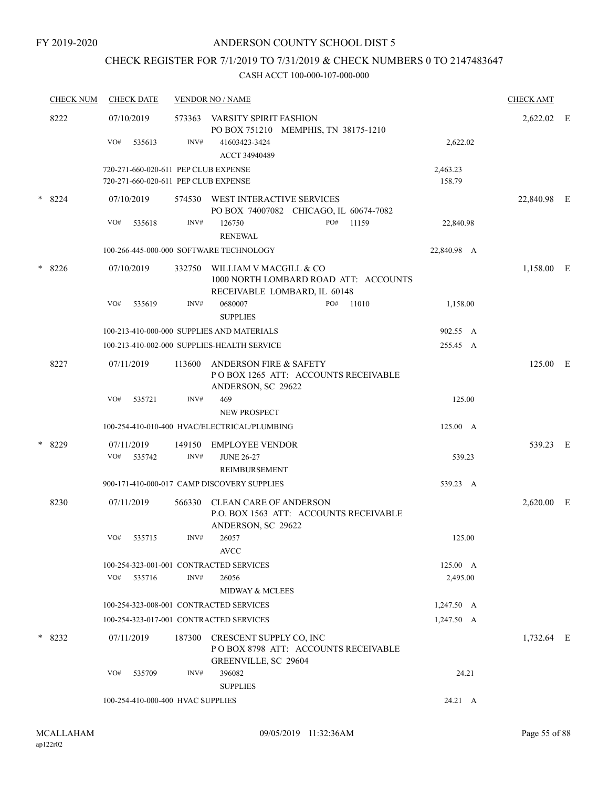## CHECK REGISTER FOR 7/1/2019 TO 7/31/2019 & CHECK NUMBERS 0 TO 2147483647

| <b>CHECK NUM</b> | <b>CHECK DATE</b>                                                            |        | <b>VENDOR NO / NAME</b>                                                                         |                    | <b>CHECK AMT</b> |   |
|------------------|------------------------------------------------------------------------------|--------|-------------------------------------------------------------------------------------------------|--------------------|------------------|---|
| 8222             | 07/10/2019                                                                   | 573363 | VARSITY SPIRIT FASHION<br>PO BOX 751210 MEMPHIS, TN 38175-1210                                  |                    | 2,622.02 E       |   |
|                  | VO#<br>535613                                                                | INV#   | 41603423-3424<br>ACCT 34940489                                                                  | 2,622.02           |                  |   |
|                  | 720-271-660-020-611 PEP CLUB EXPENSE<br>720-271-660-020-611 PEP CLUB EXPENSE |        |                                                                                                 | 2,463.23<br>158.79 |                  |   |
| $*8224$          | 07/10/2019                                                                   |        | 574530 WEST INTERACTIVE SERVICES<br>PO BOX 74007082 CHICAGO, IL 60674-7082                      |                    | 22,840.98 E      |   |
|                  | VO#<br>535618                                                                | INV#   | PO#<br>11159<br>126750<br><b>RENEWAL</b>                                                        | 22,840.98          |                  |   |
|                  |                                                                              |        | 100-266-445-000-000 SOFTWARE TECHNOLOGY                                                         | 22,840.98 A        |                  |   |
| $*8226$          | 07/10/2019                                                                   | 332750 | WILLIAM V MACGILL & CO<br>1000 NORTH LOMBARD ROAD ATT: ACCOUNTS<br>RECEIVABLE LOMBARD, IL 60148 |                    | 1,158.00 E       |   |
|                  | VO#<br>535619                                                                | INV#   | PO#<br>0680007<br>11010<br><b>SUPPLIES</b>                                                      | 1,158.00           |                  |   |
|                  |                                                                              |        | 100-213-410-000-000 SUPPLIES AND MATERIALS                                                      | 902.55 A           |                  |   |
|                  |                                                                              |        | 100-213-410-002-000 SUPPLIES-HEALTH SERVICE                                                     | 255.45 A           |                  |   |
| 8227             | 07/11/2019                                                                   | 113600 | <b>ANDERSON FIRE &amp; SAFETY</b><br>POBOX 1265 ATT: ACCOUNTS RECEIVABLE<br>ANDERSON, SC 29622  |                    | 125.00 E         |   |
|                  | VO#<br>535721                                                                | INV#   | 469<br>NEW PROSPECT                                                                             | 125.00             |                  |   |
|                  |                                                                              |        | 100-254-410-010-400 HVAC/ELECTRICAL/PLUMBING                                                    | 125.00 A           |                  |   |
| * 8229           | 07/11/2019                                                                   | 149150 | <b>EMPLOYEE VENDOR</b>                                                                          |                    | 539.23 E         |   |
|                  | VO#<br>535742                                                                | INV#   | <b>JUNE 26-27</b><br>REIMBURSEMENT                                                              | 539.23             |                  |   |
|                  |                                                                              |        | 900-171-410-000-017 CAMP DISCOVERY SUPPLIES                                                     | 539.23 A           |                  |   |
| 8230             | 07/11/2019                                                                   | 566330 | <b>CLEAN CARE OF ANDERSON</b><br>P.O. BOX 1563 ATT: ACCOUNTS RECEIVABLE<br>ANDERSON, SC 29622   |                    | 2,620.00         | E |
|                  | VO#<br>535715                                                                | INV#   | 26057<br><b>AVCC</b>                                                                            | 125.00             |                  |   |
|                  | 100-254-323-001-001 CONTRACTED SERVICES                                      |        |                                                                                                 | 125.00 A           |                  |   |
|                  | VO#<br>535716                                                                | INV#   | 26056<br><b>MIDWAY &amp; MCLEES</b>                                                             | 2,495.00           |                  |   |
|                  | 100-254-323-008-001 CONTRACTED SERVICES                                      |        |                                                                                                 | $1,247.50 \, A$    |                  |   |
|                  | 100-254-323-017-001 CONTRACTED SERVICES                                      |        |                                                                                                 | 1,247.50 A         |                  |   |
| $*8232$          | 07/11/2019                                                                   | 187300 | CRESCENT SUPPLY CO, INC<br>POBOX 8798 ATT: ACCOUNTS RECEIVABLE<br>GREENVILLE, SC 29604          |                    | 1,732.64 E       |   |
|                  | VO#<br>535709                                                                | INV#   | 396082<br><b>SUPPLIES</b>                                                                       | 24.21              |                  |   |
|                  | 100-254-410-000-400 HVAC SUPPLIES                                            |        |                                                                                                 | 24.21 A            |                  |   |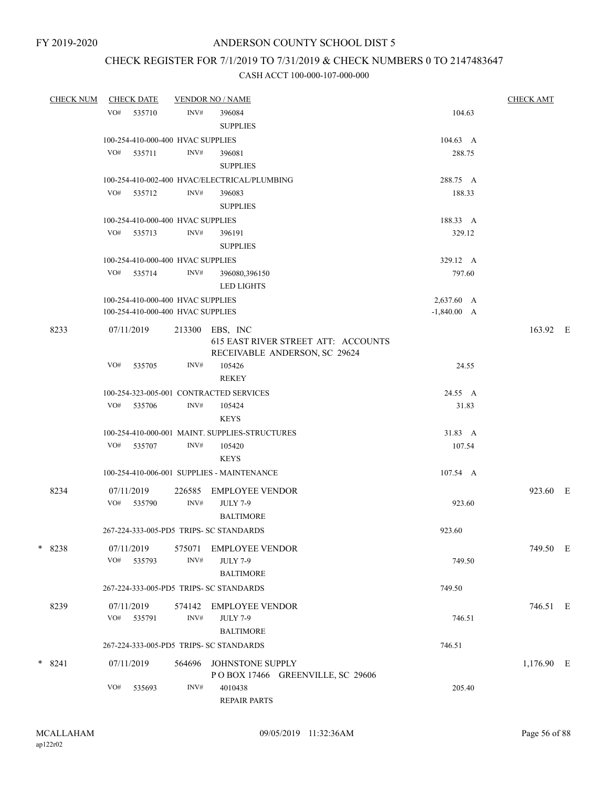# CHECK REGISTER FOR 7/1/2019 TO 7/31/2019 & CHECK NUMBERS 0 TO 2147483647

| <b>CHECK NUM</b> | <b>CHECK DATE</b>                       | <b>VENDOR NO / NAME</b> | <b>CHECK AMT</b>                                                                        |               |            |  |
|------------------|-----------------------------------------|-------------------------|-----------------------------------------------------------------------------------------|---------------|------------|--|
|                  | VO#<br>535710                           | INV#                    | 396084<br><b>SUPPLIES</b>                                                               | 104.63        |            |  |
|                  | 100-254-410-000-400 HVAC SUPPLIES       |                         |                                                                                         | 104.63 A      |            |  |
|                  | VO#<br>535711                           | INV#                    | 396081<br><b>SUPPLIES</b>                                                               | 288.75        |            |  |
|                  |                                         |                         | 100-254-410-002-400 HVAC/ELECTRICAL/PLUMBING                                            | 288.75 A      |            |  |
|                  | VO# 535712                              | INV#                    | 396083<br><b>SUPPLIES</b>                                                               | 188.33        |            |  |
|                  | 100-254-410-000-400 HVAC SUPPLIES       |                         |                                                                                         | 188.33 A      |            |  |
|                  | VO# 535713                              | INV#                    | 396191<br><b>SUPPLIES</b>                                                               | 329.12        |            |  |
|                  | 100-254-410-000-400 HVAC SUPPLIES       |                         |                                                                                         | 329.12 A      |            |  |
|                  | VO#<br>535714                           | INV#                    | 396080,396150<br><b>LED LIGHTS</b>                                                      | 797.60        |            |  |
|                  | 100-254-410-000-400 HVAC SUPPLIES       |                         |                                                                                         | 2,637.60 A    |            |  |
|                  | 100-254-410-000-400 HVAC SUPPLIES       |                         |                                                                                         | $-1,840.00$ A |            |  |
| 8233             | 07/11/2019                              |                         | 213300 EBS, INC<br>615 EAST RIVER STREET ATT: ACCOUNTS<br>RECEIVABLE ANDERSON, SC 29624 |               | 163.92 E   |  |
|                  | VO#<br>535705                           | INV#                    | 105426<br><b>REKEY</b>                                                                  | 24.55         |            |  |
|                  |                                         |                         | 100-254-323-005-001 CONTRACTED SERVICES                                                 | 24.55 A       |            |  |
|                  | VO#<br>535706                           | INV#                    | 105424<br><b>KEYS</b>                                                                   | 31.83         |            |  |
|                  |                                         |                         | 100-254-410-000-001 MAINT. SUPPLIES-STRUCTURES                                          | 31.83 A       |            |  |
|                  | VO# 535707                              | INV#                    | 105420<br><b>KEYS</b>                                                                   | 107.54        |            |  |
|                  |                                         |                         | 100-254-410-006-001 SUPPLIES - MAINTENANCE                                              | 107.54 A      |            |  |
| 8234             | 07/11/2019<br>VO# 535790                | 226585<br>INV#          | <b>EMPLOYEE VENDOR</b><br><b>JULY 7-9</b>                                               | 923.60        | 923.60 E   |  |
|                  |                                         |                         | <b>BALTIMORE</b>                                                                        |               |            |  |
|                  | 267-224-333-005-PD5 TRIPS- SC STANDARDS |                         |                                                                                         | 923.60        |            |  |
| * 8238           | 07/11/2019<br>VO#<br>535793             | 575071<br>INV#          | <b>EMPLOYEE VENDOR</b><br><b>JULY 7-9</b><br><b>BALTIMORE</b>                           | 749.50        | 749.50 E   |  |
|                  | 267-224-333-005-PD5 TRIPS- SC STANDARDS |                         |                                                                                         | 749.50        |            |  |
| 8239             | 07/11/2019                              | 574142                  | EMPLOYEE VENDOR                                                                         |               | 746.51 E   |  |
|                  | VO#<br>535791                           | INV#                    | <b>JULY 7-9</b><br><b>BALTIMORE</b>                                                     | 746.51        |            |  |
|                  | 267-224-333-005-PD5 TRIPS- SC STANDARDS |                         |                                                                                         | 746.51        |            |  |
| $* 8241$         | 07/11/2019                              | 564696                  | JOHNSTONE SUPPLY<br>POBOX 17466 GREENVILLE, SC 29606                                    |               | 1,176.90 E |  |
|                  | VO#<br>535693                           | INV#                    | 4010438<br><b>REPAIR PARTS</b>                                                          | 205.40        |            |  |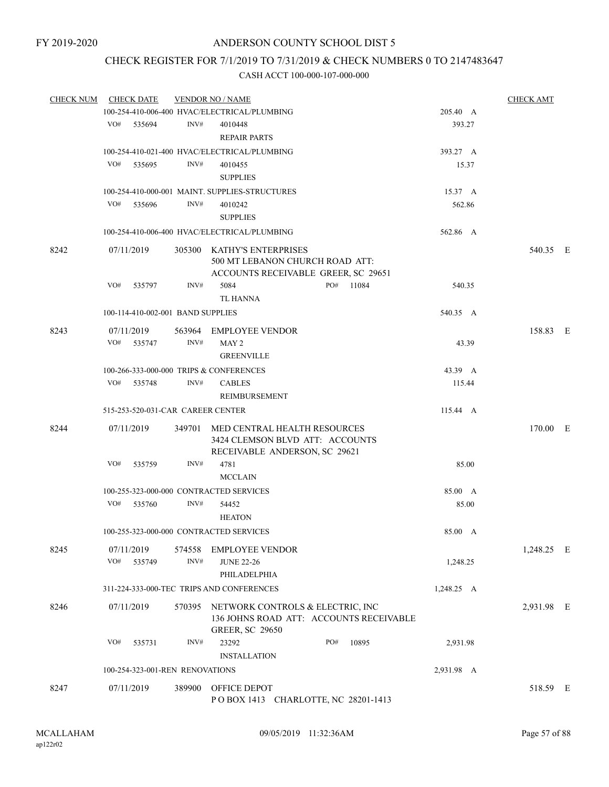# CHECK REGISTER FOR 7/1/2019 TO 7/31/2019 & CHECK NUMBERS 0 TO 2147483647

| <b>CHECK NUM</b> | <b>CHECK DATE</b>                       |        | <b>VENDOR NO / NAME</b>                                                                                      |     |       |            | <b>CHECK AMT</b> |  |
|------------------|-----------------------------------------|--------|--------------------------------------------------------------------------------------------------------------|-----|-------|------------|------------------|--|
|                  |                                         |        | 100-254-410-006-400 HVAC/ELECTRICAL/PLUMBING                                                                 |     |       | 205.40 A   |                  |  |
|                  | VO# 535694                              | INV#   | 4010448                                                                                                      |     |       | 393.27     |                  |  |
|                  |                                         |        | <b>REPAIR PARTS</b>                                                                                          |     |       |            |                  |  |
|                  |                                         |        | 100-254-410-021-400 HVAC/ELECTRICAL/PLUMBING                                                                 |     |       | 393.27 A   |                  |  |
|                  | VO#<br>535695                           | INV#   | 4010455                                                                                                      |     |       | 15.37      |                  |  |
|                  |                                         |        | <b>SUPPLIES</b>                                                                                              |     |       |            |                  |  |
|                  |                                         |        | 100-254-410-000-001 MAINT. SUPPLIES-STRUCTURES                                                               |     |       | 15.37 A    |                  |  |
|                  | VO#<br>535696                           | INV#   | 4010242                                                                                                      |     |       | 562.86     |                  |  |
|                  |                                         |        | <b>SUPPLIES</b>                                                                                              |     |       |            |                  |  |
|                  |                                         |        | 100-254-410-006-400 HVAC/ELECTRICAL/PLUMBING                                                                 |     |       | 562.86 A   |                  |  |
| 8242             | 07/11/2019                              |        | 305300 KATHY'S ENTERPRISES                                                                                   |     |       |            | 540.35 E         |  |
|                  |                                         |        | 500 MT LEBANON CHURCH ROAD ATT:<br>ACCOUNTS RECEIVABLE GREER, SC 29651                                       |     |       |            |                  |  |
|                  | VO#<br>535797                           | INV#   | 5084                                                                                                         | PO# | 11084 | 540.35     |                  |  |
|                  |                                         |        | <b>TL HANNA</b>                                                                                              |     |       |            |                  |  |
|                  | 100-114-410-002-001 BAND SUPPLIES       |        |                                                                                                              |     |       | 540.35 A   |                  |  |
| 8243             |                                         |        | 563964 EMPLOYEE VENDOR                                                                                       |     |       |            | 158.83 E         |  |
|                  | 07/11/2019<br>VO# 535747                | INV#   | MAY 2                                                                                                        |     |       | 43.39      |                  |  |
|                  |                                         |        | <b>GREENVILLE</b>                                                                                            |     |       |            |                  |  |
|                  | 100-266-333-000-000 TRIPS & CONFERENCES |        |                                                                                                              |     |       | 43.39 A    |                  |  |
|                  | VO#<br>535748                           | INV#   | <b>CABLES</b>                                                                                                |     |       | 115.44     |                  |  |
|                  |                                         |        | REIMBURSEMENT                                                                                                |     |       |            |                  |  |
|                  | 515-253-520-031-CAR CAREER CENTER       |        |                                                                                                              |     |       | 115.44 A   |                  |  |
| 8244             | 07/11/2019                              |        | 349701 MED CENTRAL HEALTH RESOURCES<br>3424 CLEMSON BLVD ATT: ACCOUNTS<br>RECEIVABLE ANDERSON, SC 29621      |     |       |            | 170.00 E         |  |
|                  | VO#<br>535759                           | INV#   | 4781<br><b>MCCLAIN</b>                                                                                       |     |       | 85.00      |                  |  |
|                  | 100-255-323-000-000 CONTRACTED SERVICES |        |                                                                                                              |     |       | 85.00 A    |                  |  |
|                  | VO# 535760                              | INV#   | 54452                                                                                                        |     |       | 85.00      |                  |  |
|                  |                                         |        | <b>HEATON</b>                                                                                                |     |       |            |                  |  |
|                  |                                         |        |                                                                                                              |     |       |            |                  |  |
|                  | 100-255-323-000-000 CONTRACTED SERVICES |        |                                                                                                              |     |       | 85.00 A    |                  |  |
| 8245             | 07/11/2019                              | 574558 | <b>EMPLOYEE VENDOR</b>                                                                                       |     |       |            | 1,248.25 E       |  |
|                  | VO#<br>535749                           | INV#   | <b>JUNE 22-26</b>                                                                                            |     |       | 1,248.25   |                  |  |
|                  |                                         |        | PHILADELPHIA                                                                                                 |     |       |            |                  |  |
|                  |                                         |        | 311-224-333-000-TEC TRIPS AND CONFERENCES                                                                    |     |       | 1,248.25 A |                  |  |
| 8246             | 07/11/2019                              |        | 570395 NETWORK CONTROLS & ELECTRIC, INC<br>136 JOHNS ROAD ATT: ACCOUNTS RECEIVABLE<br><b>GREER, SC 29650</b> |     |       |            | 2,931.98 E       |  |
|                  | VO#<br>535731                           | INV#   | 23292<br><b>INSTALLATION</b>                                                                                 | PO# | 10895 | 2,931.98   |                  |  |
|                  | 100-254-323-001-REN RENOVATIONS         |        |                                                                                                              |     |       | 2,931.98 A |                  |  |
| 8247             | 07/11/2019                              | 389900 | OFFICE DEPOT<br>POBOX 1413 CHARLOTTE, NC 28201-1413                                                          |     |       |            | 518.59 E         |  |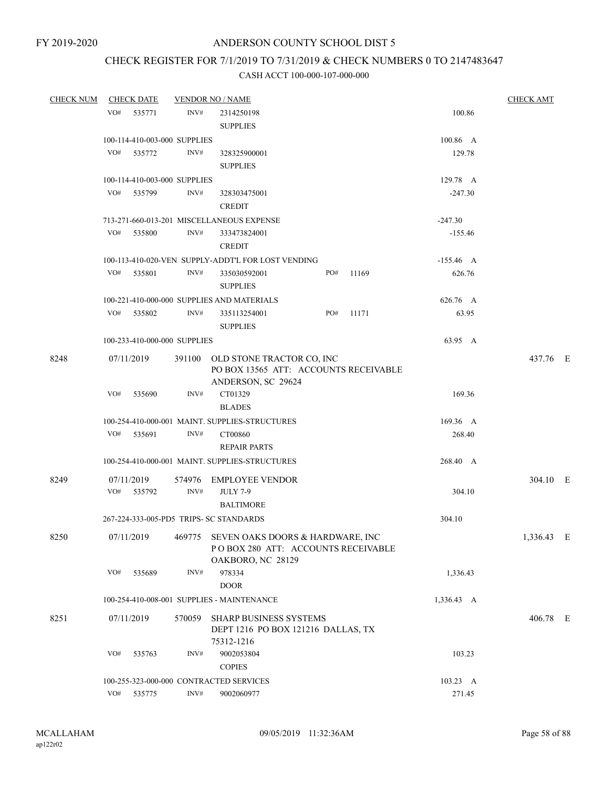# CHECK REGISTER FOR 7/1/2019 TO 7/31/2019 & CHECK NUMBERS 0 TO 2147483647

| <b>CHECK NUM</b> | <b>CHECK DATE</b>                       |                | <b>VENDOR NO / NAME</b>                                                                            |     |       |             | <b>CHECK AMT</b> |  |
|------------------|-----------------------------------------|----------------|----------------------------------------------------------------------------------------------------|-----|-------|-------------|------------------|--|
|                  | VO#<br>535771                           | INV#           | 2314250198<br><b>SUPPLIES</b>                                                                      |     |       | 100.86      |                  |  |
|                  | 100-114-410-003-000 SUPPLIES            |                |                                                                                                    |     |       | 100.86 A    |                  |  |
|                  | VO#<br>535772                           | INV#           | 328325900001<br><b>SUPPLIES</b>                                                                    |     |       | 129.78      |                  |  |
|                  | 100-114-410-003-000 SUPPLIES            |                |                                                                                                    |     |       | 129.78 A    |                  |  |
|                  | VO#<br>535799                           | INV#           | 328303475001<br><b>CREDIT</b>                                                                      |     |       | $-247.30$   |                  |  |
|                  |                                         |                | 713-271-660-013-201 MISCELLANEOUS EXPENSE                                                          |     |       | $-247.30$   |                  |  |
|                  | VO#<br>535800                           | INV#           | 333473824001<br><b>CREDIT</b>                                                                      |     |       | $-155.46$   |                  |  |
|                  |                                         |                | 100-113-410-020-VEN SUPPLY-ADDT'L FOR LOST VENDING                                                 |     |       | $-155.46$ A |                  |  |
|                  | VO#<br>535801                           | INV#           | 335030592001<br><b>SUPPLIES</b>                                                                    | PO# | 11169 | 626.76      |                  |  |
|                  |                                         |                | 100-221-410-000-000 SUPPLIES AND MATERIALS                                                         |     |       | 626.76 A    |                  |  |
|                  | VO# 535802                              | INV#           | 335113254001<br><b>SUPPLIES</b>                                                                    | PO# | 11171 | 63.95       |                  |  |
|                  | 100-233-410-000-000 SUPPLIES            |                |                                                                                                    |     |       | 63.95 A     |                  |  |
| 8248             | 07/11/2019                              |                | 391100 OLD STONE TRACTOR CO, INC<br>PO BOX 13565 ATT: ACCOUNTS RECEIVABLE<br>ANDERSON, SC 29624    |     |       |             | 437.76 E         |  |
|                  | VO#<br>535690                           | INV#           | CT01329<br><b>BLADES</b>                                                                           |     |       | 169.36      |                  |  |
|                  |                                         |                | 100-254-410-000-001 MAINT. SUPPLIES-STRUCTURES                                                     |     |       | 169.36 A    |                  |  |
|                  | VO#<br>535691                           | INV#           | CT00860<br><b>REPAIR PARTS</b>                                                                     |     |       | 268.40      |                  |  |
|                  |                                         |                | 100-254-410-000-001 MAINT. SUPPLIES-STRUCTURES                                                     |     |       | 268.40 A    |                  |  |
| 8249             | 07/11/2019<br>VO# 535792                | INV#           | 574976 EMPLOYEE VENDOR<br><b>JULY 7-9</b><br><b>BALTIMORE</b>                                      |     |       | 304.10      | 304.10 E         |  |
|                  | 267-224-333-005-PD5 TRIPS- SC STANDARDS |                |                                                                                                    |     |       | 304.10      |                  |  |
| 8250             | 07/11/2019                              |                | 469775 SEVEN OAKS DOORS & HARDWARE, INC<br>POBOX 280 ATT: ACCOUNTS RECEIVABLE<br>OAKBORO, NC 28129 |     |       |             | 1,336.43 E       |  |
|                  | VO#<br>535689                           | INV#           | 978334                                                                                             |     |       | 1,336.43    |                  |  |
|                  |                                         |                | <b>DOOR</b>                                                                                        |     |       |             |                  |  |
|                  |                                         |                | 100-254-410-008-001 SUPPLIES - MAINTENANCE                                                         |     |       | 1,336.43 A  |                  |  |
| 8251             | 07/11/2019                              |                | 570059 SHARP BUSINESS SYSTEMS<br>DEPT 1216 PO BOX 121216 DALLAS, TX<br>75312-1216                  |     |       |             | 406.78 E         |  |
|                  | VO#<br>535763                           | INV#           | 9002053804<br><b>COPIES</b>                                                                        |     |       | 103.23      |                  |  |
|                  | 100-255-323-000-000 CONTRACTED SERVICES |                |                                                                                                    |     |       | 103.23 A    |                  |  |
|                  | VO#<br>535775                           | $\text{INV}\#$ | 9002060977                                                                                         |     |       | 271.45      |                  |  |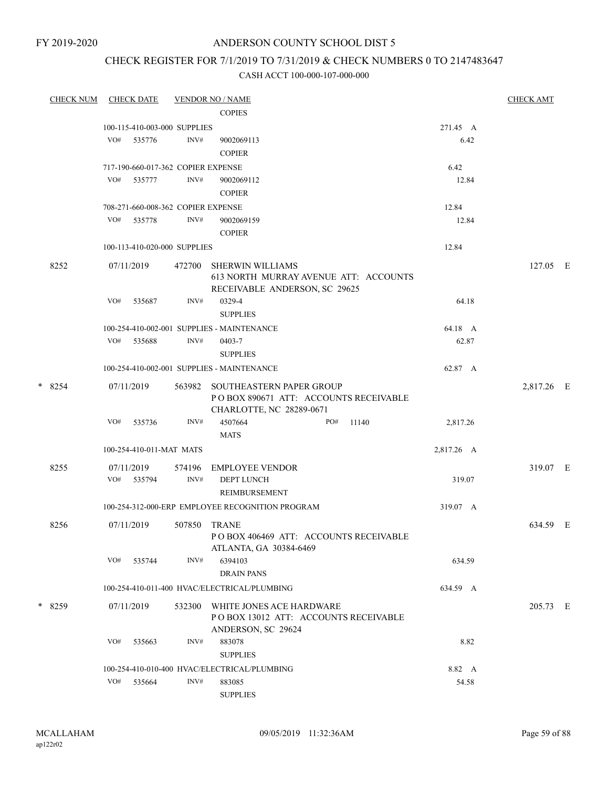FY 2019-2020

## ANDERSON COUNTY SCHOOL DIST 5

## CHECK REGISTER FOR 7/1/2019 TO 7/31/2019 & CHECK NUMBERS 0 TO 2147483647

|         | <b>CHECK NUM</b> |            | <b>CHECK DATE</b>        |                                                                                                | <b>VENDOR NO / NAME</b>                                                                           |            | <b>CHECK AMT</b> |  |
|---------|------------------|------------|--------------------------|------------------------------------------------------------------------------------------------|---------------------------------------------------------------------------------------------------|------------|------------------|--|
|         |                  |            |                          |                                                                                                | <b>COPIES</b>                                                                                     |            |                  |  |
|         |                  |            |                          | 100-115-410-003-000 SUPPLIES                                                                   |                                                                                                   | 271.45 A   |                  |  |
|         |                  | VO#        | 535776                   | INV#                                                                                           | 9002069113<br><b>COPIER</b>                                                                       | 6.42       |                  |  |
|         |                  |            |                          | 717-190-660-017-362 COPIER EXPENSE                                                             |                                                                                                   | 6.42       |                  |  |
|         |                  |            | VO# 535777               | INV#                                                                                           | 9002069112<br><b>COPIER</b>                                                                       | 12.84      |                  |  |
|         |                  |            |                          | 708-271-660-008-362 COPIER EXPENSE                                                             |                                                                                                   | 12.84      |                  |  |
|         |                  | VO#        | 535778                   | INV#                                                                                           | 9002069159<br><b>COPIER</b>                                                                       | 12.84      |                  |  |
|         |                  |            |                          | 100-113-410-020-000 SUPPLIES                                                                   |                                                                                                   | 12.84      |                  |  |
|         | 8252             |            | 07/11/2019               | 472700                                                                                         | <b>SHERWIN WILLIAMS</b><br>613 NORTH MURRAY AVENUE ATT: ACCOUNTS<br>RECEIVABLE ANDERSON, SC 29625 |            | 127.05 E         |  |
|         |                  | VO#        | 535687                   | INV#                                                                                           | 0329-4<br><b>SUPPLIES</b>                                                                         | 64.18      |                  |  |
|         |                  |            |                          |                                                                                                | 100-254-410-002-001 SUPPLIES - MAINTENANCE                                                        | 64.18 A    |                  |  |
|         |                  | VO#        | 535688                   | INV#                                                                                           | 0403-7<br><b>SUPPLIES</b>                                                                         | 62.87      |                  |  |
|         |                  |            |                          |                                                                                                | 100-254-410-002-001 SUPPLIES - MAINTENANCE                                                        | 62.87 A    |                  |  |
| $*8254$ |                  | 07/11/2019 | 563982                   | SOUTHEASTERN PAPER GROUP<br>PO BOX 890671 ATT: ACCOUNTS RECEIVABLE<br>CHARLOTTE, NC 28289-0671 |                                                                                                   | 2,817.26 E |                  |  |
|         |                  | VO#        | 535736                   | INV#                                                                                           | 4507664<br>PO#<br>11140<br><b>MATS</b>                                                            | 2,817.26   |                  |  |
|         |                  |            | 100-254-410-011-MAT MATS |                                                                                                |                                                                                                   | 2,817.26 A |                  |  |
|         | 8255             |            | 07/11/2019               | 574196                                                                                         | EMPLOYEE VENDOR                                                                                   |            | 319.07 E         |  |
|         |                  |            | VO# 535794               | INV#                                                                                           | <b>DEPT LUNCH</b><br><b>REIMBURSEMENT</b>                                                         | 319.07     |                  |  |
|         |                  |            |                          |                                                                                                | 100-254-312-000-ERP EMPLOYEE RECOGNITION PROGRAM                                                  | 319.07 A   |                  |  |
|         | 8256             |            | 07/11/2019               |                                                                                                | 507850 TRANE<br>POBOX 406469 ATT: ACCOUNTS RECEIVABLE<br>ATLANTA, GA 30384-6469                   |            | 634.59 E         |  |
|         |                  | VO#        | 535744                   | INV#                                                                                           | 6394103<br><b>DRAIN PANS</b>                                                                      | 634.59     |                  |  |
|         |                  |            |                          |                                                                                                | 100-254-410-011-400 HVAC/ELECTRICAL/PLUMBING                                                      | 634.59 A   |                  |  |
|         | * 8259           |            | 07/11/2019               | 532300                                                                                         | WHITE JONES ACE HARDWARE<br>POBOX 13012 ATT: ACCOUNTS RECEIVABLE<br>ANDERSON, SC 29624            |            | 205.73 E         |  |
|         |                  | VO#        | 535663                   | INV#                                                                                           | 883078<br><b>SUPPLIES</b>                                                                         | 8.82       |                  |  |
|         |                  |            |                          |                                                                                                | 100-254-410-010-400 HVAC/ELECTRICAL/PLUMBING                                                      | 8.82 A     |                  |  |
|         |                  | VO#        | 535664                   | INV#                                                                                           | 883085<br><b>SUPPLIES</b>                                                                         | 54.58      |                  |  |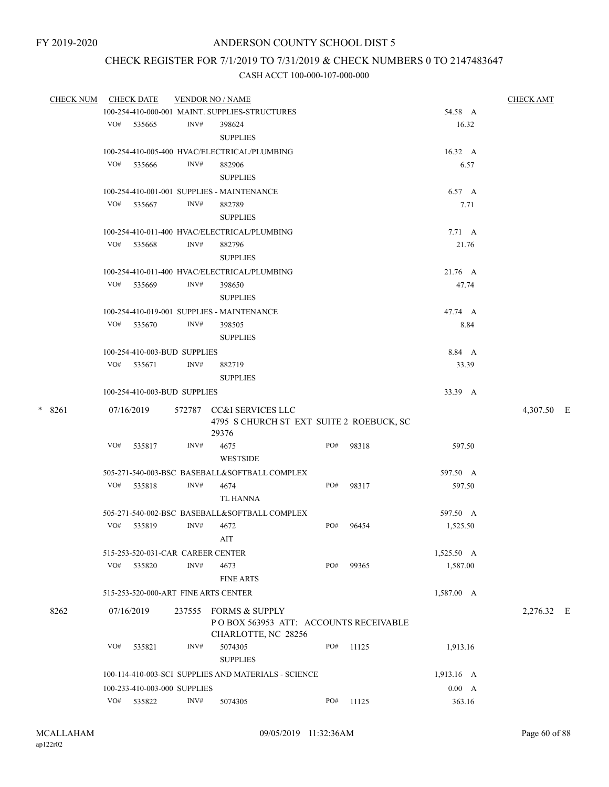# CHECK REGISTER FOR 7/1/2019 TO 7/31/2019 & CHECK NUMBERS 0 TO 2147483647

|  | <b>CHECK NUM</b> | <b>CHECK DATE</b>                                                                    |                                   |      | <b>VENDOR NO / NAME</b>                                        |     |           |                 | <b>CHECK AMT</b> |  |  |
|--|------------------|--------------------------------------------------------------------------------------|-----------------------------------|------|----------------------------------------------------------------|-----|-----------|-----------------|------------------|--|--|
|  |                  |                                                                                      |                                   |      | 100-254-410-000-001 MAINT. SUPPLIES-STRUCTURES                 |     |           | 54.58 A         |                  |  |  |
|  |                  | VO#                                                                                  | 535665                            | INV# | 398624                                                         |     |           | 16.32           |                  |  |  |
|  |                  |                                                                                      |                                   |      | <b>SUPPLIES</b>                                                |     |           |                 |                  |  |  |
|  |                  |                                                                                      |                                   |      | 100-254-410-005-400 HVAC/ELECTRICAL/PLUMBING                   |     |           | $16.32 \quad A$ |                  |  |  |
|  |                  | VO#                                                                                  | 535666                            | INV# | 882906                                                         |     |           | 6.57            |                  |  |  |
|  |                  |                                                                                      |                                   |      | <b>SUPPLIES</b>                                                |     |           |                 |                  |  |  |
|  |                  |                                                                                      |                                   |      | 100-254-410-001-001 SUPPLIES - MAINTENANCE                     |     |           | 6.57 A          |                  |  |  |
|  |                  |                                                                                      | VO# 535667                        | INV# | 882789                                                         |     |           | 7.71            |                  |  |  |
|  |                  |                                                                                      |                                   |      | <b>SUPPLIES</b>                                                |     |           |                 |                  |  |  |
|  |                  |                                                                                      |                                   |      | 100-254-410-011-400 HVAC/ELECTRICAL/PLUMBING                   |     |           | $7.71 \quad A$  |                  |  |  |
|  |                  |                                                                                      | VO# 535668                        | INV# | 882796                                                         |     |           | 21.76           |                  |  |  |
|  |                  |                                                                                      |                                   |      | <b>SUPPLIES</b>                                                |     |           |                 |                  |  |  |
|  |                  |                                                                                      |                                   |      | 100-254-410-011-400 HVAC/ELECTRICAL/PLUMBING                   |     |           | 21.76 A         |                  |  |  |
|  |                  | VO#                                                                                  | 535669                            | INV# |                                                                |     |           | 47.74           |                  |  |  |
|  |                  |                                                                                      |                                   |      | 398650<br><b>SUPPLIES</b>                                      |     |           |                 |                  |  |  |
|  |                  |                                                                                      |                                   |      |                                                                |     |           |                 |                  |  |  |
|  |                  |                                                                                      |                                   |      | 100-254-410-019-001 SUPPLIES - MAINTENANCE                     |     |           | 47.74 A         |                  |  |  |
|  |                  |                                                                                      | VO# 535670                        | INV# | 398505                                                         |     |           | 8.84            |                  |  |  |
|  |                  | <b>SUPPLIES</b><br>100-254-410-003-BUD SUPPLIES                                      |                                   |      |                                                                |     |           |                 |                  |  |  |
|  |                  |                                                                                      |                                   |      |                                                                |     |           | 8.84 A          |                  |  |  |
|  |                  |                                                                                      | VO# 535671                        | INV# | 882719                                                         |     |           | 33.39           |                  |  |  |
|  |                  |                                                                                      |                                   |      | <b>SUPPLIES</b>                                                |     |           |                 |                  |  |  |
|  |                  |                                                                                      | 100-254-410-003-BUD SUPPLIES      |      |                                                                |     |           | 33.39 A         |                  |  |  |
|  | $*8261$          |                                                                                      | 07/16/2019                        |      | 572787 CC&I SERVICES LLC                                       |     |           |                 | 4,307.50 E       |  |  |
|  |                  |                                                                                      |                                   |      | 4795 S CHURCH ST EXT SUITE 2 ROEBUCK, SC                       |     |           |                 |                  |  |  |
|  |                  |                                                                                      |                                   |      | 29376                                                          |     |           |                 |                  |  |  |
|  |                  | VO#                                                                                  | 535817                            | INV# | 4675                                                           | PO# | 98318     | 597.50          |                  |  |  |
|  |                  |                                                                                      |                                   |      | <b>WESTSIDE</b>                                                |     |           |                 |                  |  |  |
|  |                  |                                                                                      |                                   |      | 505-271-540-003-BSC BASEBALL&SOFTBALL COMPLEX                  |     |           | 597.50 A        |                  |  |  |
|  |                  | VO#                                                                                  | 535818                            | INV# | 4674                                                           | PO# | 98317     | 597.50          |                  |  |  |
|  |                  |                                                                                      |                                   |      | TL HANNA                                                       |     |           |                 |                  |  |  |
|  |                  |                                                                                      |                                   |      | 505-271-540-002-BSC BASEBALL&SOFTBALL COMPLEX                  |     |           | 597.50 A        |                  |  |  |
|  |                  | VO#                                                                                  | 535819                            | INV# | 4672                                                           | PO# | 96454     | 1,525.50        |                  |  |  |
|  |                  |                                                                                      |                                   |      | AIT                                                            |     |           |                 |                  |  |  |
|  |                  |                                                                                      | 515-253-520-031-CAR CAREER CENTER |      |                                                                |     |           | 1,525.50 A      |                  |  |  |
|  |                  | VO#                                                                                  | 535820                            | INV# | 4673                                                           | PO# | 99365     | 1,587.00        |                  |  |  |
|  |                  |                                                                                      |                                   |      | <b>FINE ARTS</b>                                               |     |           |                 |                  |  |  |
|  |                  |                                                                                      |                                   |      | 515-253-520-000-ART FINE ARTS CENTER                           |     |           | 1,587.00 A      |                  |  |  |
|  |                  |                                                                                      |                                   |      |                                                                |     |           |                 |                  |  |  |
|  | 8262             |                                                                                      | 07/16/2019                        |      | 237555 FORMS & SUPPLY<br>POBOX 563953 ATT: ACCOUNTS RECEIVABLE |     |           |                 | 2,276.32 E       |  |  |
|  |                  |                                                                                      |                                   |      | CHARLOTTE, NC 28256                                            |     |           |                 |                  |  |  |
|  |                  | VO#                                                                                  | 535821                            | INV# | 5074305                                                        | PO# | 11125     | 1,913.16        |                  |  |  |
|  |                  |                                                                                      |                                   |      | <b>SUPPLIES</b>                                                |     |           |                 |                  |  |  |
|  |                  |                                                                                      |                                   |      |                                                                |     |           | 1,913.16 A      |                  |  |  |
|  |                  | 100-114-410-003-SCI SUPPLIES AND MATERIALS - SCIENCE<br>100-233-410-003-000 SUPPLIES |                                   |      |                                                                |     |           |                 |                  |  |  |
|  |                  |                                                                                      |                                   |      |                                                                |     |           | 0.00 A          |                  |  |  |
|  |                  |                                                                                      | VO# 535822                        | INV# | 5074305                                                        |     | PO# 11125 | 363.16          |                  |  |  |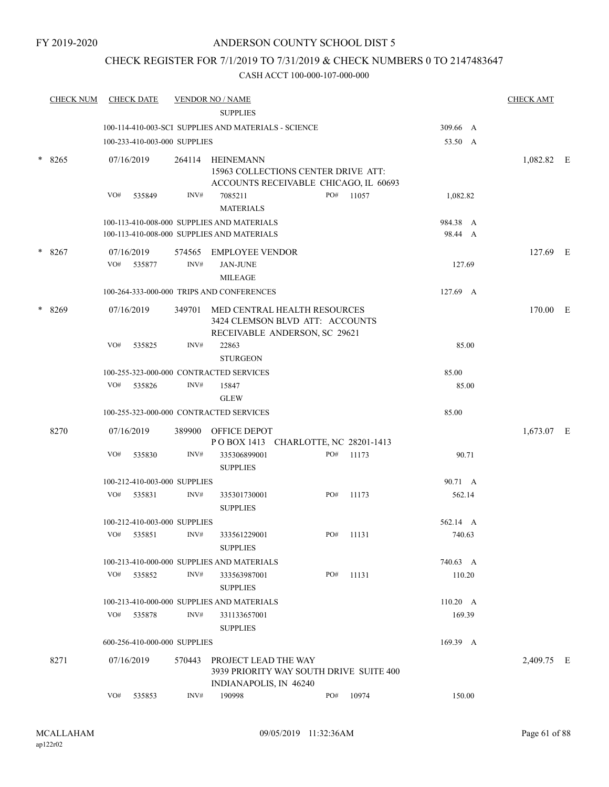## CHECK REGISTER FOR 7/1/2019 TO 7/31/2019 & CHECK NUMBERS 0 TO 2147483647

|        | <b>CHECK NUM</b> |     | <b>CHECK DATE</b> |                                      | <b>VENDOR NO / NAME</b>                                                                  |     |       |                     |       | <b>CHECK AMT</b> |  |
|--------|------------------|-----|-------------------|--------------------------------------|------------------------------------------------------------------------------------------|-----|-------|---------------------|-------|------------------|--|
|        |                  |     |                   |                                      | <b>SUPPLIES</b>                                                                          |     |       |                     |       |                  |  |
|        |                  |     |                   |                                      | 100-114-410-003-SCI SUPPLIES AND MATERIALS - SCIENCE                                     |     |       | 309.66 A            |       |                  |  |
|        |                  |     |                   | 100-233-410-003-000 SUPPLIES         |                                                                                          |     |       | 53.50 A             |       |                  |  |
| $\ast$ | 8265             |     | 07/16/2019        | 264114                               | <b>HEINEMANN</b>                                                                         |     |       |                     |       | 1,082.82 E       |  |
|        |                  |     |                   |                                      | 15963 COLLECTIONS CENTER DRIVE ATT:                                                      |     |       |                     |       |                  |  |
|        |                  |     |                   |                                      | ACCOUNTS RECEIVABLE CHICAGO, IL 60693                                                    |     |       |                     |       |                  |  |
|        |                  | VO# | 535849            | INV#                                 | 7085211                                                                                  | PO# | 11057 | 1,082.82            |       |                  |  |
|        |                  |     |                   |                                      | <b>MATERIALS</b>                                                                         |     |       |                     |       |                  |  |
|        |                  |     |                   |                                      | 100-113-410-008-000 SUPPLIES AND MATERIALS<br>100-113-410-008-000 SUPPLIES AND MATERIALS |     |       | 984.38 A<br>98.44 A |       |                  |  |
|        |                  |     |                   |                                      |                                                                                          |     |       |                     |       |                  |  |
|        | $*8267$          |     | 07/16/2019        | 574565                               | <b>EMPLOYEE VENDOR</b>                                                                   |     |       |                     |       | 127.69 E         |  |
|        |                  | VO# | 535877            | INV#                                 | <b>JAN-JUNE</b>                                                                          |     |       | 127.69              |       |                  |  |
|        |                  |     |                   |                                      | <b>MILEAGE</b>                                                                           |     |       |                     |       |                  |  |
|        |                  |     |                   |                                      | 100-264-333-000-000 TRIPS AND CONFERENCES                                                |     |       | $127.69 \quad A$    |       |                  |  |
|        | * 8269           |     | 07/16/2019        | 349701                               | MED CENTRAL HEALTH RESOURCES                                                             |     |       |                     |       | 170.00 E         |  |
|        |                  |     |                   |                                      | 3424 CLEMSON BLVD ATT: ACCOUNTS                                                          |     |       |                     |       |                  |  |
|        |                  |     |                   |                                      | RECEIVABLE ANDERSON, SC 29621                                                            |     |       |                     |       |                  |  |
|        |                  | VO# | 535825            | INV#                                 | 22863                                                                                    |     |       |                     | 85.00 |                  |  |
|        |                  |     |                   |                                      | <b>STURGEON</b>                                                                          |     |       |                     |       |                  |  |
|        |                  |     |                   |                                      | 100-255-323-000-000 CONTRACTED SERVICES                                                  |     |       | 85.00               |       |                  |  |
|        |                  | VO# | 535826            | INV#                                 | 15847                                                                                    |     |       |                     | 85.00 |                  |  |
|        |                  |     |                   |                                      | <b>GLEW</b>                                                                              |     |       |                     |       |                  |  |
|        |                  |     |                   |                                      | 100-255-323-000-000 CONTRACTED SERVICES                                                  |     |       | 85.00               |       |                  |  |
|        | 8270             |     | 07/16/2019        | 389900                               | OFFICE DEPOT                                                                             |     |       |                     |       | 1,673.07 E       |  |
|        |                  |     |                   |                                      | POBOX 1413 CHARLOTTE, NC 28201-1413                                                      |     |       |                     |       |                  |  |
|        |                  | VO# | 535830            | INV#                                 | 335306899001                                                                             | PO# | 11173 |                     | 90.71 |                  |  |
|        |                  |     |                   |                                      | <b>SUPPLIES</b>                                                                          |     |       |                     |       |                  |  |
|        |                  |     |                   | 100-212-410-003-000 SUPPLIES         |                                                                                          |     |       | 90.71 A             |       |                  |  |
|        |                  | VO# | 535831            | INV#                                 | 335301730001<br><b>SUPPLIES</b>                                                          | PO# | 11173 | 562.14              |       |                  |  |
|        |                  |     |                   |                                      |                                                                                          |     |       |                     |       |                  |  |
|        |                  | VO# | 535851            | 100-212-410-003-000 SUPPLIES<br>INV# |                                                                                          | PO# | 11131 | 562.14 A<br>740.63  |       |                  |  |
|        |                  |     |                   |                                      | 333561229001<br><b>SUPPLIES</b>                                                          |     |       |                     |       |                  |  |
|        |                  |     |                   |                                      |                                                                                          |     |       |                     |       |                  |  |
|        |                  | VO# |                   | INV#                                 | 100-213-410-000-000 SUPPLIES AND MATERIALS                                               | PO# | 11131 | 740.63 A            |       |                  |  |
|        |                  |     | 535852            |                                      | 333563987001<br><b>SUPPLIES</b>                                                          |     |       | 110.20              |       |                  |  |
|        |                  |     |                   |                                      | 100-213-410-000-000 SUPPLIES AND MATERIALS                                               |     |       | $110.20\quad A$     |       |                  |  |
|        |                  | VO# | 535878            | INV#                                 | 331133657001                                                                             |     |       | 169.39              |       |                  |  |
|        |                  |     |                   |                                      | <b>SUPPLIES</b>                                                                          |     |       |                     |       |                  |  |
|        |                  |     |                   | 600-256-410-000-000 SUPPLIES         |                                                                                          |     |       | 169.39 A            |       |                  |  |
|        |                  |     |                   |                                      |                                                                                          |     |       |                     |       |                  |  |
|        | 8271             |     | 07/16/2019        | 570443                               | PROJECT LEAD THE WAY                                                                     |     |       |                     |       | 2,409.75 E       |  |
|        |                  |     |                   |                                      | 3939 PRIORITY WAY SOUTH DRIVE SUITE 400<br>INDIANAPOLIS, IN 46240                        |     |       |                     |       |                  |  |
|        |                  | VO# | 535853            | INV#                                 | 190998                                                                                   | PO# | 10974 | 150.00              |       |                  |  |
|        |                  |     |                   |                                      |                                                                                          |     |       |                     |       |                  |  |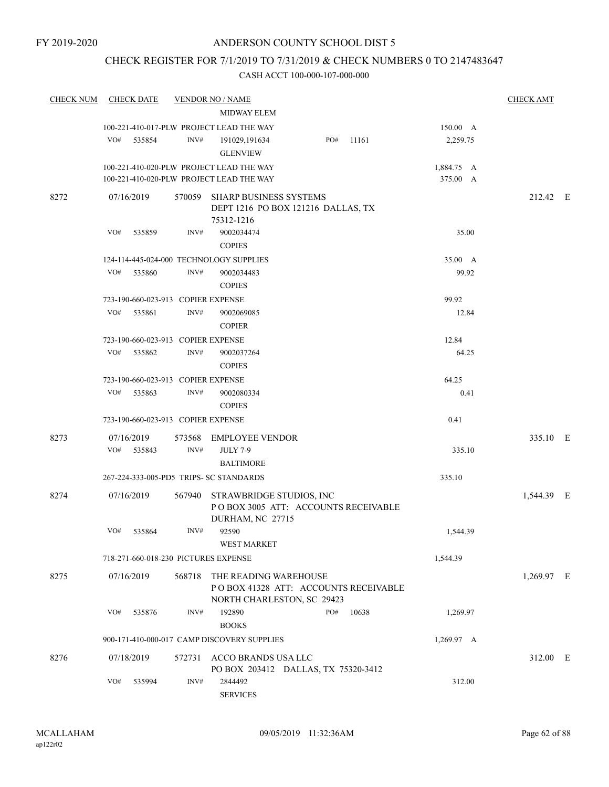## CHECK REGISTER FOR 7/1/2019 TO 7/31/2019 & CHECK NUMBERS 0 TO 2147483647

| <b>CHECK NUM</b> | <b>CHECK DATE</b>                       |        | <b>VENDOR NO / NAME</b>                                                                    |     |           |            | <b>CHECK AMT</b> |  |
|------------------|-----------------------------------------|--------|--------------------------------------------------------------------------------------------|-----|-----------|------------|------------------|--|
|                  |                                         |        | <b>MIDWAY ELEM</b>                                                                         |     |           |            |                  |  |
|                  |                                         |        | 100-221-410-017-PLW PROJECT LEAD THE WAY                                                   |     |           | 150.00 A   |                  |  |
|                  | VO#<br>535854                           | INV#   | 191029,191634                                                                              |     | PO# 11161 | 2,259.75   |                  |  |
|                  |                                         |        | <b>GLENVIEW</b>                                                                            |     |           |            |                  |  |
|                  |                                         |        | 100-221-410-020-PLW PROJECT LEAD THE WAY                                                   |     |           | 1,884.75 A |                  |  |
|                  |                                         |        | 100-221-410-020-PLW PROJECT LEAD THE WAY                                                   |     |           | 375.00 A   |                  |  |
| 8272             | 07/16/2019                              |        | 570059 SHARP BUSINESS SYSTEMS<br>DEPT 1216 PO BOX 121216 DALLAS, TX<br>75312-1216          |     |           |            | 212.42 E         |  |
|                  | VO#<br>535859                           | INV#   | 9002034474<br><b>COPIES</b>                                                                |     |           | 35.00      |                  |  |
|                  | 124-114-445-024-000 TECHNOLOGY SUPPLIES |        |                                                                                            |     |           | 35.00 A    |                  |  |
|                  | VO#<br>535860                           | INV#   | 9002034483<br><b>COPIES</b>                                                                |     |           | 99.92      |                  |  |
|                  | 723-190-660-023-913 COPIER EXPENSE      |        |                                                                                            |     |           | 99.92      |                  |  |
|                  | VO#<br>535861                           | INV#   | 9002069085<br><b>COPIER</b>                                                                |     |           | 12.84      |                  |  |
|                  | 723-190-660-023-913 COPIER EXPENSE      |        |                                                                                            |     |           | 12.84      |                  |  |
|                  | VO#<br>535862                           | INV#   | 9002037264<br><b>COPIES</b>                                                                |     |           | 64.25      |                  |  |
|                  | 723-190-660-023-913 COPIER EXPENSE      |        |                                                                                            |     |           | 64.25      |                  |  |
|                  | VO#<br>535863                           | INV#   | 9002080334<br><b>COPIES</b>                                                                |     |           | 0.41       |                  |  |
|                  | 723-190-660-023-913 COPIER EXPENSE      |        |                                                                                            |     |           | 0.41       |                  |  |
| 8273             | 07/16/2019                              |        | 573568 EMPLOYEE VENDOR                                                                     |     |           |            | 335.10 E         |  |
|                  | VO#<br>535843                           | INV#   | <b>JULY 7-9</b><br><b>BALTIMORE</b>                                                        |     |           | 335.10     |                  |  |
|                  | 267-224-333-005-PD5 TRIPS- SC STANDARDS |        |                                                                                            |     |           | 335.10     |                  |  |
| 8274             | 07/16/2019                              |        | 567940 STRAWBRIDGE STUDIOS, INC<br>POBOX 3005 ATT: ACCOUNTS RECEIVABLE<br>DURHAM, NC 27715 |     |           |            | 1,544.39 E       |  |
|                  | VO#<br>535864                           | INV#   | 92590<br><b>WEST MARKET</b>                                                                |     |           | 1,544.39   |                  |  |
|                  | 718-271-660-018-230 PICTURES EXPENSE    |        |                                                                                            |     |           | 1,544.39   |                  |  |
| 8275             | 07/16/2019                              | 568718 | THE READING WAREHOUSE<br>POBOX 41328 ATT: ACCOUNTS RECEIVABLE                              |     |           |            | 1,269.97 E       |  |
|                  | VO#<br>535876                           | INV#   | NORTH CHARLESTON, SC 29423<br>192890<br><b>BOOKS</b>                                       | PO# | 10638     | 1,269.97   |                  |  |
|                  |                                         |        | 900-171-410-000-017 CAMP DISCOVERY SUPPLIES                                                |     |           | 1,269.97 A |                  |  |
| 8276             | 07/18/2019                              | 572731 | ACCO BRANDS USA LLC<br>PO BOX 203412 DALLAS, TX 75320-3412                                 |     |           |            | 312.00 E         |  |
|                  | VO#<br>535994                           | INV#   | 2844492<br><b>SERVICES</b>                                                                 |     |           | 312.00     |                  |  |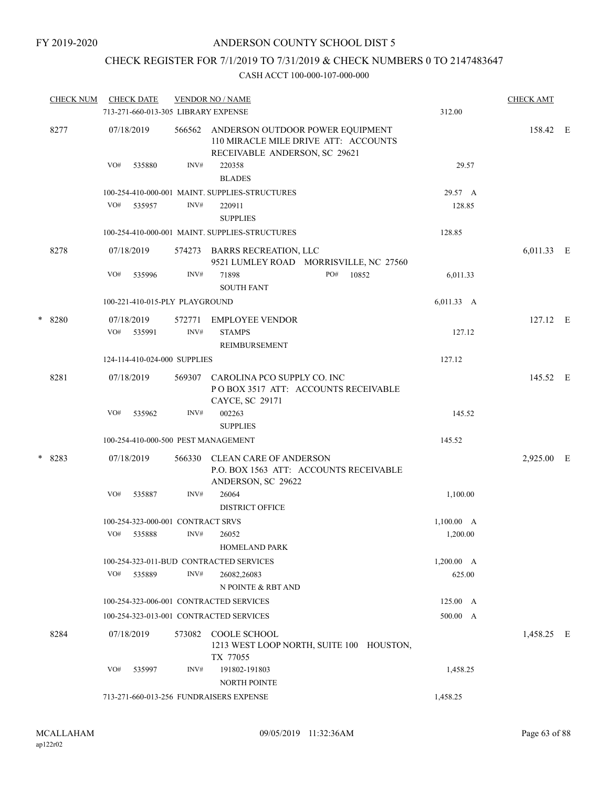# CHECK REGISTER FOR 7/1/2019 TO 7/31/2019 & CHECK NUMBERS 0 TO 2147483647

|   | <b>CHECK NUM</b> |     | <b>CHECK DATE</b>                 |        | <b>VENDOR NO / NAME</b>                                                                                   |     |       |                 | <b>CHECK AMT</b> |  |
|---|------------------|-----|-----------------------------------|--------|-----------------------------------------------------------------------------------------------------------|-----|-------|-----------------|------------------|--|
|   |                  |     |                                   |        | 713-271-660-013-305 LIBRARY EXPENSE                                                                       |     |       | 312.00          |                  |  |
|   | 8277             |     | 07/18/2019                        | 566562 | ANDERSON OUTDOOR POWER EQUIPMENT<br>110 MIRACLE MILE DRIVE ATT: ACCOUNTS<br>RECEIVABLE ANDERSON, SC 29621 |     |       |                 | 158.42 E         |  |
|   |                  | VO# | 535880                            | INV#   | 220358<br><b>BLADES</b>                                                                                   |     |       | 29.57           |                  |  |
|   |                  |     |                                   |        | 100-254-410-000-001 MAINT. SUPPLIES-STRUCTURES                                                            |     |       | 29.57 A         |                  |  |
|   |                  | VO# | 535957                            | INV#   | 220911<br><b>SUPPLIES</b>                                                                                 |     |       | 128.85          |                  |  |
|   |                  |     |                                   |        | 100-254-410-000-001 MAINT. SUPPLIES-STRUCTURES                                                            |     |       | 128.85          |                  |  |
|   | 8278             |     | 07/18/2019                        |        | 574273 BARRS RECREATION, LLC<br>9521 LUMLEY ROAD MORRISVILLE, NC 27560                                    |     |       |                 | 6,011.33 E       |  |
|   |                  | VO# | 535996                            | INV#   | 71898<br><b>SOUTH FANT</b>                                                                                | PO# | 10852 | 6,011.33        |                  |  |
|   |                  |     | 100-221-410-015-PLY PLAYGROUND    |        |                                                                                                           |     |       | 6,011.33 A      |                  |  |
| * | 8280             |     | 07/18/2019                        |        | 572771 EMPLOYEE VENDOR                                                                                    |     |       |                 | $127.12$ E       |  |
|   |                  |     | VO# 535991                        | INV#   | <b>STAMPS</b><br><b>REIMBURSEMENT</b>                                                                     |     |       | 127.12          |                  |  |
|   |                  |     | 124-114-410-024-000 SUPPLIES      |        |                                                                                                           |     |       | 127.12          |                  |  |
|   | 8281             |     | 07/18/2019                        |        | 569307 CAROLINA PCO SUPPLY CO. INC<br>PO BOX 3517 ATT: ACCOUNTS RECEIVABLE<br>CAYCE, SC 29171             |     |       |                 | 145.52 E         |  |
|   |                  | VO# | 535962                            | INV#   | 002263<br><b>SUPPLIES</b>                                                                                 |     |       | 145.52          |                  |  |
|   |                  |     |                                   |        | 100-254-410-000-500 PEST MANAGEMENT                                                                       |     |       | 145.52          |                  |  |
|   | $*8283$          |     | 07/18/2019                        | 566330 | <b>CLEAN CARE OF ANDERSON</b><br>P.O. BOX 1563 ATT: ACCOUNTS RECEIVABLE<br>ANDERSON, SC 29622             |     |       |                 | 2,925.00 E       |  |
|   |                  | VO# | 535887                            | INV#   | 26064<br><b>DISTRICT OFFICE</b>                                                                           |     |       | 1,100.00        |                  |  |
|   |                  |     | 100-254-323-000-001 CONTRACT SRVS |        |                                                                                                           |     |       | 1,100.00 A      |                  |  |
|   |                  | VO# | 535888                            | INV#   | 26052                                                                                                     |     |       | 1,200.00        |                  |  |
|   |                  |     |                                   |        | <b>HOMELAND PARK</b>                                                                                      |     |       |                 |                  |  |
|   |                  |     |                                   |        | 100-254-323-011-BUD CONTRACTED SERVICES                                                                   |     |       | 1,200.00 A      |                  |  |
|   |                  | VO# | 535889                            | INV#   | 26082,26083                                                                                               |     |       | 625.00          |                  |  |
|   |                  |     |                                   |        | N POINTE & RBT AND                                                                                        |     |       |                 |                  |  |
|   |                  |     |                                   |        | 100-254-323-006-001 CONTRACTED SERVICES                                                                   |     |       | $125.00\quad A$ |                  |  |
|   |                  |     |                                   |        | 100-254-323-013-001 CONTRACTED SERVICES                                                                   |     |       | 500.00 A        |                  |  |
|   | 8284             |     | 07/18/2019                        | 573082 | COOLE SCHOOL<br>1213 WEST LOOP NORTH, SUITE 100 HOUSTON,<br>TX 77055                                      |     |       |                 | 1,458.25 E       |  |
|   |                  | VO# | 535997                            | INV#   | 191802-191803                                                                                             |     |       | 1,458.25        |                  |  |
|   |                  |     |                                   |        | <b>NORTH POINTE</b>                                                                                       |     |       |                 |                  |  |
|   |                  |     |                                   |        | 713-271-660-013-256 FUNDRAISERS EXPENSE                                                                   |     |       | 1,458.25        |                  |  |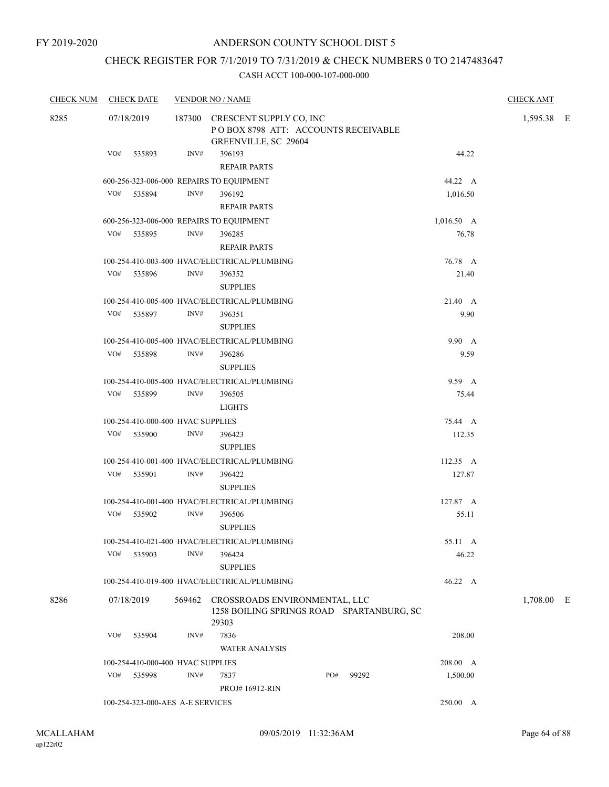## CHECK REGISTER FOR 7/1/2019 TO 7/31/2019 & CHECK NUMBERS 0 TO 2147483647

| <b>CHECK NUM</b> | <b>CHECK DATE</b>                | <b>VENDOR NO / NAME</b>                                |                                           | <b>CHECK AMT</b> |
|------------------|----------------------------------|--------------------------------------------------------|-------------------------------------------|------------------|
| 8285             | 07/18/2019                       | 187300 CRESCENT SUPPLY CO, INC<br>GREENVILLE, SC 29604 | POBOX 8798 ATT: ACCOUNTS RECEIVABLE       | 1,595.38 E       |
|                  | VO#<br>535893                    | INV#<br>396193<br><b>REPAIR PARTS</b>                  | 44.22                                     |                  |
|                  |                                  | 600-256-323-006-000 REPAIRS TO EQUIPMENT               | 44.22 A                                   |                  |
|                  | VO# 535894                       | INV#<br>396192                                         | 1,016.50                                  |                  |
|                  |                                  | <b>REPAIR PARTS</b>                                    |                                           |                  |
|                  |                                  | 600-256-323-006-000 REPAIRS TO EQUIPMENT               | $1,016.50 \, A$                           |                  |
|                  | VO# 535895                       | INV#<br>396285<br><b>REPAIR PARTS</b>                  | 76.78                                     |                  |
|                  |                                  | 100-254-410-003-400 HVAC/ELECTRICAL/PLUMBING           | 76.78 A                                   |                  |
|                  | VO# 535896                       | INV#<br>396352<br><b>SUPPLIES</b>                      | 21.40                                     |                  |
|                  |                                  | 100-254-410-005-400 HVAC/ELECTRICAL/PLUMBING           | 21.40 A                                   |                  |
|                  | VO# 535897                       | INV#<br>396351<br><b>SUPPLIES</b>                      | 9.90                                      |                  |
|                  |                                  | 100-254-410-005-400 HVAC/ELECTRICAL/PLUMBING           | 9.90 A                                    |                  |
|                  | VO#<br>535898                    | INV#<br>396286<br><b>SUPPLIES</b>                      | 9.59                                      |                  |
|                  |                                  | 100-254-410-005-400 HVAC/ELECTRICAL/PLUMBING           | 9.59 A                                    |                  |
|                  | VO# 535899                       | INV#<br>396505<br><b>LIGHTS</b>                        | 75.44                                     |                  |
|                  |                                  | 100-254-410-000-400 HVAC SUPPLIES                      | 75.44 A                                   |                  |
|                  | VO# 535900                       | INV#<br>396423<br><b>SUPPLIES</b>                      | 112.35                                    |                  |
|                  |                                  | 100-254-410-001-400 HVAC/ELECTRICAL/PLUMBING           | $112.35 \text{ A}$                        |                  |
|                  | VO# 535901                       | INV#<br>396422<br><b>SUPPLIES</b>                      | 127.87                                    |                  |
|                  |                                  | 100-254-410-001-400 HVAC/ELECTRICAL/PLUMBING           | 127.87 A                                  |                  |
|                  | VO# 535902                       | INV#<br>396506<br><b>SUPPLIES</b>                      | 55.11                                     |                  |
|                  |                                  | 100-254-410-021-400 HVAC/ELECTRICAL/PLUMBING           | 55.11 A                                   |                  |
|                  | VO#<br>535903                    | INV#<br>396424<br><b>SUPPLIES</b>                      | 46.22                                     |                  |
|                  |                                  | 100-254-410-019-400 HVAC/ELECTRICAL/PLUMBING           | 46.22 A                                   |                  |
| 8286             | 07/18/2019                       | 569462 CROSSROADS ENVIRONMENTAL, LLC<br>29303          | 1258 BOILING SPRINGS ROAD SPARTANBURG, SC | 1,708.00 E       |
|                  | VO# 535904                       | INV#<br>7836<br><b>WATER ANALYSIS</b>                  | 208.00                                    |                  |
|                  |                                  | 100-254-410-000-400 HVAC SUPPLIES                      | 208.00 A                                  |                  |
|                  | VO# 535998                       | INV#<br>7837<br><b>PROJ#16912-RIN</b>                  | PO#<br>99292<br>1,500.00                  |                  |
|                  | 100-254-323-000-AES A-E SERVICES |                                                        | 250.00 A                                  |                  |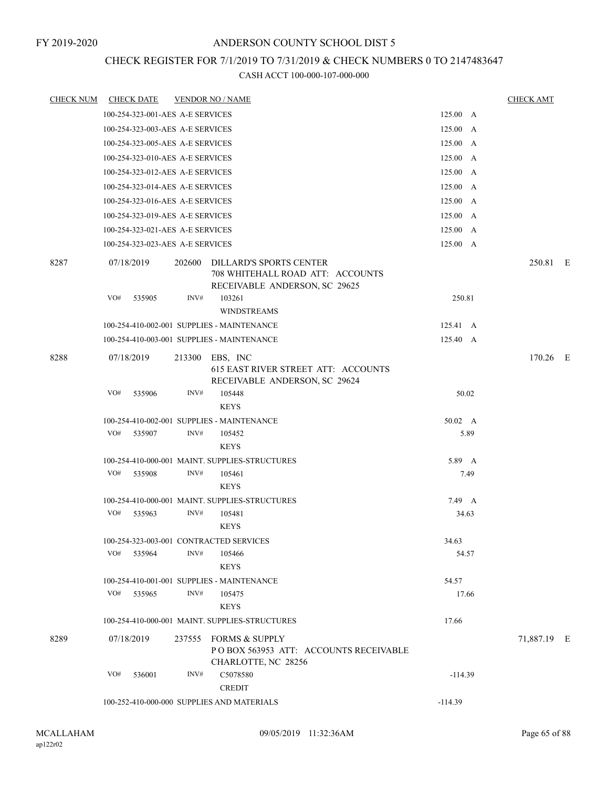## CHECK REGISTER FOR 7/1/2019 TO 7/31/2019 & CHECK NUMBERS 0 TO 2147483647

| <b>CHECK NUM</b> | <b>CHECK DATE</b>                       |        | <b>VENDOR NO / NAME</b>                                                                        |           |      | <b>CHECK AMT</b> |  |
|------------------|-----------------------------------------|--------|------------------------------------------------------------------------------------------------|-----------|------|------------------|--|
|                  | 100-254-323-001-AES A-E SERVICES        |        |                                                                                                | 125.00 A  |      |                  |  |
|                  | 100-254-323-003-AES A-E SERVICES        |        |                                                                                                | 125.00 A  |      |                  |  |
|                  | 100-254-323-005-AES A-E SERVICES        |        |                                                                                                | 125.00 A  |      |                  |  |
|                  | 100-254-323-010-AES A-E SERVICES        |        |                                                                                                | 125.00 A  |      |                  |  |
|                  | 100-254-323-012-AES A-E SERVICES        |        |                                                                                                | 125.00 A  |      |                  |  |
|                  | 100-254-323-014-AES A-E SERVICES        |        |                                                                                                | 125.00 A  |      |                  |  |
|                  | 100-254-323-016-AES A-E SERVICES        |        |                                                                                                | 125.00 A  |      |                  |  |
|                  | 100-254-323-019-AES A-E SERVICES        |        |                                                                                                | 125.00 A  |      |                  |  |
|                  | 100-254-323-021-AES A-E SERVICES        |        |                                                                                                | 125.00 A  |      |                  |  |
|                  | 100-254-323-023-AES A-E SERVICES        |        |                                                                                                | 125.00 A  |      |                  |  |
| 8287             | 07/18/2019                              | 202600 | DILLARD'S SPORTS CENTER<br>708 WHITEHALL ROAD ATT: ACCOUNTS<br>RECEIVABLE ANDERSON, SC 29625   |           |      | 250.81 E         |  |
|                  | VO#<br>535905                           | INV#   | 103261                                                                                         | 250.81    |      |                  |  |
|                  |                                         |        | <b>WINDSTREAMS</b>                                                                             |           |      |                  |  |
|                  |                                         |        | 100-254-410-002-001 SUPPLIES - MAINTENANCE                                                     | 125.41 A  |      |                  |  |
|                  |                                         |        | 100-254-410-003-001 SUPPLIES - MAINTENANCE                                                     | 125.40 A  |      |                  |  |
| 8288             | 07/18/2019                              |        | 213300 EBS, INC<br><b>615 EAST RIVER STREET ATT: ACCOUNTS</b><br>RECEIVABLE ANDERSON, SC 29624 |           |      | 170.26 E         |  |
|                  | VO#<br>535906                           | INV#   | 105448<br><b>KEYS</b>                                                                          | 50.02     |      |                  |  |
|                  |                                         |        | 100-254-410-002-001 SUPPLIES - MAINTENANCE                                                     | 50.02 A   |      |                  |  |
|                  | VO#<br>535907                           | INV#   | 105452                                                                                         |           | 5.89 |                  |  |
|                  |                                         |        | <b>KEYS</b>                                                                                    |           |      |                  |  |
|                  |                                         |        | 100-254-410-000-001 MAINT. SUPPLIES-STRUCTURES                                                 | 5.89 A    |      |                  |  |
|                  | VO#<br>535908                           | INV#   | 105461<br><b>KEYS</b>                                                                          |           | 7.49 |                  |  |
|                  |                                         |        | 100-254-410-000-001 MAINT. SUPPLIES-STRUCTURES                                                 | 7.49 A    |      |                  |  |
|                  | VO#<br>535963                           | INV#   | 105481<br><b>KEYS</b>                                                                          | 34.63     |      |                  |  |
|                  | 100-254-323-003-001 CONTRACTED SERVICES |        |                                                                                                | 34.63     |      |                  |  |
|                  | VO#<br>535964                           | INV#   | 105466                                                                                         | 54.57     |      |                  |  |
|                  |                                         |        | <b>KEYS</b>                                                                                    |           |      |                  |  |
|                  |                                         |        | 100-254-410-001-001 SUPPLIES - MAINTENANCE                                                     | 54.57     |      |                  |  |
|                  | VO#<br>535965                           | INV#   | 105475                                                                                         | 17.66     |      |                  |  |
|                  |                                         |        | <b>KEYS</b>                                                                                    |           |      |                  |  |
|                  |                                         |        | 100-254-410-000-001 MAINT. SUPPLIES-STRUCTURES                                                 | 17.66     |      |                  |  |
| 8289             | 07/18/2019                              |        | 237555 FORMS & SUPPLY<br>POBOX 563953 ATT: ACCOUNTS RECEIVABLE<br>CHARLOTTE, NC 28256          |           |      | 71,887.19 E      |  |
|                  | VO#<br>536001                           | INV#   | C5078580<br><b>CREDIT</b>                                                                      | $-114.39$ |      |                  |  |
|                  |                                         |        | 100-252-410-000-000 SUPPLIES AND MATERIALS                                                     | $-114.39$ |      |                  |  |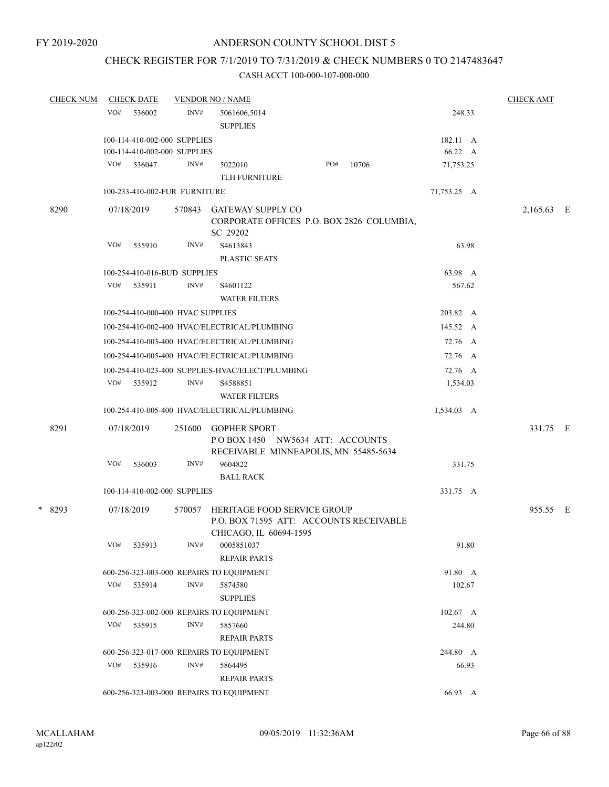# CHECK REGISTER FOR 7/1/2019 TO 7/31/2019 & CHECK NUMBERS 0 TO 2147483647

| <b>CHECK DATE</b> |                          |                                   |                                                                                                                                                                                                                                                                                                                                                                                                                                                                                                                                                                                                                                                                                                        |                                                                                                                        |                                                                                                         | <b>CHECK AMT</b>                                                                                                                               |                                    |
|-------------------|--------------------------|-----------------------------------|--------------------------------------------------------------------------------------------------------------------------------------------------------------------------------------------------------------------------------------------------------------------------------------------------------------------------------------------------------------------------------------------------------------------------------------------------------------------------------------------------------------------------------------------------------------------------------------------------------------------------------------------------------------------------------------------------------|------------------------------------------------------------------------------------------------------------------------|---------------------------------------------------------------------------------------------------------|------------------------------------------------------------------------------------------------------------------------------------------------|------------------------------------|
| VO#<br>536002     | INV#                     | 5061606,5014<br><b>SUPPLIES</b>   |                                                                                                                                                                                                                                                                                                                                                                                                                                                                                                                                                                                                                                                                                                        |                                                                                                                        | 248.33                                                                                                  |                                                                                                                                                |                                    |
|                   |                          |                                   |                                                                                                                                                                                                                                                                                                                                                                                                                                                                                                                                                                                                                                                                                                        |                                                                                                                        |                                                                                                         |                                                                                                                                                |                                    |
|                   |                          |                                   |                                                                                                                                                                                                                                                                                                                                                                                                                                                                                                                                                                                                                                                                                                        |                                                                                                                        | 66.22 A                                                                                                 |                                                                                                                                                |                                    |
| VO# 536047        | INV#                     | 5022010                           | PO#                                                                                                                                                                                                                                                                                                                                                                                                                                                                                                                                                                                                                                                                                                    | 10706                                                                                                                  | 71,753.25                                                                                               |                                                                                                                                                |                                    |
|                   |                          | <b>TLH FURNITURE</b>              |                                                                                                                                                                                                                                                                                                                                                                                                                                                                                                                                                                                                                                                                                                        |                                                                                                                        |                                                                                                         |                                                                                                                                                |                                    |
|                   |                          |                                   |                                                                                                                                                                                                                                                                                                                                                                                                                                                                                                                                                                                                                                                                                                        |                                                                                                                        | 71,753.25 A                                                                                             |                                                                                                                                                |                                    |
| 07/18/2019        |                          | SC 29202                          |                                                                                                                                                                                                                                                                                                                                                                                                                                                                                                                                                                                                                                                                                                        |                                                                                                                        |                                                                                                         |                                                                                                                                                |                                    |
| VO#<br>535910     | INV#                     | S4613843<br>PLASTIC SEATS         |                                                                                                                                                                                                                                                                                                                                                                                                                                                                                                                                                                                                                                                                                                        |                                                                                                                        | 63.98                                                                                                   |                                                                                                                                                |                                    |
|                   |                          |                                   |                                                                                                                                                                                                                                                                                                                                                                                                                                                                                                                                                                                                                                                                                                        |                                                                                                                        | 63.98 A                                                                                                 |                                                                                                                                                |                                    |
| VO#<br>535911     | INV#                     | S <sub>46</sub> 01122             |                                                                                                                                                                                                                                                                                                                                                                                                                                                                                                                                                                                                                                                                                                        |                                                                                                                        | 567.62                                                                                                  |                                                                                                                                                |                                    |
|                   |                          |                                   |                                                                                                                                                                                                                                                                                                                                                                                                                                                                                                                                                                                                                                                                                                        |                                                                                                                        |                                                                                                         |                                                                                                                                                |                                    |
|                   |                          |                                   |                                                                                                                                                                                                                                                                                                                                                                                                                                                                                                                                                                                                                                                                                                        |                                                                                                                        | 203.82 A                                                                                                |                                                                                                                                                |                                    |
|                   |                          |                                   |                                                                                                                                                                                                                                                                                                                                                                                                                                                                                                                                                                                                                                                                                                        |                                                                                                                        | 145.52 A                                                                                                |                                                                                                                                                |                                    |
|                   |                          |                                   |                                                                                                                                                                                                                                                                                                                                                                                                                                                                                                                                                                                                                                                                                                        |                                                                                                                        | 72.76 A                                                                                                 |                                                                                                                                                |                                    |
|                   |                          |                                   |                                                                                                                                                                                                                                                                                                                                                                                                                                                                                                                                                                                                                                                                                                        |                                                                                                                        | 72.76 A                                                                                                 |                                                                                                                                                |                                    |
|                   |                          |                                   |                                                                                                                                                                                                                                                                                                                                                                                                                                                                                                                                                                                                                                                                                                        |                                                                                                                        | 72.76 A                                                                                                 |                                                                                                                                                |                                    |
| VO# 535912        | INV#                     | S4588851                          |                                                                                                                                                                                                                                                                                                                                                                                                                                                                                                                                                                                                                                                                                                        |                                                                                                                        | 1,534.03                                                                                                |                                                                                                                                                |                                    |
|                   |                          |                                   |                                                                                                                                                                                                                                                                                                                                                                                                                                                                                                                                                                                                                                                                                                        |                                                                                                                        |                                                                                                         |                                                                                                                                                |                                    |
|                   |                          |                                   |                                                                                                                                                                                                                                                                                                                                                                                                                                                                                                                                                                                                                                                                                                        |                                                                                                                        |                                                                                                         |                                                                                                                                                |                                    |
|                   |                          |                                   |                                                                                                                                                                                                                                                                                                                                                                                                                                                                                                                                                                                                                                                                                                        |                                                                                                                        |                                                                                                         |                                                                                                                                                |                                    |
| VO#<br>536003     | INV#                     | 9604822                           |                                                                                                                                                                                                                                                                                                                                                                                                                                                                                                                                                                                                                                                                                                        |                                                                                                                        | 331.75                                                                                                  |                                                                                                                                                |                                    |
|                   |                          | <b>BALL RACK</b>                  |                                                                                                                                                                                                                                                                                                                                                                                                                                                                                                                                                                                                                                                                                                        |                                                                                                                        |                                                                                                         |                                                                                                                                                |                                    |
|                   |                          |                                   |                                                                                                                                                                                                                                                                                                                                                                                                                                                                                                                                                                                                                                                                                                        |                                                                                                                        | 331.75 A                                                                                                |                                                                                                                                                |                                    |
| 07/18/2019        | 570057                   |                                   |                                                                                                                                                                                                                                                                                                                                                                                                                                                                                                                                                                                                                                                                                                        |                                                                                                                        |                                                                                                         |                                                                                                                                                |                                    |
| VO#<br>535913     | INV#                     | 0005851037<br><b>REPAIR PARTS</b> |                                                                                                                                                                                                                                                                                                                                                                                                                                                                                                                                                                                                                                                                                                        |                                                                                                                        | 91.80                                                                                                   |                                                                                                                                                |                                    |
|                   |                          |                                   |                                                                                                                                                                                                                                                                                                                                                                                                                                                                                                                                                                                                                                                                                                        |                                                                                                                        |                                                                                                         |                                                                                                                                                |                                    |
| VO#<br>535914     | INV#                     | 5874580                           |                                                                                                                                                                                                                                                                                                                                                                                                                                                                                                                                                                                                                                                                                                        |                                                                                                                        | 102.67                                                                                                  |                                                                                                                                                |                                    |
|                   |                          | <b>SUPPLIES</b>                   |                                                                                                                                                                                                                                                                                                                                                                                                                                                                                                                                                                                                                                                                                                        |                                                                                                                        |                                                                                                         |                                                                                                                                                |                                    |
|                   |                          |                                   |                                                                                                                                                                                                                                                                                                                                                                                                                                                                                                                                                                                                                                                                                                        |                                                                                                                        | $102.67 \text{ A}$                                                                                      |                                                                                                                                                |                                    |
| VO#<br>535915     | INV#                     | 5857660                           |                                                                                                                                                                                                                                                                                                                                                                                                                                                                                                                                                                                                                                                                                                        |                                                                                                                        | 244.80                                                                                                  |                                                                                                                                                |                                    |
|                   |                          |                                   |                                                                                                                                                                                                                                                                                                                                                                                                                                                                                                                                                                                                                                                                                                        |                                                                                                                        |                                                                                                         |                                                                                                                                                |                                    |
|                   |                          |                                   |                                                                                                                                                                                                                                                                                                                                                                                                                                                                                                                                                                                                                                                                                                        |                                                                                                                        |                                                                                                         |                                                                                                                                                |                                    |
|                   |                          | <b>REPAIR PARTS</b>               |                                                                                                                                                                                                                                                                                                                                                                                                                                                                                                                                                                                                                                                                                                        |                                                                                                                        |                                                                                                         |                                                                                                                                                |                                    |
|                   |                          |                                   |                                                                                                                                                                                                                                                                                                                                                                                                                                                                                                                                                                                                                                                                                                        |                                                                                                                        | 66.93 A                                                                                                 |                                                                                                                                                |                                    |
|                   | 07/18/2019<br>VO# 535916 | 251600<br>INV#                    | <b>VENDOR NO / NAME</b><br>100-114-410-002-000 SUPPLIES<br>100-114-410-002-000 SUPPLIES<br>100-233-410-002-FUR FURNITURE<br>570843 GATEWAY SUPPLY CO<br>100-254-410-016-BUD SUPPLIES<br><b>WATER FILTERS</b><br>100-254-410-000-400 HVAC SUPPLIES<br>100-254-410-002-400 HVAC/ELECTRICAL/PLUMBING<br>100-254-410-003-400 HVAC/ELECTRICAL/PLUMBING<br>100-254-410-005-400 HVAC/ELECTRICAL/PLUMBING<br><b>WATER FILTERS</b><br>100-254-410-005-400 HVAC/ELECTRICAL/PLUMBING<br><b>GOPHER SPORT</b><br>100-114-410-002-000 SUPPLIES<br>600-256-323-003-000 REPAIRS TO EQUIPMENT<br>600-256-323-002-000 REPAIRS TO EQUIPMENT<br><b>REPAIR PARTS</b><br>600-256-323-017-000 REPAIRS TO EQUIPMENT<br>5864495 | 100-254-410-023-400 SUPPLIES-HVAC/ELECT/PLUMBING<br>CHICAGO, IL 60694-1595<br>600-256-323-003-000 REPAIRS TO EQUIPMENT | POBOX 1450 NW5634 ATT: ACCOUNTS<br>RECEIVABLE MINNEAPOLIS, MN 55485-5634<br>HERITAGE FOOD SERVICE GROUP | 182.11 A<br>CORPORATE OFFICES P.O. BOX 2826 COLUMBIA,<br>1,534.03 A<br>P.O. BOX 71595 ATT: ACCOUNTS RECEIVABLE<br>91.80 A<br>244.80 A<br>66.93 | 2,165.63 E<br>331.75 E<br>955.55 E |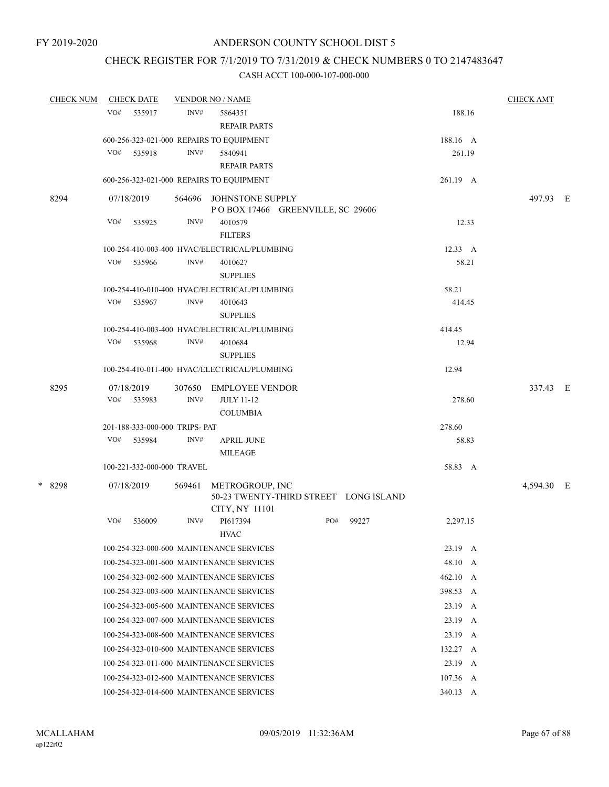## CHECK REGISTER FOR 7/1/2019 TO 7/31/2019 & CHECK NUMBERS 0 TO 2147483647

| <b>CHECK NUM</b> |     | <b>CHECK DATE</b>              |        | <b>VENDOR NO / NAME</b>                      |                                       |       |                  | <b>CHECK AMT</b> |  |
|------------------|-----|--------------------------------|--------|----------------------------------------------|---------------------------------------|-------|------------------|------------------|--|
|                  | VO# | 535917                         | INV#   | 5864351                                      |                                       |       | 188.16           |                  |  |
|                  |     |                                |        | <b>REPAIR PARTS</b>                          |                                       |       |                  |                  |  |
|                  |     |                                |        | 600-256-323-021-000 REPAIRS TO EQUIPMENT     |                                       |       | 188.16 A         |                  |  |
|                  | VO# | 535918                         | INV#   | 5840941                                      |                                       |       | 261.19           |                  |  |
|                  |     |                                |        | <b>REPAIR PARTS</b>                          |                                       |       |                  |                  |  |
|                  |     |                                |        | 600-256-323-021-000 REPAIRS TO EQUIPMENT     |                                       |       | 261.19 A         |                  |  |
| 8294             |     | 07/18/2019                     | 564696 | JOHNSTONE SUPPLY                             | POBOX 17466 GREENVILLE, SC 29606      |       |                  | 497.93 E         |  |
|                  | VO# | 535925                         | INV#   | 4010579                                      |                                       |       | 12.33            |                  |  |
|                  |     |                                |        | <b>FILTERS</b>                               |                                       |       |                  |                  |  |
|                  |     |                                |        | 100-254-410-003-400 HVAC/ELECTRICAL/PLUMBING |                                       |       | 12.33 A          |                  |  |
|                  | VO# | 535966                         | INV#   | 4010627<br><b>SUPPLIES</b>                   |                                       |       | 58.21            |                  |  |
|                  |     |                                |        | 100-254-410-010-400 HVAC/ELECTRICAL/PLUMBING |                                       |       | 58.21            |                  |  |
|                  | VO# | 535967                         | INV#   | 4010643                                      |                                       |       | 414.45           |                  |  |
|                  |     |                                |        | <b>SUPPLIES</b>                              |                                       |       |                  |                  |  |
|                  |     |                                |        | 100-254-410-003-400 HVAC/ELECTRICAL/PLUMBING |                                       |       | 414.45           |                  |  |
|                  | VO# | 535968                         | INV#   | 4010684<br><b>SUPPLIES</b>                   |                                       |       | 12.94            |                  |  |
|                  |     |                                |        | 100-254-410-011-400 HVAC/ELECTRICAL/PLUMBING |                                       |       | 12.94            |                  |  |
| 8295             |     | 07/18/2019                     | 307650 | <b>EMPLOYEE VENDOR</b>                       |                                       |       |                  | 337.43 E         |  |
|                  | VO# | 535983                         | INV#   | <b>JULY 11-12</b><br><b>COLUMBIA</b>         |                                       |       | 278.60           |                  |  |
|                  |     | 201-188-333-000-000 TRIPS- PAT |        |                                              |                                       |       | 278.60           |                  |  |
|                  | VO# | 535984                         | INV#   | <b>APRIL-JUNE</b><br><b>MILEAGE</b>          |                                       |       | 58.83            |                  |  |
|                  |     | 100-221-332-000-000 TRAVEL     |        |                                              |                                       |       | 58.83 A          |                  |  |
| * 8298           |     | 07/18/2019                     | 569461 | METROGROUP, INC<br>CITY, NY 11101            | 50-23 TWENTY-THIRD STREET LONG ISLAND |       |                  | 4,594.30 E       |  |
|                  | VO# | 536009                         | INV#   | PI617394                                     | PO#                                   | 99227 | 2,297.15         |                  |  |
|                  |     |                                |        | <b>HVAC</b>                                  |                                       |       |                  |                  |  |
|                  |     |                                |        | 100-254-323-000-600 MAINTENANCE SERVICES     |                                       |       | 23.19 A          |                  |  |
|                  |     |                                |        | 100-254-323-001-600 MAINTENANCE SERVICES     |                                       |       | 48.10 A          |                  |  |
|                  |     |                                |        | 100-254-323-002-600 MAINTENANCE SERVICES     |                                       |       | 462.10 A         |                  |  |
|                  |     |                                |        | 100-254-323-003-600 MAINTENANCE SERVICES     |                                       |       | 398.53 A         |                  |  |
|                  |     |                                |        | 100-254-323-005-600 MAINTENANCE SERVICES     |                                       |       | $23.19 \quad A$  |                  |  |
|                  |     |                                |        | 100-254-323-007-600 MAINTENANCE SERVICES     |                                       |       | $23.19 \quad A$  |                  |  |
|                  |     |                                |        | 100-254-323-008-600 MAINTENANCE SERVICES     |                                       |       | $23.19\quad A$   |                  |  |
|                  |     |                                |        | 100-254-323-010-600 MAINTENANCE SERVICES     |                                       |       | 132.27 A         |                  |  |
|                  |     |                                |        | 100-254-323-011-600 MAINTENANCE SERVICES     |                                       |       | $23.19 \quad A$  |                  |  |
|                  |     |                                |        | 100-254-323-012-600 MAINTENANCE SERVICES     |                                       |       | $107.36 \quad A$ |                  |  |
|                  |     |                                |        | 100-254-323-014-600 MAINTENANCE SERVICES     |                                       |       | 340.13 A         |                  |  |
|                  |     |                                |        |                                              |                                       |       |                  |                  |  |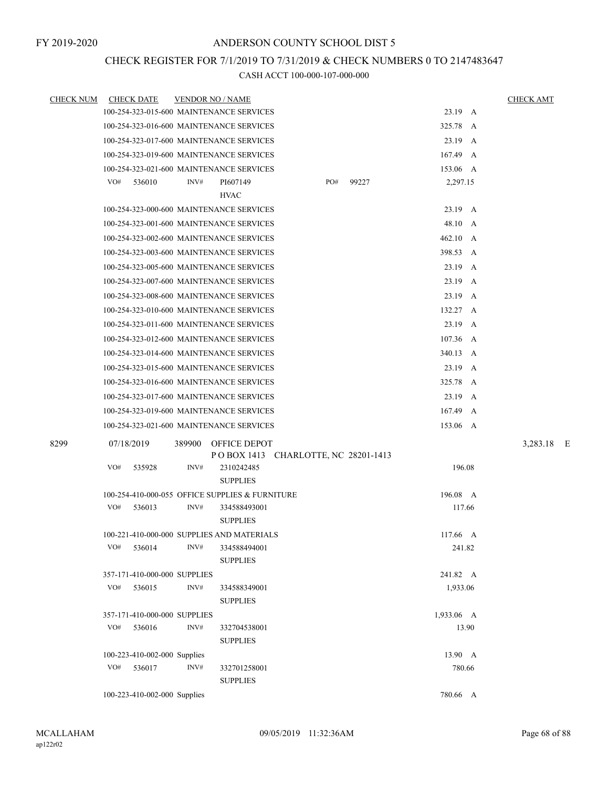# CHECK REGISTER FOR 7/1/2019 TO 7/31/2019 & CHECK NUMBERS 0 TO 2147483647

| <b>CHECK NUM</b> | <b>CHECK DATE</b>                               | <b>VENDOR NO / NAME</b> |                                 |                          |     |       |                  |        | <b>CHECK AMT</b> |
|------------------|-------------------------------------------------|-------------------------|---------------------------------|--------------------------|-----|-------|------------------|--------|------------------|
|                  | 100-254-323-015-600 MAINTENANCE SERVICES        |                         |                                 |                          |     |       | 23.19 A          |        |                  |
|                  | 100-254-323-016-600 MAINTENANCE SERVICES        |                         |                                 |                          |     |       | 325.78 A         |        |                  |
|                  | 100-254-323-017-600 MAINTENANCE SERVICES        |                         |                                 |                          |     |       | 23.19 A          |        |                  |
|                  | 100-254-323-019-600 MAINTENANCE SERVICES        |                         |                                 |                          |     |       | 167.49 A         |        |                  |
|                  | 100-254-323-021-600 MAINTENANCE SERVICES        |                         |                                 |                          |     |       | 153.06 A         |        |                  |
|                  | VO#<br>536010                                   | INV#                    | PI607149                        |                          | PO# | 99227 | 2,297.15         |        |                  |
|                  |                                                 |                         | <b>HVAC</b>                     |                          |     |       |                  |        |                  |
|                  | 100-254-323-000-600 MAINTENANCE SERVICES        |                         |                                 |                          |     |       | 23.19 A          |        |                  |
|                  | 100-254-323-001-600 MAINTENANCE SERVICES        |                         |                                 |                          |     |       | 48.10 A          |        |                  |
|                  | 100-254-323-002-600 MAINTENANCE SERVICES        |                         |                                 |                          |     |       | 462.10 A         |        |                  |
|                  | 100-254-323-003-600 MAINTENANCE SERVICES        |                         |                                 |                          |     |       | 398.53 A         |        |                  |
|                  | 100-254-323-005-600 MAINTENANCE SERVICES        |                         |                                 |                          |     |       | 23.19            | A      |                  |
|                  | 100-254-323-007-600 MAINTENANCE SERVICES        |                         |                                 |                          |     |       | 23.19 A          |        |                  |
|                  | 100-254-323-008-600 MAINTENANCE SERVICES        |                         |                                 |                          |     |       | 23.19            | A      |                  |
|                  | 100-254-323-010-600 MAINTENANCE SERVICES        |                         |                                 |                          |     |       | 132.27 A         |        |                  |
|                  | 100-254-323-011-600 MAINTENANCE SERVICES        |                         |                                 |                          |     |       | $23.19$ A        |        |                  |
|                  | 100-254-323-012-600 MAINTENANCE SERVICES        |                         |                                 |                          |     |       | $107.36 \quad A$ |        |                  |
|                  | 100-254-323-014-600 MAINTENANCE SERVICES        |                         |                                 |                          |     |       | 340.13 A         |        |                  |
|                  | 100-254-323-015-600 MAINTENANCE SERVICES        |                         |                                 |                          |     |       | 23.19 A          |        |                  |
|                  | 100-254-323-016-600 MAINTENANCE SERVICES        |                         |                                 |                          |     |       | 325.78           | A      |                  |
|                  | 100-254-323-017-600 MAINTENANCE SERVICES        |                         |                                 |                          |     |       | $23.19$ A        |        |                  |
|                  | 100-254-323-019-600 MAINTENANCE SERVICES        |                         |                                 |                          |     |       | 167.49           | A      |                  |
|                  | 100-254-323-021-600 MAINTENANCE SERVICES        |                         |                                 |                          |     |       | 153.06 A         |        |                  |
| 8299             | 07/18/2019                                      | 389900                  | OFFICE DEPOT<br>P O BOX 1413    | CHARLOTTE, NC 28201-1413 |     |       |                  |        | 3,283.18 E       |
|                  | VO#<br>535928                                   | INV#                    | 2310242485<br><b>SUPPLIES</b>   |                          |     |       |                  | 196.08 |                  |
|                  | 100-254-410-000-055 OFFICE SUPPLIES & FURNITURE |                         |                                 |                          |     |       | 196.08 A         |        |                  |
|                  | VO#<br>536013                                   | INV#                    | 334588493001<br><b>SUPPLIES</b> |                          |     |       |                  | 117.66 |                  |
|                  | 100-221-410-000-000 SUPPLIES AND MATERIALS      |                         |                                 |                          |     |       | $117.66 \quad A$ |        |                  |
|                  | VO#<br>536014                                   | INV#                    | 334588494001<br><b>SUPPLIES</b> |                          |     |       |                  | 241.82 |                  |
|                  | 357-171-410-000-000 SUPPLIES                    |                         |                                 |                          |     |       | 241.82 A         |        |                  |
|                  | VO#<br>536015                                   | INV#                    | 334588349001<br><b>SUPPLIES</b> |                          |     |       | 1,933.06         |        |                  |
|                  | 357-171-410-000-000 SUPPLIES                    |                         |                                 |                          |     |       | 1,933.06 A       |        |                  |
|                  | VO#<br>536016                                   | INV#                    | 332704538001<br><b>SUPPLIES</b> |                          |     |       |                  | 13.90  |                  |
|                  | 100-223-410-002-000 Supplies                    |                         |                                 |                          |     |       | 13.90 A          |        |                  |
|                  | VO#<br>536017                                   | INV#                    | 332701258001<br><b>SUPPLIES</b> |                          |     |       |                  | 780.66 |                  |
|                  | 100-223-410-002-000 Supplies                    |                         |                                 |                          |     |       | 780.66 A         |        |                  |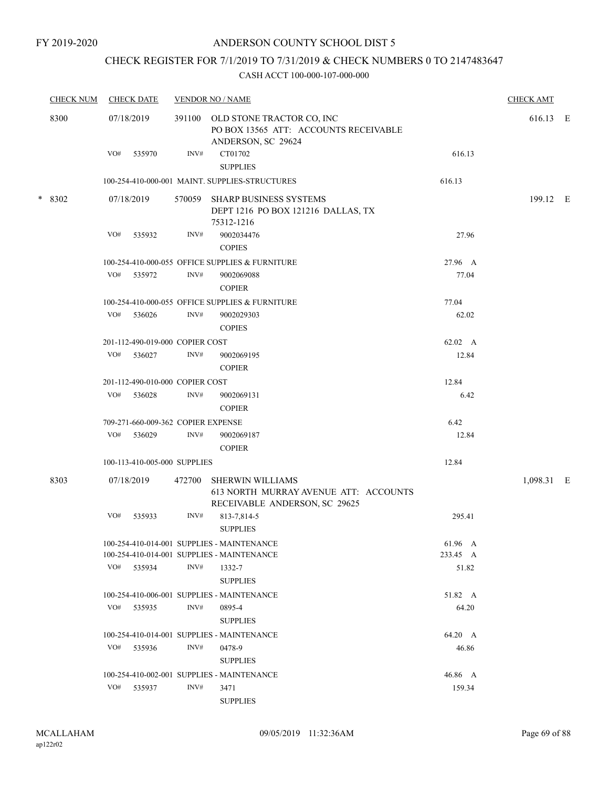## CHECK REGISTER FOR 7/1/2019 TO 7/31/2019 & CHECK NUMBERS 0 TO 2147483647

| <b>CHECK NUM</b> |     | <b>CHECK DATE</b>                  |        | <b>VENDOR NO / NAME</b>                                                                           |          | <b>CHECK AMT</b> |  |
|------------------|-----|------------------------------------|--------|---------------------------------------------------------------------------------------------------|----------|------------------|--|
| 8300             |     | 07/18/2019                         | 391100 | OLD STONE TRACTOR CO, INC<br>PO BOX 13565 ATT: ACCOUNTS RECEIVABLE<br>ANDERSON, SC 29624          |          | 616.13 E         |  |
|                  | VO# | 535970                             | INV#   | CT01702<br><b>SUPPLIES</b>                                                                        | 616.13   |                  |  |
|                  |     |                                    |        | 100-254-410-000-001 MAINT. SUPPLIES-STRUCTURES                                                    | 616.13   |                  |  |
| * 8302           |     | 07/18/2019                         | 570059 | <b>SHARP BUSINESS SYSTEMS</b><br>DEPT 1216 PO BOX 121216 DALLAS, TX<br>75312-1216                 |          | 199.12 E         |  |
|                  | VO# | 535932                             | INV#   | 9002034476<br><b>COPIES</b>                                                                       | 27.96    |                  |  |
|                  |     |                                    |        | 100-254-410-000-055 OFFICE SUPPLIES & FURNITURE                                                   | 27.96 A  |                  |  |
|                  | VO# | 535972                             | INV#   | 9002069088<br><b>COPIER</b>                                                                       | 77.04    |                  |  |
|                  |     |                                    |        | 100-254-410-000-055 OFFICE SUPPLIES & FURNITURE                                                   | 77.04    |                  |  |
|                  | VO# | 536026                             | INV#   | 9002029303<br><b>COPIES</b>                                                                       | 62.02    |                  |  |
|                  |     | 201-112-490-019-000 COPIER COST    |        |                                                                                                   | 62.02 A  |                  |  |
|                  | VO# | 536027                             | INV#   | 9002069195<br><b>COPIER</b>                                                                       | 12.84    |                  |  |
|                  |     | 201-112-490-010-000 COPIER COST    |        |                                                                                                   | 12.84    |                  |  |
|                  | VO# | 536028                             | INV#   | 9002069131<br><b>COPIER</b>                                                                       | 6.42     |                  |  |
|                  |     | 709-271-660-009-362 COPIER EXPENSE |        |                                                                                                   | 6.42     |                  |  |
|                  | VO# | 536029                             | INV#   | 9002069187<br><b>COPIER</b>                                                                       | 12.84    |                  |  |
|                  |     | 100-113-410-005-000 SUPPLIES       |        |                                                                                                   | 12.84    |                  |  |
| 8303             |     | 07/18/2019                         | 472700 | <b>SHERWIN WILLIAMS</b><br>613 NORTH MURRAY AVENUE ATT: ACCOUNTS<br>RECEIVABLE ANDERSON, SC 29625 |          | 1,098.31 E       |  |
|                  | VO# | 535933                             | INV#   | 813-7,814-5<br><b>SUPPLIES</b>                                                                    | 295.41   |                  |  |
|                  |     |                                    |        | 100-254-410-014-001 SUPPLIES - MAINTENANCE                                                        | 61.96 A  |                  |  |
|                  |     |                                    |        | 100-254-410-014-001 SUPPLIES - MAINTENANCE                                                        | 233.45 A |                  |  |
|                  |     | VO# 535934                         | INV#   | 1332-7<br><b>SUPPLIES</b>                                                                         | 51.82    |                  |  |
|                  |     |                                    |        | 100-254-410-006-001 SUPPLIES - MAINTENANCE                                                        | 51.82 A  |                  |  |
|                  |     | VO# 535935                         | INV#   | 0895-4<br><b>SUPPLIES</b>                                                                         | 64.20    |                  |  |
|                  |     |                                    |        | 100-254-410-014-001 SUPPLIES - MAINTENANCE                                                        | 64.20 A  |                  |  |
|                  | VO# | 535936                             | INV#   | 0478-9<br><b>SUPPLIES</b>                                                                         | 46.86    |                  |  |
|                  |     |                                    |        | 100-254-410-002-001 SUPPLIES - MAINTENANCE                                                        | 46.86 A  |                  |  |
|                  | VO# | 535937                             | INV#   | 3471<br><b>SUPPLIES</b>                                                                           | 159.34   |                  |  |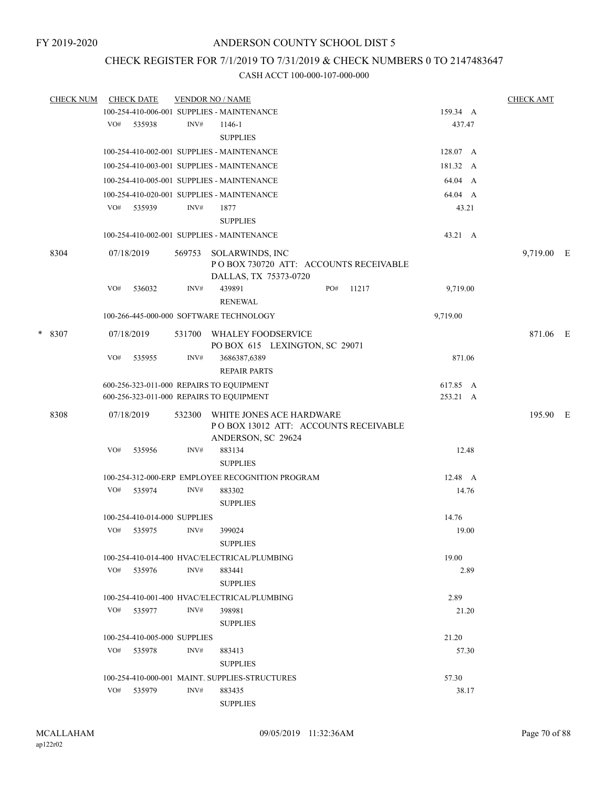### CHECK REGISTER FOR 7/1/2019 TO 7/31/2019 & CHECK NUMBERS 0 TO 2147483647

|   | <b>CHECK NUM</b> |     | <b>CHECK DATE</b>            |        | <b>VENDOR NO / NAME</b>                                                                |     |       |                      |         | <b>CHECK AMT</b> |  |
|---|------------------|-----|------------------------------|--------|----------------------------------------------------------------------------------------|-----|-------|----------------------|---------|------------------|--|
|   |                  |     |                              |        | 100-254-410-006-001 SUPPLIES - MAINTENANCE                                             |     |       | 159.34 A             |         |                  |  |
|   |                  | VO# | 535938                       | INV#   | 1146-1                                                                                 |     |       |                      | 437.47  |                  |  |
|   |                  |     |                              |        | <b>SUPPLIES</b>                                                                        |     |       |                      |         |                  |  |
|   |                  |     |                              |        | 100-254-410-002-001 SUPPLIES - MAINTENANCE                                             |     |       | 128.07 A             |         |                  |  |
|   |                  |     |                              |        | 100-254-410-003-001 SUPPLIES - MAINTENANCE                                             |     |       | 181.32 A             |         |                  |  |
|   |                  |     |                              |        | 100-254-410-005-001 SUPPLIES - MAINTENANCE                                             |     |       |                      | 64.04 A |                  |  |
|   |                  |     |                              |        | 100-254-410-020-001 SUPPLIES - MAINTENANCE                                             |     |       |                      | 64.04 A |                  |  |
|   |                  | VO# | 535939                       | INV#   | 1877                                                                                   |     |       |                      | 43.21   |                  |  |
|   |                  |     |                              |        | <b>SUPPLIES</b>                                                                        |     |       |                      |         |                  |  |
|   |                  |     |                              |        | 100-254-410-002-001 SUPPLIES - MAINTENANCE                                             |     |       |                      | 43.21 A |                  |  |
|   | 8304             |     | 07/18/2019                   | 569753 | SOLARWINDS, INC<br>PO BOX 730720 ATT: ACCOUNTS RECEIVABLE<br>DALLAS, TX 75373-0720     |     |       |                      |         | 9,719.00 E       |  |
|   |                  | VO# | 536032                       | INV#   | 439891<br><b>RENEWAL</b>                                                               | PO# | 11217 | 9,719.00             |         |                  |  |
|   |                  |     |                              |        | 100-266-445-000-000 SOFTWARE TECHNOLOGY                                                |     |       | 9,719.00             |         |                  |  |
| * | 8307             |     | 07/18/2019                   | 531700 | WHALEY FOODSERVICE<br>PO BOX 615 LEXINGTON, SC 29071                                   |     |       |                      |         | 871.06 E         |  |
|   |                  | VO# | 535955                       | INV#   | 3686387,6389<br><b>REPAIR PARTS</b>                                                    |     |       |                      | 871.06  |                  |  |
|   |                  |     |                              |        | 600-256-323-011-000 REPAIRS TO EQUIPMENT<br>600-256-323-011-000 REPAIRS TO EQUIPMENT   |     |       | 617.85 A<br>253.21 A |         |                  |  |
|   | 8308             |     | 07/18/2019                   | 532300 | WHITE JONES ACE HARDWARE<br>POBOX 13012 ATT: ACCOUNTS RECEIVABLE<br>ANDERSON, SC 29624 |     |       |                      |         | 195.90 E         |  |
|   |                  | VO# | 535956                       | INV#   | 883134<br><b>SUPPLIES</b>                                                              |     |       |                      | 12.48   |                  |  |
|   |                  |     |                              |        | 100-254-312-000-ERP EMPLOYEE RECOGNITION PROGRAM                                       |     |       |                      | 12.48 A |                  |  |
|   |                  | VO# | 535974                       | INV#   | 883302<br><b>SUPPLIES</b>                                                              |     |       |                      | 14.76   |                  |  |
|   |                  |     | 100-254-410-014-000 SUPPLIES |        |                                                                                        |     |       | 14.76                |         |                  |  |
|   |                  | VO# | 535975                       | INV#   | 399024<br><b>SUPPLIES</b>                                                              |     |       |                      | 19.00   |                  |  |
|   |                  |     |                              |        | 100-254-410-014-400 HVAC/ELECTRICAL/PLUMBING                                           |     |       | 19.00                |         |                  |  |
|   |                  |     | VO# 535976                   | INV#   | 883441<br><b>SUPPLIES</b>                                                              |     |       |                      | 2.89    |                  |  |
|   |                  |     |                              |        | 100-254-410-001-400 HVAC/ELECTRICAL/PLUMBING                                           |     |       | 2.89                 |         |                  |  |
|   |                  | VO# | 535977                       | INV#   | 398981<br><b>SUPPLIES</b>                                                              |     |       |                      | 21.20   |                  |  |
|   |                  |     | 100-254-410-005-000 SUPPLIES |        |                                                                                        |     |       | 21.20                |         |                  |  |
|   |                  | VO# | 535978                       | INV#   | 883413<br><b>SUPPLIES</b>                                                              |     |       |                      | 57.30   |                  |  |
|   |                  |     |                              |        | 100-254-410-000-001 MAINT. SUPPLIES-STRUCTURES                                         |     |       | 57.30                |         |                  |  |
|   |                  | VO# | 535979                       | INV#   | 883435                                                                                 |     |       |                      | 38.17   |                  |  |
|   |                  |     |                              |        | <b>SUPPLIES</b>                                                                        |     |       |                      |         |                  |  |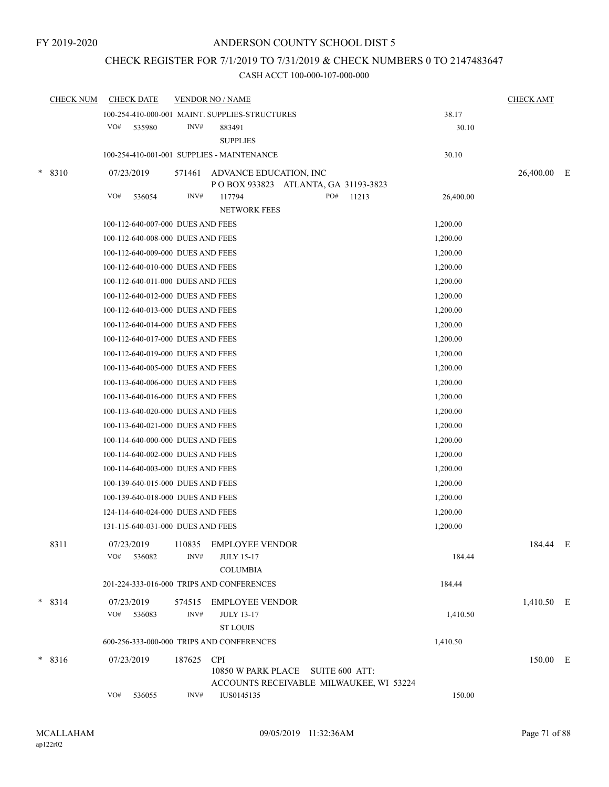## CHECK REGISTER FOR 7/1/2019 TO 7/31/2019 & CHECK NUMBERS 0 TO 2147483647

|        | <b>CHECK NUM</b> | <b>CHECK DATE</b>                         |                | <b>VENDOR NO / NAME</b>                                                                    |                | <b>CHECK AMT</b> |  |
|--------|------------------|-------------------------------------------|----------------|--------------------------------------------------------------------------------------------|----------------|------------------|--|
|        |                  | VO#<br>535980                             | INV#           | 100-254-410-000-001 MAINT. SUPPLIES-STRUCTURES<br>883491                                   | 38.17<br>30.10 |                  |  |
|        |                  |                                           |                | <b>SUPPLIES</b><br>100-254-410-001-001 SUPPLIES - MAINTENANCE                              | 30.10          |                  |  |
|        |                  |                                           |                |                                                                                            |                |                  |  |
| $\ast$ | 8310             | 07/23/2019                                | 571461         | ADVANCE EDUCATION, INC<br>POBOX 933823 ATLANTA, GA 31193-3823                              |                | 26,400.00 E      |  |
|        |                  | VO#<br>536054                             | INV#           | PO#<br>117794<br>11213                                                                     | 26,400.00      |                  |  |
|        |                  |                                           |                | <b>NETWORK FEES</b>                                                                        |                |                  |  |
|        |                  | 100-112-640-007-000 DUES AND FEES         |                |                                                                                            | 1,200.00       |                  |  |
|        |                  | 100-112-640-008-000 DUES AND FEES         |                |                                                                                            | 1,200.00       |                  |  |
|        |                  | 100-112-640-009-000 DUES AND FEES         |                |                                                                                            | 1,200.00       |                  |  |
|        |                  | 100-112-640-010-000 DUES AND FEES         |                |                                                                                            | 1,200.00       |                  |  |
|        |                  | 100-112-640-011-000 DUES AND FEES         |                |                                                                                            | 1,200.00       |                  |  |
|        |                  | 100-112-640-012-000 DUES AND FEES         |                |                                                                                            | 1,200.00       |                  |  |
|        |                  | 100-112-640-013-000 DUES AND FEES         |                |                                                                                            | 1,200.00       |                  |  |
|        |                  | 100-112-640-014-000 DUES AND FEES         |                |                                                                                            | 1,200.00       |                  |  |
|        |                  | 100-112-640-017-000 DUES AND FEES         |                |                                                                                            | 1,200.00       |                  |  |
|        |                  | 100-112-640-019-000 DUES AND FEES         |                |                                                                                            | 1,200.00       |                  |  |
|        |                  | 100-113-640-005-000 DUES AND FEES         |                |                                                                                            | 1,200.00       |                  |  |
|        |                  | 100-113-640-006-000 DUES AND FEES         |                |                                                                                            | 1,200.00       |                  |  |
|        |                  | 100-113-640-016-000 DUES AND FEES         |                |                                                                                            | 1,200.00       |                  |  |
|        |                  | 100-113-640-020-000 DUES AND FEES         |                |                                                                                            | 1,200.00       |                  |  |
|        |                  | 100-113-640-021-000 DUES AND FEES         |                |                                                                                            | 1,200.00       |                  |  |
|        |                  | 100-114-640-000-000 DUES AND FEES         |                |                                                                                            | 1,200.00       |                  |  |
|        |                  | 100-114-640-002-000 DUES AND FEES         |                |                                                                                            | 1,200.00       |                  |  |
|        |                  | 100-114-640-003-000 DUES AND FEES         |                |                                                                                            | 1,200.00       |                  |  |
|        |                  | 100-139-640-015-000 DUES AND FEES         |                |                                                                                            | 1,200.00       |                  |  |
|        |                  | 100-139-640-018-000 DUES AND FEES         |                |                                                                                            | 1,200.00       |                  |  |
|        |                  | 124-114-640-024-000 DUES AND FEES         |                |                                                                                            | 1,200.00       |                  |  |
|        |                  | 131-115-640-031-000 DUES AND FEES         |                |                                                                                            | 1,200.00       |                  |  |
|        | 8311             | 07/23/2019<br>VO#<br>536082               | 110835<br>INV# | <b>EMPLOYEE VENDOR</b><br><b>JULY 15-17</b><br><b>COLUMBIA</b>                             | 184.44         | 184.44 E         |  |
|        |                  |                                           |                | 201-224-333-016-000 TRIPS AND CONFERENCES                                                  | 184.44         |                  |  |
|        | $* 8314$         | 07/23/2019                                |                | 574515 EMPLOYEE VENDOR                                                                     |                | 1,410.50 E       |  |
|        |                  | VO#<br>536083                             | INV#           | <b>JULY 13-17</b><br><b>ST LOUIS</b>                                                       | 1,410.50       |                  |  |
|        |                  | 600-256-333-000-000 TRIPS AND CONFERENCES |                |                                                                                            | 1,410.50       |                  |  |
|        | $*8316$          | 07/23/2019                                | 187625         | <b>CPI</b><br>10850 W PARK PLACE SUITE 600 ATT:<br>ACCOUNTS RECEIVABLE MILWAUKEE, WI 53224 |                | 150.00 E         |  |
|        |                  | VO#<br>536055                             | INV#           | IUS0145135                                                                                 | 150.00         |                  |  |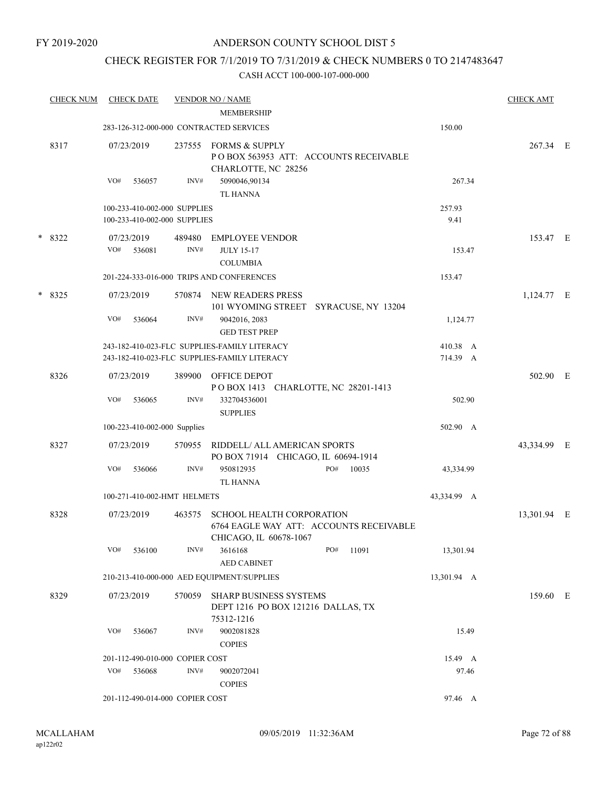## CHECK REGISTER FOR 7/1/2019 TO 7/31/2019 & CHECK NUMBERS 0 TO 2147483647

| <b>CHECK NUM</b> | <b>CHECK DATE</b> |                                 | <b>VENDOR NO / NAME</b><br><b>MEMBERSHIP</b>                               |     |                                         |             | <b>CHECK AMT</b> |  |
|------------------|-------------------|---------------------------------|----------------------------------------------------------------------------|-----|-----------------------------------------|-------------|------------------|--|
|                  |                   |                                 | 283-126-312-000-000 CONTRACTED SERVICES                                    |     |                                         | 150.00      |                  |  |
|                  |                   |                                 |                                                                            |     |                                         |             |                  |  |
| 8317             | 07/23/2019        | 237555                          | <b>FORMS &amp; SUPPLY</b><br>CHARLOTTE, NC 28256                           |     | POBOX 563953 ATT: ACCOUNTS RECEIVABLE   |             | 267.34 E         |  |
|                  | VO#<br>536057     | INV#                            | 5090046,90134<br><b>TL HANNA</b>                                           |     |                                         | 267.34      |                  |  |
|                  |                   | 100-233-410-002-000 SUPPLIES    |                                                                            |     |                                         | 257.93      |                  |  |
|                  |                   | 100-233-410-002-000 SUPPLIES    |                                                                            |     |                                         | 9.41        |                  |  |
| $*8322$          | 07/23/2019        | 489480                          | <b>EMPLOYEE VENDOR</b>                                                     |     |                                         |             | 153.47 E         |  |
|                  | VO#<br>536081     | INV#                            | <b>JULY 15-17</b><br><b>COLUMBIA</b>                                       |     |                                         | 153.47      |                  |  |
|                  |                   |                                 | 201-224-333-016-000 TRIPS AND CONFERENCES                                  |     |                                         | 153.47      |                  |  |
| $*8325$          | 07/23/2019        | 570874                          | NEW READERS PRESS                                                          |     | 101 WYOMING STREET SYRACUSE, NY 13204   |             | 1,124.77 E       |  |
|                  | VO#<br>536064     | INV#                            | 9042016, 2083<br><b>GED TEST PREP</b>                                      |     |                                         | 1,124.77    |                  |  |
|                  |                   |                                 | 243-182-410-023-FLC SUPPLIES-FAMILY LITERACY                               |     |                                         | 410.38 A    |                  |  |
|                  |                   |                                 | 243-182-410-023-FLC SUPPLIES-FAMILY LITERACY                               |     |                                         | 714.39 A    |                  |  |
| 8326             | 07/23/2019        | 389900                          | OFFICE DEPOT<br>POBOX 1413 CHARLOTTE, NC 28201-1413                        |     |                                         |             | 502.90 E         |  |
|                  | VO#<br>536065     | INV#                            | 332704536001<br><b>SUPPLIES</b>                                            |     |                                         | 502.90      |                  |  |
|                  |                   | 100-223-410-002-000 Supplies    |                                                                            |     |                                         | 502.90 A    |                  |  |
| 8327             | 07/23/2019        | 570955                          | RIDDELL/ ALL AMERICAN SPORTS<br>PO BOX 71914 CHICAGO, IL 60694-1914        |     |                                         |             | 43,334.99 E      |  |
|                  | VO#<br>536066     | INV#                            | 950812935<br><b>TL HANNA</b>                                               | PO# | 10035                                   | 43,334.99   |                  |  |
|                  |                   | 100-271-410-002-HMT HELMETS     |                                                                            |     |                                         | 43,334.99 A |                  |  |
| 8328             | 07/23/2019        | 463575                          | <b>SCHOOL HEALTH CORPORATION</b>                                           |     | 6764 EAGLE WAY ATT: ACCOUNTS RECEIVABLE |             | 13,301.94 E      |  |
|                  | VO#<br>536100     | INV#                            | CHICAGO, IL 60678-1067<br>3616168                                          | PO# | 11091                                   | 13,301.94   |                  |  |
|                  |                   |                                 | <b>AED CABINET</b>                                                         |     |                                         |             |                  |  |
|                  |                   |                                 | 210-213-410-000-000 AED EQUIPMENT/SUPPLIES                                 |     |                                         | 13,301.94 A |                  |  |
| 8329             | 07/23/2019        | 570059                          | SHARP BUSINESS SYSTEMS<br>DEPT 1216 PO BOX 121216 DALLAS, TX<br>75312-1216 |     |                                         |             | 159.60 E         |  |
|                  | VO#<br>536067     | INV#                            | 9002081828<br><b>COPIES</b>                                                |     |                                         | 15.49       |                  |  |
|                  |                   | 201-112-490-010-000 COPIER COST |                                                                            |     |                                         | 15.49 A     |                  |  |
|                  | VO#<br>536068     | INV#                            | 9002072041<br><b>COPIES</b>                                                |     |                                         | 97.46       |                  |  |
|                  |                   | 201-112-490-014-000 COPIER COST |                                                                            |     |                                         | 97.46 A     |                  |  |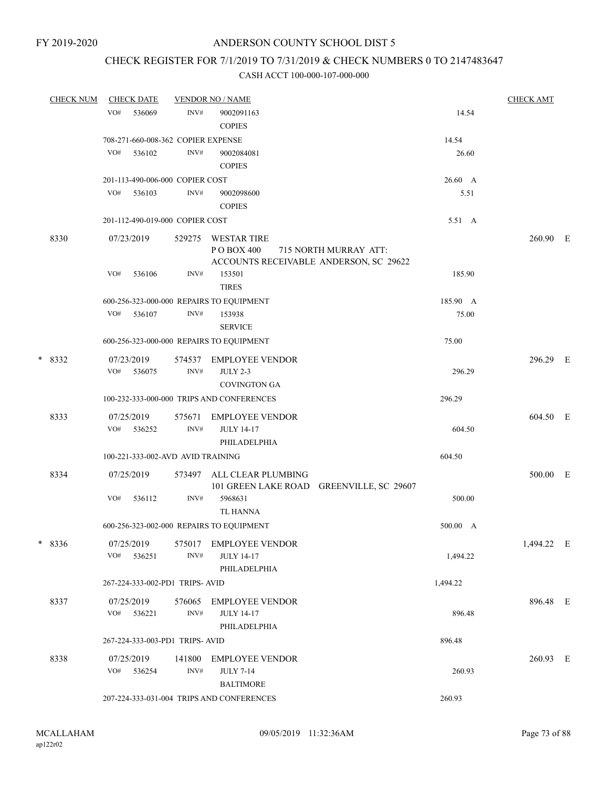# CHECK REGISTER FOR 7/1/2019 TO 7/31/2019 & CHECK NUMBERS 0 TO 2147483647

|   | <b>CHECK NUM</b> | <b>CHECK DATE</b>                        |                | <b>VENDOR NO / NAME</b>                                                                      |          | <b>CHECK AMT</b> |  |
|---|------------------|------------------------------------------|----------------|----------------------------------------------------------------------------------------------|----------|------------------|--|
|   |                  | VO#<br>536069                            | INV#           | 9002091163<br><b>COPIES</b>                                                                  | 14.54    |                  |  |
|   |                  | 708-271-660-008-362 COPIER EXPENSE       |                |                                                                                              | 14.54    |                  |  |
|   |                  | VO#<br>536102                            | INV#           | 9002084081<br><b>COPIES</b>                                                                  | 26.60    |                  |  |
|   |                  | 201-113-490-006-000 COPIER COST          |                |                                                                                              | 26.60 A  |                  |  |
|   |                  | VO#<br>536103                            | INV#           | 9002098600<br><b>COPIES</b>                                                                  | 5.51     |                  |  |
|   |                  | 201-112-490-019-000 COPIER COST          |                |                                                                                              | 5.51 A   |                  |  |
|   | 8330             | 07/23/2019                               | 529275         | WESTAR TIRE<br>PO BOX 400<br>715 NORTH MURRAY ATT:<br>ACCOUNTS RECEIVABLE ANDERSON, SC 29622 |          | 260.90 E         |  |
|   |                  | VO#<br>536106                            | INV#           | 153501<br><b>TIRES</b>                                                                       | 185.90   |                  |  |
|   |                  | 600-256-323-000-000 REPAIRS TO EQUIPMENT |                |                                                                                              | 185.90 A |                  |  |
|   |                  | VO# 536107                               | INV#           | 153938<br><b>SERVICE</b>                                                                     | 75.00    |                  |  |
|   |                  | 600-256-323-000-000 REPAIRS TO EQUIPMENT |                |                                                                                              | 75.00    |                  |  |
|   | $*8332$          | 07/23/2019<br>VO#<br>536075              | 574537<br>INV# | <b>EMPLOYEE VENDOR</b><br><b>JULY 2-3</b><br><b>COVINGTON GA</b>                             | 296.29   | 296.29 E         |  |
|   |                  |                                          |                | 100-232-333-000-000 TRIPS AND CONFERENCES                                                    | 296.29   |                  |  |
|   | 8333             | 07/25/2019<br>VO#<br>536252              | 575671<br>INV# | <b>EMPLOYEE VENDOR</b><br><b>JULY 14-17</b>                                                  | 604.50   | 604.50 E         |  |
|   |                  | 100-221-333-002-AVD AVID TRAINING        |                | PHILADELPHIA                                                                                 | 604.50   |                  |  |
|   |                  |                                          |                |                                                                                              |          |                  |  |
|   | 8334             | 07/25/2019<br>VO#<br>536112              | 573497<br>INV# | ALL CLEAR PLUMBING<br>101 GREEN LAKE ROAD GREENVILLE, SC 29607<br>5968631                    | 500.00   | 500.00 E         |  |
|   |                  |                                          |                | TL HANNA                                                                                     |          |                  |  |
|   |                  | 600-256-323-002-000 REPAIRS TO EQUIPMENT |                |                                                                                              | 500.00 A |                  |  |
| * | 8336             | 07/25/2019<br>VO#<br>536251              | 575017<br>INV# | <b>EMPLOYEE VENDOR</b><br><b>JULY 14-17</b><br>PHILADELPHIA                                  | 1,494.22 | 1,494.22 E       |  |
|   |                  | 267-224-333-002-PD1 TRIPS-AVID           |                |                                                                                              | 1,494.22 |                  |  |
|   | 8337             | 07/25/2019<br>VO#<br>536221              | 576065<br>INV# | <b>EMPLOYEE VENDOR</b><br><b>JULY 14-17</b><br>PHILADELPHIA                                  | 896.48   | 896.48 E         |  |
|   |                  | 267-224-333-003-PD1 TRIPS-AVID           |                |                                                                                              | 896.48   |                  |  |
|   |                  |                                          |                |                                                                                              |          |                  |  |
|   | 8338             | 07/25/2019<br>VO# 536254                 | 141800<br>INV# | EMPLOYEE VENDOR<br><b>JULY 7-14</b><br><b>BALTIMORE</b>                                      | 260.93   | 260.93 E         |  |
|   |                  |                                          |                | 207-224-333-031-004 TRIPS AND CONFERENCES                                                    | 260.93   |                  |  |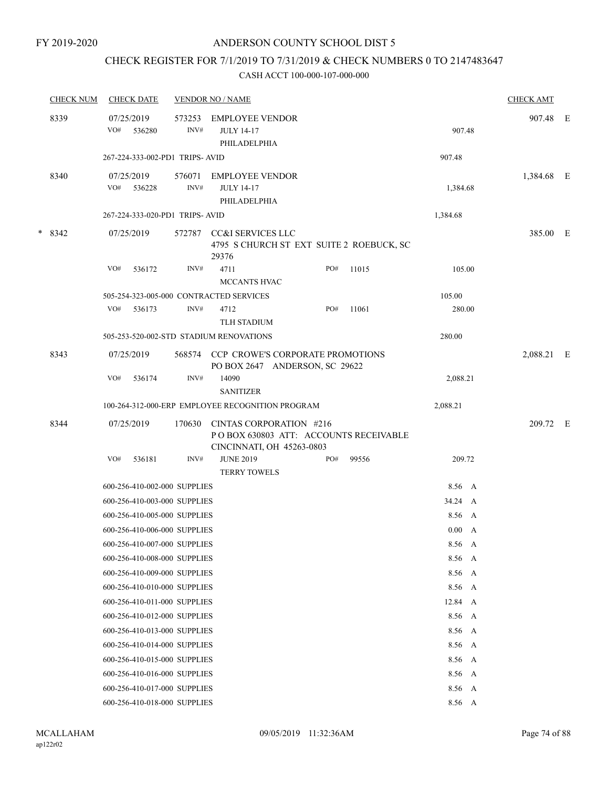# CHECK REGISTER FOR 7/1/2019 TO 7/31/2019 & CHECK NUMBERS 0 TO 2147483647

| <b>CHECK NUM</b> |     | <b>CHECK DATE</b>              |                | <b>VENDOR NO / NAME</b>                                                                       |     |       |               |   | <b>CHECK AMT</b> |  |
|------------------|-----|--------------------------------|----------------|-----------------------------------------------------------------------------------------------|-----|-------|---------------|---|------------------|--|
| 8339             | VO# | 07/25/2019<br>536280           | 573253<br>INV# | <b>EMPLOYEE VENDOR</b><br><b>JULY 14-17</b><br>PHILADELPHIA                                   |     |       | 907.48        |   | 907.48 E         |  |
|                  |     | 267-224-333-002-PD1 TRIPS-AVID |                |                                                                                               |     |       | 907.48        |   |                  |  |
| 8340             |     | 07/25/2019<br>VO# 536228       | 576071<br>INV# | <b>EMPLOYEE VENDOR</b><br><b>JULY 14-17</b><br>PHILADELPHIA                                   |     |       | 1,384.68      |   | 1,384.68 E       |  |
|                  |     | 267-224-333-020-PD1 TRIPS-AVID |                |                                                                                               |     |       | 1,384.68      |   |                  |  |
| $*8342$          |     | 07/25/2019                     | 572787         | CC&I SERVICES LLC<br>4795 S CHURCH ST EXT SUITE 2 ROEBUCK, SC<br>29376                        |     |       |               |   | 385.00 E         |  |
|                  | VO# | 536172                         | INV#           | 4711<br>MCCANTS HVAC                                                                          | PO# | 11015 | 105.00        |   |                  |  |
|                  |     |                                |                | 505-254-323-005-000 CONTRACTED SERVICES                                                       |     |       | 105.00        |   |                  |  |
|                  | VO# | 536173                         | INV#           | 4712<br><b>TLH STADIUM</b>                                                                    | PO# | 11061 | 280.00        |   |                  |  |
|                  |     |                                |                | 505-253-520-002-STD STADIUM RENOVATIONS                                                       |     |       | 280.00        |   |                  |  |
| 8343             |     | 07/25/2019                     | 568574         | <b>CCP CROWE'S CORPORATE PROMOTIONS</b><br>PO BOX 2647 ANDERSON, SC 29622                     |     |       |               |   | 2,088.21 E       |  |
|                  | VO# | 536174                         | INV#           | 14090<br><b>SANITIZER</b>                                                                     |     |       | 2,088.21      |   |                  |  |
|                  |     |                                |                | 100-264-312-000-ERP EMPLOYEE RECOGNITION PROGRAM                                              |     |       | 2,088.21      |   |                  |  |
| 8344             |     | 07/25/2019                     | 170630         | CINTAS CORPORATION #216<br>POBOX 630803 ATT: ACCOUNTS RECEIVABLE<br>CINCINNATI, OH 45263-0803 |     |       |               |   | 209.72 E         |  |
|                  | VO# | 536181                         | INV#           | <b>JUNE 2019</b><br>TERRY TOWELS                                                              | PO# | 99556 | 209.72        |   |                  |  |
|                  |     | 600-256-410-002-000 SUPPLIES   |                |                                                                                               |     |       | 8.56 A        |   |                  |  |
|                  |     | 600-256-410-003-000 SUPPLIES   |                |                                                                                               |     |       | 34.24 A       |   |                  |  |
|                  |     | 600-256-410-005-000 SUPPLIES   |                |                                                                                               |     |       | 8.56 A        |   |                  |  |
|                  |     | 600-256-410-006-000 SUPPLIES   |                |                                                                                               |     |       | $0.00\quad$ A |   |                  |  |
|                  |     | 600-256-410-007-000 SUPPLIES   |                |                                                                                               |     |       | 8.56 A        |   |                  |  |
|                  |     | 600-256-410-008-000 SUPPLIES   |                |                                                                                               |     |       | 8.56          | A |                  |  |
|                  |     | 600-256-410-009-000 SUPPLIES   |                |                                                                                               |     |       | 8.56 A        |   |                  |  |
|                  |     | 600-256-410-010-000 SUPPLIES   |                |                                                                                               |     |       | 8.56 A        |   |                  |  |
|                  |     | 600-256-410-011-000 SUPPLIES   |                |                                                                                               |     |       | 12.84 A       |   |                  |  |
|                  |     | 600-256-410-012-000 SUPPLIES   |                |                                                                                               |     |       | 8.56          | A |                  |  |
|                  |     | 600-256-410-013-000 SUPPLIES   |                |                                                                                               |     |       | 8.56          | A |                  |  |
|                  |     | 600-256-410-014-000 SUPPLIES   |                |                                                                                               |     |       | 8.56 A        |   |                  |  |
|                  |     | 600-256-410-015-000 SUPPLIES   |                |                                                                                               |     |       | 8.56 A        |   |                  |  |
|                  |     | 600-256-410-016-000 SUPPLIES   |                |                                                                                               |     |       | 8.56 A        |   |                  |  |
|                  |     | 600-256-410-017-000 SUPPLIES   |                |                                                                                               |     |       | 8.56 A        |   |                  |  |
|                  |     | 600-256-410-018-000 SUPPLIES   |                |                                                                                               |     |       | 8.56 A        |   |                  |  |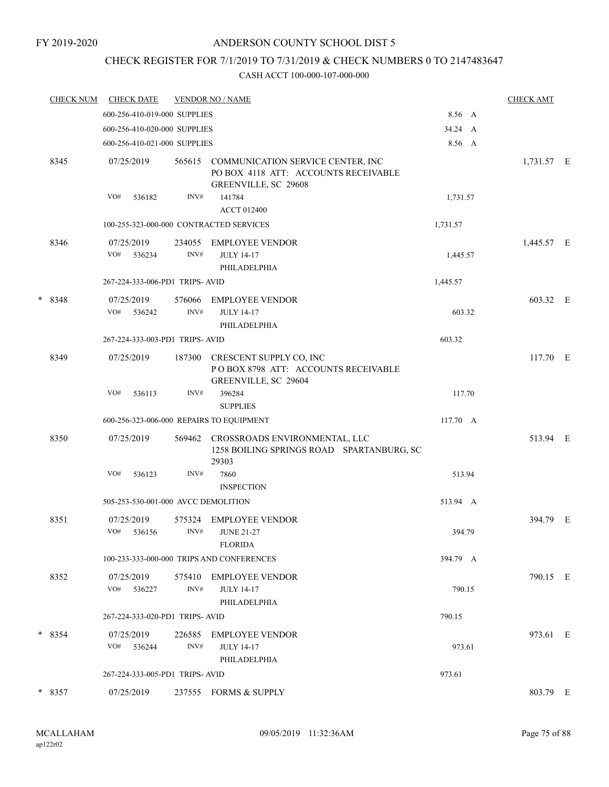# CHECK REGISTER FOR 7/1/2019 TO 7/31/2019 & CHECK NUMBERS 0 TO 2147483647

|   | <b>CHECK NUM</b> | <b>CHECK DATE</b>                        |                | <b>VENDOR NO / NAME</b>                                                                                  |          | <b>CHECK AMT</b> |  |
|---|------------------|------------------------------------------|----------------|----------------------------------------------------------------------------------------------------------|----------|------------------|--|
|   |                  | 600-256-410-019-000 SUPPLIES             |                |                                                                                                          | 8.56 A   |                  |  |
|   |                  | 600-256-410-020-000 SUPPLIES             |                |                                                                                                          | 34.24 A  |                  |  |
|   |                  | 600-256-410-021-000 SUPPLIES             |                |                                                                                                          | 8.56 A   |                  |  |
|   | 8345             | 07/25/2019                               |                | 565615 COMMUNICATION SERVICE CENTER, INC<br>PO BOX 4118 ATT: ACCOUNTS RECEIVABLE<br>GREENVILLE, SC 29608 |          | 1,731.57 E       |  |
|   |                  | VO#<br>536182                            | INV#           | 141784<br><b>ACCT 012400</b>                                                                             | 1,731.57 |                  |  |
|   |                  | 100-255-323-000-000 CONTRACTED SERVICES  |                | 1,731.57                                                                                                 |          |                  |  |
|   | 8346             | 07/25/2019<br>VO#<br>536234              | 234055<br>INV# | <b>EMPLOYEE VENDOR</b><br><b>JULY 14-17</b><br>PHILADELPHIA                                              | 1,445.57 | 1,445.57 E       |  |
|   |                  | 267-224-333-006-PD1 TRIPS-AVID           |                |                                                                                                          | 1,445.57 |                  |  |
| * | 8348             | 07/25/2019<br>VO#<br>536242              | 576066<br>INV# | <b>EMPLOYEE VENDOR</b><br><b>JULY 14-17</b><br>PHILADELPHIA                                              | 603.32   | 603.32 E         |  |
|   |                  | 267-224-333-003-PD1 TRIPS-AVID           |                |                                                                                                          | 603.32   |                  |  |
|   | 8349             | 07/25/2019                               | 187300         | CRESCENT SUPPLY CO, INC<br>POBOX 8798 ATT: ACCOUNTS RECEIVABLE<br>GREENVILLE, SC 29604                   |          | 117.70 E         |  |
|   |                  | VO#<br>536113                            | INV#           | 396284<br><b>SUPPLIES</b>                                                                                | 117.70   |                  |  |
|   |                  | 600-256-323-006-000 REPAIRS TO EQUIPMENT |                |                                                                                                          | 117.70 A |                  |  |
|   | 8350             | 07/25/2019                               | 569462         | CROSSROADS ENVIRONMENTAL, LLC<br>1258 BOILING SPRINGS ROAD SPARTANBURG, SC<br>29303                      |          | 513.94 E         |  |
|   |                  | VO#<br>536123                            | INV#           | 7860<br><b>INSPECTION</b>                                                                                | 513.94   |                  |  |
|   |                  | 505-253-530-001-000 AVCC DEMOLITION      |                |                                                                                                          | 513.94 A |                  |  |
|   | 8351             | 07/25/2019<br>VO#<br>536156              | 575324<br>INV# | <b>EMPLOYEE VENDOR</b><br><b>JUNE 21-27</b><br><b>FLORIDA</b>                                            | 394.79   | 394.79 E         |  |
|   |                  |                                          |                | 100-233-333-000-000 TRIPS AND CONFERENCES                                                                | 394.79 A |                  |  |
|   | 8352             | 07/25/2019<br>VO#<br>536227              | 575410<br>INV# | <b>EMPLOYEE VENDOR</b><br><b>JULY 14-17</b><br>PHILADELPHIA                                              | 790.15   | 790.15 E         |  |
|   |                  | 267-224-333-020-PD1 TRIPS-AVID           |                |                                                                                                          | 790.15   |                  |  |
|   | $*8354$          | 07/25/2019<br>VO# 536244                 | 226585<br>INV# | EMPLOYEE VENDOR<br><b>JULY 14-17</b><br>PHILADELPHIA                                                     | 973.61   | 973.61 E         |  |
|   |                  | 267-224-333-005-PD1 TRIPS-AVID           |                |                                                                                                          | 973.61   |                  |  |
|   | $*8357$          | 07/25/2019                               |                | 237555 FORMS & SUPPLY                                                                                    |          | 803.79 E         |  |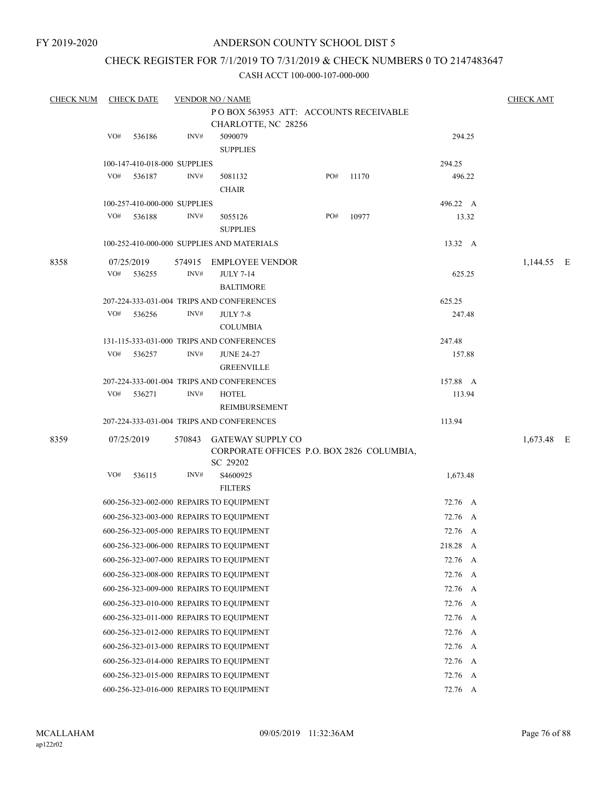# CHECK REGISTER FOR 7/1/2019 TO 7/31/2019 & CHECK NUMBERS 0 TO 2147483647

| <b>CHECK NUM</b> | <b>CHECK DATE</b> |                              | <b>VENDOR NO / NAME</b>                    |                                           |       |            | <b>CHECK AMT</b> |  |
|------------------|-------------------|------------------------------|--------------------------------------------|-------------------------------------------|-------|------------|------------------|--|
|                  |                   |                              | POBOX 563953 ATT: ACCOUNTS RECEIVABLE      |                                           |       |            |                  |  |
|                  |                   |                              | CHARLOTTE, NC 28256                        |                                           |       |            |                  |  |
|                  | VO#               | 536186<br>INV#               | 5090079                                    |                                           |       | 294.25     |                  |  |
|                  |                   |                              | <b>SUPPLIES</b>                            |                                           |       |            |                  |  |
|                  |                   | 100-147-410-018-000 SUPPLIES |                                            |                                           |       | 294.25     |                  |  |
|                  | VO#               | INV#<br>536187               | 5081132                                    | PO#                                       | 11170 | 496.22     |                  |  |
|                  |                   |                              | <b>CHAIR</b>                               |                                           |       |            |                  |  |
|                  |                   | 100-257-410-000-000 SUPPLIES |                                            |                                           |       | 496.22 A   |                  |  |
|                  | VO#               | 536188<br>INV#               | 5055126                                    | PO#                                       | 10977 | 13.32      |                  |  |
|                  |                   |                              | <b>SUPPLIES</b>                            |                                           |       |            |                  |  |
|                  |                   |                              | 100-252-410-000-000 SUPPLIES AND MATERIALS |                                           |       | 13.32 A    |                  |  |
| 8358             | 07/25/2019        | 574915                       | <b>EMPLOYEE VENDOR</b>                     |                                           |       |            | 1,144.55 E       |  |
|                  | VO#               | 536255<br>INV#               | <b>JULY 7-14</b>                           |                                           |       | 625.25     |                  |  |
|                  |                   |                              | <b>BALTIMORE</b>                           |                                           |       |            |                  |  |
|                  |                   |                              | 207-224-333-031-004 TRIPS AND CONFERENCES  |                                           |       | 625.25     |                  |  |
|                  | VO#               | INV#<br>536256               | <b>JULY 7-8</b>                            |                                           |       | 247.48     |                  |  |
|                  |                   |                              | <b>COLUMBIA</b>                            |                                           |       |            |                  |  |
|                  |                   |                              | 131-115-333-031-000 TRIPS AND CONFERENCES  |                                           |       | 247.48     |                  |  |
|                  | VO#               | 536257<br>INV#               | <b>JUNE 24-27</b>                          |                                           |       | 157.88     |                  |  |
|                  |                   |                              | <b>GREENVILLE</b>                          |                                           |       |            |                  |  |
|                  |                   |                              | 207-224-333-001-004 TRIPS AND CONFERENCES  |                                           |       | 157.88 A   |                  |  |
|                  | VO#               | 536271<br>INV#               | <b>HOTEL</b>                               |                                           |       | 113.94     |                  |  |
|                  |                   |                              | REIMBURSEMENT                              |                                           |       |            |                  |  |
|                  |                   |                              | 207-224-333-031-004 TRIPS AND CONFERENCES  |                                           |       | 113.94     |                  |  |
| 8359             | 07/25/2019        |                              | 570843 GATEWAY SUPPLY CO                   |                                           |       |            | 1,673.48 E       |  |
|                  |                   |                              |                                            | CORPORATE OFFICES P.O. BOX 2826 COLUMBIA, |       |            |                  |  |
|                  |                   |                              | SC 29202                                   |                                           |       |            |                  |  |
|                  | VO#               | INV#<br>536115               | S4600925                                   |                                           |       | 1,673.48   |                  |  |
|                  |                   |                              | <b>FILTERS</b>                             |                                           |       |            |                  |  |
|                  |                   |                              | 600-256-323-002-000 REPAIRS TO EQUIPMENT   |                                           |       | 72.76 A    |                  |  |
|                  |                   |                              | 600-256-323-003-000 REPAIRS TO EQUIPMENT   |                                           |       | 72.76 A    |                  |  |
|                  |                   |                              | 600-256-323-005-000 REPAIRS TO EQUIPMENT   |                                           |       | 72.76 A    |                  |  |
|                  |                   |                              | 600-256-323-006-000 REPAIRS TO EQUIPMENT   |                                           |       | 218.28 A   |                  |  |
|                  |                   |                              | 600-256-323-007-000 REPAIRS TO EQUIPMENT   |                                           |       | 72.76 A    |                  |  |
|                  |                   |                              | 600-256-323-008-000 REPAIRS TO EQUIPMENT   |                                           |       | 72.76 A    |                  |  |
|                  |                   |                              | 600-256-323-009-000 REPAIRS TO EQUIPMENT   |                                           |       | 72.76 A    |                  |  |
|                  |                   |                              | 600-256-323-010-000 REPAIRS TO EQUIPMENT   |                                           |       | 72.76 A    |                  |  |
|                  |                   |                              | 600-256-323-011-000 REPAIRS TO EQUIPMENT   |                                           |       | 72.76 A    |                  |  |
|                  |                   |                              | 600-256-323-012-000 REPAIRS TO EQUIPMENT   |                                           |       | 72.76<br>A |                  |  |
|                  |                   |                              | 600-256-323-013-000 REPAIRS TO EQUIPMENT   |                                           |       | 72.76 A    |                  |  |
|                  |                   |                              | 600-256-323-014-000 REPAIRS TO EQUIPMENT   |                                           |       | 72.76 A    |                  |  |
|                  |                   |                              | 600-256-323-015-000 REPAIRS TO EQUIPMENT   |                                           |       | 72.76 A    |                  |  |
|                  |                   |                              | 600-256-323-016-000 REPAIRS TO EQUIPMENT   |                                           |       | 72.76 A    |                  |  |
|                  |                   |                              |                                            |                                           |       |            |                  |  |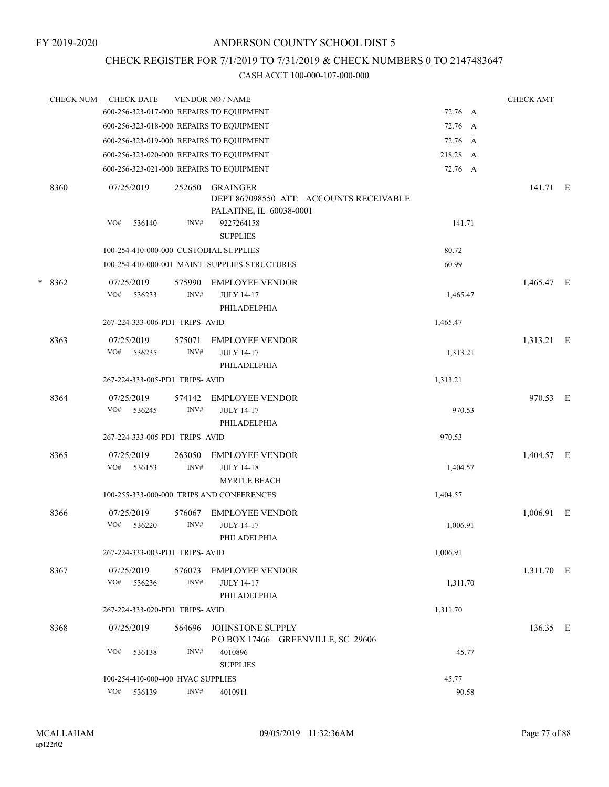# CHECK REGISTER FOR 7/1/2019 TO 7/31/2019 & CHECK NUMBERS 0 TO 2147483647

|        | <b>CHECK NUM</b> | <b>CHECK DATE</b>                        |                | <b>VENDOR NO / NAME</b>                                                                                         |          | <b>CHECK AMT</b> |   |
|--------|------------------|------------------------------------------|----------------|-----------------------------------------------------------------------------------------------------------------|----------|------------------|---|
|        |                  | 600-256-323-017-000 REPAIRS TO EQUIPMENT |                |                                                                                                                 | 72.76 A  |                  |   |
|        |                  | 600-256-323-018-000 REPAIRS TO EQUIPMENT |                |                                                                                                                 | 72.76 A  |                  |   |
|        |                  | 600-256-323-019-000 REPAIRS TO EQUIPMENT |                |                                                                                                                 | 72.76 A  |                  |   |
|        |                  | 600-256-323-020-000 REPAIRS TO EQUIPMENT |                |                                                                                                                 | 218.28 A |                  |   |
|        |                  | 600-256-323-021-000 REPAIRS TO EQUIPMENT |                |                                                                                                                 | 72.76 A  |                  |   |
|        | 8360             | 07/25/2019<br>VO#<br>536140              | 252650<br>INV# | GRAINGER<br>DEPT 867098550 ATT: ACCOUNTS RECEIVABLE<br>PALATINE, IL 60038-0001<br>9227264158<br><b>SUPPLIES</b> | 141.71   | 141.71 E         |   |
|        |                  | 100-254-410-000-000 CUSTODIAL SUPPLIES   |                |                                                                                                                 | 80.72    |                  |   |
|        |                  |                                          |                | 100-254-410-000-001 MAINT. SUPPLIES-STRUCTURES                                                                  | 60.99    |                  |   |
|        |                  |                                          |                |                                                                                                                 |          |                  |   |
| $\ast$ | 8362             | 07/25/2019<br>VO#<br>536233              | 575990<br>INV# | <b>EMPLOYEE VENDOR</b><br><b>JULY 14-17</b><br>PHILADELPHIA                                                     | 1,465.47 | 1,465.47 E       |   |
|        |                  | 267-224-333-006-PD1 TRIPS- AVID          |                |                                                                                                                 | 1,465.47 |                  |   |
|        | 8363             | 07/25/2019<br>VO#<br>536235              | 575071<br>INV# | <b>EMPLOYEE VENDOR</b><br><b>JULY 14-17</b><br>PHILADELPHIA                                                     | 1,313.21 | 1,313.21 E       |   |
|        |                  | 267-224-333-005-PD1 TRIPS-AVID           |                |                                                                                                                 | 1,313.21 |                  |   |
|        | 8364             | 07/25/2019<br>VO#<br>536245              | 574142<br>INV# | <b>EMPLOYEE VENDOR</b><br><b>JULY 14-17</b>                                                                     | 970.53   | 970.53 E         |   |
|        |                  | 267-224-333-005-PD1 TRIPS-AVID           |                | PHILADELPHIA                                                                                                    | 970.53   |                  |   |
|        |                  |                                          |                |                                                                                                                 |          |                  |   |
|        | 8365             | 07/25/2019<br>VO#<br>536153              | 263050<br>INV# | <b>EMPLOYEE VENDOR</b><br><b>JULY 14-18</b><br><b>MYRTLE BEACH</b>                                              | 1,404.57 | 1,404.57 E       |   |
|        |                  |                                          |                | 100-255-333-000-000 TRIPS AND CONFERENCES                                                                       | 1,404.57 |                  |   |
|        | 8366             | 07/25/2019<br>VO#<br>536220              | 576067<br>INV# | <b>EMPLOYEE VENDOR</b><br><b>JULY 14-17</b><br>PHILADELPHIA                                                     | 1,006.91 | 1,006.91         | E |
|        |                  | 267-224-333-003-PD1 TRIPS-AVID           |                |                                                                                                                 | 1,006.91 |                  |   |
|        | 8367             | 07/25/2019<br>VO# 536236                 | 576073<br>INV# | EMPLOYEE VENDOR<br><b>JULY 14-17</b><br>PHILADELPHIA                                                            | 1,311.70 | 1,311.70 E       |   |
|        |                  | 267-224-333-020-PD1 TRIPS- AVID          |                |                                                                                                                 | 1,311.70 |                  |   |
|        | 8368             | 07/25/2019                               | 564696         | JOHNSTONE SUPPLY<br>POBOX 17466 GREENVILLE, SC 29606                                                            |          | 136.35 E         |   |
|        |                  | VO#<br>536138                            | INV#           | 4010896<br><b>SUPPLIES</b>                                                                                      | 45.77    |                  |   |
|        |                  | 100-254-410-000-400 HVAC SUPPLIES        |                |                                                                                                                 | 45.77    |                  |   |
|        |                  | VO#<br>536139                            | INV#           | 4010911                                                                                                         | 90.58    |                  |   |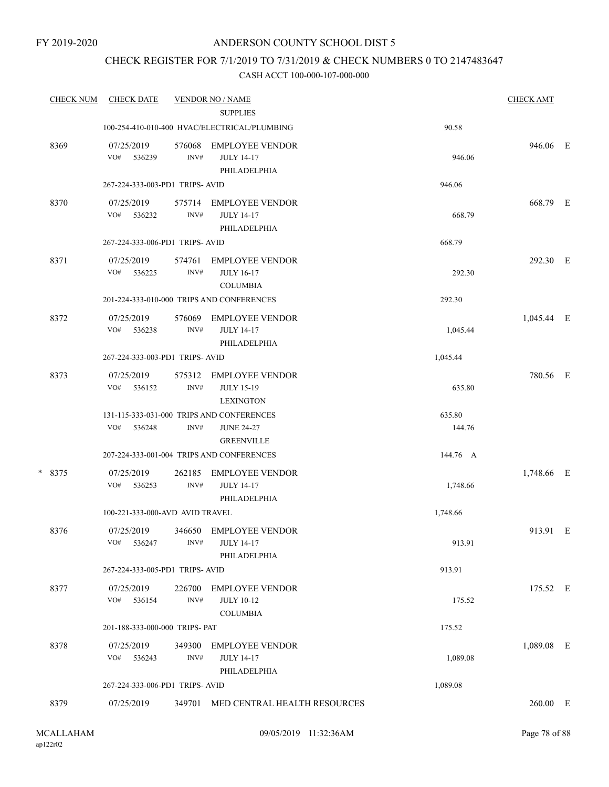# CHECK REGISTER FOR 7/1/2019 TO 7/31/2019 & CHECK NUMBERS 0 TO 2147483647

| <b>CHECK NUM</b> | <b>CHECK DATE</b>               |                | <b>VENDOR NO / NAME</b><br><b>SUPPLIES</b>                      |          | <b>CHECK AMT</b> |  |
|------------------|---------------------------------|----------------|-----------------------------------------------------------------|----------|------------------|--|
|                  |                                 |                | 100-254-410-010-400 HVAC/ELECTRICAL/PLUMBING                    | 90.58    |                  |  |
| 8369             | 07/25/2019<br>VO#<br>536239     | 576068<br>INV# | <b>EMPLOYEE VENDOR</b><br><b>JULY 14-17</b><br>PHILADELPHIA     | 946.06   | 946.06 E         |  |
|                  | 267-224-333-003-PD1 TRIPS-AVID  |                |                                                                 | 946.06   |                  |  |
| 8370             | 07/25/2019<br>VO#<br>536232     | 575714<br>INV# | <b>EMPLOYEE VENDOR</b><br><b>JULY 14-17</b><br>PHILADELPHIA     | 668.79   | 668.79 E         |  |
|                  | 267-224-333-006-PD1 TRIPS-AVID  |                |                                                                 | 668.79   |                  |  |
| 8371             | 07/25/2019<br>VO#<br>536225     | 574761<br>INV# | <b>EMPLOYEE VENDOR</b><br><b>JULY 16-17</b><br><b>COLUMBIA</b>  | 292.30   | 292.30 E         |  |
|                  |                                 |                | 201-224-333-010-000 TRIPS AND CONFERENCES                       | 292.30   |                  |  |
| 8372             | 07/25/2019<br>VO# 536238        | 576069<br>INV# | <b>EMPLOYEE VENDOR</b><br><b>JULY 14-17</b><br>PHILADELPHIA     | 1,045.44 | 1,045.44 E       |  |
|                  | 267-224-333-003-PD1 TRIPS-AVID  |                |                                                                 | 1,045.44 |                  |  |
| 8373             | 07/25/2019<br>VO#<br>536152     | 575312<br>INV# | <b>EMPLOYEE VENDOR</b><br><b>JULY 15-19</b><br><b>LEXINGTON</b> | 635.80   | 780.56 E         |  |
|                  |                                 |                | 131-115-333-031-000 TRIPS AND CONFERENCES                       | 635.80   |                  |  |
|                  | VO#<br>536248                   | INV#           | <b>JUNE 24-27</b><br><b>GREENVILLE</b>                          | 144.76   |                  |  |
|                  |                                 |                | 207-224-333-001-004 TRIPS AND CONFERENCES                       | 144.76 A |                  |  |
| * 8375           | 07/25/2019<br>VO#<br>536253     | 262185<br>INV# | <b>EMPLOYEE VENDOR</b><br><b>JULY 14-17</b><br>PHILADELPHIA     | 1,748.66 | 1,748.66 E       |  |
|                  | 100-221-333-000-AVD AVID TRAVEL |                |                                                                 | 1,748.66 |                  |  |
| 8376             | 07/25/2019<br>VO#<br>536247     | INV#           | 346650 EMPLOYEE VENDOR<br><b>JULY 14-17</b><br>PHILADELPHIA     | 913.91   | 913.91 E         |  |
|                  | 267-224-333-005-PD1 TRIPS-AVID  |                |                                                                 | 913.91   |                  |  |
| 8377             | 07/25/2019<br>$VO#$ 536154      | 226700<br>INV# | <b>EMPLOYEE VENDOR</b><br><b>JULY 10-12</b><br><b>COLUMBIA</b>  | 175.52   | 175.52 E         |  |
|                  | 201-188-333-000-000 TRIPS- PAT  |                |                                                                 | 175.52   |                  |  |
| 8378             | 07/25/2019<br>VO# 536243        | 349300<br>INV# | EMPLOYEE VENDOR<br><b>JULY 14-17</b><br>PHILADELPHIA            | 1,089.08 | 1,089.08 E       |  |
|                  | 267-224-333-006-PD1 TRIPS-AVID  |                |                                                                 | 1,089.08 |                  |  |
| 8379             | 07/25/2019                      |                | 349701 MED CENTRAL HEALTH RESOURCES                             |          | $260.00$ E       |  |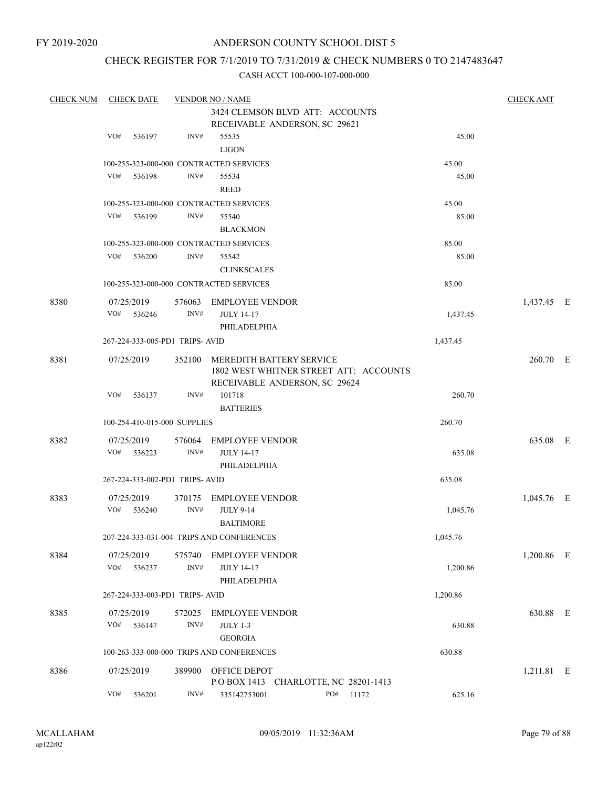# CHECK REGISTER FOR 7/1/2019 TO 7/31/2019 & CHECK NUMBERS 0 TO 2147483647

| <b>CHECK NUM</b> | <b>CHECK DATE</b> |                                |                | <b>VENDOR NO / NAME</b>                   |     |                                        |          | <b>CHECK AMT</b> |  |
|------------------|-------------------|--------------------------------|----------------|-------------------------------------------|-----|----------------------------------------|----------|------------------|--|
|                  |                   |                                |                | 3424 CLEMSON BLVD ATT: ACCOUNTS           |     |                                        |          |                  |  |
|                  |                   |                                |                | RECEIVABLE ANDERSON, SC 29621             |     |                                        |          |                  |  |
|                  | VO#               | 536197                         | INV#           | 55535                                     |     |                                        | 45.00    |                  |  |
|                  |                   |                                |                | <b>LIGON</b>                              |     |                                        |          |                  |  |
|                  |                   |                                |                | 100-255-323-000-000 CONTRACTED SERVICES   |     |                                        | 45.00    |                  |  |
|                  | VO#               | 536198                         | INV#           | 55534                                     |     |                                        | 45.00    |                  |  |
|                  |                   |                                |                | <b>REED</b>                               |     |                                        |          |                  |  |
|                  |                   |                                |                | 100-255-323-000-000 CONTRACTED SERVICES   |     |                                        | 45.00    |                  |  |
|                  | VO#               | 536199                         | INV#           | 55540                                     |     |                                        | 85.00    |                  |  |
|                  |                   |                                |                | <b>BLACKMON</b>                           |     |                                        |          |                  |  |
|                  |                   |                                |                | 100-255-323-000-000 CONTRACTED SERVICES   |     |                                        | 85.00    |                  |  |
|                  | VO#               | 536200                         | INV#           | 55542                                     |     |                                        | 85.00    |                  |  |
|                  |                   |                                |                | <b>CLINKSCALES</b>                        |     |                                        |          |                  |  |
|                  |                   |                                |                | 100-255-323-000-000 CONTRACTED SERVICES   |     |                                        | 85.00    |                  |  |
| 8380             | 07/25/2019        |                                | 576063         | EMPLOYEE VENDOR                           |     |                                        |          | 1,437.45 E       |  |
|                  | VO#               | 536246                         | INV#           | <b>JULY 14-17</b>                         |     |                                        | 1,437.45 |                  |  |
|                  |                   |                                |                | PHILADELPHIA                              |     |                                        |          |                  |  |
|                  |                   | 267-224-333-005-PD1 TRIPS-AVID |                |                                           |     |                                        | 1,437.45 |                  |  |
| 8381             | 07/25/2019        |                                | 352100         | <b>MEREDITH BATTERY SERVICE</b>           |     |                                        |          | 260.70 E         |  |
|                  |                   |                                |                |                                           |     | 1802 WEST WHITNER STREET ATT: ACCOUNTS |          |                  |  |
|                  |                   |                                |                | RECEIVABLE ANDERSON, SC 29624             |     |                                        |          |                  |  |
|                  | VO#               | 536137                         | INV#           | 101718                                    |     |                                        | 260.70   |                  |  |
|                  |                   |                                |                | <b>BATTERIES</b>                          |     |                                        |          |                  |  |
|                  |                   | 100-254-410-015-000 SUPPLIES   |                |                                           |     |                                        | 260.70   |                  |  |
| 8382             | 07/25/2019        |                                | 576064         | <b>EMPLOYEE VENDOR</b>                    |     |                                        |          | 635.08 E         |  |
|                  | VO#               | 536223                         | INV#           | <b>JULY 14-17</b>                         |     |                                        | 635.08   |                  |  |
|                  |                   |                                |                | PHILADELPHIA                              |     |                                        |          |                  |  |
|                  |                   | 267-224-333-002-PD1 TRIPS-AVID |                |                                           |     |                                        | 635.08   |                  |  |
|                  |                   |                                |                |                                           |     |                                        |          |                  |  |
| 8383             | 07/25/2019<br>VO# | 536240                         | 370175<br>INV# | EMPLOYEE VENDOR<br><b>JULY 9-14</b>       |     |                                        | 1,045.76 | 1,045.76 E       |  |
|                  |                   |                                |                | <b>BALTIMORE</b>                          |     |                                        |          |                  |  |
|                  |                   |                                |                | 207-224-333-031-004 TRIPS AND CONFERENCES |     |                                        | 1,045.76 |                  |  |
|                  |                   |                                |                |                                           |     |                                        |          |                  |  |
| 8384             | 07/25/2019        |                                | 575740         | <b>EMPLOYEE VENDOR</b>                    |     |                                        |          | 1,200.86 E       |  |
|                  | VO#               | 536237                         | INV#           | <b>JULY 14-17</b>                         |     |                                        | 1,200.86 |                  |  |
|                  |                   |                                |                | PHILADELPHIA                              |     |                                        |          |                  |  |
|                  |                   | 267-224-333-003-PD1 TRIPS-AVID |                |                                           |     |                                        | 1,200.86 |                  |  |
| 8385             | 07/25/2019        |                                | 572025         | <b>EMPLOYEE VENDOR</b>                    |     |                                        |          | 630.88 E         |  |
|                  | VO#               | 536147                         | INV#           | <b>JULY 1-3</b>                           |     |                                        | 630.88   |                  |  |
|                  |                   |                                |                | <b>GEORGIA</b>                            |     |                                        |          |                  |  |
|                  |                   |                                |                | 100-263-333-000-000 TRIPS AND CONFERENCES |     |                                        | 630.88   |                  |  |
| 8386             | 07/25/2019        |                                | 389900         | OFFICE DEPOT                              |     |                                        |          | 1,211.81 E       |  |
|                  |                   |                                |                | POBOX 1413 CHARLOTTE, NC 28201-1413       |     |                                        |          |                  |  |
|                  | VO#               | 536201                         | INV#           | 335142753001                              | PO# | 11172                                  | 625.16   |                  |  |
|                  |                   |                                |                |                                           |     |                                        |          |                  |  |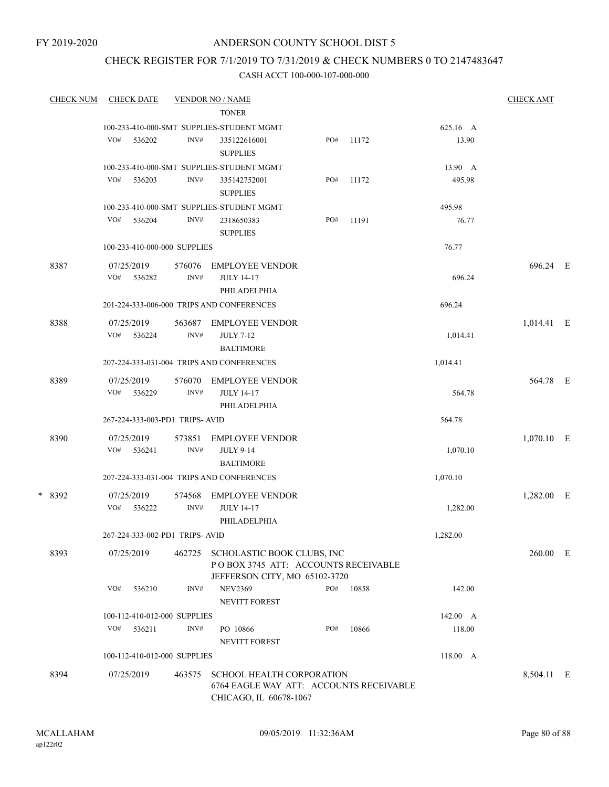FY 2019-2020

# ANDERSON COUNTY SCHOOL DIST 5

# CHECK REGISTER FOR 7/1/2019 TO 7/31/2019 & CHECK NUMBERS 0 TO 2147483647

| <b>CHECK NUM</b> | CHECK DATE                     |                | <b>VENDOR NO / NAME</b>                                                                                   |     |       |          | <b>CHECK AMT</b> |  |
|------------------|--------------------------------|----------------|-----------------------------------------------------------------------------------------------------------|-----|-------|----------|------------------|--|
|                  |                                |                | <b>TONER</b>                                                                                              |     |       |          |                  |  |
|                  |                                |                | 100-233-410-000-SMT SUPPLIES-STUDENT MGMT                                                                 |     |       | 625.16 A |                  |  |
|                  | VO#<br>536202                  | INV#           | 335122616001<br><b>SUPPLIES</b>                                                                           | PO# | 11172 | 13.90    |                  |  |
|                  |                                |                | 100-233-410-000-SMT SUPPLIES-STUDENT MGMT                                                                 |     |       | 13.90 A  |                  |  |
|                  | VO# 536203                     | INV#           | 335142752001<br><b>SUPPLIES</b>                                                                           | PO# | 11172 | 495.98   |                  |  |
|                  |                                |                | 100-233-410-000-SMT SUPPLIES-STUDENT MGMT                                                                 |     |       | 495.98   |                  |  |
|                  | VO#<br>536204                  | INV#           | 2318650383<br><b>SUPPLIES</b>                                                                             | PO# | 11191 | 76.77    |                  |  |
|                  | 100-233-410-000-000 SUPPLIES   |                |                                                                                                           |     |       | 76.77    |                  |  |
| 8387             | 07/25/2019<br>VO#<br>536282    | 576076<br>INV# | <b>EMPLOYEE VENDOR</b><br><b>JULY 14-17</b>                                                               |     |       | 696.24   | 696.24 E         |  |
|                  |                                |                | PHILADELPHIA                                                                                              |     |       |          |                  |  |
|                  |                                |                | 201-224-333-006-000 TRIPS AND CONFERENCES                                                                 |     |       | 696.24   |                  |  |
| 8388             | 07/25/2019<br>VO#<br>536224    | 563687<br>INV# | EMPLOYEE VENDOR<br><b>JULY 7-12</b><br><b>BALTIMORE</b>                                                   |     |       | 1,014.41 | 1,014.41 E       |  |
|                  |                                |                | 207-224-333-031-004 TRIPS AND CONFERENCES                                                                 |     |       | 1,014.41 |                  |  |
| 8389             | 07/25/2019                     | 576070         | <b>EMPLOYEE VENDOR</b>                                                                                    |     |       |          | 564.78 E         |  |
|                  | VO#<br>536229                  | INV#           | <b>JULY 14-17</b><br>PHILADELPHIA                                                                         |     |       | 564.78   |                  |  |
|                  | 267-224-333-003-PD1 TRIPS-AVID |                |                                                                                                           |     |       | 564.78   |                  |  |
| 8390             | 07/25/2019<br>VO#<br>536241    | 573851<br>INV# | <b>EMPLOYEE VENDOR</b><br><b>JULY 9-14</b><br><b>BALTIMORE</b>                                            |     |       | 1,070.10 | $1,070.10$ E     |  |
|                  |                                |                | 207-224-333-031-004 TRIPS AND CONFERENCES                                                                 |     |       | 1,070.10 |                  |  |
| * 8392           | 07/25/2019                     | 574568         | <b>EMPLOYEE VENDOR</b>                                                                                    |     |       |          | 1,282.00 E       |  |
|                  | VO# 536222                     | INV#           | <b>JULY 14-17</b><br>PHILADELPHIA                                                                         |     |       | 1,282.00 |                  |  |
|                  | 267-224-333-002-PD1 TRIPS-AVID |                |                                                                                                           |     |       | 1,282.00 |                  |  |
| 8393             | 07/25/2019                     |                | 462725 SCHOLASTIC BOOK CLUBS, INC<br>POBOX 3745 ATT: ACCOUNTS RECEIVABLE<br>JEFFERSON CITY, MO 65102-3720 |     |       |          | 260.00 E         |  |
|                  | VO#<br>536210                  | INV#           | <b>NEV2369</b><br><b>NEVITT FOREST</b>                                                                    | PO# | 10858 | 142.00   |                  |  |
|                  | 100-112-410-012-000 SUPPLIES   |                |                                                                                                           |     |       | 142.00 A |                  |  |
|                  | VO#<br>536211                  | INV#           | PO 10866<br><b>NEVITT FOREST</b>                                                                          | PO# | 10866 | 118.00   |                  |  |
|                  | 100-112-410-012-000 SUPPLIES   |                |                                                                                                           |     |       | 118.00 A |                  |  |
| 8394             | 07/25/2019                     | 463575         | <b>SCHOOL HEALTH CORPORATION</b><br>6764 EAGLE WAY ATT: ACCOUNTS RECEIVABLE<br>CHICAGO, IL 60678-1067     |     |       |          | 8,504.11 E       |  |
|                  |                                |                |                                                                                                           |     |       |          |                  |  |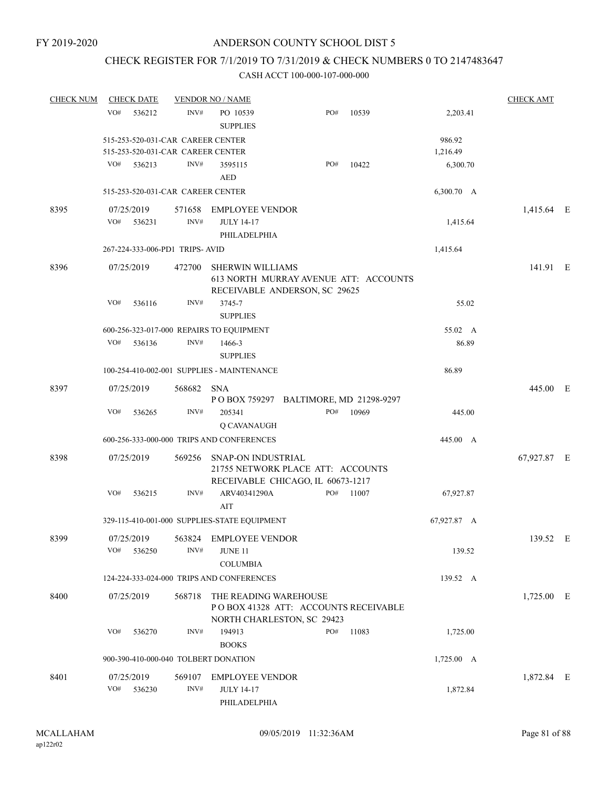# CHECK REGISTER FOR 7/1/2019 TO 7/31/2019 & CHECK NUMBERS 0 TO 2147483647

| <b>CHECK NUM</b> | <b>CHECK DATE</b>                    |        | <b>VENDOR NO / NAME</b>                                                                             |     |           |                 | <b>CHECK AMT</b> |  |
|------------------|--------------------------------------|--------|-----------------------------------------------------------------------------------------------------|-----|-----------|-----------------|------------------|--|
|                  | VO#<br>536212                        | INV#   | PO 10539<br><b>SUPPLIES</b>                                                                         | PO# | 10539     | 2,203.41        |                  |  |
|                  | 515-253-520-031-CAR CAREER CENTER    |        |                                                                                                     |     |           | 986.92          |                  |  |
|                  | 515-253-520-031-CAR CAREER CENTER    |        |                                                                                                     |     |           | 1,216.49        |                  |  |
|                  | VO#<br>536213                        | INV#   | 3595115                                                                                             | PO# | 10422     | 6,300.70        |                  |  |
|                  |                                      |        | <b>AED</b>                                                                                          |     |           |                 |                  |  |
|                  | 515-253-520-031-CAR CAREER CENTER    |        |                                                                                                     |     |           | 6,300.70 A      |                  |  |
| 8395             | 07/25/2019                           | 571658 | <b>EMPLOYEE VENDOR</b>                                                                              |     |           |                 | 1,415.64 E       |  |
|                  | VO#<br>536231                        | INV#   | <b>JULY 14-17</b>                                                                                   |     |           | 1,415.64        |                  |  |
|                  |                                      |        | PHILADELPHIA                                                                                        |     |           |                 |                  |  |
|                  | 267-224-333-006-PD1 TRIPS-AVID       |        |                                                                                                     |     |           | 1,415.64        |                  |  |
| 8396             | 07/25/2019                           | 472700 | <b>SHERWIN WILLIAMS</b><br>613 NORTH MURRAY AVENUE ATT: ACCOUNTS<br>RECEIVABLE ANDERSON, SC 29625   |     |           |                 | 141.91 E         |  |
|                  | VO#<br>536116                        | INV#   | 3745-7<br><b>SUPPLIES</b>                                                                           |     |           | 55.02           |                  |  |
|                  |                                      |        | 600-256-323-017-000 REPAIRS TO EQUIPMENT                                                            |     |           | 55.02 A         |                  |  |
|                  | VO#<br>536136                        | INV#   | 1466-3                                                                                              |     |           | 86.89           |                  |  |
|                  |                                      |        | <b>SUPPLIES</b>                                                                                     |     |           |                 |                  |  |
|                  |                                      |        | 100-254-410-002-001 SUPPLIES - MAINTENANCE                                                          |     |           | 86.89           |                  |  |
| 8397             | 07/25/2019                           | 568682 | <b>SNA</b>                                                                                          |     |           |                 | 445.00 E         |  |
|                  |                                      |        | P O BOX 759297 BALTIMORE, MD 21298-9297                                                             |     |           |                 |                  |  |
|                  | VO#<br>536265                        | INV#   | 205341                                                                                              | PO# | 10969     | 445.00          |                  |  |
|                  |                                      |        | Q CAVANAUGH                                                                                         |     |           |                 |                  |  |
|                  |                                      |        | 600-256-333-000-000 TRIPS AND CONFERENCES                                                           |     |           | 445.00 A        |                  |  |
| 8398             | 07/25/2019                           | 569256 | <b>SNAP-ON INDUSTRIAL</b><br>21755 NETWORK PLACE ATT: ACCOUNTS<br>RECEIVABLE CHICAGO, IL 60673-1217 |     |           |                 | 67,927.87 E      |  |
|                  | VO#<br>536215                        | INV#   | ARV40341290A<br>AIT                                                                                 |     | PO# 11007 | 67,927.87       |                  |  |
|                  |                                      |        | 329-115-410-001-000 SUPPLIES-STATE EQUIPMENT                                                        |     |           | 67,927.87 A     |                  |  |
| 8399             | 07/25/2019                           |        | 563824 EMPLOYEE VENDOR                                                                              |     |           |                 | 139.52 E         |  |
|                  | VO#<br>536250                        | INV#   | <b>JUNE 11</b>                                                                                      |     |           | 139.52          |                  |  |
|                  |                                      |        | <b>COLUMBIA</b>                                                                                     |     |           |                 |                  |  |
|                  |                                      |        | 124-224-333-024-000 TRIPS AND CONFERENCES                                                           |     |           | 139.52 A        |                  |  |
| 8400             | 07/25/2019                           | 568718 | THE READING WAREHOUSE                                                                               |     |           |                 | $1,725.00$ E     |  |
|                  |                                      |        | PO BOX 41328 ATT: ACCOUNTS RECEIVABLE<br>NORTH CHARLESTON, SC 29423                                 |     |           |                 |                  |  |
|                  | VO#<br>536270                        | INV#   | 194913                                                                                              | PO# | 11083     | 1,725.00        |                  |  |
|                  |                                      |        | <b>BOOKS</b>                                                                                        |     |           |                 |                  |  |
|                  | 900-390-410-000-040 TOLBERT DONATION |        |                                                                                                     |     |           | $1,725.00 \, A$ |                  |  |
|                  |                                      |        |                                                                                                     |     |           |                 |                  |  |
| 8401             | 07/25/2019                           | 569107 | <b>EMPLOYEE VENDOR</b>                                                                              |     |           |                 | 1,872.84 E       |  |
|                  | VO#<br>536230                        | INV#   | <b>JULY 14-17</b><br>PHILADELPHIA                                                                   |     |           | 1,872.84        |                  |  |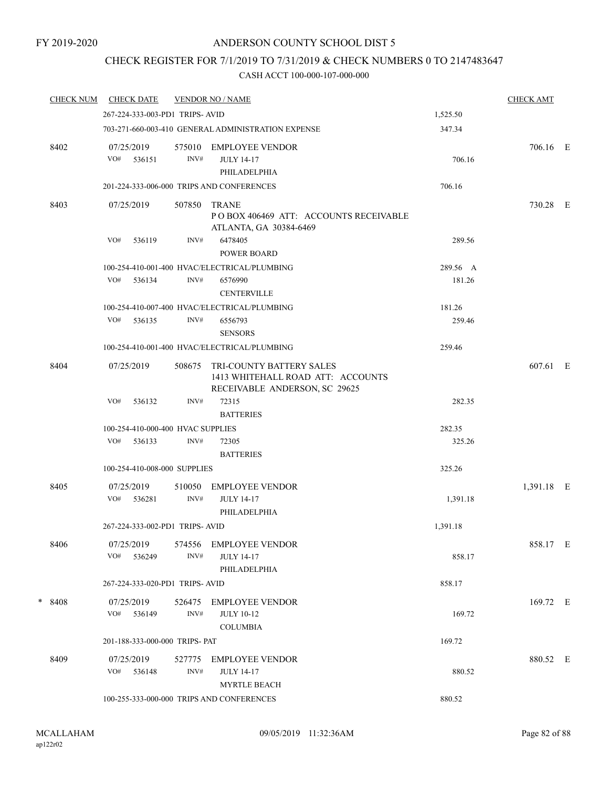# CHECK REGISTER FOR 7/1/2019 TO 7/31/2019 & CHECK NUMBERS 0 TO 2147483647

| <b>CHECK NUM</b> | <b>CHECK DATE</b>                 |                | <b>VENDOR NO / NAME</b>                                                                               |          | <b>CHECK AMT</b> |  |
|------------------|-----------------------------------|----------------|-------------------------------------------------------------------------------------------------------|----------|------------------|--|
|                  | 267-224-333-003-PD1 TRIPS-AVID    |                |                                                                                                       | 1,525.50 |                  |  |
|                  |                                   |                | 703-271-660-003-410 GENERAL ADMINISTRATION EXPENSE                                                    | 347.34   |                  |  |
| 8402             | 07/25/2019<br>VO# 536151          | 575010<br>INV# | <b>EMPLOYEE VENDOR</b><br><b>JULY 14-17</b><br>PHILADELPHIA                                           | 706.16   | 706.16 E         |  |
|                  |                                   |                | 201-224-333-006-000 TRIPS AND CONFERENCES                                                             | 706.16   |                  |  |
| 8403             | 07/25/2019                        | 507850         | <b>TRANE</b><br>POBOX 406469 ATT: ACCOUNTS RECEIVABLE<br>ATLANTA, GA 30384-6469                       |          | 730.28 E         |  |
|                  | VO#<br>536119                     | INV#           | 6478405<br><b>POWER BOARD</b>                                                                         | 289.56   |                  |  |
|                  |                                   |                | 100-254-410-001-400 HVAC/ELECTRICAL/PLUMBING                                                          | 289.56 A |                  |  |
|                  | VO#<br>536134                     | INV#           | 6576990<br><b>CENTERVILLE</b>                                                                         | 181.26   |                  |  |
|                  |                                   |                | 100-254-410-007-400 HVAC/ELECTRICAL/PLUMBING                                                          | 181.26   |                  |  |
|                  | VO#<br>536135                     | INV#           | 6556793<br><b>SENSORS</b>                                                                             | 259.46   |                  |  |
|                  |                                   |                | 100-254-410-001-400 HVAC/ELECTRICAL/PLUMBING                                                          | 259.46   |                  |  |
| 8404             | 07/25/2019                        | 508675         | <b>TRI-COUNTY BATTERY SALES</b><br>1413 WHITEHALL ROAD ATT: ACCOUNTS<br>RECEIVABLE ANDERSON, SC 29625 |          | 607.61 E         |  |
|                  | VO#<br>536132                     | INV#           | 72315<br><b>BATTERIES</b>                                                                             | 282.35   |                  |  |
|                  | 100-254-410-000-400 HVAC SUPPLIES |                |                                                                                                       | 282.35   |                  |  |
|                  | VO#<br>536133                     | INV#           | 72305<br><b>BATTERIES</b>                                                                             | 325.26   |                  |  |
|                  | 100-254-410-008-000 SUPPLIES      |                |                                                                                                       | 325.26   |                  |  |
| 8405             | 07/25/2019                        | 510050         | <b>EMPLOYEE VENDOR</b>                                                                                |          | 1,391.18 E       |  |
|                  | VO#<br>536281                     | INV#           | <b>JULY 14-17</b><br>PHILADELPHIA                                                                     | 1,391.18 |                  |  |
|                  | 267-224-333-002-PD1 TRIPS-AVID    |                |                                                                                                       | 1,391.18 |                  |  |
| 8406             | 07/25/2019<br>VO#<br>536249       | 574556<br>INV# | <b>EMPLOYEE VENDOR</b><br><b>JULY 14-17</b><br>PHILADELPHIA                                           | 858.17   | 858.17 E         |  |
|                  | 267-224-333-020-PD1 TRIPS-AVID    |                |                                                                                                       | 858.17   |                  |  |
| $*8408$          | 07/25/2019<br>$VO#$ 536149        | 526475<br>INV# | EMPLOYEE VENDOR<br><b>JULY 10-12</b>                                                                  | 169.72   | 169.72 E         |  |
|                  |                                   |                | <b>COLUMBIA</b>                                                                                       |          |                  |  |
|                  | 201-188-333-000-000 TRIPS- PAT    |                |                                                                                                       | 169.72   |                  |  |
| 8409             | 07/25/2019<br>$VO#$ 536148        | 527775<br>INV# | EMPLOYEE VENDOR<br><b>JULY 14-17</b>                                                                  | 880.52   | 880.52 E         |  |
|                  |                                   |                | <b>MYRTLE BEACH</b><br>100-255-333-000-000 TRIPS AND CONFERENCES                                      | 880.52   |                  |  |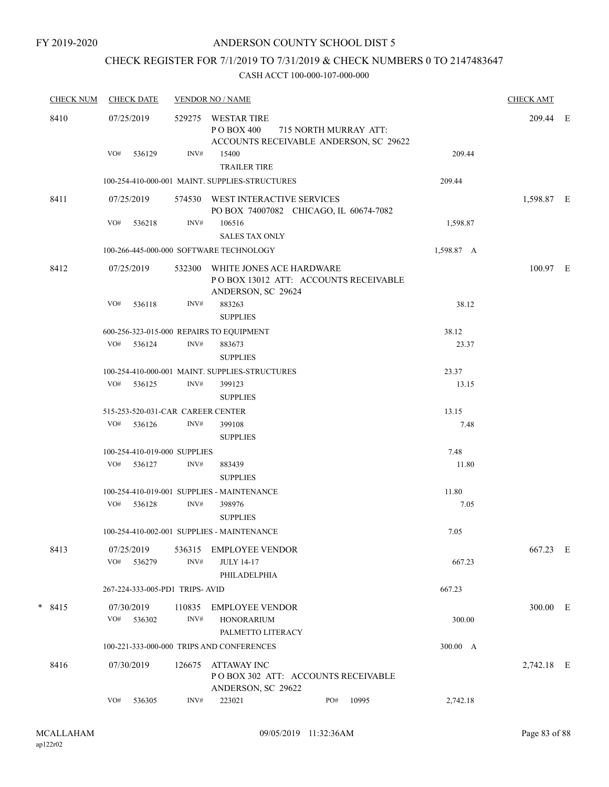# CHECK REGISTER FOR 7/1/2019 TO 7/31/2019 & CHECK NUMBERS 0 TO 2147483647

|        | <b>CHECK NUM</b> |                          | <b>CHECK DATE</b>              |                | <b>VENDOR NO / NAME</b>                                                                |     |                       |            | <b>CHECK AMT</b> |  |
|--------|------------------|--------------------------|--------------------------------|----------------|----------------------------------------------------------------------------------------|-----|-----------------------|------------|------------------|--|
|        | 8410             | 07/25/2019               |                                | 529275         | <b>WESTAR TIRE</b><br>P O BOX 400<br>ACCOUNTS RECEIVABLE ANDERSON, SC 29622            |     | 715 NORTH MURRAY ATT: |            | 209.44 E         |  |
|        |                  | VO#                      | 536129                         | INV#           | 15400<br><b>TRAILER TIRE</b>                                                           |     |                       | 209.44     |                  |  |
|        |                  |                          |                                |                | 100-254-410-000-001 MAINT. SUPPLIES-STRUCTURES                                         |     |                       | 209.44     |                  |  |
|        | 8411             | 07/25/2019               |                                |                | 574530 WEST INTERACTIVE SERVICES<br>PO BOX 74007082 CHICAGO, IL 60674-7082             |     |                       |            | 1,598.87 E       |  |
|        |                  | VO#                      | 536218                         | INV#           | 106516<br><b>SALES TAX ONLY</b>                                                        |     |                       | 1,598.87   |                  |  |
|        |                  |                          |                                |                | 100-266-445-000-000 SOFTWARE TECHNOLOGY                                                |     |                       | 1,598.87 A |                  |  |
|        | 8412             | 07/25/2019               |                                | 532300         | WHITE JONES ACE HARDWARE<br>POBOX 13012 ATT: ACCOUNTS RECEIVABLE<br>ANDERSON, SC 29624 |     |                       |            | 100.97 E         |  |
|        |                  | VO#                      | 536118                         | INV#           | 883263<br><b>SUPPLIES</b>                                                              |     |                       | 38.12      |                  |  |
|        |                  |                          |                                |                | 600-256-323-015-000 REPAIRS TO EQUIPMENT                                               |     |                       | 38.12      |                  |  |
|        |                  |                          | $VO#$ 536124                   | INV#           | 883673<br><b>SUPPLIES</b>                                                              |     |                       | 23.37      |                  |  |
|        |                  |                          |                                |                | 100-254-410-000-001 MAINT. SUPPLIES-STRUCTURES                                         |     |                       | 23.37      |                  |  |
|        |                  | VO#                      | 536125                         | INV#           | 399123<br><b>SUPPLIES</b>                                                              |     |                       | 13.15      |                  |  |
|        |                  |                          |                                |                | 515-253-520-031-CAR CAREER CENTER                                                      |     |                       | 13.15      |                  |  |
|        |                  | VO#                      | 536126                         | INV#           | 399108<br><b>SUPPLIES</b>                                                              |     |                       | 7.48       |                  |  |
|        |                  |                          | 100-254-410-019-000 SUPPLIES   |                |                                                                                        |     |                       | 7.48       |                  |  |
|        |                  | VO#                      | 536127                         | INV#           | 883439<br><b>SUPPLIES</b>                                                              |     |                       | 11.80      |                  |  |
|        |                  |                          |                                |                | 100-254-410-019-001 SUPPLIES - MAINTENANCE                                             |     |                       | 11.80      |                  |  |
|        |                  |                          | VO# 536128                     | INV#           | 398976<br><b>SUPPLIES</b>                                                              |     |                       | 7.05       |                  |  |
|        |                  |                          |                                |                | 100-254-410-002-001 SUPPLIES - MAINTENANCE                                             |     |                       | 7.05       |                  |  |
|        | 8413             | 07/25/2019<br>VO#        | 536279                         | 536315<br>INV# | <b>EMPLOYEE VENDOR</b><br><b>JULY 14-17</b><br>PHILADELPHIA                            |     |                       | 667.23     | 667.23 E         |  |
|        |                  |                          | 267-224-333-005-PD1 TRIPS-AVID |                |                                                                                        |     |                       | 667.23     |                  |  |
| $\ast$ |                  |                          |                                |                |                                                                                        |     |                       |            |                  |  |
|        | 8415             | 07/30/2019<br>VO# 536302 |                                | 110835<br>INV# | <b>EMPLOYEE VENDOR</b><br><b>HONORARIUM</b><br>PALMETTO LITERACY                       |     |                       | 300.00     | 300.00 E         |  |
|        |                  |                          |                                |                | 100-221-333-000-000 TRIPS AND CONFERENCES                                              |     |                       | 300.00 A   |                  |  |
|        | 8416             | 07/30/2019               |                                | 126675         | ATTAWAY INC<br>POBOX 302 ATT: ACCOUNTS RECEIVABLE                                      |     |                       |            | 2,742.18 E       |  |
|        |                  |                          |                                |                | ANDERSON, SC 29622                                                                     |     |                       |            |                  |  |
|        |                  | VO#                      | 536305                         | INV#           | 223021                                                                                 | PO# | 10995                 | 2,742.18   |                  |  |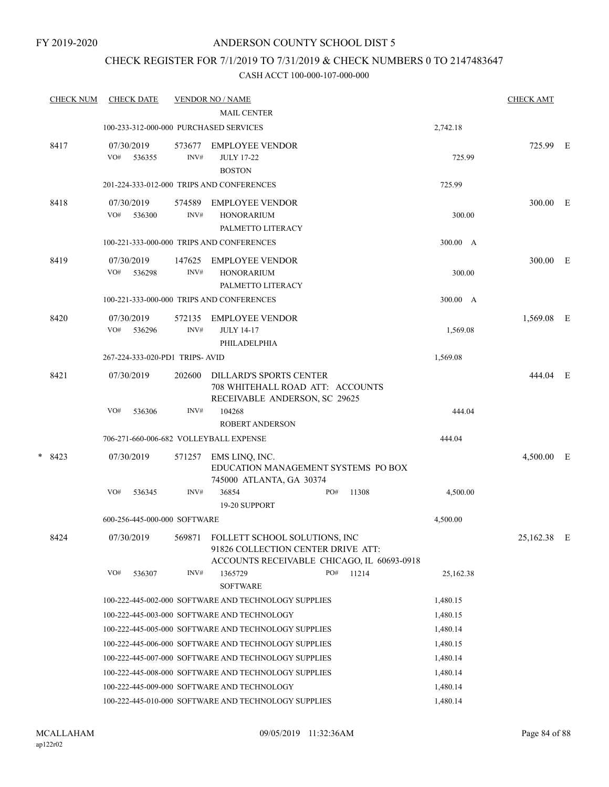# CHECK REGISTER FOR 7/1/2019 TO 7/31/2019 & CHECK NUMBERS 0 TO 2147483647

| <b>CHECK NUM</b> |        |        |                                                                                                                     |                            |                                                                                                                                                                                                                                                                                                                                                                                          |                                                                                                                                                                                                                                                                                                                                                                                                                                                                                                                                                                                                                                                                               |                                                                                                                           |                                                                                                                       | <b>CHECK AMT</b> |   |
|------------------|--------|--------|---------------------------------------------------------------------------------------------------------------------|----------------------------|------------------------------------------------------------------------------------------------------------------------------------------------------------------------------------------------------------------------------------------------------------------------------------------------------------------------------------------------------------------------------------------|-------------------------------------------------------------------------------------------------------------------------------------------------------------------------------------------------------------------------------------------------------------------------------------------------------------------------------------------------------------------------------------------------------------------------------------------------------------------------------------------------------------------------------------------------------------------------------------------------------------------------------------------------------------------------------|---------------------------------------------------------------------------------------------------------------------------|-----------------------------------------------------------------------------------------------------------------------|------------------|---|
|                  |        |        |                                                                                                                     | <b>MAIL CENTER</b>         |                                                                                                                                                                                                                                                                                                                                                                                          |                                                                                                                                                                                                                                                                                                                                                                                                                                                                                                                                                                                                                                                                               |                                                                                                                           |                                                                                                                       |                  |   |
|                  |        |        |                                                                                                                     |                            |                                                                                                                                                                                                                                                                                                                                                                                          |                                                                                                                                                                                                                                                                                                                                                                                                                                                                                                                                                                                                                                                                               |                                                                                                                           | 2,742.18                                                                                                              |                  |   |
| 8417             | VO#    | 536355 | 573677<br>INV#                                                                                                      | <b>JULY 17-22</b>          |                                                                                                                                                                                                                                                                                                                                                                                          |                                                                                                                                                                                                                                                                                                                                                                                                                                                                                                                                                                                                                                                                               |                                                                                                                           | 725.99                                                                                                                | 725.99 E         |   |
|                  |        |        |                                                                                                                     |                            |                                                                                                                                                                                                                                                                                                                                                                                          |                                                                                                                                                                                                                                                                                                                                                                                                                                                                                                                                                                                                                                                                               |                                                                                                                           | 725.99                                                                                                                |                  |   |
| 8418             | VO#    | 536300 | 574589<br>INV#                                                                                                      | <b>HONORARIUM</b>          |                                                                                                                                                                                                                                                                                                                                                                                          |                                                                                                                                                                                                                                                                                                                                                                                                                                                                                                                                                                                                                                                                               |                                                                                                                           | 300.00                                                                                                                | 300.00 E         |   |
|                  |        |        |                                                                                                                     |                            |                                                                                                                                                                                                                                                                                                                                                                                          |                                                                                                                                                                                                                                                                                                                                                                                                                                                                                                                                                                                                                                                                               |                                                                                                                           | 300.00 A                                                                                                              |                  |   |
| 8419             | VO#    | 536298 | 147625<br>INV#                                                                                                      | <b>HONORARIUM</b>          |                                                                                                                                                                                                                                                                                                                                                                                          |                                                                                                                                                                                                                                                                                                                                                                                                                                                                                                                                                                                                                                                                               |                                                                                                                           | 300.00                                                                                                                | 300.00 E         |   |
|                  |        |        |                                                                                                                     |                            |                                                                                                                                                                                                                                                                                                                                                                                          |                                                                                                                                                                                                                                                                                                                                                                                                                                                                                                                                                                                                                                                                               |                                                                                                                           | 300.00 A                                                                                                              |                  |   |
| 8420             | VO#    | 536296 | 572135<br>INV#                                                                                                      | <b>JULY 14-17</b>          |                                                                                                                                                                                                                                                                                                                                                                                          |                                                                                                                                                                                                                                                                                                                                                                                                                                                                                                                                                                                                                                                                               |                                                                                                                           | 1,569.08                                                                                                              | 1,569.08         | E |
|                  |        |        |                                                                                                                     |                            |                                                                                                                                                                                                                                                                                                                                                                                          |                                                                                                                                                                                                                                                                                                                                                                                                                                                                                                                                                                                                                                                                               |                                                                                                                           |                                                                                                                       |                  |   |
| 8421             |        |        | 202600                                                                                                              |                            |                                                                                                                                                                                                                                                                                                                                                                                          |                                                                                                                                                                                                                                                                                                                                                                                                                                                                                                                                                                                                                                                                               |                                                                                                                           |                                                                                                                       | 444.04 E         |   |
|                  | VO#    | 536306 | INV#                                                                                                                | 104268                     |                                                                                                                                                                                                                                                                                                                                                                                          |                                                                                                                                                                                                                                                                                                                                                                                                                                                                                                                                                                                                                                                                               |                                                                                                                           | 444.04                                                                                                                |                  |   |
|                  |        |        |                                                                                                                     |                            |                                                                                                                                                                                                                                                                                                                                                                                          |                                                                                                                                                                                                                                                                                                                                                                                                                                                                                                                                                                                                                                                                               |                                                                                                                           | 444.04                                                                                                                |                  |   |
|                  |        |        | 571257                                                                                                              |                            |                                                                                                                                                                                                                                                                                                                                                                                          |                                                                                                                                                                                                                                                                                                                                                                                                                                                                                                                                                                                                                                                                               |                                                                                                                           |                                                                                                                       | 4,500.00 E       |   |
|                  | VO#    | 536345 | INV#                                                                                                                | 36854                      |                                                                                                                                                                                                                                                                                                                                                                                          | 11308                                                                                                                                                                                                                                                                                                                                                                                                                                                                                                                                                                                                                                                                         |                                                                                                                           | 4,500.00                                                                                                              |                  |   |
|                  |        |        |                                                                                                                     |                            |                                                                                                                                                                                                                                                                                                                                                                                          |                                                                                                                                                                                                                                                                                                                                                                                                                                                                                                                                                                                                                                                                               |                                                                                                                           | 4,500.00                                                                                                              |                  |   |
| 8424             |        |        |                                                                                                                     |                            |                                                                                                                                                                                                                                                                                                                                                                                          |                                                                                                                                                                                                                                                                                                                                                                                                                                                                                                                                                                                                                                                                               |                                                                                                                           |                                                                                                                       | 25,162.38 E      |   |
|                  | VO#    | 536307 | INV#                                                                                                                | 1365729<br><b>SOFTWARE</b> |                                                                                                                                                                                                                                                                                                                                                                                          | 11214                                                                                                                                                                                                                                                                                                                                                                                                                                                                                                                                                                                                                                                                         |                                                                                                                           | 25,162.38                                                                                                             |                  |   |
|                  |        |        |                                                                                                                     |                            |                                                                                                                                                                                                                                                                                                                                                                                          |                                                                                                                                                                                                                                                                                                                                                                                                                                                                                                                                                                                                                                                                               |                                                                                                                           | 1,480.15                                                                                                              |                  |   |
|                  |        |        |                                                                                                                     |                            |                                                                                                                                                                                                                                                                                                                                                                                          |                                                                                                                                                                                                                                                                                                                                                                                                                                                                                                                                                                                                                                                                               |                                                                                                                           | 1,480.15                                                                                                              |                  |   |
|                  |        |        |                                                                                                                     |                            |                                                                                                                                                                                                                                                                                                                                                                                          |                                                                                                                                                                                                                                                                                                                                                                                                                                                                                                                                                                                                                                                                               |                                                                                                                           | 1,480.14                                                                                                              |                  |   |
|                  |        |        |                                                                                                                     |                            |                                                                                                                                                                                                                                                                                                                                                                                          |                                                                                                                                                                                                                                                                                                                                                                                                                                                                                                                                                                                                                                                                               |                                                                                                                           | 1,480.15                                                                                                              |                  |   |
|                  |        |        |                                                                                                                     |                            |                                                                                                                                                                                                                                                                                                                                                                                          |                                                                                                                                                                                                                                                                                                                                                                                                                                                                                                                                                                                                                                                                               |                                                                                                                           | 1,480.14                                                                                                              |                  |   |
|                  |        |        |                                                                                                                     |                            |                                                                                                                                                                                                                                                                                                                                                                                          |                                                                                                                                                                                                                                                                                                                                                                                                                                                                                                                                                                                                                                                                               |                                                                                                                           | 1,480.14                                                                                                              |                  |   |
|                  |        |        |                                                                                                                     |                            |                                                                                                                                                                                                                                                                                                                                                                                          |                                                                                                                                                                                                                                                                                                                                                                                                                                                                                                                                                                                                                                                                               |                                                                                                                           | 1,480.14                                                                                                              |                  |   |
|                  |        |        |                                                                                                                     |                            |                                                                                                                                                                                                                                                                                                                                                                                          |                                                                                                                                                                                                                                                                                                                                                                                                                                                                                                                                                                                                                                                                               |                                                                                                                           | 1,480.14                                                                                                              |                  |   |
|                  | * 8423 |        | <b>CHECK DATE</b><br>07/30/2019<br>07/30/2019<br>07/30/2019<br>07/30/2019<br>07/30/2019<br>07/30/2019<br>07/30/2019 |                            | <b>VENDOR NO / NAME</b><br>100-233-312-000-000 PURCHASED SERVICES<br><b>BOSTON</b><br>201-224-333-012-000 TRIPS AND CONFERENCES<br>100-221-333-000-000 TRIPS AND CONFERENCES<br>100-221-333-000-000 TRIPS AND CONFERENCES<br>PHILADELPHIA<br>267-224-333-020-PD1 TRIPS-AVID<br>706-271-660-006-682 VOLLEYBALL EXPENSE<br>EMS LINQ, INC.<br>19-20 SUPPORT<br>600-256-445-000-000 SOFTWARE | <b>EMPLOYEE VENDOR</b><br><b>EMPLOYEE VENDOR</b><br>PALMETTO LITERACY<br>EMPLOYEE VENDOR<br>PALMETTO LITERACY<br><b>EMPLOYEE VENDOR</b><br><b>DILLARD'S SPORTS CENTER</b><br><b>ROBERT ANDERSON</b><br>745000 ATLANTA, GA 30374<br>100-222-445-002-000 SOFTWARE AND TECHNOLOGY SUPPLIES<br>100-222-445-003-000 SOFTWARE AND TECHNOLOGY<br>100-222-445-005-000 SOFTWARE AND TECHNOLOGY SUPPLIES<br>100-222-445-006-000 SOFTWARE AND TECHNOLOGY SUPPLIES<br>100-222-445-007-000 SOFTWARE AND TECHNOLOGY SUPPLIES<br>100-222-445-008-000 SOFTWARE AND TECHNOLOGY SUPPLIES<br>100-222-445-009-000 SOFTWARE AND TECHNOLOGY<br>100-222-445-010-000 SOFTWARE AND TECHNOLOGY SUPPLIES | RECEIVABLE ANDERSON, SC 29625<br>PO#<br>569871 FOLLETT SCHOOL SOLUTIONS, INC<br>91826 COLLECTION CENTER DRIVE ATT:<br>PO# | 708 WHITEHALL ROAD ATT: ACCOUNTS<br>EDUCATION MANAGEMENT SYSTEMS PO BOX<br>ACCOUNTS RECEIVABLE CHICAGO, IL 60693-0918 | 1,569.08         |   |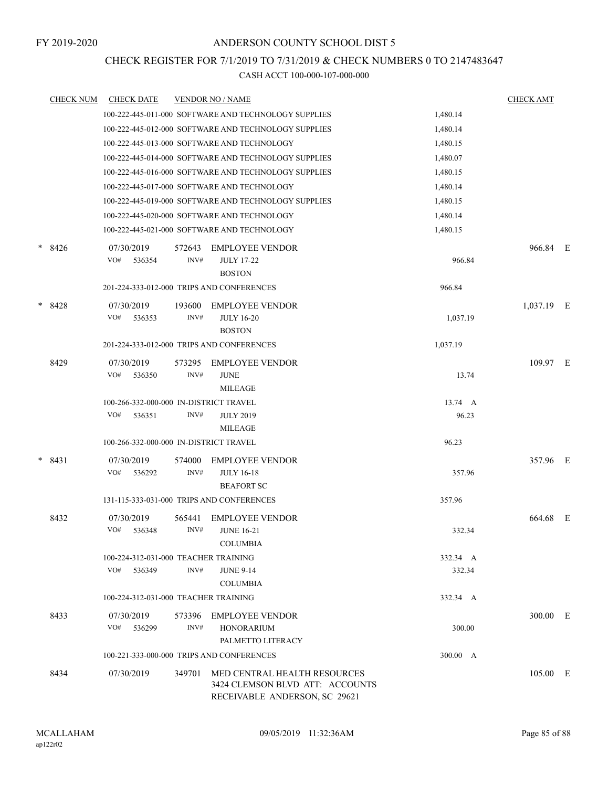# CHECK REGISTER FOR 7/1/2019 TO 7/31/2019 & CHECK NUMBERS 0 TO 2147483647

| <b>CHECK NUM</b> | <b>CHECK DATE</b>                         |                                           | <b>VENDOR NO / NAME</b>                                                                          |          | <b>CHECK AMT</b> |   |
|------------------|-------------------------------------------|-------------------------------------------|--------------------------------------------------------------------------------------------------|----------|------------------|---|
|                  |                                           |                                           | 100-222-445-011-000 SOFTWARE AND TECHNOLOGY SUPPLIES                                             | 1,480.14 |                  |   |
|                  |                                           |                                           | 100-222-445-012-000 SOFTWARE AND TECHNOLOGY SUPPLIES                                             | 1,480.14 |                  |   |
|                  |                                           |                                           | 100-222-445-013-000 SOFTWARE AND TECHNOLOGY                                                      | 1,480.15 |                  |   |
|                  |                                           |                                           | 100-222-445-014-000 SOFTWARE AND TECHNOLOGY SUPPLIES                                             | 1,480.07 |                  |   |
|                  |                                           |                                           | 100-222-445-016-000 SOFTWARE AND TECHNOLOGY SUPPLIES                                             | 1,480.15 |                  |   |
|                  |                                           |                                           | 100-222-445-017-000 SOFTWARE AND TECHNOLOGY                                                      | 1,480.14 |                  |   |
|                  |                                           |                                           | 100-222-445-019-000 SOFTWARE AND TECHNOLOGY SUPPLIES                                             | 1,480.15 |                  |   |
|                  |                                           |                                           | 100-222-445-020-000 SOFTWARE AND TECHNOLOGY                                                      | 1,480.14 |                  |   |
|                  |                                           |                                           | 100-222-445-021-000 SOFTWARE AND TECHNOLOGY                                                      | 1,480.15 |                  |   |
| $* 8426$         | 07/30/2019<br>VO#<br>536354               | 572643<br>INV#                            | <b>EMPLOYEE VENDOR</b><br><b>JULY 17-22</b><br><b>BOSTON</b>                                     | 966.84   | 966.84 E         |   |
|                  | 201-224-333-012-000 TRIPS AND CONFERENCES |                                           |                                                                                                  | 966.84   |                  |   |
| $*8428$          | 07/30/2019<br>VO#<br>536353               | 193600<br>INV#                            | <b>EMPLOYEE VENDOR</b><br><b>JULY 16-20</b><br><b>BOSTON</b>                                     | 1,037.19 | 1,037.19 E       |   |
|                  | 201-224-333-012-000 TRIPS AND CONFERENCES |                                           |                                                                                                  | 1,037.19 |                  |   |
| 8429             | 07/30/2019<br>VO#<br>536350               | 573295<br>INV#                            | <b>EMPLOYEE VENDOR</b><br><b>JUNE</b><br><b>MILEAGE</b>                                          | 13.74    | 109.97 E         |   |
|                  | 100-266-332-000-000 IN-DISTRICT TRAVEL    |                                           |                                                                                                  | 13.74 A  |                  |   |
|                  | VO#<br>536351                             | INV#                                      | <b>JULY 2019</b><br><b>MILEAGE</b>                                                               | 96.23    |                  |   |
|                  | 100-266-332-000-000 IN-DISTRICT TRAVEL    |                                           |                                                                                                  | 96.23    |                  |   |
| $* 8431$         | 07/30/2019<br>VO#<br>536292               | 574000<br>INV#                            | <b>EMPLOYEE VENDOR</b><br><b>JULY 16-18</b><br><b>BEAFORT SC</b>                                 | 357.96   | 357.96 E         |   |
|                  | 131-115-333-031-000 TRIPS AND CONFERENCES |                                           |                                                                                                  | 357.96   |                  |   |
| 8432             | 07/30/2019<br>VO#<br>536348               | 565441<br>INV#                            | <b>EMPLOYEE VENDOR</b><br><b>JUNE 16-21</b><br><b>COLUMBIA</b>                                   | 332.34   | 664.68           | E |
|                  | 100-224-312-031-000 TEACHER TRAINING      |                                           |                                                                                                  | 332.34 A |                  |   |
|                  | VO#<br>536349                             | INV#                                      | <b>JUNE 9-14</b><br><b>COLUMBIA</b>                                                              | 332.34   |                  |   |
|                  | 100-224-312-031-000 TEACHER TRAINING      |                                           |                                                                                                  | 332.34 A |                  |   |
| 8433             | 07/30/2019<br>VO#<br>536299               | 573396<br>INV#                            | <b>EMPLOYEE VENDOR</b><br><b>HONORARIUM</b><br>PALMETTO LITERACY                                 | 300.00   | 300.00 E         |   |
|                  |                                           | 100-221-333-000-000 TRIPS AND CONFERENCES |                                                                                                  | 300.00 A |                  |   |
| 8434             | 07/30/2019                                | 349701                                    | MED CENTRAL HEALTH RESOURCES<br>3424 CLEMSON BLVD ATT: ACCOUNTS<br>RECEIVABLE ANDERSON, SC 29621 |          | 105.00 E         |   |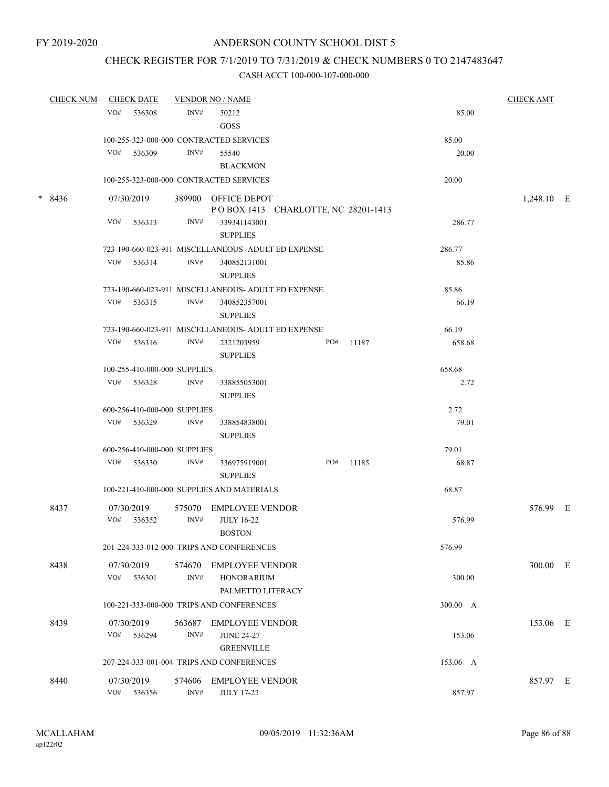# CHECK REGISTER FOR 7/1/2019 TO 7/31/2019 & CHECK NUMBERS 0 TO 2147483647

| <b>CHECK NUM</b> | <b>CHECK DATE</b> |                              | <b>VENDOR NO / NAME</b> |                                                                  |  |     |       | <b>CHECK AMT</b> |            |  |
|------------------|-------------------|------------------------------|-------------------------|------------------------------------------------------------------|--|-----|-------|------------------|------------|--|
|                  | VO#               | 536308                       | INV#                    | 50212<br>GOSS                                                    |  |     |       | 85.00            |            |  |
|                  |                   |                              |                         | 100-255-323-000-000 CONTRACTED SERVICES                          |  |     |       | 85.00            |            |  |
|                  | $VO#$ 536309      |                              | INV#                    | 55540<br><b>BLACKMON</b>                                         |  |     |       | 20.00            |            |  |
|                  |                   |                              |                         | 100-255-323-000-000 CONTRACTED SERVICES                          |  |     |       | 20.00            |            |  |
| $*8436$          | 07/30/2019        |                              |                         | 389900 OFFICE DEPOT<br>PO BOX 1413 CHARLOTTE, NC 28201-1413      |  |     |       |                  | 1,248.10 E |  |
|                  | VO#               | 536313                       | INV#                    | 339341143001<br><b>SUPPLIES</b>                                  |  |     |       | 286.77           |            |  |
|                  |                   |                              |                         | 723-190-660-023-911 MISCELLANEOUS- ADULT ED EXPENSE              |  |     |       | 286.77           |            |  |
|                  | VO#               | 536314                       | INV#                    | 340852131001<br><b>SUPPLIES</b>                                  |  |     |       | 85.86            |            |  |
|                  |                   |                              |                         | 723-190-660-023-911 MISCELLANEOUS- ADULT ED EXPENSE              |  |     |       | 85.86            |            |  |
|                  | VO# 536315        |                              | INV#                    | 340852357001<br><b>SUPPLIES</b>                                  |  |     |       | 66.19            |            |  |
|                  |                   |                              |                         | 723-190-660-023-911 MISCELLANEOUS- ADULT ED EXPENSE              |  |     |       | 66.19            |            |  |
|                  | $VO#$ 536316      |                              | INV#                    | 2321203959<br><b>SUPPLIES</b>                                    |  | PO# | 11187 | 658.68           |            |  |
|                  |                   | 100-255-410-000-000 SUPPLIES |                         |                                                                  |  |     |       | 658.68           |            |  |
|                  | $VO#$ 536328      |                              | INV#                    | 338855053001<br><b>SUPPLIES</b>                                  |  |     |       | 2.72             |            |  |
|                  |                   | 600-256-410-000-000 SUPPLIES |                         |                                                                  |  |     |       | 2.72             |            |  |
|                  | VO# 536329        |                              | INV#                    | 338854838001<br><b>SUPPLIES</b>                                  |  |     |       | 79.01            |            |  |
|                  |                   | 600-256-410-000-000 SUPPLIES |                         |                                                                  |  |     |       | 79.01            |            |  |
|                  | VO# 536330        |                              | INV#                    | 336975919001<br><b>SUPPLIES</b>                                  |  | PO# | 11185 | 68.87            |            |  |
|                  |                   |                              |                         | 100-221-410-000-000 SUPPLIES AND MATERIALS                       |  |     |       | 68.87            |            |  |
| 8437             | 07/30/2019<br>VO# | 536352                       | INV#                    | 575070 EMPLOYEE VENDOR<br><b>JULY 16-22</b><br><b>BOSTON</b>     |  |     |       | 576.99           | 576.99 E   |  |
|                  |                   |                              |                         | 201-224-333-012-000 TRIPS AND CONFERENCES                        |  |     |       | 576.99           |            |  |
| 8438             | 07/30/2019<br>VO# | 536301                       | 574670<br>INV#          | <b>EMPLOYEE VENDOR</b><br><b>HONORARIUM</b><br>PALMETTO LITERACY |  |     |       | 300.00           | 300.00 E   |  |
|                  |                   |                              |                         | 100-221-333-000-000 TRIPS AND CONFERENCES                        |  |     |       | 300.00 A         |            |  |
| 8439             | 07/30/2019<br>VO# | 536294                       | 563687<br>INV#          | <b>EMPLOYEE VENDOR</b><br><b>JUNE 24-27</b><br><b>GREENVILLE</b> |  |     |       | 153.06           | 153.06 E   |  |
|                  |                   |                              |                         | 207-224-333-001-004 TRIPS AND CONFERENCES                        |  |     |       | 153.06 A         |            |  |
|                  |                   |                              |                         |                                                                  |  |     |       |                  |            |  |
| 8440             | 07/30/2019<br>VO# | 536356                       | 574606<br>INV#          | <b>EMPLOYEE VENDOR</b><br><b>JULY 17-22</b>                      |  |     |       | 857.97           | 857.97 E   |  |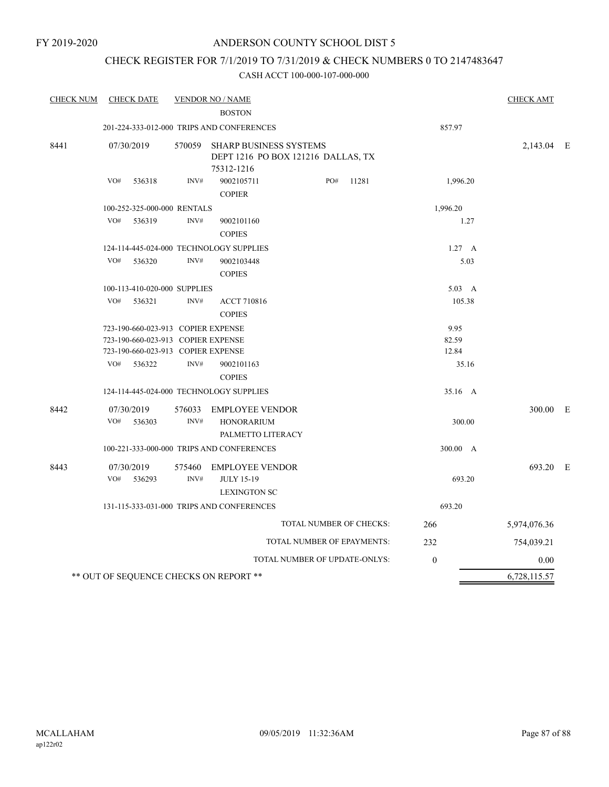# CHECK REGISTER FOR 7/1/2019 TO 7/31/2019 & CHECK NUMBERS 0 TO 2147483647

| <b>CHECK NUM</b> | <b>CHECK DATE</b>                       |                | <b>VENDOR NO / NAME</b>                                                           |                         |                  | <b>CHECK AMT</b> |  |
|------------------|-----------------------------------------|----------------|-----------------------------------------------------------------------------------|-------------------------|------------------|------------------|--|
|                  |                                         |                | <b>BOSTON</b>                                                                     |                         |                  |                  |  |
|                  |                                         |                | 201-224-333-012-000 TRIPS AND CONFERENCES                                         | 857.97                  |                  |                  |  |
| 8441             | 07/30/2019                              | 570059         | <b>SHARP BUSINESS SYSTEMS</b><br>DEPT 1216 PO BOX 121216 DALLAS, TX<br>75312-1216 |                         |                  | 2,143.04 E       |  |
|                  | VO#<br>536318                           | INV#           | 9002105711<br><b>COPIER</b>                                                       | PO#<br>11281            | 1,996.20         |                  |  |
|                  | 100-252-325-000-000 RENTALS             |                |                                                                                   | 1,996.20                |                  |                  |  |
|                  | VO#<br>536319                           | INV#           | 9002101160<br><b>COPIES</b>                                                       |                         | 1.27             |                  |  |
|                  | 124-114-445-024-000 TECHNOLOGY SUPPLIES |                |                                                                                   |                         | $1.27\quad A$    |                  |  |
|                  | VO#<br>536320                           | INV#           | 9002103448<br><b>COPIES</b>                                                       |                         | 5.03             |                  |  |
|                  | 100-113-410-020-000 SUPPLIES            |                |                                                                                   |                         | $5.03\quad A$    |                  |  |
|                  | VO#<br>536321                           | INV#           | <b>ACCT 710816</b><br><b>COPIES</b>                                               |                         | 105.38           |                  |  |
|                  | 723-190-660-023-913 COPIER EXPENSE      |                |                                                                                   |                         | 9.95             |                  |  |
|                  | 723-190-660-023-913 COPIER EXPENSE      |                | 82.59                                                                             |                         |                  |                  |  |
|                  | 723-190-660-023-913 COPIER EXPENSE      |                |                                                                                   |                         | 12.84            |                  |  |
|                  | VO#<br>536322                           | INV#           | 9002101163<br><b>COPIES</b>                                                       |                         | 35.16            |                  |  |
|                  | 124-114-445-024-000 TECHNOLOGY SUPPLIES |                |                                                                                   |                         | 35.16 A          |                  |  |
| 8442             | 07/30/2019<br>VO#<br>536303             | 576033<br>INV# | <b>EMPLOYEE VENDOR</b><br><b>HONORARIUM</b>                                       |                         | 300.00           | 300.00 E         |  |
|                  |                                         |                | PALMETTO LITERACY                                                                 |                         |                  |                  |  |
|                  |                                         |                | 100-221-333-000-000 TRIPS AND CONFERENCES                                         |                         | 300.00 A         |                  |  |
| 8443             | 07/30/2019<br>VO#<br>536293             | 575460<br>INV# | <b>EMPLOYEE VENDOR</b><br><b>JULY 15-19</b><br><b>LEXINGTON SC</b>                |                         | 693.20           | 693.20 E         |  |
|                  |                                         |                | 131-115-333-031-000 TRIPS AND CONFERENCES                                         |                         | 693.20           |                  |  |
|                  |                                         |                |                                                                                   | TOTAL NUMBER OF CHECKS: | 266              | 5,974,076.36     |  |
|                  |                                         |                | TOTAL NUMBER OF EPAYMENTS:                                                        |                         | 232              | 754,039.21       |  |
|                  |                                         |                | TOTAL NUMBER OF UPDATE-ONLYS:                                                     |                         | $\boldsymbol{0}$ | 0.00             |  |
|                  | ** OUT OF SEQUENCE CHECKS ON REPORT **  |                | 6,728,115.57                                                                      |                         |                  |                  |  |